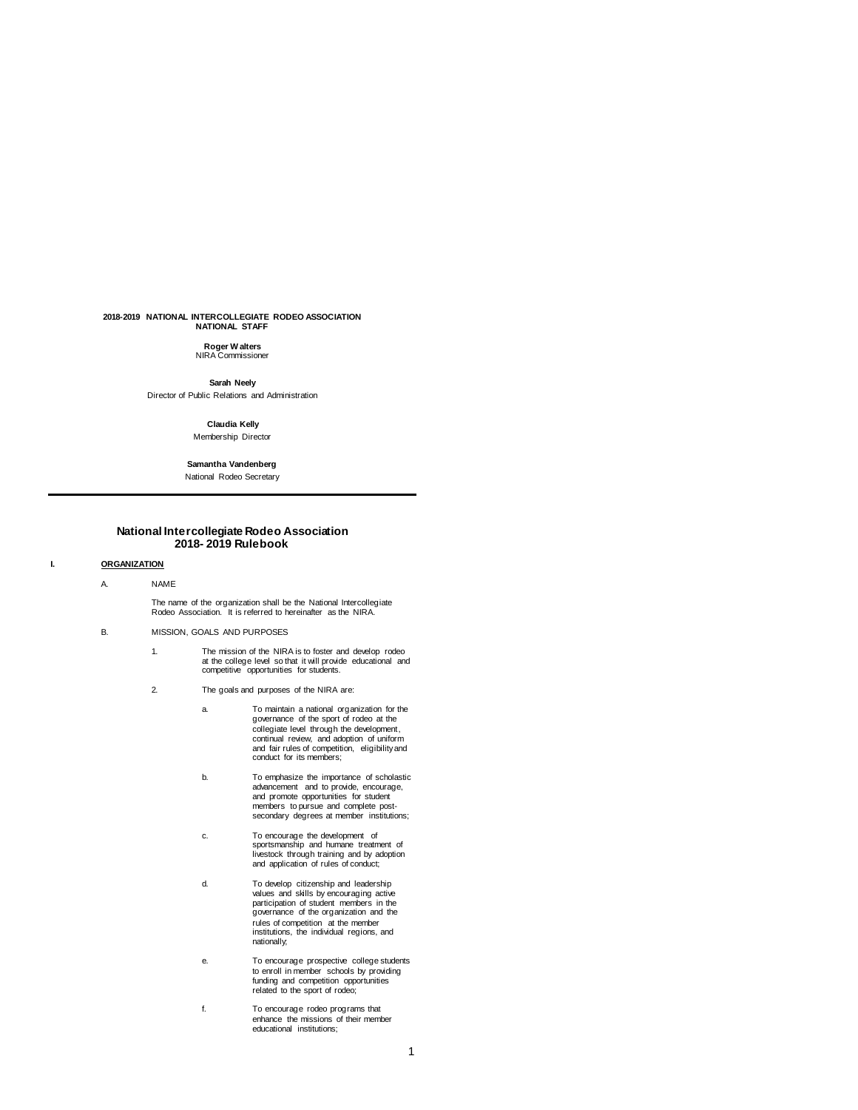# **2018-2019 NATIONAL INTERCOLLEGIATE RODEO ASSOCIATION NATIONAL STAFF**

**Roger W alters** NIRA Commissioner

**Sarah Neely** Director of Public Relations and Administration

# **Claudia Kelly** Membership Director

**Samantha Vandenberg** National Rodeo Secretary

# **National Intercollegiate Rodeo Association 2018- 2019 Rulebook**

# **I. ORGANIZATION**

A. NAME

The name of the organization shall be the National Intercollegiate Rodeo Association. It is referred to hereinafter as the NIRA.

# B. MISSION, GOALS AND PURPOSES

- 1. The mission of the NIRA is to foster and develop rodeo at the college level so that it will provide educational and competitive opportunities for students.
- 2. The goals and purposes of the NIRA are:
	- a. To maintain a national organization for the governance of the sport of rodeo at the collegiate level through the development, continual review, and adoption of uniform and fair rules of competition, eligibility and conduct for its members;
	- b. To emphasize the importance of scholastic advancement and to provide, encourage, and promote opportunities for student members to pursue and complete postsecondary degrees at member institutions;
	- c. To encourage the development of sportsmanship and humane treatment of livestock through training and by adoption and application of rules of conduct;
	- d. To develop citizenship and leadership values and skills by encouraging active participation of student members in the governance of the organization and the rules of competition at the member institutions, the individual regions, and nationally;
	- e. To encourage prospective college students to enroll in member schools by providing funding and competition opportunities related to the sport of rodeo;
	- f. To encourage rodeo programs that enhance the missions of their member educational institutions;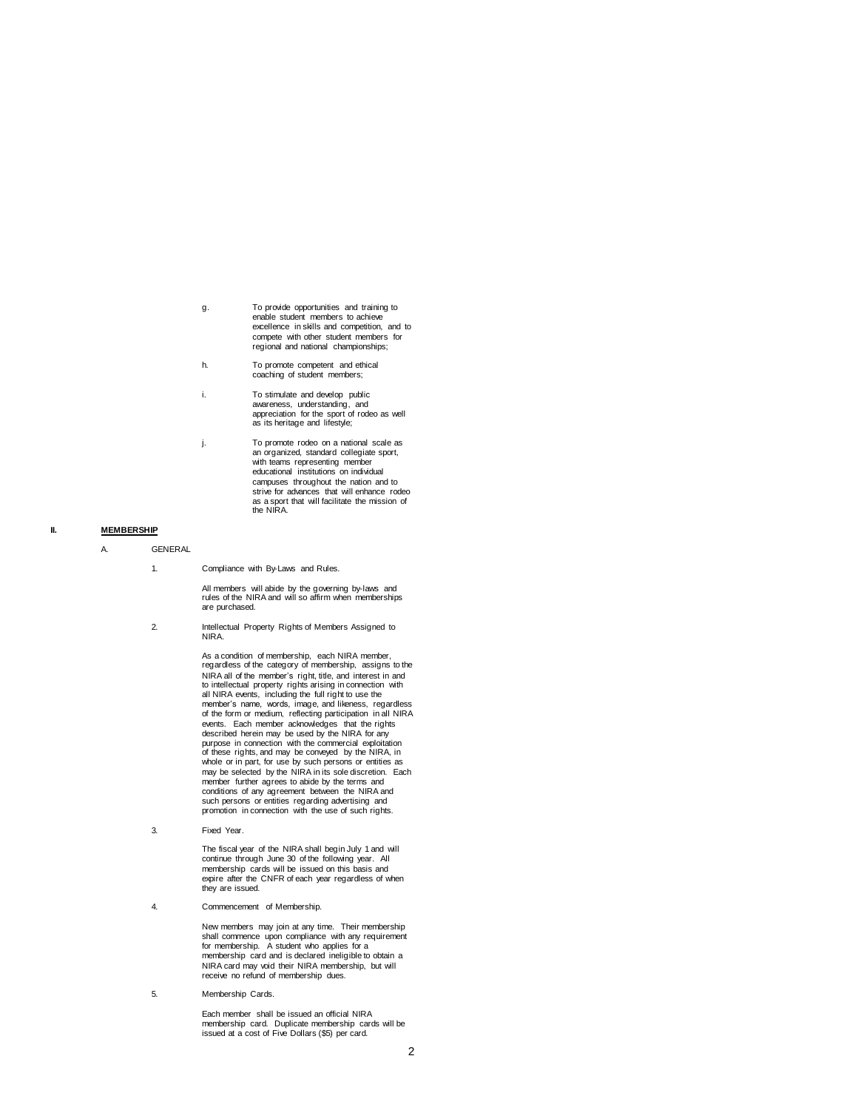- g. To provide opportunities and training to enable student members to achieve excellence in skills and competition, and to compete with other student members for regional and national championships;
- h. To promote competent and ethical coaching of student members;
- i. To stimulate and develop public awareness, understanding, and appreciation for the sport of rodeo as well as its heritage and lifestyle;
- j. To promote rodeo on a national scale as an organized, standard collegiate sport, with teams representing member educational institutions on individual campuses throughout the nation and to strive for advances that will enhance rodeo as a sport that will facilitate the mission of the NIRA.

# **II. MEMBERSHIP**

- A. GENERAL
	- 1. Compliance with By-Laws and Rules.

All members will abide by the governing by-laws and rules of the NIRA and will so affirm when memberships are purchased.

2. Intellectual Property Rights of Members Assigned to NIRA.

> As a condition of membership, each NIRA member, regardless of the category of membership, assigns to the NIRA all of the member's right, title, and interest in and to intellectual property rights arising in connection with all NIRA events, including the full right to use the member's name, words, image, and likeness, regardless of the form or medium, reflecting participation in all NIRA events. Each member acknowledges that the rights described herein may be used by the NIRA for any purpose in connection with the commercial exploitation of these rights, and may be conveyed by the NIRA, in whole or in part, for use by such persons or entities as may be selected by the NIRA in its sole discretion. Each member further agrees to abide by the terms and conditions of any agreement between the NIRA and such persons or entities regarding advertising and promotion in connection with the use of such rights.

3. Fixed Year.

The fiscal year of the NIRA shall begin July 1 and will continue through June 30 of the following year. All membership cards will be issued on this basis and expire after the CNFR of each year regardless of when they are issued.

4. Commencement of Membership.

New members may join at any time. Their membership shall commence upon compliance with any requirement for membership. A student who applies for a membership card and is declared ineligible to obtain a NIRA card may void their NIRA membership, but will receive no refund of membership dues.

5. Membership Cards.

Each member shall be issued an official NIRA membership card. Duplicate membership cards will be issued at a cost of Five Dollars (\$5) per card.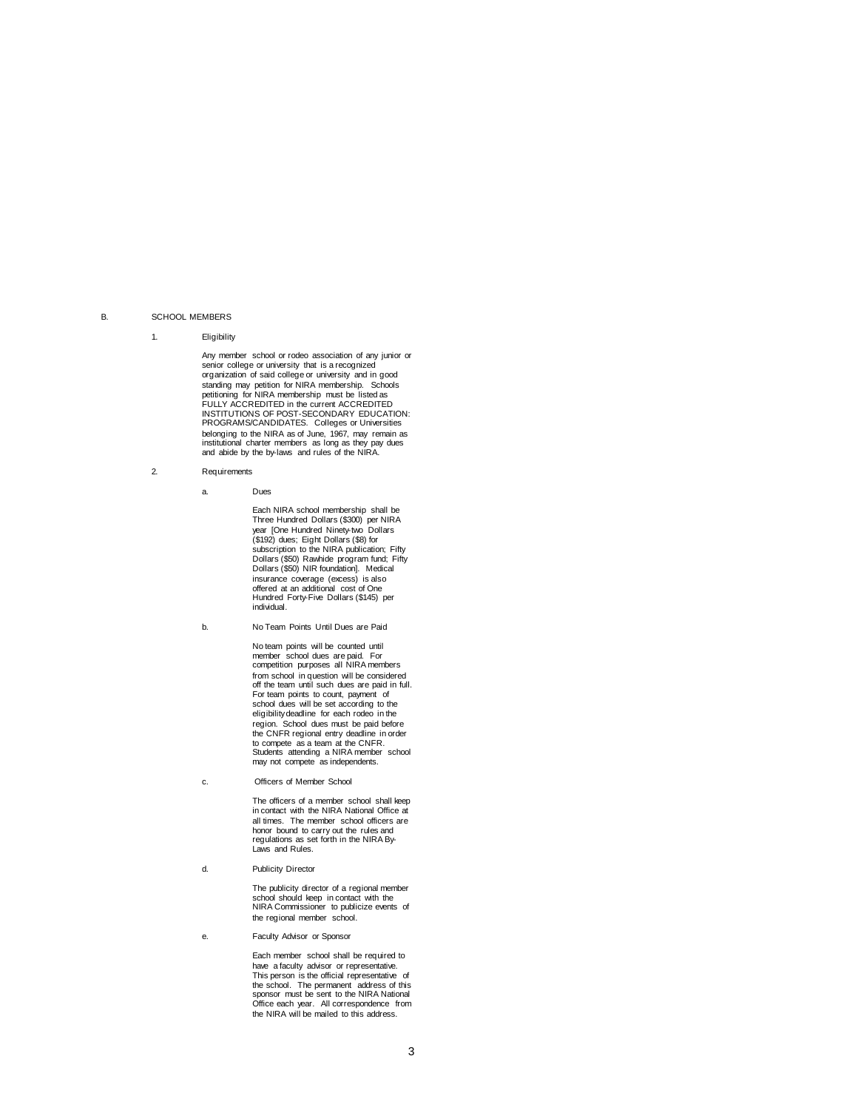# B. SCHOOL MEMBERS

### 1. Eligibility

Any member school or rodeo association of any junior or senior college or university that is a recognized organization of said college or university and in good standing may petition for NIRA membership. Schools petitioning for NIRA membership must be listed as FULLY ACCREDITED in the current ACCREDITED INSTITUTIONS OF POST-SECONDARY EDUCATION: PROGRAMS/CANDIDATES. Colleges or Universities belonging to the NIRA as of June, 1967, may remain as institutional charter members as long as they pay dues and abide by the by-laws and rules of the NIRA.

- 2. Requirements
	- a. Dues

Each NIRA school membership shall be Three Hundred Dollars (\$300) per NIRA year [One Hundred Ninety-two Dollars (\$192) dues; Eight Dollars (\$8) for subscription to the NIRA publication; Fifty Dollars (\$50) Rawhide program fund; Fifty Dollars (\$50) NIR foundation]. Medical insurance coverage (excess) is also offered at an additional cost of One Hundred Forty-Five Dollars (\$145) per individual.

b. No Team Points Until Dues are Paid

No team points will be counted until member school dues are paid. For competition purposes all NIRA members from school in question will be considered off the team until such dues are paid in full. For team points to count, payment of school dues will be set according to the eligibility deadline for each rodeo in the region. School dues must be paid before the CNFR regional entry deadline in order to compete as a team at the CNFR. Students attending a NIRA member school may not compete as independents.

c. Officers of Member School

The officers of a member school shall keep in contact with the NIRA National Office at all times. The member school officers are honor bound to carry out the rules and regulations as set forth in the NIRA By-Laws and Rules.

d. Publicity Director

The publicity director of a regional member school should keep in contact with the NIRA Commissioner to publicize events of the regional member school.

e. Faculty Advisor or Sponsor

Each member school shall be required to have a faculty advisor or representative. This person is the official representative of the school. The permanent address of this sponsor must be sent to the NIRA National Office each year. All correspondence from the NIRA will be mailed to this address.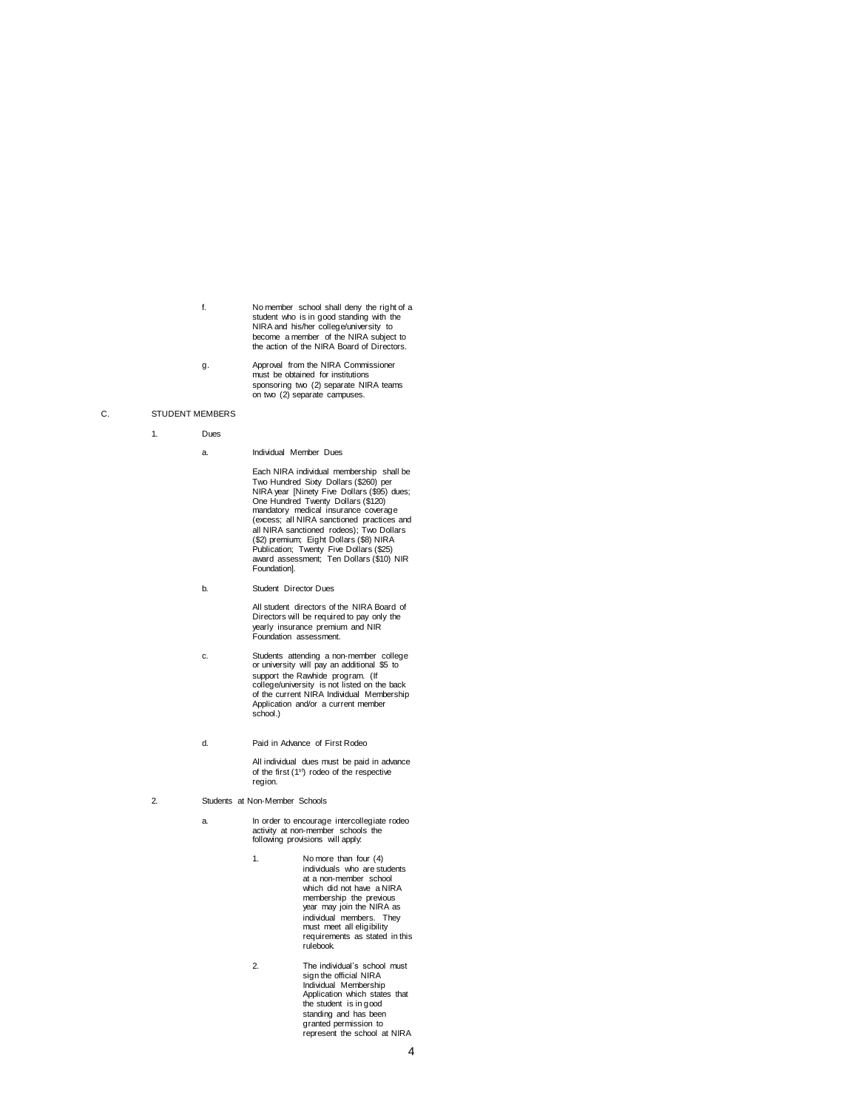f. No member school shall deny the right of a student who is in good standing with the NIRA and his/her college/university to become a member of the NIRA subject to the action of the NIRA Board of Directors.

g. Approval from the NIRA Commissioner must be obtained for institutions sponsoring two (2) separate NIRA teams on two (2) separate campuses.

#### C. STUDENT MEMBERS

# 1. Dues

a. Individual Member Dues

Each NIRA individual membership shall be Two Hundred Sixty Dollars (\$260) per NIRA year [Ninety Five Dollars (\$95) dues; One Hundred Twenty Dollars (\$120) mandatory medical insurance coverage (excess; all NIRA sanctioned practices and all NIRA sanctioned rodeos); Two Dollars (\$2) premium; Eight Dollars (\$8) NIRA Publication; Twenty Five Dollars (\$25) award assessment; Ten Dollars (\$10) NIR Foundation].

b. Student Director Dues

All student directors of the NIRA Board of Directors will be required to pay only the yearly insurance premium and NIR Foundation assessment.

- c. Students attending a non-member college or university will pay an additional \$5 to support the Rawhide program. (If college/university is not listed on the back of the current NIRA Individual Membership Application and/or a current member school.)
- d. Paid in Advance of First Rodeo

All individual dues must be paid in advance of the first (1<sup>st</sup>) rodeo of the respective region.

- 2. Students at Non-Member Schools
	- a. In order to encourage intercollegiate rodeo activity at non-member schools the following provisions will apply:
		- 1. No more than four (4) individuals who are students at a non-member school which did not have a NIRA membership the previous year may join the NIRA as individual members. They must meet all eligibility requirements as stated in this rulebook.
		- 2. The individual's school must sign the official NIRA Individual Membership Application which states that the student is in good standing and has been granted permission to represent the school at NIRA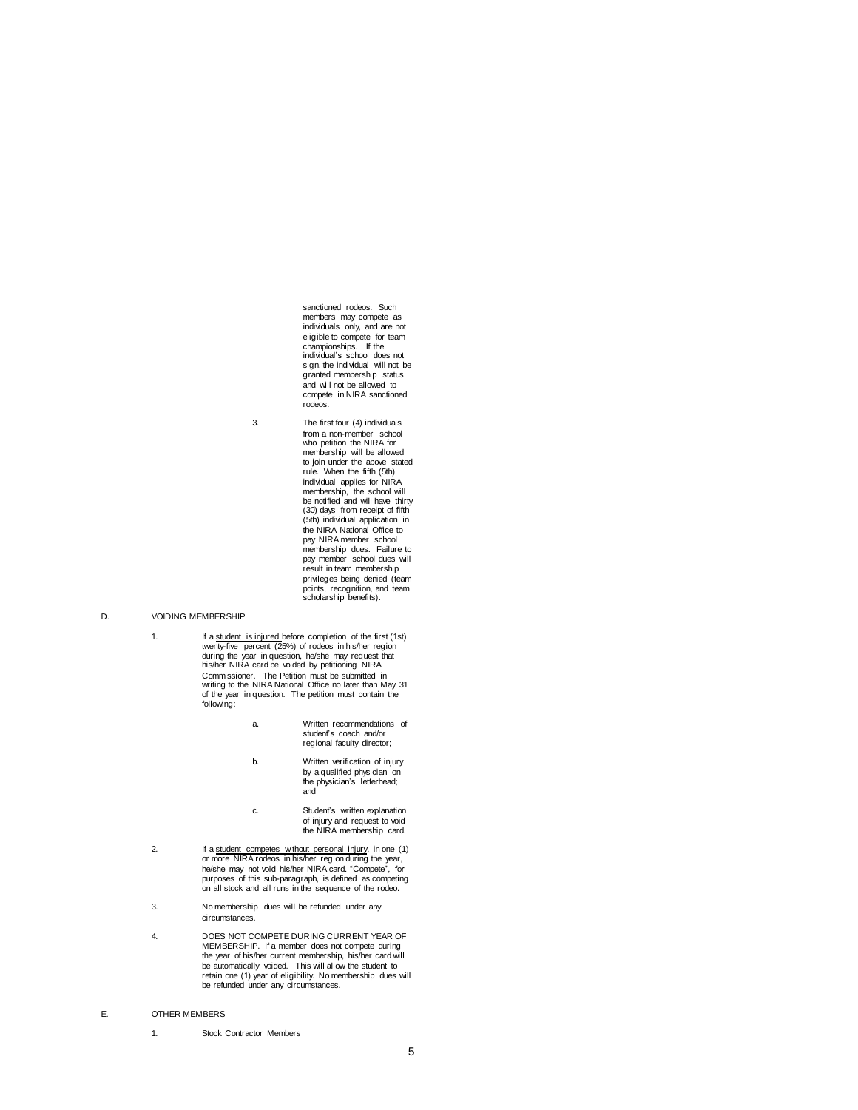sanctioned rodeos. Such members may compete as individuals only, and are not eligible to compete for team championships. If the individual's school does not sign, the individual will not be granted membership status and will not be allowed to compete in NIRA sanctioned rodeos.

3. The first four (4) individuals from a non-member school who petition the NIRA for membership will be allowed to join under the above stated rule. When the fifth (5th) individual applies for NIRA membership, the school will be notified and will have thirty (30) days from receipt of fifth (5th) individual application in the NIRA National Office to pay NIRA member school membership dues. Failure to pay member school dues will result in team membership privileges being denied (team points, recognition, and team scholarship benefits).

### D. VOIDING MEMBERSHIP

- 1. If a student is injured before completion of the first (1st) twenty-five percent (25%) of rodeos in his/her region during the year in question, he/she may request that his/her NIRA card be voided by petitioning NIRA Commissioner. The Petition must be submitted in writing to the NIRA National Office no later than May 31 of the year in question. The petition must contain the following:
	- a. Written recommendations of student's coach and/or regional faculty director;
	- b. Written verification of injury by a qualified physician on the physician's letterhead; and
	- c. Student's written explanation of injury and request to void the NIRA membership card.
- 2. If a student competes without personal injury, in one (1) or more NIRA rodeos in his/her region during the year, he/she may not void his/her NIRA card. "Compete", for purposes of this sub-paragraph, is defined as competing on all stock and all runs in the sequence of the rodeo.
- 3. No membership dues will be refunded under any circumstances.
- 4. DOES NOT COMPETE DURING CURRENT YEAR OF MEMBERSHIP. If a member does not compete during the year of his/her current membership, his/her card will be automatically voided. This will allow the student to retain one (1) year of eligibility. No membership dues will be refunded under any circumstances.

# E. OTHER MEMBERS

1. Stock Contractor Members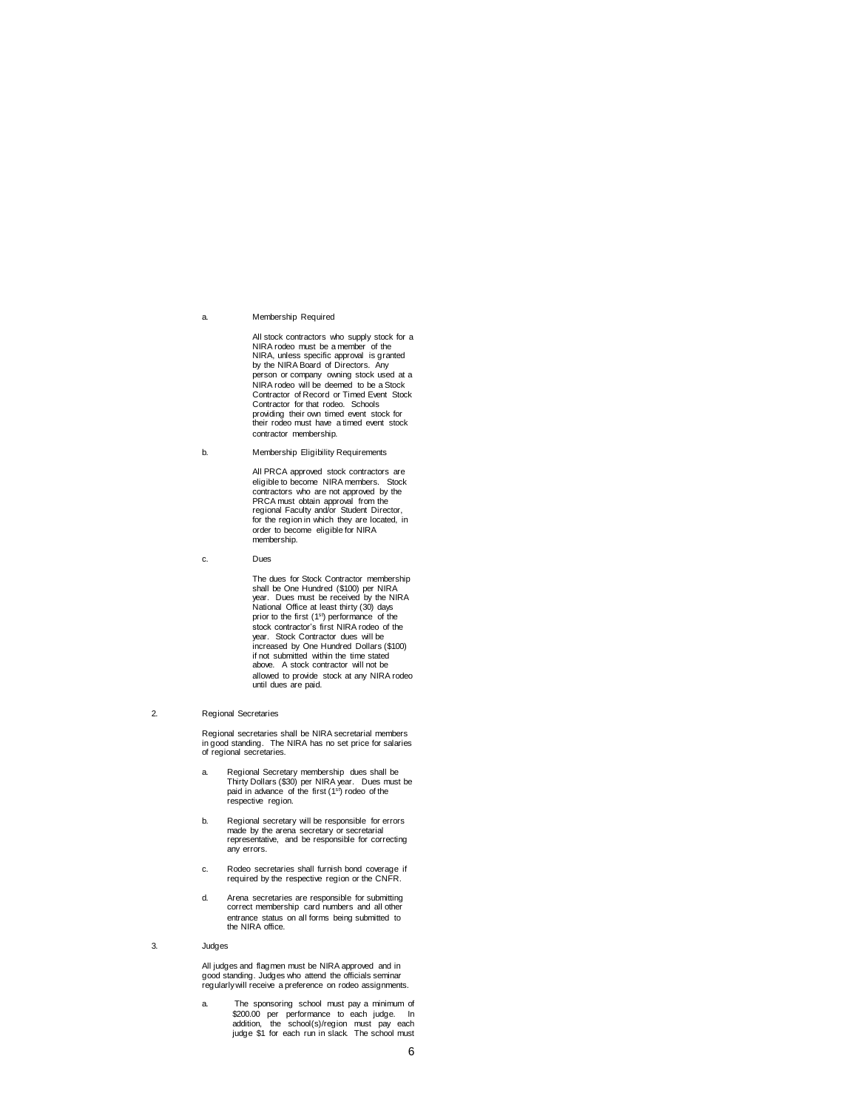#### a. Membership Required

All stock contractors who supply stock for a NIRA rodeo must be a member of the NIRA, unless specific approval is granted by the NIRA Board of Directors. Any person or company owning stock used at a NIRA rodeo will be deemed to be a Stock Contractor of Record or Timed Event Stock Contractor for that rodeo. Schools providing their own timed event stock for their rodeo must have a timed event stock contractor membership.

b. Membership Eligibility Requirements

All PRCA approved stock contractors are eligible to become NIRA members. Stock contractors who are not approved by the PRCA must obtain approval from the regional Faculty and/or Student Director, for the region in which they are located, in order to become eligible for NIRA membership.

c. Dues

The dues for Stock Contractor membership shall be One Hundred (\$100) per NIRA year. Dues must be received by the NIRA National Office at least thirty (30) days prior to the first (1st) performance of the stock contractor's first NIRA rodeo of the year. Stock Contractor dues will be increased by One Hundred Dollars (\$100) if not submitted within the time stated above. A stock contractor will not be allowed to provide stock at any NIRA rodeo until dues are paid.

#### 2. Regional Secretaries

Regional secretaries shall be NIRA secretarial members in good standing. The NIRA has no set price for salaries of regional secretaries.

- a. Regional Secretary membership dues shall be Thirty Dollars (\$30) per NIRA year. Dues must be paid in advance of the first (1st) rodeo of the respective region.
- b. Regional secretary will be responsible for errors made by the arena secretary or secretarial representative, and be responsible for correcting any errors.
- c. Rodeo secretaries shall furnish bond coverage if required by the respective region or the CNFR.
- d. Arena secretaries are responsible for submitting correct membership card numbers and all other entrance status on all forms being submitted to the NIRA office.

3. Judges

All judges and flagmen must be NIRA approved and in good standing. Judges who attend the officials seminar regularly will receive a preference on rodeo assignments.

a. The sponsoring school must pay a minimum of \$200.00 per performance to each judge. In addition, the school(s)/region must pay each judge \$1 for each run in slack. The school must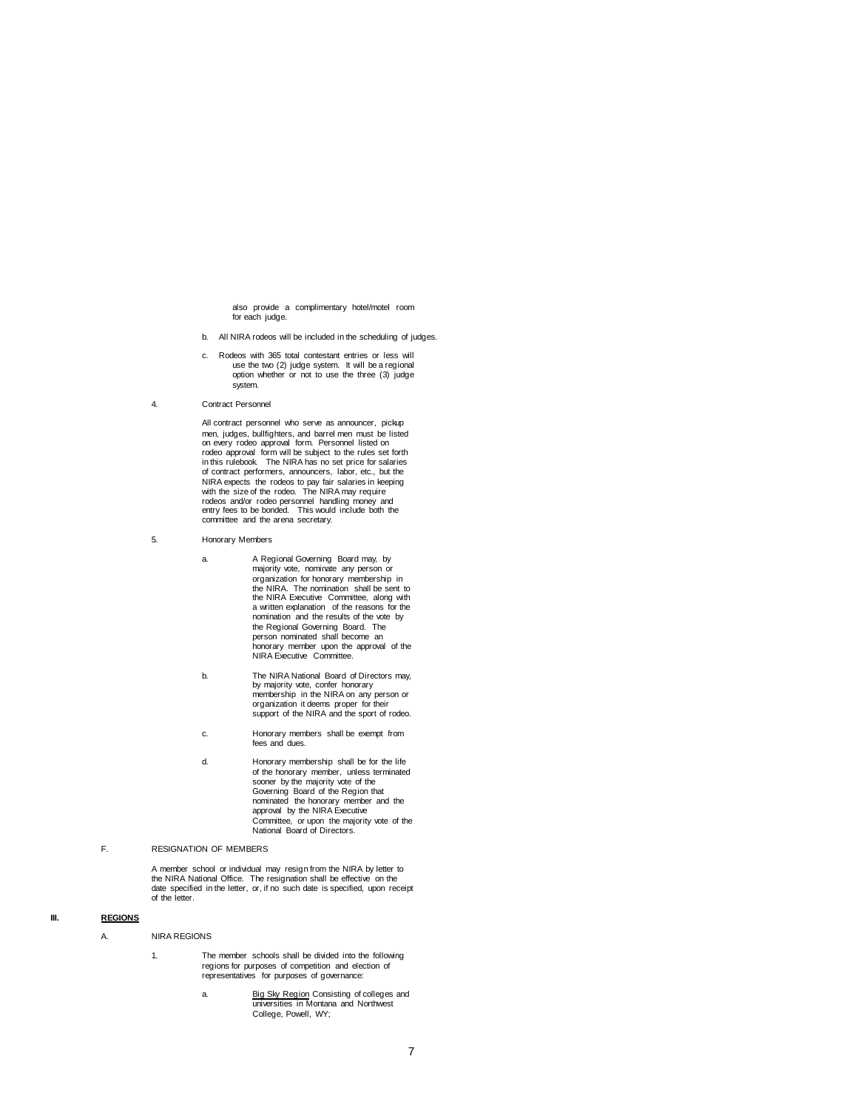also provide a complimentary hotel/motel room for each judge.

- b. All NIRA rodeos will be included in the scheduling of judges.
- c. Rodeos with 365 total contestant entries or less will use the two (2) judge system. It will be a regional option whether or not to use the three (3) judge system.
- 4. Contract Personnel

All contract personnel who serve as announcer, pickup men, judges, bullfighters, and barrel men must be listed on every rodeo approval form. Personnel listed on rodeo approval form will be subject to the rules set forth in this rulebook. The NIRA has no set price for salaries of contract performers, announcers, labor, etc., but the NIRA expects the rodeos to pay fair salaries in keeping with the size of the rodeo. The NIRA may require<br>rodeos and/or rodeo personnel handling money and<br>entry fees to be bonded. This would include both the<br>committee and the arena secretary.

- 5. Honorary Members
	- a. A Regional Governing Board may, by majority vote, nominate any person or organization for honorary membership in the NIRA. The nomination shall be sent to the NIRA Executive Committee, along with a written explanation of the reasons for the nomination and the results of the vote by the Regional Governing Board. The person nominated shall become an honorary member upon the approval of the NIRA Executive Committee.
	- b. The NIRA National Board of Directors may, by majority vote, confer honorary membership in the NIRA on any person or organization it deems proper for their support of the NIRA and the sport of rodeo.
	- c. Honorary members shall be exempt from fees and dues.
	- d. Honorary membership shall be for the life of the honorary member, unless terminated sooner by the majority vote of the Governing Board of the Region that nominated the honorary member and the approval by the NIRA Executive Committee, or upon the majority vote of the National Board of Directors.

# F. RESIGNATION OF MEMBERS

A member school or individual may resign from the NIRA by letter to the NIRA National Office. The resignation shall be effective on the date specified in the letter, or, if no such date is specified, upon receipt of the letter.

# **III. REGIONS**

# A. NIRA REGIONS

- 1. The member schools shall be divided into the following regions for purposes of competition and election of representatives for purposes of governance:
	- a. Big Sky Region Consisting of colleges and<br>universities in Montana and Northwest College, Powell, WY;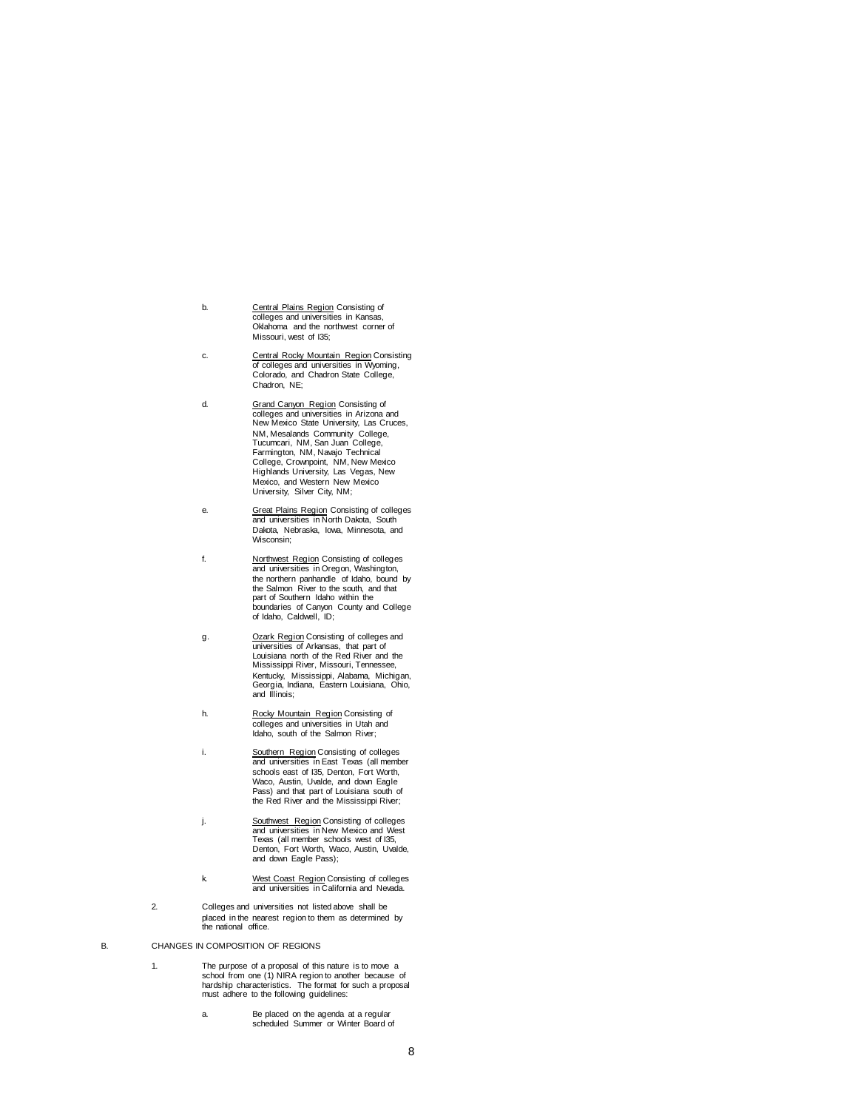- b. Central Plains Region Consisting of colleges and universities in Kansas, Oklahoma and the northwest corner of Missouri, west of I35;
- c. Central Rocky Mountain Region Consisting of colleges and universities in Wyoming, Colorado, and Chadron State College, Chadron, NE;
- d. Grand Canyon Region Consisting of<br>
colleges and universities in Arizona and<br>
New Mexico State University, Las Cruces, NM, Mesalands Community College, Tucumcari, NM, San Juan College, Farmington, NM, Navajo Technical College, Crownpoint, NM, New Mexico Highlands University, Las Vegas, New Mexico, and Western New Mexico University, Silver City, NM;
- e. **Great Plains Region Consisting of colleges**<br>
and universities in North Dakota, South Dakota, Nebraska, Iowa, Minnesota, and Wisconsin;
- f. Northwest Region Consisting of colleges and universities in Oregon, Washington, the northern panhandle of Idaho, bound by the Salmon River to the south, and that part of Southern Idaho within the boundaries of Canyon County and College of Idaho, Caldwell, ID;
- g. **Ozark Region Consisting of colleges and** universities of Arkansas, that part of Louisiana north of the Red River and the Mississippi River, Missouri, Tennessee, Kentucky, Mississippi, Alabama, Michigan, Georgia, Indiana, Eastern Louisiana, Ohio, and Illinois;
- h. Rocky Mountain Region Consisting of colleges and universities in Utah and Idaho, south of the Salmon River;
- i. Southern Region Consisting of colleges and universities in East Texas (all member schools east of I35, Denton, Fort Worth, Waco, Austin, Uvalde, and down Eagle Pass) and that part of Louisiana south of the Red River and the Mississippi River;
- j. Southwest Region Consisting of colleges and universities in New Mexico and West Texas (all member schools west of I35, Denton, Fort Worth, Waco, Austin, Uvalde, and down Eagle Pass);
- k. West Coast Region Consisting of colleges and universities in California and Nevada.
- 2. Colleges and universities not listed above shall be placed in the nearest region to them as determined by the national office.
- B. CHANGES IN COMPOSITION OF REGIONS
	- 1. The purpose of a proposal of this nature is to move a school from one (1) NIRA region to another because of hardship characteristics. The format for such a proposal must adhere to the following guidelines:
		- a. Be placed on the agenda at a regular scheduled Summer or Winter Board of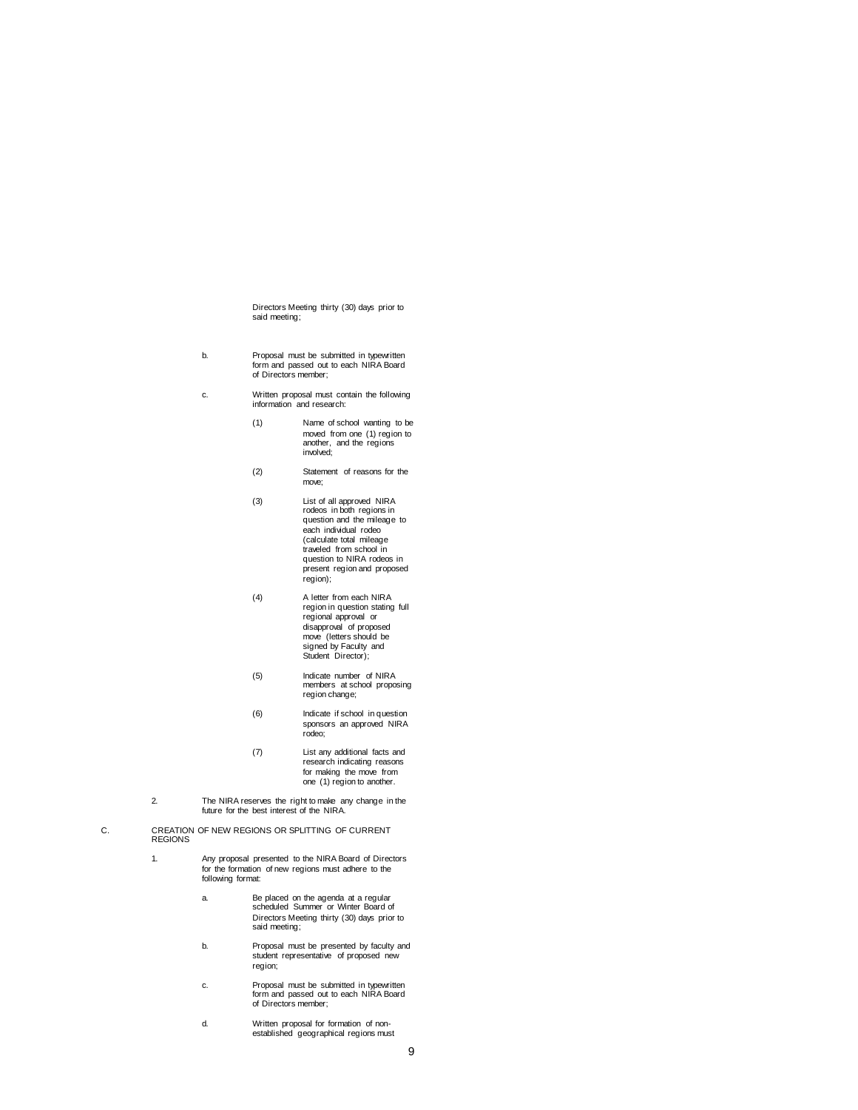Directors Meeting thirty (30) days prior to said meeting;

- b. Proposal must be submitted in typewritten form and passed out to each NIRA Board of Directors member;
- c. Written proposal must contain the following information and research:
	- (1) Name of school wanting to be moved from one (1) region to another, and the regions involved;
	- (2) Statement of reasons for the move;
	- (3) List of all approved NIRA rodeos in both regions in question and the mileage to each individual rodeo (calculate total mileage traveled from school in question to NIRA rodeos in present region and proposed region);
	- (4) A letter from each NIRA region in question stating full regional approval or disapproval of proposed move (letters should be signed by Faculty and Student Director);
	- (5) Indicate number of NIRA members at school proposing region change;
	- (6) Indicate if school in question sponsors an approved NIRA rodeo;
	- (7) List any additional facts and research indicating reasons for making the move from one (1) region to another.
- 2. The NIRA reserves the right to make any change in the future for the best interest of the NIRA.
- C. CREATION OF NEW REGIONS OR SPLITTING OF CURRENT **REGIONS** 
	- 1. Any proposal presented to the NIRA Board of Directors for the formation of new regions must adhere to the following format:
		- a. Be placed on the agenda at a regular scheduled Summer or Winter Board of Directors Meeting thirty (30) days prior to said meeting;
		- b. Proposal must be presented by faculty and student representative of proposed new region;
		- c. Proposal must be submitted in typewritten form and passed out to each NIRA Board of Directors member;
		- d. Written proposal for formation of non-established geographical regions must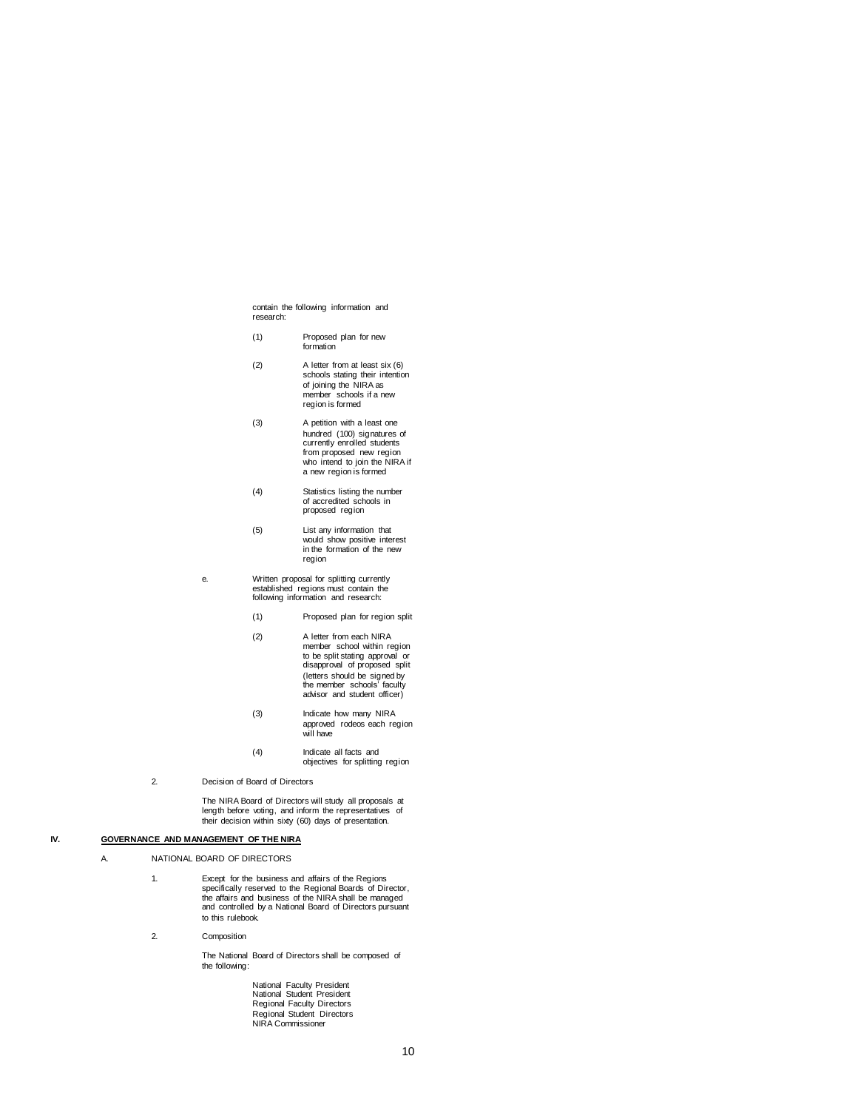contain the following information and research:

- (1) Proposed plan for new formation
- (2) A letter from at least six (6) schools stating their intention of joining the NIRA as member schools if a new region is formed
- (3) A petition with a least one hundred (100) signatures of currently enrolled students from proposed new region who intend to join the NIRA if a new region is formed
- (4) Statistics listing the number of accredited schools in proposed region
- (5) List any information that would show positive interest in the formation of the new region
- e. Written proposal for splitting currently established regions must contain the following information and research:
	- (1) Proposed plan for region split
	- (2) A letter from each NIRA member school within region to be split stating approval or disapproval of proposed split (letters should be signed by the member schools' faculty advisor and student officer)
	- (3) Indicate how many NIRA approved rodeos each region will have
	- (4) Indicate all facts and objectives for splitting region
- 2. Decision of Board of Directors

The NIRA Board of Directors will study all proposals at length before voting, and inform the representatives of their decision within sixty (60) days of presentation.

# **IV. GOVERNANCE AND MANAGEMENT OF THE NIRA**

A. NATIONAL BOARD OF DIRECTORS

- 1. Except for the business and affairs of the Regions<br>specifically reserved to the Regional Boards of Director,<br>the affairs and business of the NIRA shall be managed<br>and controlled by a National Board of Directors pursuant to this rulebook.
- 2. Composition

The National Board of Directors shall be composed of the following:

> National Faculty President National Student President Regional Faculty Directors Regional Student Directors NIRA Commissioner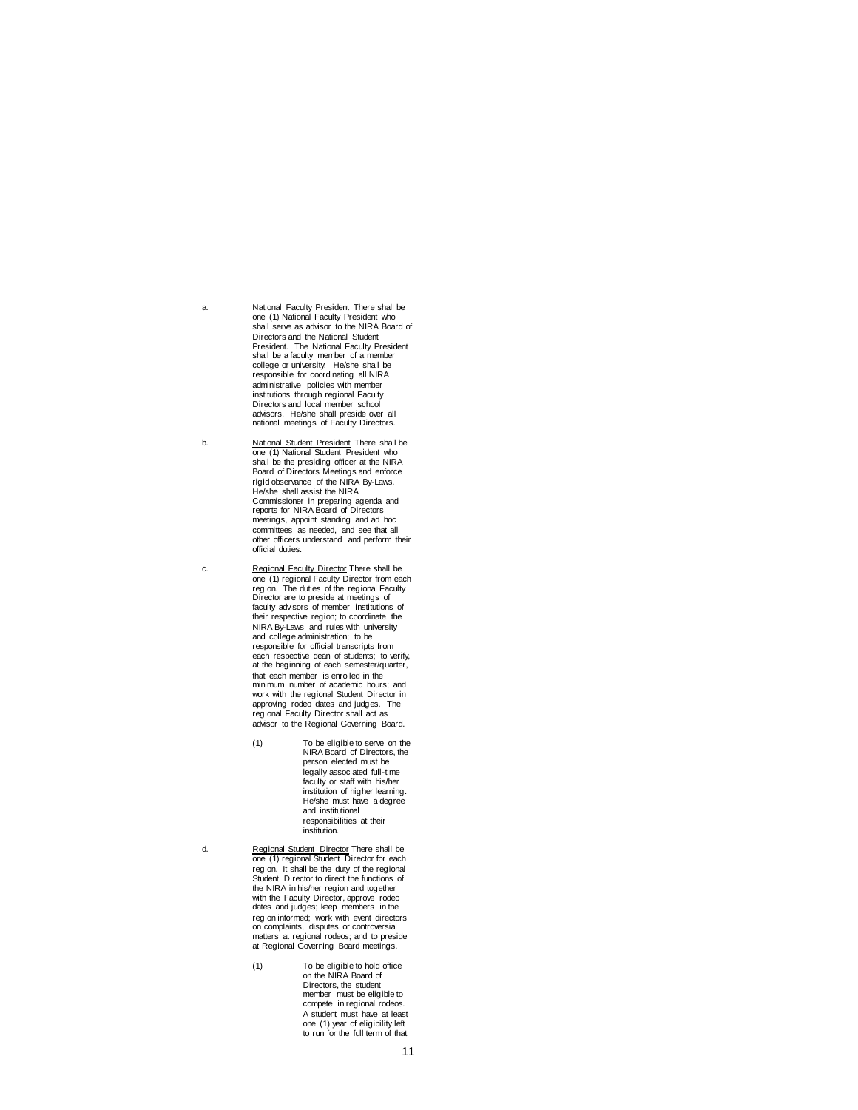a. **National Faculty President There shall be one (1) National Faculty President who**<br>shall serve as advisor to the NIRA Board of Directors and the National Student President. The National Faculty President shall be a faculty member of a member college or university. He/she shall be responsible for coordinating all NIRA administrative policies with member institutions through regional Faculty Directors and local member school advisors. He/she shall preside over all national meetings of Faculty Directors.

b. **National Student President There shall be computer**<br>
one (1) National Student President who shall be the presiding officer at the NIRA Board of Directors Meetings and enforce rigid observance of the NIRA By-Laws. He/she shall assist the NIRA Commissioner in preparing agenda and reports for NIRA Board of Directors meetings, appoint standing and ad hoc committees as needed, and see that all other officers understand and perform their official duties.

c. Regional Faculty Director There shall be one (1) regional Faculty Director from each region. The duties of the regional Faculty Director are to preside at meetings of faculty advisors of member institutions of their respective region; to coordinate the NIRA By-Laws and rules with university and college administration; to be responsible for official transcripts from each respective dean of students; to verify, at the beginning of each semester/quarter, that each member is enrolled in the minimum number of academic hours; and work with the regional Student Director in approving rodeo dates and judges. The regional Faculty Director shall act as advisor to the Regional Governing Board.

- (1) To be eligible to serve on the NIRA Board of Directors, the person elected must be legally associated full-time faculty or staff with his/her institution of higher learning. He/she must have a degree and institutional responsibilities at their institution.
- 

d. Regional Student Director There shall be one (1) regional Student Director for each region. It shall be the duty of the regional Student Director to direct the functions of the NIRA in his/her region and together with the Faculty Director, approve rodeo dates and judges; keep members in the region informed; work with event directors on complaints, disputes or controversial matters at regional rodeos; and to preside at Regional Governing Board meetings.

> (1) To be eligible to hold office on the NIRA Board of Directors, the student member must be eligible to compete in regional rodeos. A student must have at least one (1) year of eligibility left to run for the full term of that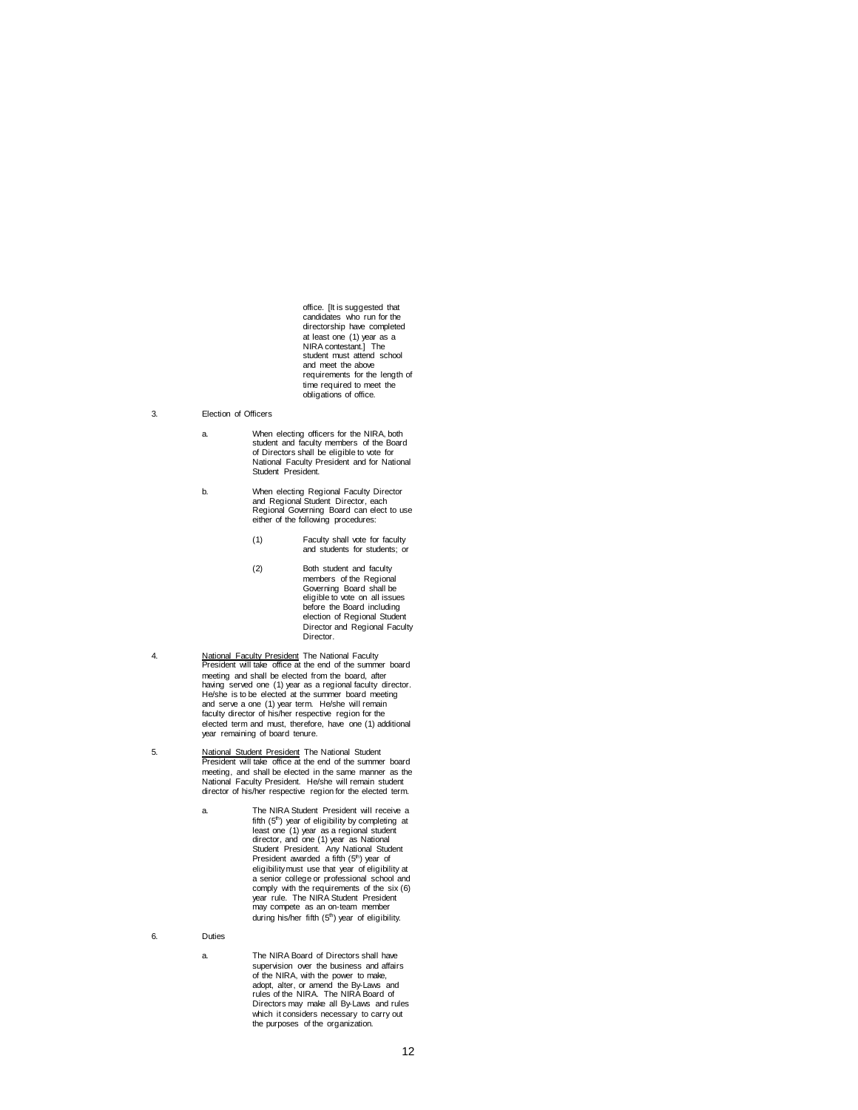office. [It is suggested that candidates who run for the directorship have completed at least one (1) year as a NIRA contestant.] The student must attend school and meet the above requirements for the length of time required to meet the obligations of office.

- 3. Election of Officers
	- a. When electing officers for the NIRA, both student and faculty members of the Board of Directors shall be eligible to vote for National Faculty President and for National Student President.
	- b. When electing Regional Faculty Director and Regional Student Director, each Regional Governing Board can elect to use either of the following procedures:
		- (1) Faculty shall vote for faculty and students for students; or
		- (2) Both student and faculty members of the Regional Governing Board shall be eligible to vote on all issues before the Board including election of Regional Student Director and Regional Faculty Director.
- 4. National Faculty President The National Faculty President will take office at the end of the summer board meeting and shall be elected from the board, after<br>having served one (1) year as a regional faculty director.<br>He/she is to be elected at the summer board meeting<br>and serve a one (1) year term. He/she will remain<br>faculty di elected term and must, therefore, have one (1) additional year remaining of board tenure.
- 5. National Student President The National Student President will take office at the end of the summer board meeting, and shall be elected in the same manner as the National Faculty President. He/she will remain student director of his/her respective region for the elected term.
	- a. The NIRA Student President will receive a fifth  $(5<sup>th</sup>)$  year of eligibility by completing at least one (1) year as a regional student director, and one (1) year as National Student President. Any National Student<br>President awarded a fifth (5<sup>th</sup>) year of eligibility must use that year of eligibility at a senior college or professional school and comply with the requirements of the six (6) year rule. The NIRA Student President may compete as an on-team member during his/her fifth (5<sup>th</sup>) year of eligibility.
- 6. Duties
	- a. The NIRA Board of Directors shall have supervision over the business and affairs of the NIRA, with the power to make, adopt, alter, or amend the By-Laws and rules of the NIRA. The NIRA Board of Directors may make all By-Laws and rules which it considers necessary to carry out the purposes of the organization.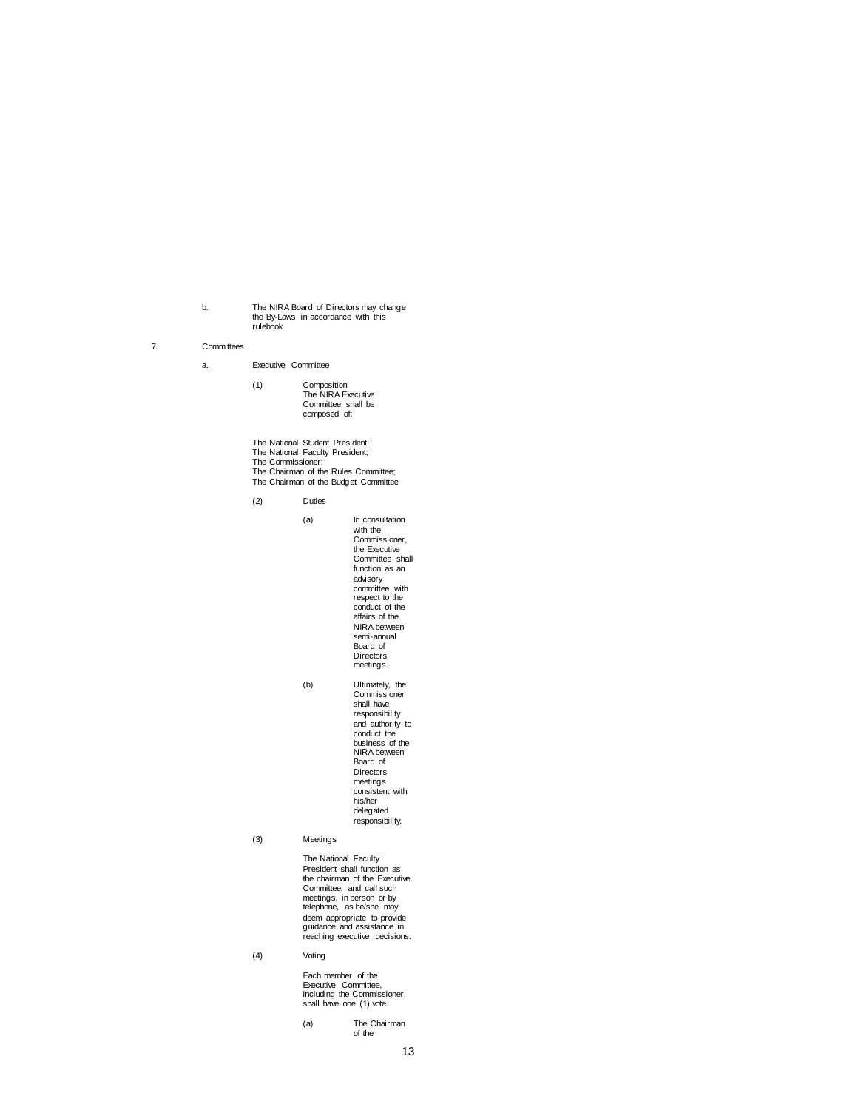b. The NIRA Board of Directors may change<br>the By-Laws in accordance with this<br>rulebook.

# 7. Committees

#### a. Executive Committee

- (1) Composition The NIRA Executive Committee shall be composed of:
- The National Student President; The National Faculty President; The Commissioner; The Chairman of the Rules Committee; The Chairman of the Budget Committee

(2) Duties

(a) In consultation

with the Commissioner, the Executive Committee shall function as an advisory committee with respect to the conduct of the affairs of the NIRA between semi-annual Board of Directors meetings.

(b) Ultimately, the Commissioner shall have

responsibility and authority to conduct the business of the NIRA between Board of Directors meetings consistent with his/her delegated responsibility.

(3) Meetings

The National Faculty President shall function as the chairman of the Executive Committee, and call such meetings, in person or by telephone, as he/she may deem appropriate to provide guidance and assistance in reaching executive decisions.

(4) Voting

Each member of the Executive Committee, including the Commissioner, shall have one (1) vote.

(a) The Chairman of the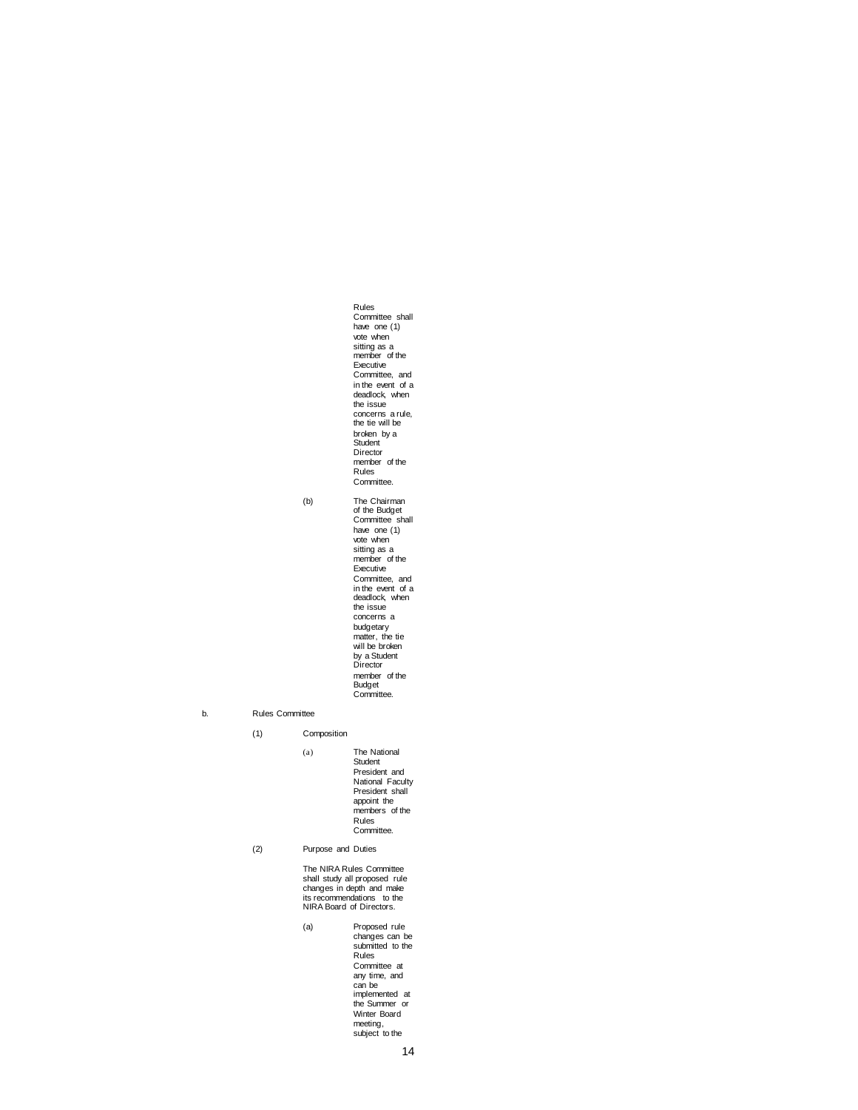Rules Committee shall have one (1) vote when sitting as a member of the Executive Committee, and in the event of a deadlock, when the issue concerns a rule, the tie will be broken by a Student Director member of the Rules Committee.

(b) The Chairman of the Budget Committee shall have one (1) vote when sitting as a member of the Executive Committee, and in the event of a deadlock, when the issue concerns a budgetary matter, the tie will be broken by a Student Director member of the Budget Committee.

#### b. Rules Committee

(1) Composition (a) The National Student President and National Faculty President shall appoint the members of the Rules Committee.

(2) Purpose and Duties

The NIRA Rules Committee shall study all proposed rule changes in depth and make its recommendations to the NIRA Board of Directors.

(a) Proposed rule changes can be submitted to the Rules Committee at any time, and can be implemented at the Summer or Winter Board meeting, subject to the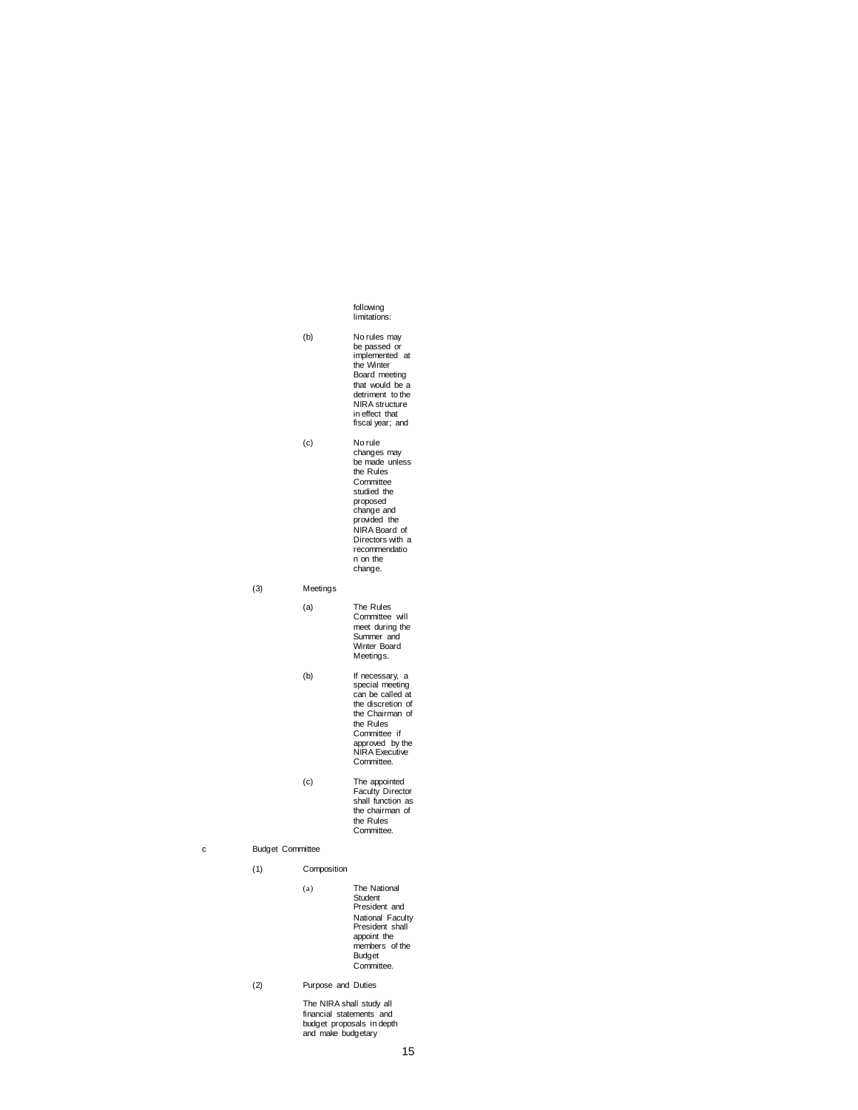following limitations:

(b) No rules may be passed or implemented at the Winter Board meeting that would be a detriment to the NIRA structure in effect that fiscal year; and (c) No rule changes may be made unless the Rules

**Committee** studied the proposed change and provided the NIRA Board of Directors with a recommendatio n on the change.

(3) Meetings

(a) The Rules Committee will meet during the Summer and Winter Board Meetings.

- (b) If necessary, a special meeting can be called at the discretion of the Chairman of the Rules Committee if approved by the NIRA Executive Committee.
- (c) The appointed Faculty Director shall function as the chairman of the Rules Committee.

c Budget Committee

(1) Composition

(a) The National Student President and National Faculty President shall appoint the members of the Budget Committee.

(2) Purpose and Duties

The NIRA shall study all financial statements and budget proposals in depth and make budgetary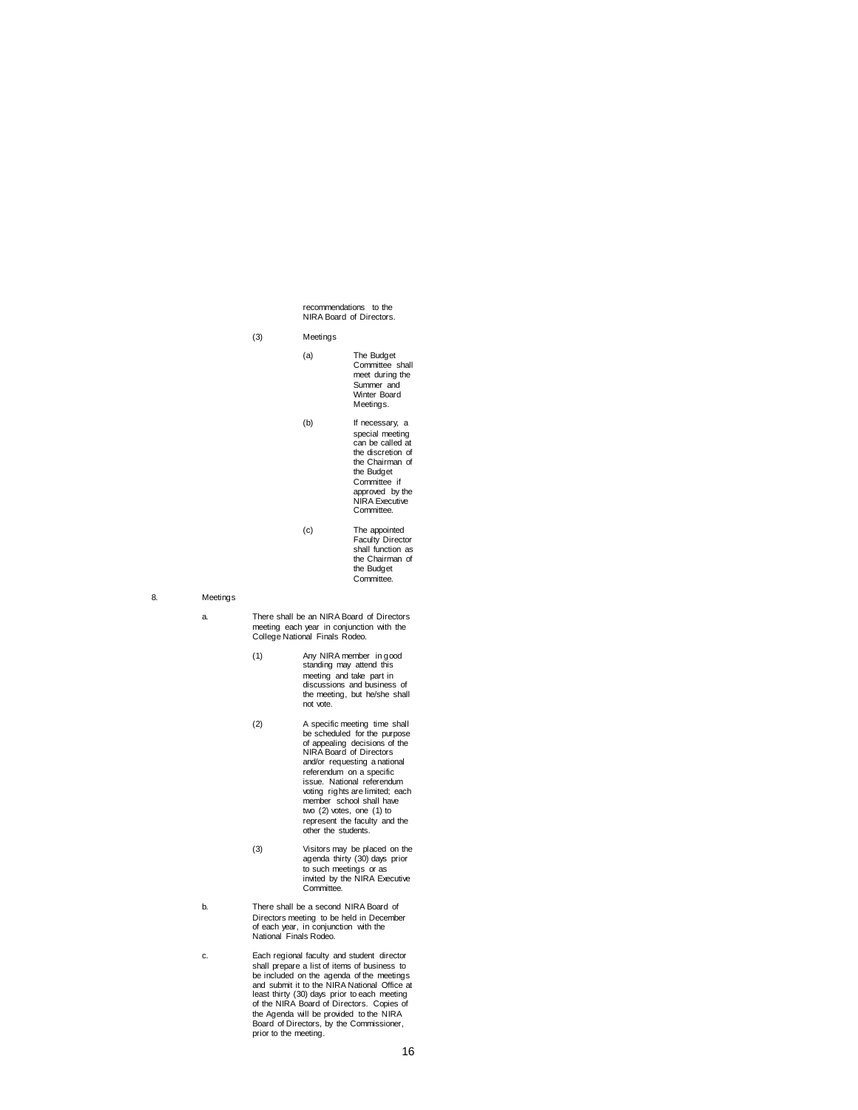recommendations to the NIRA Board of Directors.

(3) Meetings

- (a) The Budget Committee shall meet during the Summer and Winter Board Meetings.
- (b) If necessary, a special meeting can be called at the discretion of the Chairman of the Budget Committee if approved by the NIRA Executive Committee.
- (c) The appointed Faculty Director shall function as the Chairman of the Budget Committee.
- 8. Meetings
	- a. There shall be an NIRA Board of Directors meeting each year in conjunction with the College National Finals Rodeo.
		- (1) Any NIRA member in good standing may attend this meeting and take part in discussions and business of the meeting, but he/she shall not vote.
		- (2) A specific meeting time shall be scheduled for the purpose of appealing decisions of the NIRA Board of Directors and/or requesting a national referendum on a specific issue. National referendum voting rights are limited; each member school shall have two (2) votes, one (1) to represent the faculty and the other the students.
		- (3) Visitors may be placed on the agenda thirty (30) days prior to such meetings or as invited by the NIRA Executive Committee.
	- b. There shall be a second NIRA Board of Directors meeting to be held in December of each year, in conjunction with the National Finals Rodeo.
	- c. Each regional faculty and student director shall prepare a list of items of business to be included on the agenda of the meetings and submit it to the NIRA National Office at least thirty (30) days prior to each meeting of the NIRA Board of Directors. Copies of the Agenda will be provided to the NIRA Board of Directors, by the Commissioner, prior to the meeting.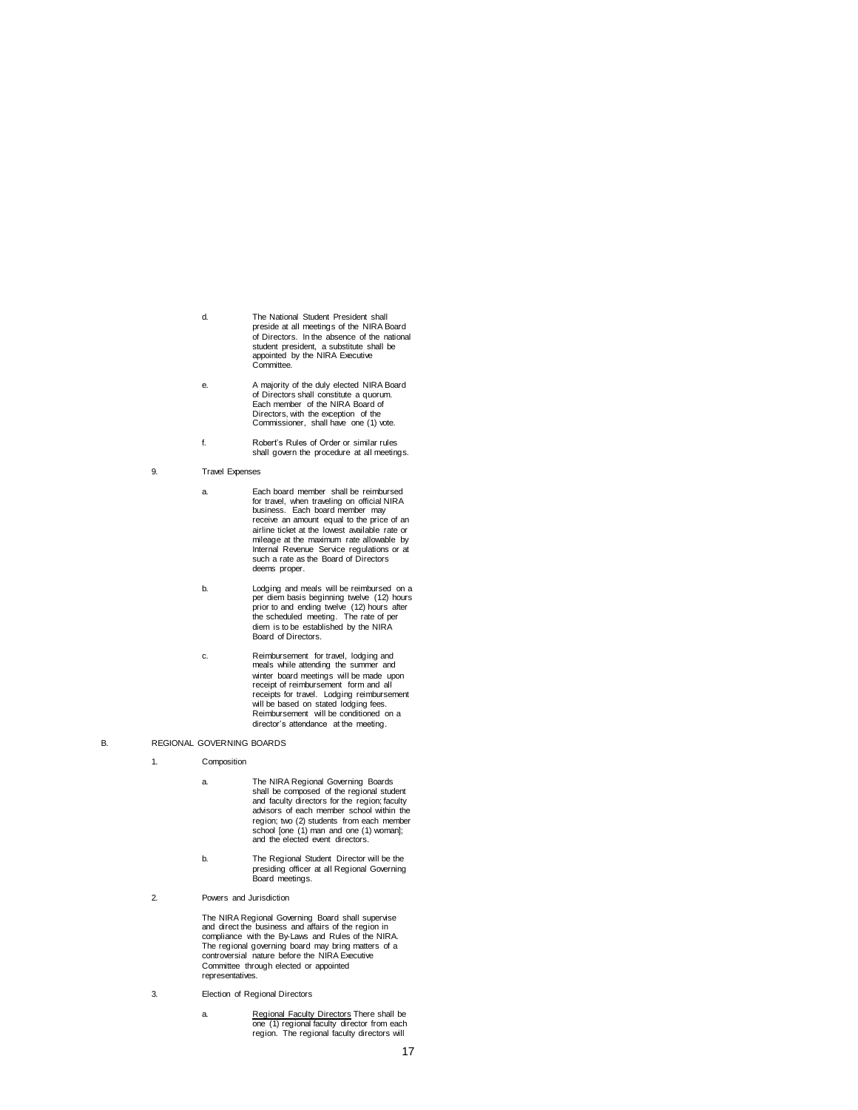- d. The National Student President shall preside at all meetings of the NIRA Board of Directors. In the absence of the national student president, a substitute shall be appointed by the NIRA Executive Committee.
- e. A majority of the duly elected NIRA Board of Directors shall constitute a quorum. Each member of the NIRA Board of Directors, with the exception of the Commissioner, shall have one (1) vote.
- f. Robert's Rules of Order or similar rules shall govern the procedure at all meetings.
- 9. Travel Expenses
	- a. Each board member shall be reimbursed for travel, when traveling on official NIRA business. Each board member may receive an amount equal to the price of an airline ticket at the lowest available rate or mileage at the maximum rate allowable by Internal Revenue Service regulations or at such a rate as the Board of Directors deems proper.
	- b. Lodging and meals will be reimbursed on a per diem basis beginning twelve (12) hours prior to and ending twelve (12) hours after the scheduled meeting. The rate of per diem is to be established by the NIRA Board of Directors.
	- c. Reimbursement for travel, lodging and meals while attending the summer and winter board meetings will be made upon receipt of reimbursement form and all receipts for travel. Lodging reimbursement will be based on stated lodging fees. Reimbursement will be conditioned on a director's attendance at the meeting.
- B. REGIONAL GOVERNING BOARDS
	- 1. Composition
		- a. The NIRA Regional Governing Boards shall be composed of the regional student and faculty directors for the region; faculty advisors of each member school within the region; two (2) students from each member school [one (1) man and one (1) woman]; and the elected event directors.
		- b. The Regional Student Director will be the presiding officer at all Regional Governing Board meetings.
	- 2. Powers and Jurisdiction

The NIRA Regional Governing Board shall supervise and direct the business and affairs of the region in compliance with the By-Laws and Rules of the NIRA. The regional governing board may bring matters of a controversial nature before the NIRA Executive Committee through elected or appointed representatives.

- 3. Election of Regional Directors
	- a. Regional Faculty Directors There shall be<br>
	one (1) regional faculty director from each<br>
	region. The regional faculty directors will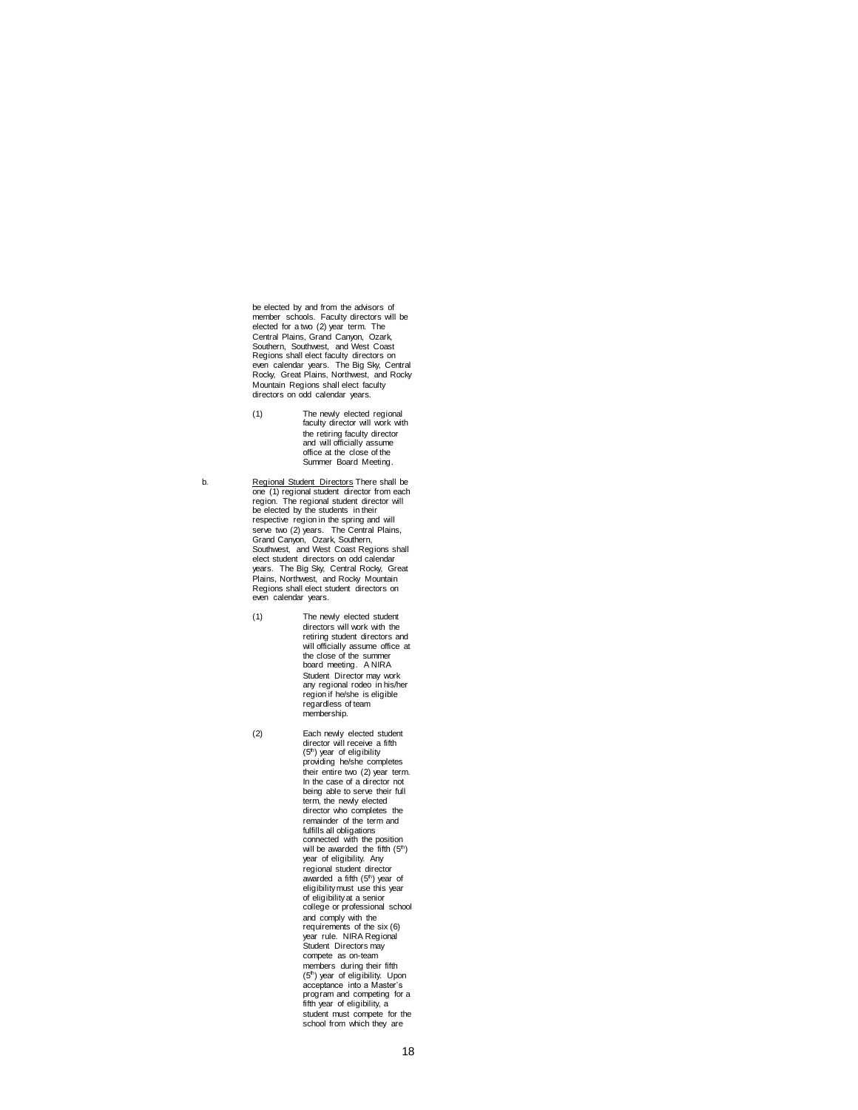be elected by and from the advisors of member schools. Faculty directors will be elected for a two (2) year term. The Central Plains, Grand Canyon, Ozark, Southern, Southwest, and West Coast Regions shall elect faculty directors on even calendar years. The Big Sky, Central Rocky, Great Plains, Northwest, and Rocky Mountain Regions shall elect faculty directors on odd calendar years.

- (1) The newly elected regional faculty director will work with the retiring faculty director and will officially assume office at the close of the Summer Board Meeting.
- b. Regional Student Directors There shall be one (1) regional student director from each region. The regional student director will be elected by the students in their respective region in the spring and will serve two (2) years. The Central Plains, Grand Canyon, Ozark, Southern, Southwest, and West Coast Regions shall elect student directors on odd calendar years. The Big Sky, Central Rocky, Great Plains, Northwest, and Rocky Mountain Regions shall elect student directors on even calendar years.
	- (1) The newly elected student directors will work with the retiring student directors and will officially assume office at the close of the summer board meeting. A NIRA Student Director may work any regional rodeo in his/her region if he/she is eligible regardless of team membership.
	- (2) Each newly elected student director will receive a fifth<br>(5<sup>th</sup>) year of eligibility providing he/she completes their entire two (2) year term. In the case of a director not being able to serve their full term, the newly elected director who completes the remainder of the term and fulfills all obligations connected with the position will be awarded the fifth  $(5<sup>th</sup>)$ year of eligibility. Any regional student director awarded a fifth (5<sup>th</sup>) year of<br>eligibility must use this year of eligibility at a senior college or professional school and comply with the requirements of the six (6) year rule. NIRA Regional Student Directors may compete as on-team members during their fifth (5<sup>th</sup>) year of eligibility. Upon<br>acceptance into a Master's program and competing for a fifth year of eligibility, a student must compete for the school from which they are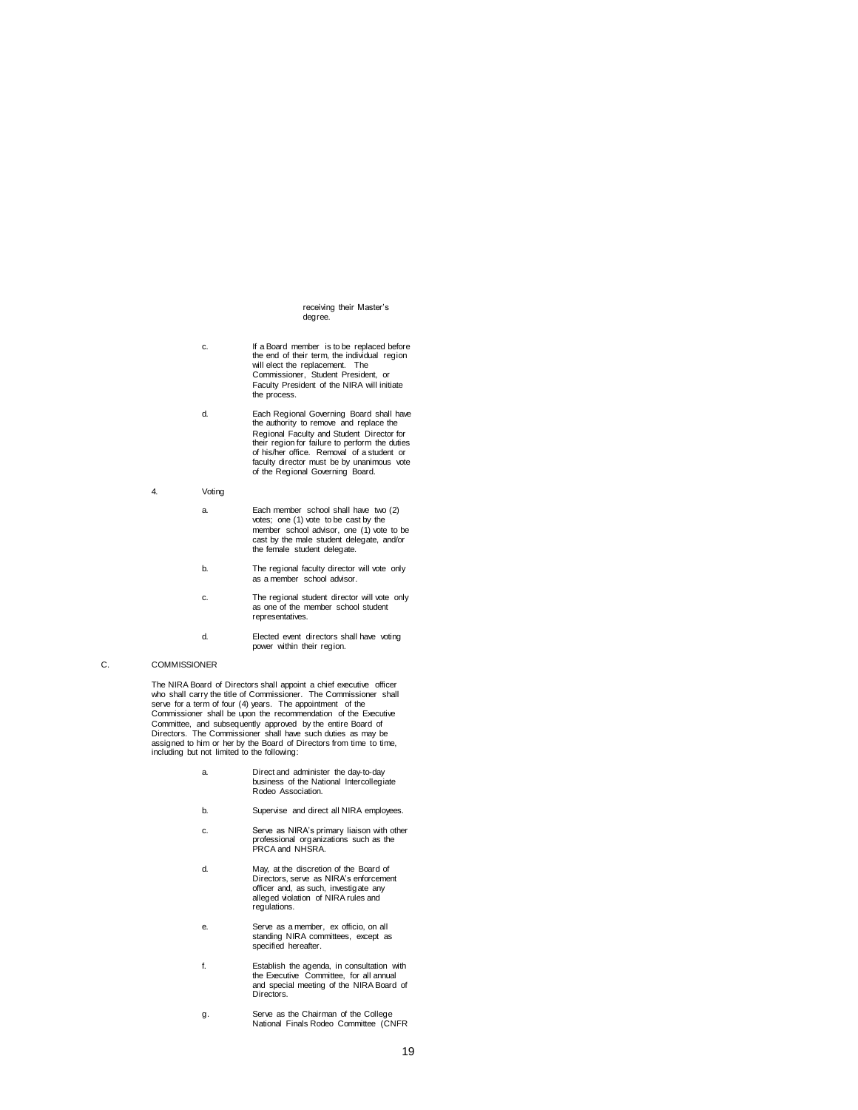#### receiving their Master's degree.

- c. If a Board member is to be replaced before the end of their term, the individual region will elect the replacement. The Commissioner, Student President, or Faculty President of the NIRA will initiate the process.
- d. Each Regional Governing Board shall have the authority to remove and replace the Regional Faculty and Student Director for their region for failure to perform the duties of his/her office. Removal of a student or faculty director must be by unanimous vote of the Regional Governing Board.
- 4. Voting
	- a. Each member school shall have two (2) votes; one (1) vote to be cast by the member school advisor, one (1) vote to be cast by the male student delegate, and/or the female student delegate.
	- b. The regional faculty director will vote only as a member school advisor.
	- c. The regional student director will vote only as one of the member school student representatives.
	- d. Elected event directors shall have voting power within their region.

# C. COMMISSIONER

The NIRA Board of Directors shall appoint a chief executive officer who shall carry the title of Commissioner. The Commissioner shall<br>serve for a term of four (4) years. The appointment of the<br>Commissioner shall be upon the recommendation of the Executive Committee, and subsequently approved by the entire Board of Directors. The Commissioner shall have such duties as may be assigned to him or her by the Board of Directors from time to time, including but not limited to the following:

- a. Direct and administer the day-to-day business of the National Intercollegiate Rodeo Association.
- b. Supervise and direct all NIRA employees.
- c. Serve as NIRA's primary liaison with other professional organizations such as the PRCA and NHSRA.
- d. May, at the discretion of the Board of Directors, serve as NIRA's enforcement officer and, as such, investigate any alleged violation of NIRA rules and regulations.
- e. Serve as a member, ex officio, on all standing NIRA committees, except as specified hereafter.
- f. Establish the agenda, in consultation with the Executive Committee, for all annual and special meeting of the NIRA Board of Directors.
- g. Serve as the Chairman of the College National Finals Rodeo Committee (CNFR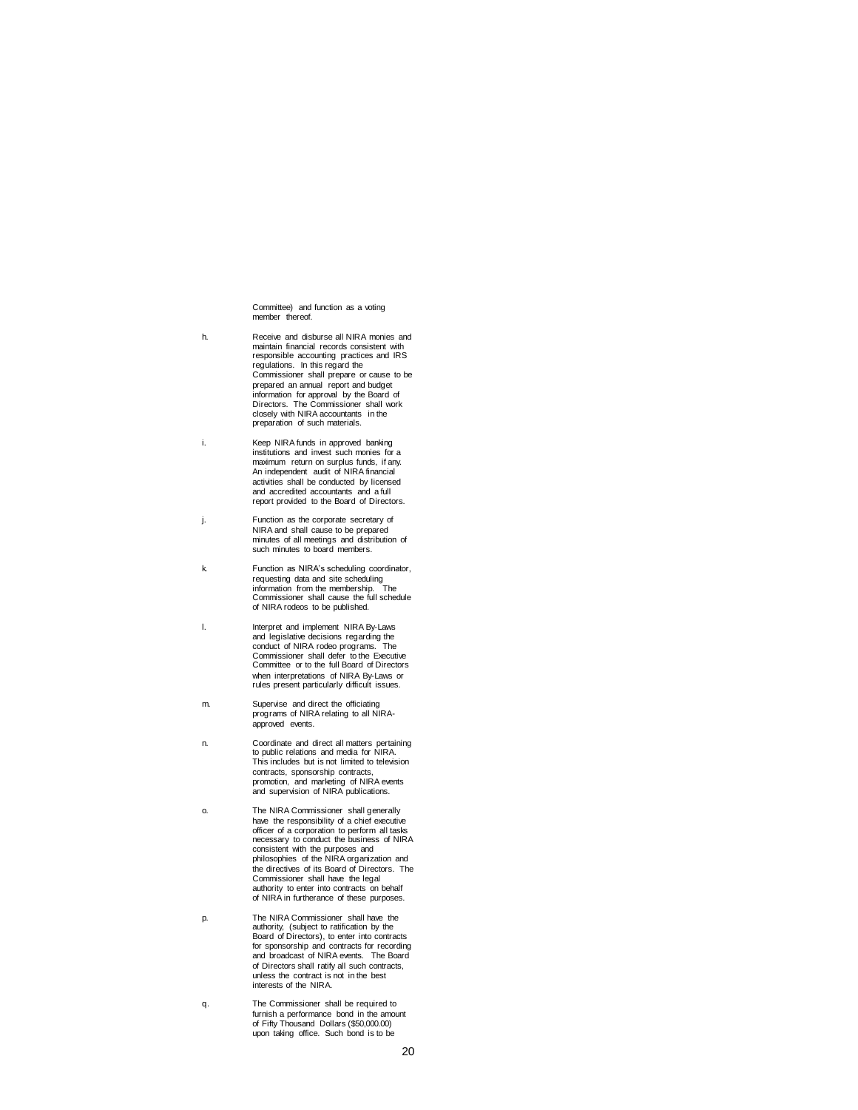Committee) and function as a voting member thereof

- h. Receive and disburse all NIRA monies and maintain financial records consistent with responsible accounting practices and IRS regulations. In this regard the Commissioner shall prepare or cause to be prepared an annual report and budget information for approval by the Board of Directors. The Commissioner shall work closely with NIRA accountants in the preparation of such materials.
- i. Keep NIRA funds in approved banking institutions and invest such monies for a maximum return on surplus funds, if any. An independent audit of NIRA financial activities shall be conducted by licensed and accredited accountants and a full report provided to the Board of Directors.
- j. Function as the corporate secretary of NIRA and shall cause to be prepared minutes of all meetings and distribution of such minutes to board members.
- k. Function as NIRA's scheduling coordinator, requesting data and site scheduling information from the membership. The Commissioner shall cause the full schedule of NIRA rodeos to be published.
- l. Interpret and implement NIRA By-Laws and legislative decisions regarding the conduct of NIRA rodeo programs. The Commissioner shall defer to the Executive Committee or to the full Board of Directors when interpretations of NIRA By-Laws or rules present particularly difficult issues.
- m. Supervise and direct the officiating programs of NIRA relating to all NIRAapproved events.
- n. Coordinate and direct all matters pertaining to public relations and media for NIRA. This includes but is not limited to television contracts, sponsorship contracts, promotion, and marketing of NIRA events and supervision of NIRA publications.
- o. The NIRA Commissioner shall generally have the responsibility of a chief executive officer of a corporation to perform all tasks necessary to conduct the business of NIRA consistent with the purposes and philosophies of the NIRA organization and the directives of its Board of Directors. The Commissioner shall have the legal authority to enter into contracts on behalf of NIRA in furtherance of these purposes.
- p. The NIRA Commissioner shall have the authority, (subject to ratification by the Board of Directors), to enter into contracts for sponsorship and contracts for recording and broadcast of NIRA events. The Board of Directors shall ratify all such contracts, unless the contract is not in the best interests of the NIRA.
- q. The Commissioner shall be required to furnish a performance bond in the amount of Fifty Thousand Dollars (\$50,000.00) upon taking office. Such bond is to be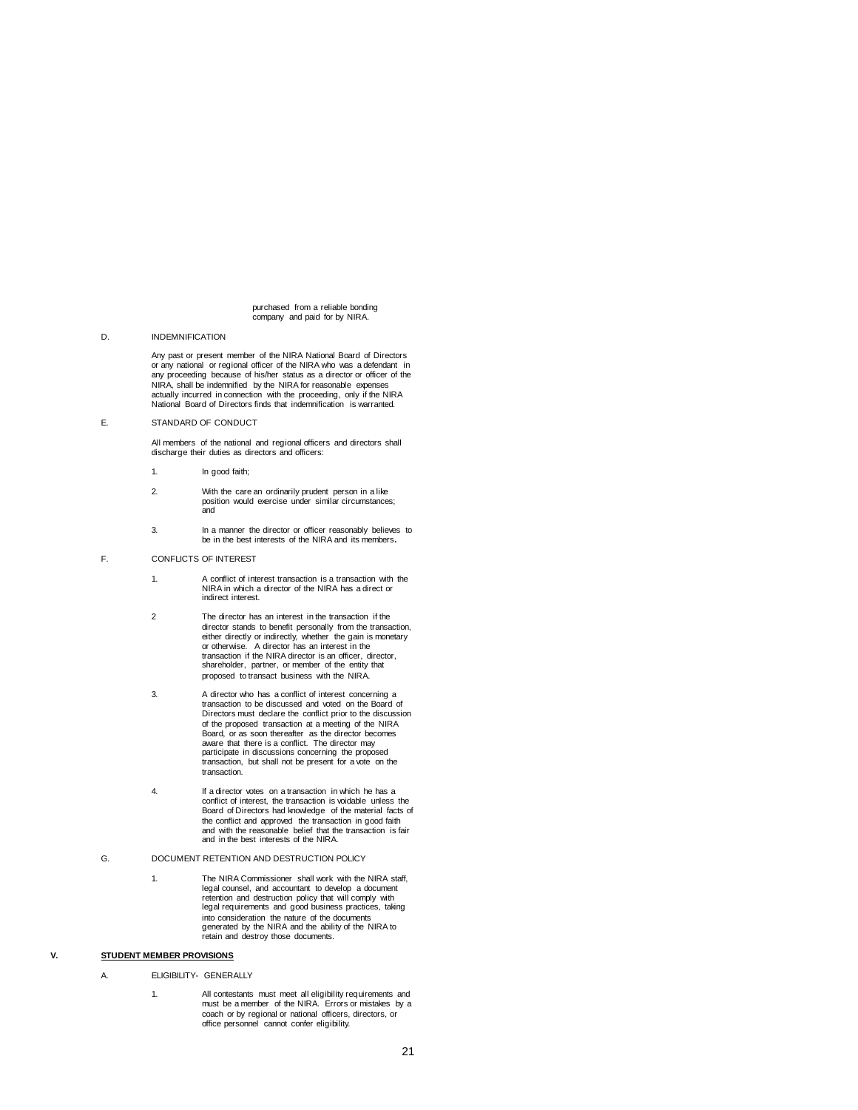#### purchased from a reliable bonding company and paid for by NIRA.

### D. INDEMNIFICATION

Any past or present member of the NIRA National Board of Directors or any national or regional officer of the NIRA who was a defendant in any proceeding because of his/her status as a director or officer of the NIRA, shall be indemnified by the NIRA for reasonable expenses actually incurred in connection with the proceeding, only if the NIRA National Board of Directors finds that indemnification is warranted.

# E. STANDARD OF CONDUCT

All members of the national and regional officers and directors shall discharge their duties as directors and officers:

- 1. In good faith;
- 2. With the care an ordinarily prudent person in a like position would exercise under similar circumstances; and
- 3. In a manner the director or officer reasonably believes to be in the best interests of the NIRA and its members**.**
- F. CONFLICTS OF INTEREST
	- 1. A conflict of interest transaction is a transaction with the NIRA in which a director of the NIRA has a direct or indirect interest.
	- 2 The director has an interest in the transaction if the director stands to benefit personally from the transaction,<br>either directly or indirectly, whether the gain is monetary<br>or otherwise. A director has an interest in the<br>transaction if the NIRA director is an officer, direct shareholder, partner, or member of the entity that proposed to transact business with the NIRA.
	- 3. A director who has a conflict of interest concerning a transaction to be discussed and voted on the Board of Directors must declare the conflict prior to the discussion of the proposed transaction at a meeting of the NIRA Board, or as soon thereafter as the director becomes aware that there is a conflict. The director may participate in discussions concerning the proposed transaction, but shall not be present for a vote on the transaction.
	- 4. If a director votes on a transaction in which he has a conflict of interest, the transaction is voidable unless the Board of Directors had knowledge of the material facts of the conflict and approved the transaction in good faith and with the reasonable belief that the transaction is fair and in the best interests of the NIRA.
- G. DOCUMENT RETENTION AND DESTRUCTION POLICY
	- 1. The NIRA Commissioner shall work with the NIRA staff, legal counsel, and accountant to develop a document retention and destruction policy that will comply with legal requirements and good business practices, taking into consideration the nature of the documents generated by the NIRA and the ability of the NIRA to retain and destroy those documents.

# **V. STUDENT MEMBER PROVISIONS**

A. ELIGIBILITY- GENERALLY

1. All contestants must meet all eligibility requirements and must be a member of the NIRA. Errors or mistakes by a coach or by regional or national officers, directors, or office personnel cannot confer eligibility.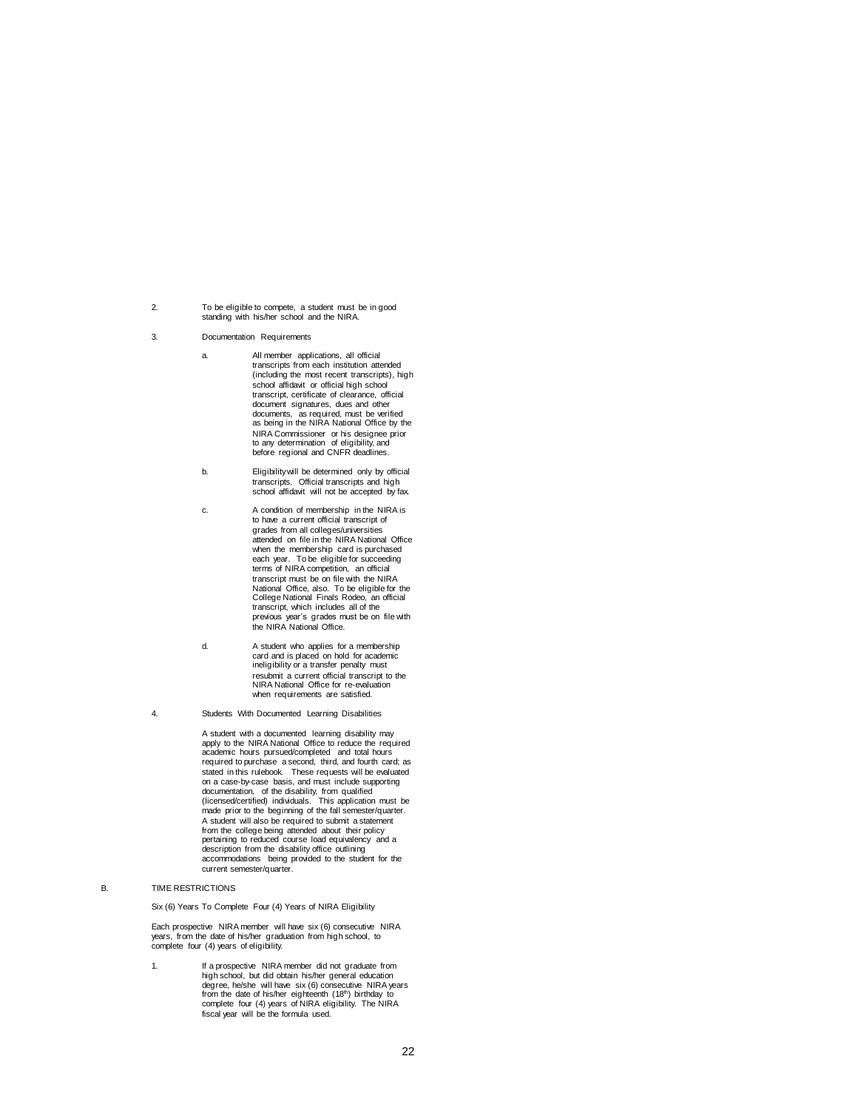- 2. To be eligible to compete, a student must be in good standing with his/her school and the NIRA.
- 3. Documentation Requirements
	- a. All member applications, all official transcripts from each institution attended (including the most recent transcripts), high school affidavit or official high school transcript, certificate of clearance, official document signatures, dues and other documents, as required, must be verified as being in the NIRA National Office by the NIRA Commissioner or his designee prior to any determination of eligibility, and before regional and CNFR deadlines.
	- b. Eligibility will be determined only by official transcripts. Official transcripts and high school affidavit will not be accepted by fax.
	- c. A condition of membership in the NIRA is to have a current official transcript of grades from all colleges/universities attended on file in the NIRA National Office when the membership card is purchased each year. To be eligible for succeeding terms of NIRA competition, an official transcript must be on file with the NIRA National Office, also. To be eligible for the College National Finals Rodeo, an official transcript, which includes all of the previous year's grades must be on file with the NIRA National Office.
	- d. A student who applies for a membership card and is placed on hold for academic ineligibility or a transfer penalty must resubmit a current official transcript to the NIRA National Office for re-evaluation when requirements are satisfied.
- 4. Students With Documented Learning Disabilities

A student with a documented learning disability may apply to the NIRA National Office to reduce the required academic hours pursued/completed and total hours required to purchase a second, third, and fourth card; as stated in this rulebook. These requests will be evaluated on a case-by-case basis, and must include supporting documentation, of the disability, from qualified (licensed/certified) individuals. This application must be made prior to the beginning of the fall semester/quarter. A student will also be required to submit a statement from the college being attended about their policy pertaining to reduced course load equivalency and a description from the disability office outlining accommodations being provided to the student for the current semester/quarter.

# B. TIME RESTRICTIONS

Six (6) Years To Complete Four (4) Years of NIRA Eligibility

Each prospective NIRA member will have six (6) consecutive NIRA years, from the date of his/her graduation from high school, to complete four (4) years of eligibility.

1. If a prospective NIRA member did not graduate from high school, but did obtain his/her general education degree, he/she will have six (6) consecutive NIRA years from the date of his/her eighteenth (18<sup>th</sup>) birthday to complete four (4) years of NIRA eligibility. The NIRA<br>fiscal year will be the formula used.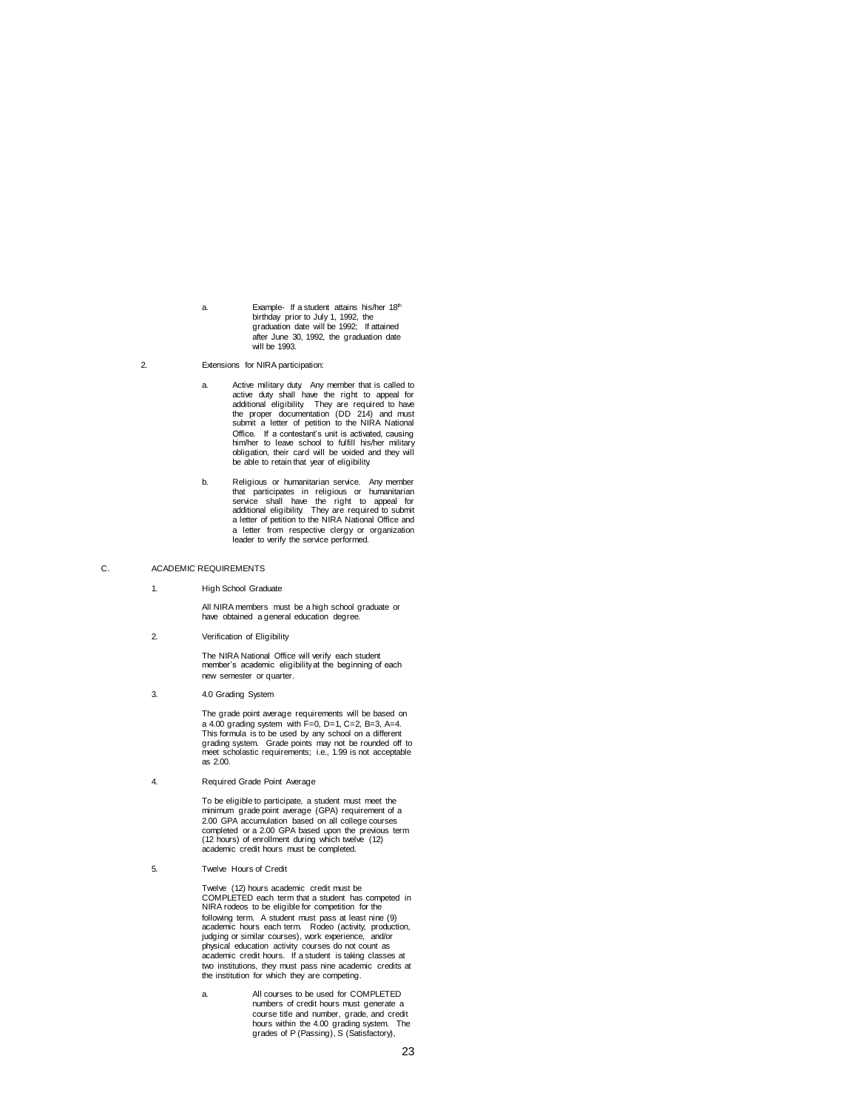a. Example- If a student attains his/her 18th birthday prior to July 1, 1992, the graduation date will be 1992; If attained after June 30, 1992, the graduation date will be 1993.

2. Extensions for NIRA participation:

- a. Active military duty. Any member that is called to active duty shall have the right to appeal for<br>additional eligibility. They are required to have<br>the proper documentation (DD 214) and must<br>submit a letter of petition to the NIRA National Office. If a contestant's unit is activated, causing him/her to leave school to fulfill his/her military obligation, their card will be voided and they will be able to retain that year of eligibility.
- b. Religious or humanitarian service. Any member that participates in religious or humanitarian<br>service shall have the right to appeal for<br>additional eligibility. They are required to submit<br>a letter of petition to the NIRA National Office and a letter from respective clergy or organization leader to verify the service performed.

#### C. ACADEMIC REQUIREMENTS

1. High School Graduate

All NIRA members must be a high school graduate or have obtained a general education degree.

2. Verification of Eligibility

The NIRA National Office will verify each student member's academic eligibility at the beginning of each new semester or quarter.

3. 4.0 Grading System

The grade point average requirements will be based on a 4.00 grading system with F=0, D=1, C=2, B=3, A=4.<br>This formula is to be used by any school on a different<br>grading system. Grade points may not be rounded off to<br>meet scholastic requirements; i.e., 1.99 is not acceptable as 2.00.

4. Required Grade Point Average

To be eligible to participate, a student must meet the minimum grade point average (GPA) requirement of a 2.00 GPA accumulation based on all college courses completed or a 2.00 GPA based upon the previous term (12 hours) of enrollment during which twelve (12) academic credit hours must be completed.

5. Twelve Hours of Credit

Twelve (12) hours academic credit must be COMPLETED each term that a student has competed in NIRA rodeos to be eligible for competition for the following term. A student must pass at least nine (9) academic hours each term. Rodeo (activity, production, judging or similar courses), work experience, and/or physical education activity courses do not count as academic credit hours. If a student is taking classes at two institutions, they must pass nine academic credits at the institution for which they are competing.

a. All courses to be used for COMPLETED numbers of credit hours must generate a course title and number, grade, and credit hours within the 4.00 grading system. The grades of P (Passing), S (Satisfactory),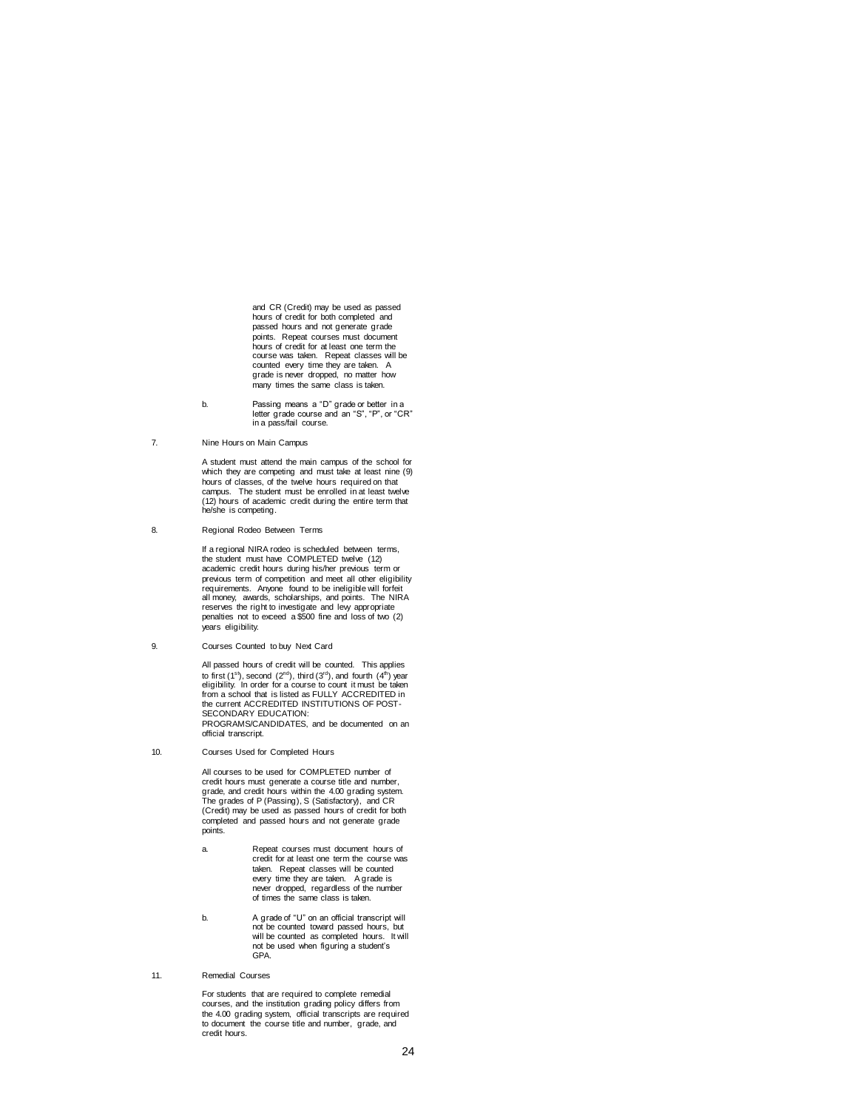and CR (Credit) may be used as passed hours of credit for both completed and passed hours and not generate grade points. Repeat courses must document hours of credit for at least one term the course was taken. Repeat classes will be counted every time they are taken. A grade is never dropped, no matter how many times the same class is taken.

- b. Passing means a "D" grade or better in a letter grade course and an "S", "P", or "CR" in a pass/fail course.
- 7. Nine Hours on Main Campus

A student must attend the main campus of the school for which they are competing and must take at least nine (9) hours of classes, of the twelve hours required on that campus. The student must be enrolled in at least twelve (12) hours of academic credit during the entire term that he/she is competing.

8. Regional Rodeo Between Terms

If a regional NIRA rodeo is scheduled between terms, the student must have COMPLETED twelve (12) academic credit hours during his/her previous term or previous term of competition and meet all other eligibility requirements. Anyone found to be ineligible will forfeit all money, awards, scholarships, and points. The NIRA reserves the right to investigate and levy appropriate penalties not to exceed a \$500 fine and loss of two (2) years eligibility.

9. Courses Counted to buy Next Card

All passed hours of credit will be counted. This applies to first (1<sup>st</sup>), second (2<sup>nd</sup>), third (3<sup>rd</sup>), and fourth (4<sup>th</sup>) year<br>eligibility. In order for a course to count it must be taken from a school that is listed as FULLY ACCREDITED in the current ACCREDITED INSTITUTIONS OF POST-SECONDARY EDUCATION: PROGRAMS/CANDIDATES, and be documented on an official transcript.

10. Courses Used for Completed Hours

All courses to be used for COMPLETED number of credit hours must generate a course title and number, grade, and credit hours within the 4.00 grading system. The grades of P (Passing), S (Satisfactory), and CR (Credit) may be used as passed hours of credit for both completed and passed hours and not generate grade points.

- a. Repeat courses must document hours of credit for at least one term the course was taken. Repeat classes will be counted every time they are taken. A grade is never dropped, regardless of the number of times the same class is taken.
- b. A grade of "U" on an official transcript will not be counted toward passed hours, but will be counted as completed hours. It will not be used when figuring a student's GPA.
- 11. Remedial Courses

For students that are required to complete remedial courses, and the institution grading policy differs from the 4.00 grading system, official transcripts are required to document the course title and number, grade, and credit hours.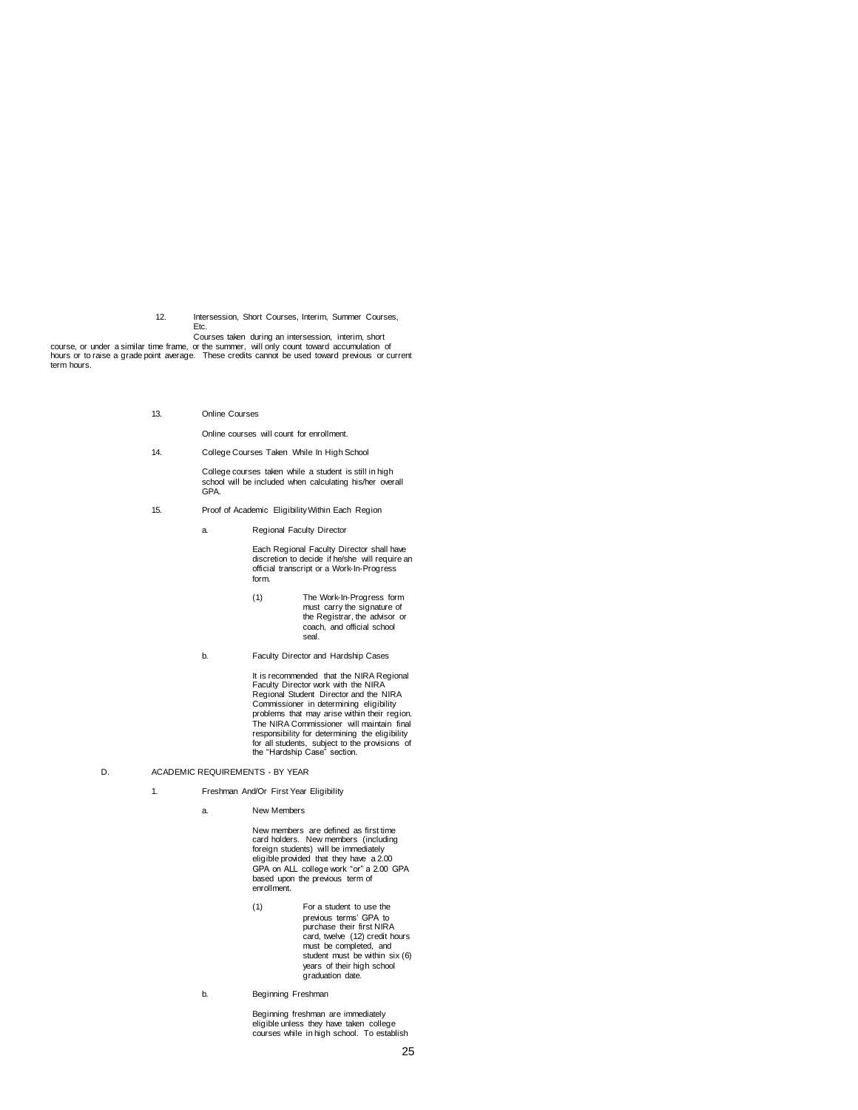12. Intersession, Short Courses, Interim, Summer Courses, Etc.

Courses taken during an intersession, interim, short

course, or under a similar time frame, or the summer, will only count toward accumulation of hours or to raise a grade point average. These credits cannot be used toward previous or current term hours.

13. Online Courses

Online courses will count for enrollment.

14. College Courses Taken While In High School

College courses taken while a student is still in high school will be included when calculating his/her overall GPA.

- 15. Proof of Academic Eligibility Within Each Region
	- a. Regional Faculty Director

Each Regional Faculty Director shall have discretion to decide if he/she will require an official transcript or a Work-In-Progress form.

- (1) The Work-In-Progress form must carry the signature of the Registrar, the advisor or coach, and official school seal.
- b. Faculty Director and Hardship Cases

It is recommended that the NIRA Regional Faculty Director work with the NIRA Regional Student Director and the NIRA Commissioner in determining eligibility problems that may arise within their region. The NIRA Commissioner will maintain final responsibility for determining the eligibility for all students, subject to the provisions of the "Hardship Case" section.

- D. ACADEMIC REQUIREMENTS BY YEAR
	- 1. Freshman And/Or First Year Eligibility
		- a. New Members

New members are defined as first time card holders. New members (including foreign students) will be immediately eligible provided that they have a 2.00 GPA on ALL college work "or" a 2.00 GPA based upon the previous term of enrollment.

- (1) For a student to use the previous terms' GPA to purchase their first NIRA card, twelve (12) credit hours must be completed, and student must be within six (6) years of their high school graduation date.
- b. Beginning Freshman

Beginning freshman are immediately eligible unless they have taken college courses while in high school. To establish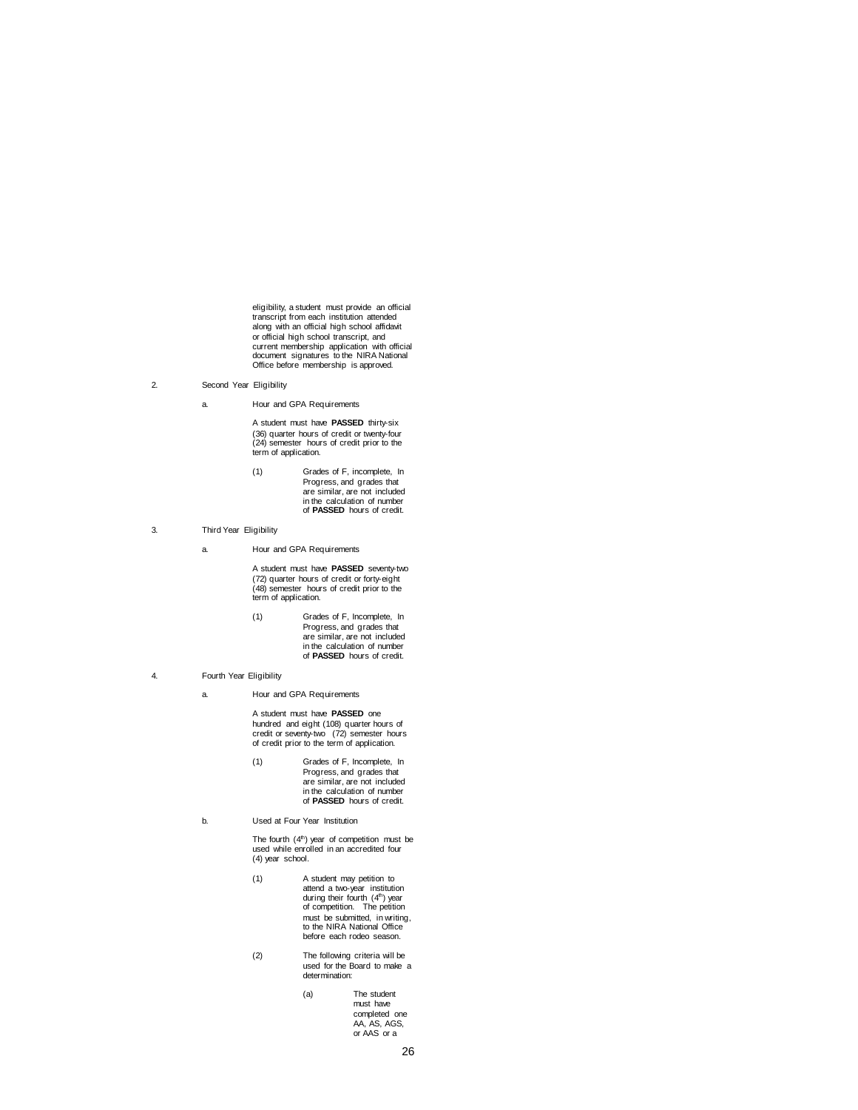eligibility, a student must provide an official transcript from each institution attended along with an official high school affidavit or official high school transcript, and current membership application with official document signatures to the NIRA National Office before membership is approved.

- 2. Second Year Eligibility
	- a. Hour and GPA Requirements

A student must have **PASSED** thirty-six (36) quarter hours of credit or twenty-four (24) semester hours of credit prior to the term of application.

- (1) Grades of F, incomplete, In Progress, and grades that are similar, are not included in the calculation of number of **PASSED** hours of credit.
- 3. Third Year Eligibility
	- a. Hour and GPA Requirements

A student must have **PASSED** seventy-two (72) quarter hours of credit or forty-eight (48) semester hours of credit prior to the term of application.

(1) Grades of F, Incomplete, In Progress, and grades that are similar, are not included in the calculation of number of **PASSED** hours of credit.

# 4. Fourth Year Eligibility

a. Hour and GPA Requirements

A student must have **PASSED** one hundred and eight (108) quarter hours of credit or seventy-two (72) semester hours of credit prior to the term of application.

- (1) Grades of F, Incomplete, In Progress, and grades that are similar, are not included in the calculation of number of **PASSED** hours of credit.
- b. Used at Four Year Institution

The fourth (4<sup>th</sup>) year of competition must be used while enrolled in an accredited four (4) year school.

- (1) A student may petition to<br>
attend a two-year institution<br>
during their fourth (4<sup>th</sup>) year of competition. The petition must be submitted, in writing, to the NIRA National Office before each rodeo season.
- (2) The following criteria will be used for the Board to make a determination:
	- (a) The student must have completed one AA, AS, AGS, or AAS or a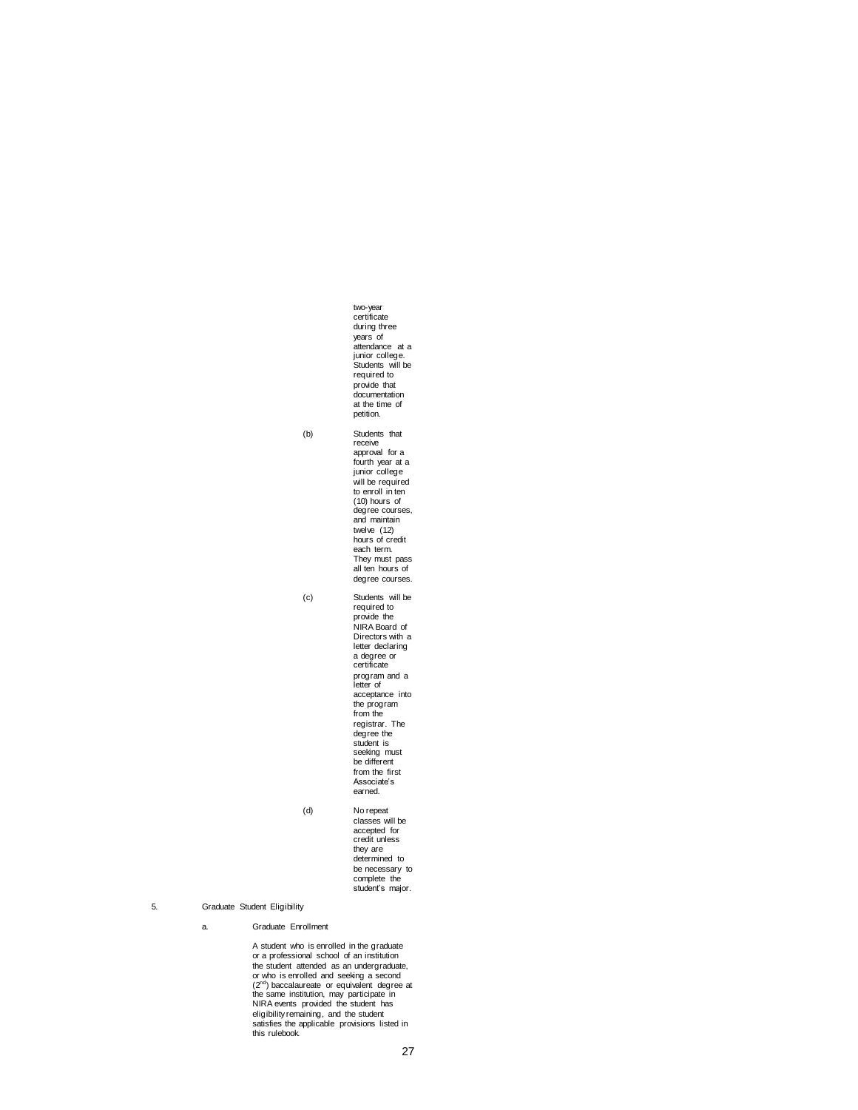```
two-year 
certificate 
                    during three
                    years of 
                    attendance at a 
                     junior college. 
Students will be 
                   required to 
                   provide that 
                     documentation
at the time of 
                   petition.
(b) Students that 
                     receive 
approval for a 
                     fourth year at a 
junior college 
                    will be required 
                     to enroll in ten 
(10) hours of 
                     degree courses, 
and maintain 
                    twelve (12) 
                     hours of credit 
each term. 
                     They must pass 
all ten hours of 
                   degree courses.
(c) Students will be 
required to 
                     provide the 
NIRA Board of 
                    Directors with a
                     letter declaring 
a degree or 
                    certificate 
                     program and a 
letter of 
                    acceptance into 
                     the program 
from the 
                     registrar. The 
degree the 
student is 
                     seeking must 
be different 
                     from the first 
Associate's 
                    earned.
(d) No repeat 
                    classes will be 
                    accepted for 
                    credit unless 
                     they are 
determined to 
                    be necessary to 
                     complete the 
student's major.
```
# 5. Graduate Student Eligibility

a. Graduate Enrollment

A student who is enrolled in the graduate or a professional school of an institution the student attended as an undergraduate, or who is enrolled and seeking a second<br>(2<sup>cm</sup>) baccalaureate or equivalent degree at<br>the same institution, may participate in<br>NIRA events provided the student has<br>eligibility remaining, and the student<br>satisfies the appli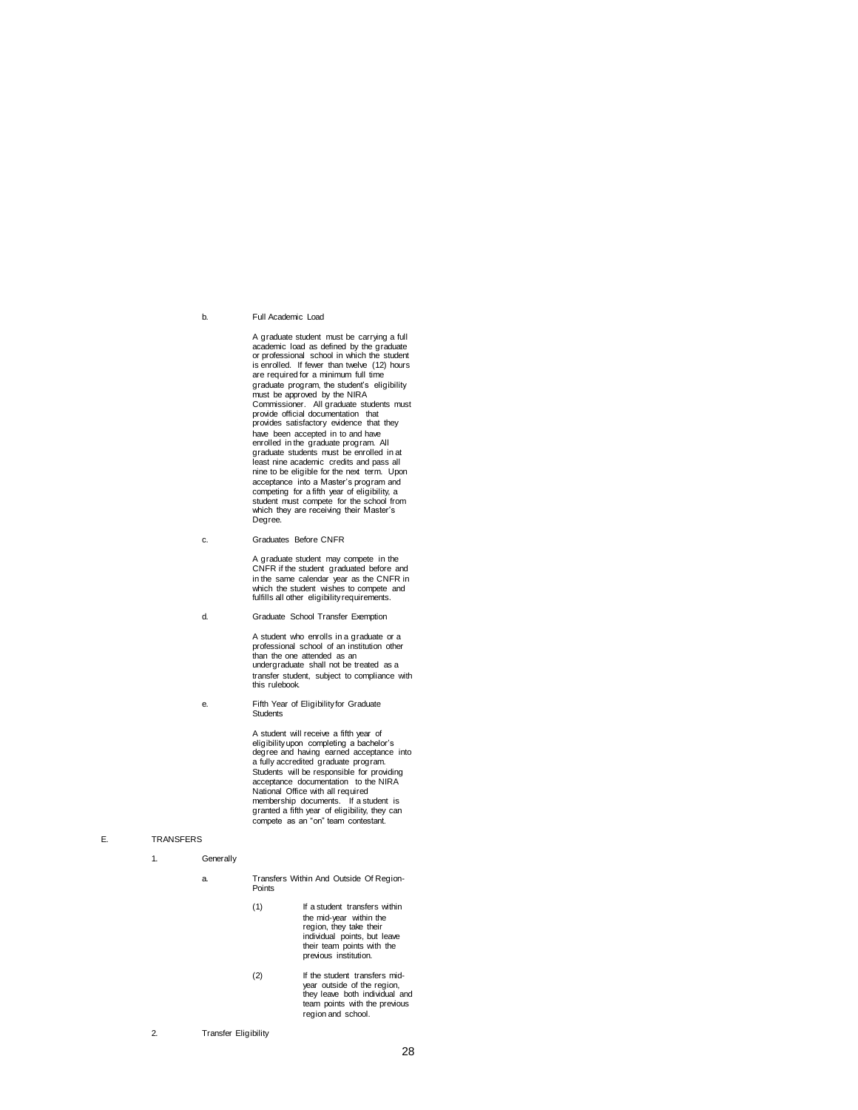b. Full Academic Load

A graduate student must be carrying a full academic load as defined by the graduate or professional school in which the student is enrolled. If fewer than twelve (12) hours are required for a minimum full time graduate program, the student's eligibility must be approved by the NIRA Commissioner. All graduate students must provide official documentation that provides satisfactory evidence that they have been accepted in to and have enrolled in the graduate program. All graduate students must be enrolled in at least nine academic credits and pass all nine to be eligible for the next term. Upon acceptance into a Master's program and competing for a fifth year of eligibility, a student must compete for the school from which they are receiving their Master's Degree.

c. Graduates Before CNFR

A graduate student may compete in the CNFR if the student graduated before and in the same calendar year as the CNFR in which the student wishes to compete and fulfills all other eligibility requirements.

d. Graduate School Transfer Exemption

A student who enrolls in a graduate or a professional school of an institution other than the one attended as an undergraduate shall not be treated as a transfer student, subject to compliance with this rulebook.

e. Fifth Year of Eligibility for Graduate Students

> A student will receive a fifth year of eligibility upon completing a bachelor's degree and having earned acceptance into a fully accredited graduate program. Students will be responsible for providing acceptance documentation to the NIRA National Office with all required membership documents. If a student is granted a fifth year of eligibility, they can compete as an "on" team contestant.

### E. TRANSFERS

- 1. Generally
	- a. Transfers Within And Outside Of Region-Points
		- (1) If a student transfers within the mid-year within the region, they take their individual points, but leave their team points with the previous institution.
		- (2) If the student transfers mid-year outside of the region, they leave both individual and team points with the previous region and school.

2. Transfer Eligibility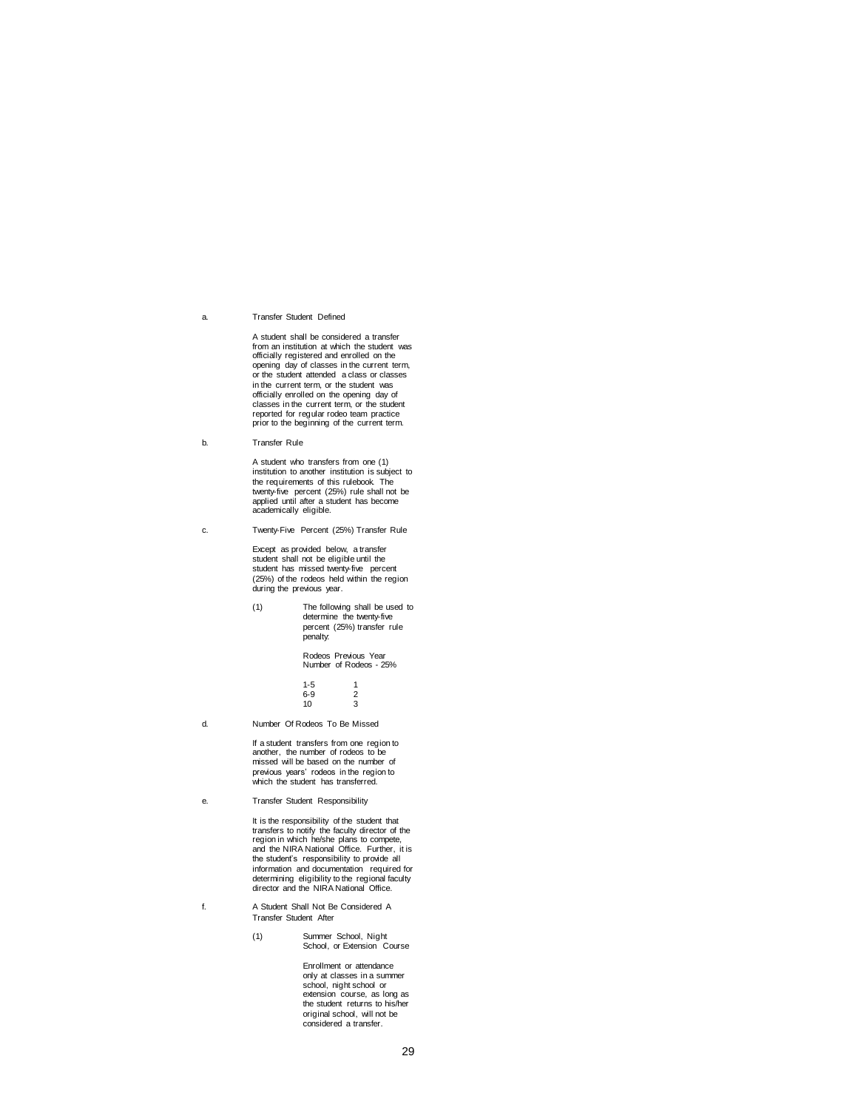#### a. Transfer Student Defined

A student shall be considered a transfer from an institution at which the student was officially registered and enrolled on the opening day of classes in the current term, or the student attended a class or classes in the current term, or the student was officially enrolled on the opening day of classes in the current term, or the student reported for regular rodeo team practice prior to the beginning of the current term.

b. Transfer Rule

A student who transfers from one (1) institution to another institution is subject to the requirements of this rulebook. The twenty-five percent (25%) rule shall not be applied until after a student has become academically eligible.

c. Twenty-Five Percent (25%) Transfer Rule

Except as provided below, a transfer student shall not be eligible until the student has missed twenty-five percent (25%) of the rodeos held within the region during the previous year.

(1) The following shall be used to determine the twenty-five percent (25%) transfer rule penalty:

> Rodeos Previous Year Number of Rodeos - 25%

| $1 - 5$ | 1 |
|---------|---|
| $6 - 9$ | 2 |
| 10      | 3 |
|         |   |

d. Number Of Rodeos To Be Missed

If a student transfers from one region to another, the number of rodeos to be missed will be based on the number of previous years' rodeos in the region to which the student has transferred.

e. Transfer Student Responsibility

It is the responsibility of the student that transfers to notify the faculty director of the region in which he/she plans to compete, and the NIRA National Office. Further, it is the student's responsibility to provide all information and documentation required for determining eligibility to the regional faculty director and the NIRA National Office.

- f. A Student Shall Not Be Considered A Transfer Student After
	- (1) Summer School, Night School, or Extension Course

Enrollment or attendance only at classes in a summer school, night school or extension course, as long as the student returns to his/her original school, will not be considered a transfer.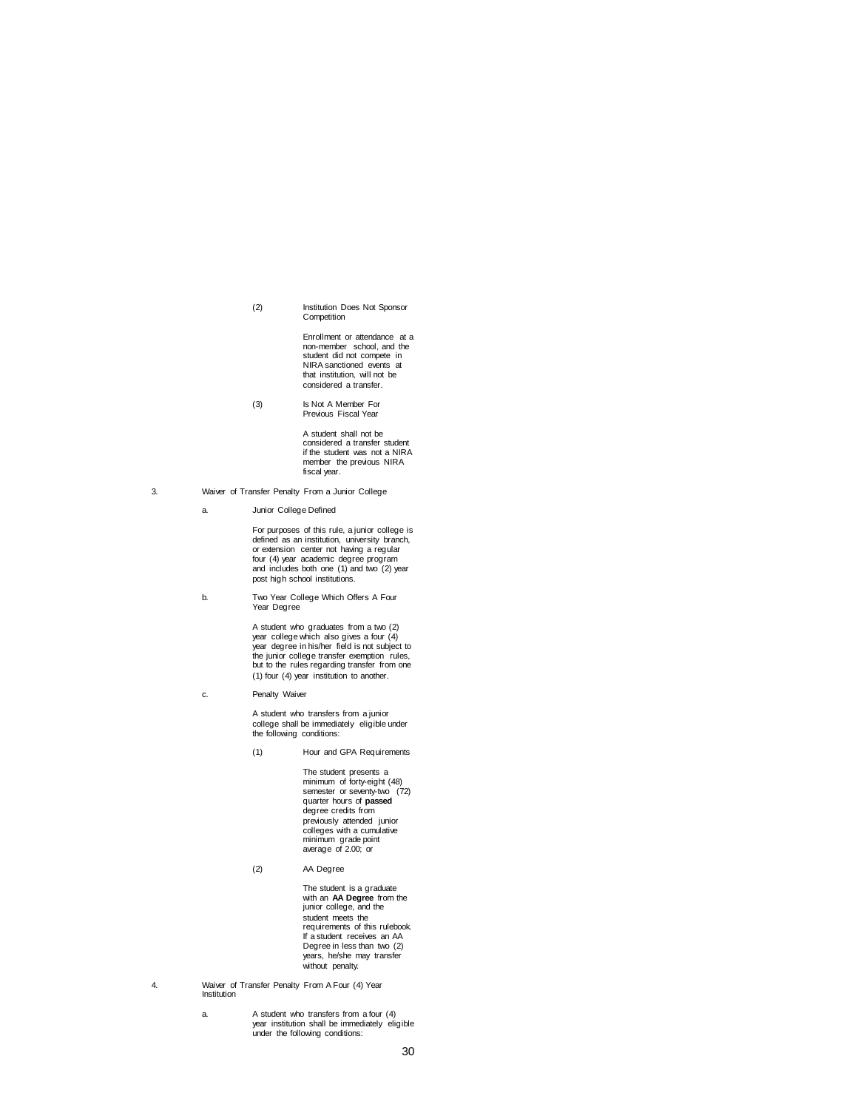(2) Institution Does Not Sponsor **Competition** 

> Enrollment or attendance at a non-member school, and the student did not compete in NIRA sanctioned events at that institution, will not be considered a transfer.

(3) Is Not A Member For Previous Fiscal Year

> A student shall not be considered a transfer student if the student was not a NIRA member the previous NIRA fiscal year.

- 3. Waiver of Transfer Penalty From a Junior College
	- a. Junior College Defined

For purposes of this rule, a junior college is defined as an institution, university branch, or extension center not having a regular four (4) year academic degree program and includes both one (1) and two (2) year post high school institutions.

b. Two Year College Which Offers A Four Year Degree

A student who graduates from a two (2)<br>year college which also gives a four (4)<br>year degree in his/her field is not subject to<br>the junior college transfer exemption rules,<br>but to the rules regarding transfer from one (1) four (4) year institution to another.

c. Penalty Waiver

A student who transfers from a junior college shall be immediately eligible under the following conditions:

(1) Hour and GPA Requirements

The student presents a minimum of forty-eight (48) semester or seventy-two (72) quarter hours of **passed** degree credits from previously attended junior colleges with a cumulative minimum grade point average of 2.00; or

(2) AA Degree

The student is a graduate with an **AA Degree** from the junior college, and the student meets the requirements of this rulebook. If a student receives an AA Degree in less than two (2) years, he/she may transfer without penalty.

- 4. Waiver of Transfer Penalty From A Four (4) Year Institution
	- a. A student who transfers from a four (4) year institution shall be immediately eligible under the following conditions: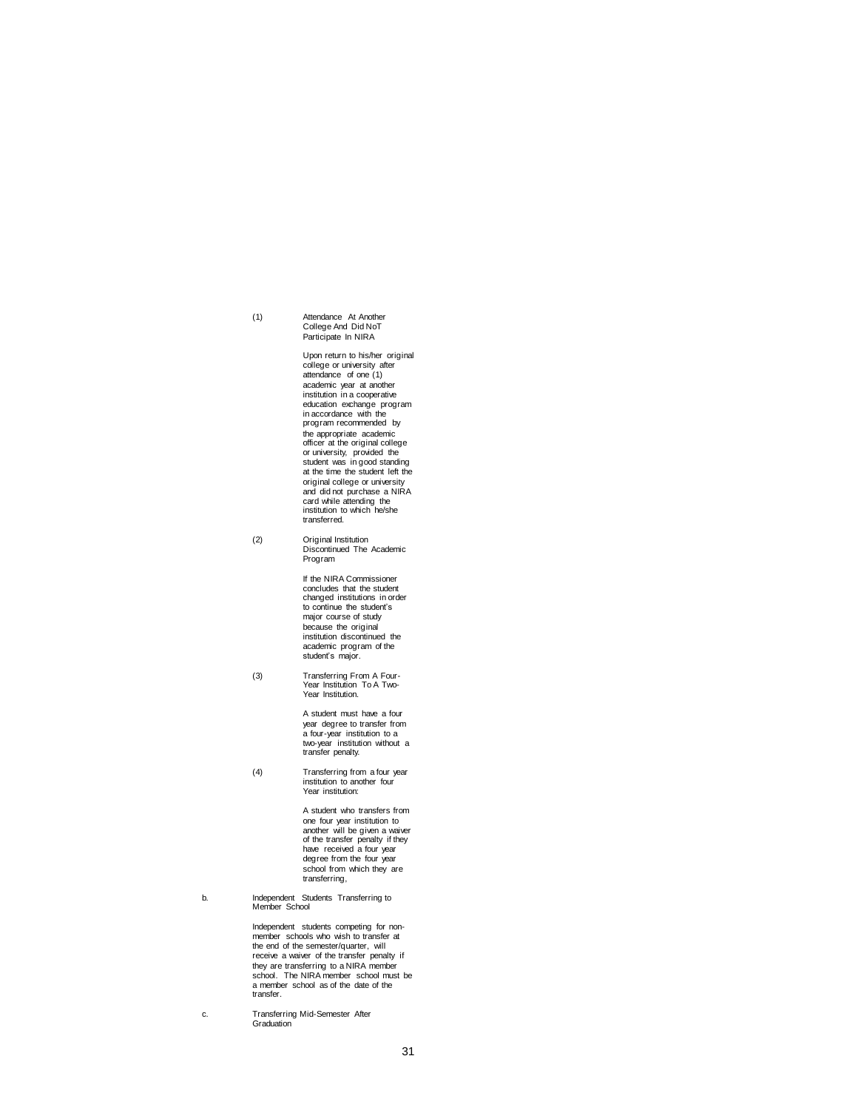# (1) Attendance At Another College And Did NoT Participate In NIRA

Upon return to his/her original college or university after attendance of one (1) academic year at another institution in a cooperative education exchange program in accordance with the program recommended by the appropriate academic officer at the original college or university, provided the student was in good standing at the time the student left the original college or university and did not purchase a NIRA card while attending the institution to which he/she transferred.

(2) Original Institution Discontinued The Academic Program

> If the NIRA Commissioner concludes that the student changed institutions in order to continue the student's major course of study because the original institution discontinued the academic program of the student's major.

(3) Transferring From A Four-Year Institution To A Two-Year Institution.

> A student must have a four year degree to transfer from a four-year institution to a two-year institution without a transfer penalty.

(4) Transferring from a four year institution to another four Year institution:

> A student who transfers from one four year institution to another will be given a waiver of the transfer penalty if they have received a four year degree from the four year school from which they are transferring,

b. Independent Students Transferring to Member School

Independent students competing for non-member schools who wish to transfer at the end of the semester/quarter, will receive a waiver of the transfer penalty if they are transferring to a NIRA member school. The NIRA member school must be a member school as of the date of the transfer.

c. Transferring Mid-Semester After Graduation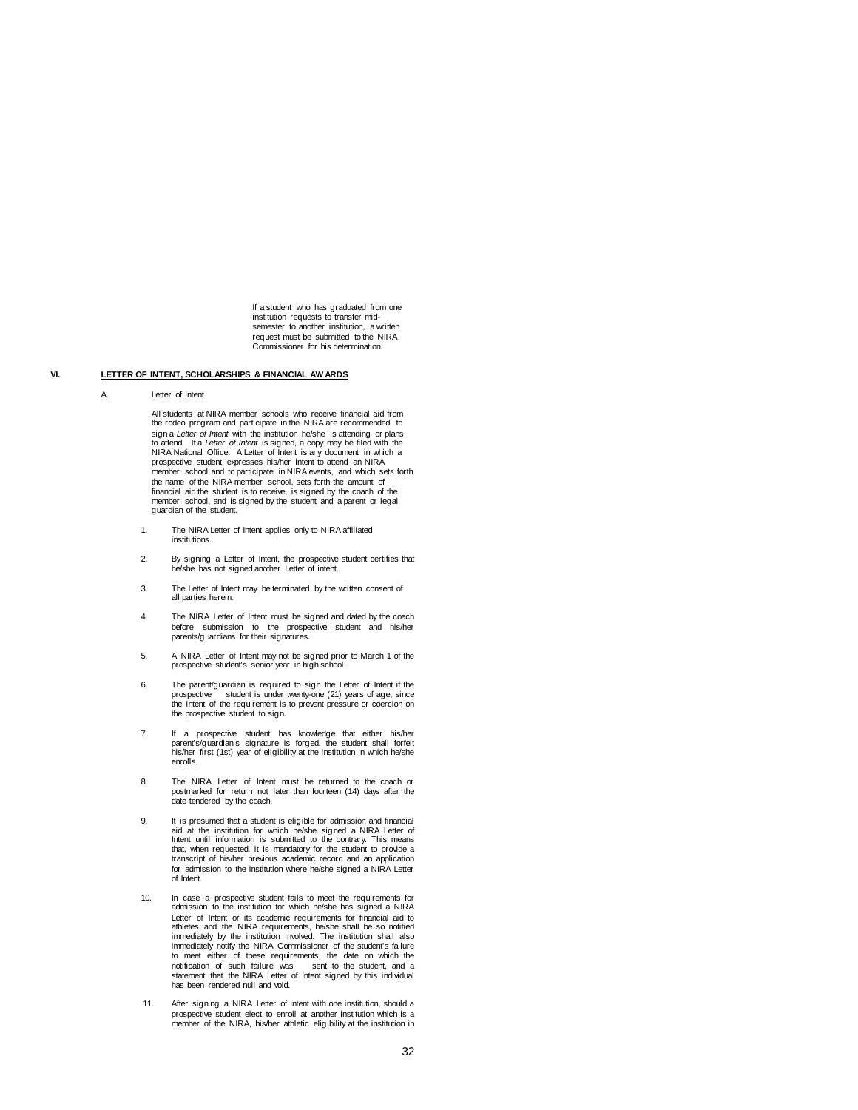If a student who has graduated from one institution requests to transfer midsemester to another institution, a written request must be submitted to the NIRA Commissioner for his determination.

# **VI. LETTER OF INTENT, SCHOLARSHIPS & FINANCIAL AW ARDS**

#### A. Letter of Intent

All students at NIRA member schools who receive financial aid from the rodeo program and participate in the NIRA are recommended to sign a *Letter of Intent* with the institution he/she is attending or plans to attend. If a *Letter of Intent* is signed, a copy may be filed with the NIRA National Office. A Letter of Intent is any document in which a prospective student expresses his/her intent to attend an NIRA member school and to participate in NIRA events, and which sets forth the name of the NIRA member school, sets forth the amount of financial aid the student is to receive, is signed by the coach of the member school, and is signed by the student and a parent or legal guardian of the student.

- 1. The NIRA Letter of Intent applies only to NIRA affiliated institutions.
- 2. By signing a Letter of Intent, the prospective student certifies that he/she has not signed another Letter of intent
- 3. The Letter of Intent may be terminated by the written consent of all parties herein.
- 4. The NIRA Letter of Intent must be signed and dated by the coach before submission to the prospective student and his/her parents/guardians for their signatures.
- 5. A NIRA Letter of Intent may not be signed prior to March 1 of the prospective student's senior year in high school.
- 6. The parent/guardian is required to sign the Letter of Intent if the prospective student is under twenty-one (21) years of age, since<br>the intent of the requirement is to prevent pressure or coercion on the prospective student to sign.
- 7. If a prospective student has knowledge that either his/her parent's/guardian's signature is forged, the student shall forfeit his/her first (1st) year of eligibility at the institution in which he/she enrolls.
- 8. The NIRA Letter of Intent must be returned to the coach or postmarked for return not later than fourteen (14) days after the date tendered by the coach.
- 9. It is presumed that a student is eligible for admission and financial aid at the institution for which he/she signed a NIRA Letter of Intent until information is submitted to the contrary. This means that, when requested, it is mandatory for the student to provide a transcript of his/her previous academic record and an application for admission to the institution where he/she signed a NIRA Letter of Intent.
- 10. In case a prospective student fails to meet the requirements for admission to the institution for which he/she has signed a NIRA Letter of Intent or its academic requirements for financial aid to athletes and the NIRA requirements, he/she shall be so notified immediately by the institution involved. The institution shall also immediately notify the NIRA Commissioner of the student's failure to meet either of these requirements, the date on which the notification of such failure was sent to the student, and a statement that the NIRA Letter of Intent signed by this individual has been rendered null and void.
- 11. After signing a NIRA Letter of Intent with one institution, should a prospective student elect to enroll at another institution which is a member of the NIRA, his/her athletic eligibility at the institution in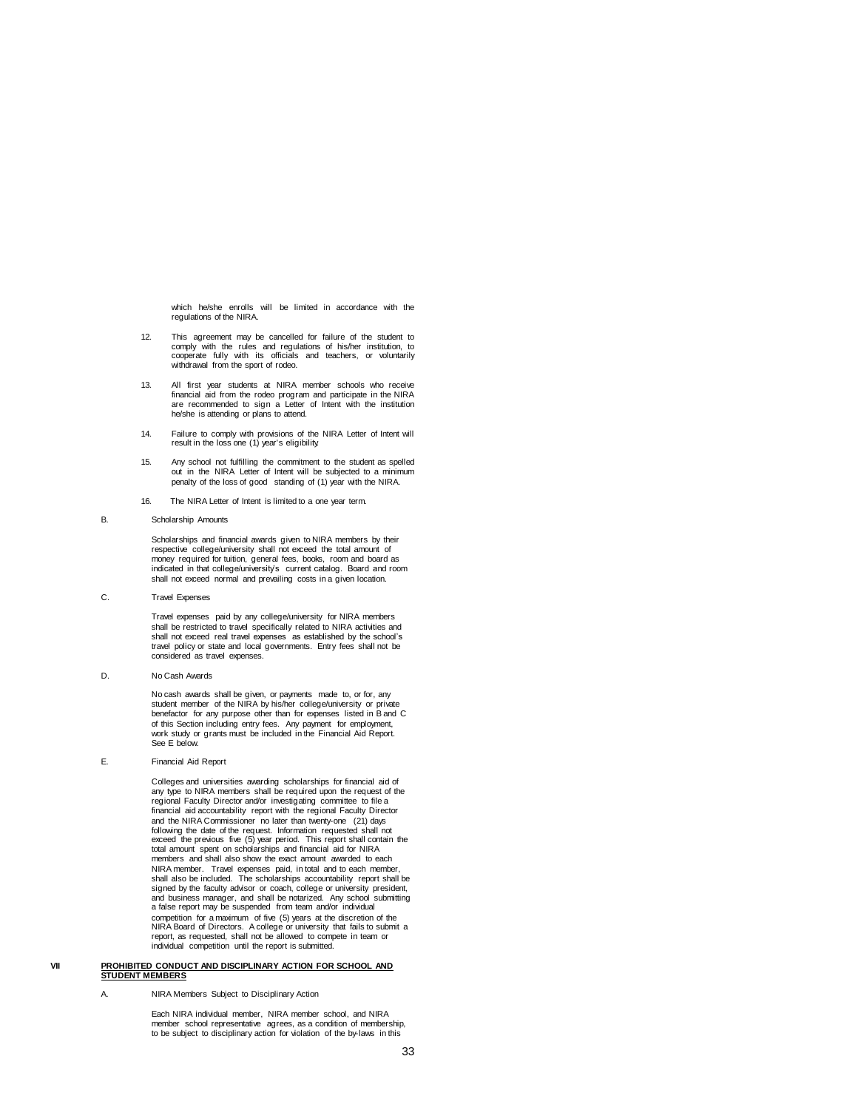which he/she enrolls will be limited in accordance with the regulations of the NIRA.

- 12. This agreement may be cancelled for failure of the student to comply with the rules and regulations of his/her institution, to cooperate fully with its officials and teachers, or voluntarily withdrawal from the sport of rodeo.
- 13. All first year students at NIRA member schools who receive financial aid from the rodeo program and participate in the NIRA are recommended to sign a Letter of Intent with the institution he/she is attending or plans to attend.
- 14. Failure to comply with provisions of the NIRA Letter of Intent will result in the loss one (1) year's eligibility.
- 15. Any school not fulfilling the commitment to the student as spelled out in the NIRA Letter of Intent will be subjected to a minimum penalty of the loss of good standing of (1) year with the NIRA.
- 16. The NIRA Letter of Intent is limited to a one year term.
- B. Scholarship Amounts

Scholarships and financial awards given to NIRA members by their respective college/university shall not exceed the total amount of money required for tuition, general fees, books, room and board as indicated in that college/university's current catalog. Board and room shall not exceed normal and prevailing costs in a given location.

C. Travel Expenses

Travel expenses paid by any college/university for NIRA members shall be restricted to travel specifically related to NIRA activities and shall not exceed real travel expenses as established by the school's travel policy or state and local governments. Entry fees shall not be considered as travel expenses.

D. No Cash Awards

No cash awards shall be given, or payments made to, or for, any<br>student member of the NIRA by his/her college/university or private<br>benefactor for any purpose other than for expenses listed in B and C of this Section including entry fees. Any payment for employment, work study or grants must be included in the Financial Aid Report. See E below.

E. Financial Aid Report

Colleges and universities awarding scholarships for financial aid of any type to NIRA members shall be required upon the request of the regional Faculty Director and/or investigating committee to file a financial aid accountability report with the regional Faculty Director and the NIRA Commissioner no later than twenty-one (21) days following the date of the request. Information requested shall not exceed the previous five (5) year period. This report shall contain the total amount spent on scholarships and financial aid for NIRA members and shall also show the exact amount awarded to each NIRA member. Travel expenses paid, in total and to each member, shall also be included. The scholarships accountability report shall be signed by the faculty advisor or coach, college or university president, and business manager, and shall be notarized. Any school submitting a false report may be suspended from team and/or individual competition for a maximum of five (5) years at the discretion of the NIRA Board of Directors. A college or university that fails to submit a report, as requested, shall not be allowed to compete in team or individual competition until the report is submitted.

#### **VII PROHIBITED CONDUCT AND DISCIPLINARY ACTION FOR SCHOOL AND STUDENT MEMBERS**

A. NIRA Members Subject to Disciplinary Action

Each NIRA individual member, NIRA member school, and NIRA member school representative agrees, as a condition of membership, to be subject to disciplinary action for violation of the by-laws in this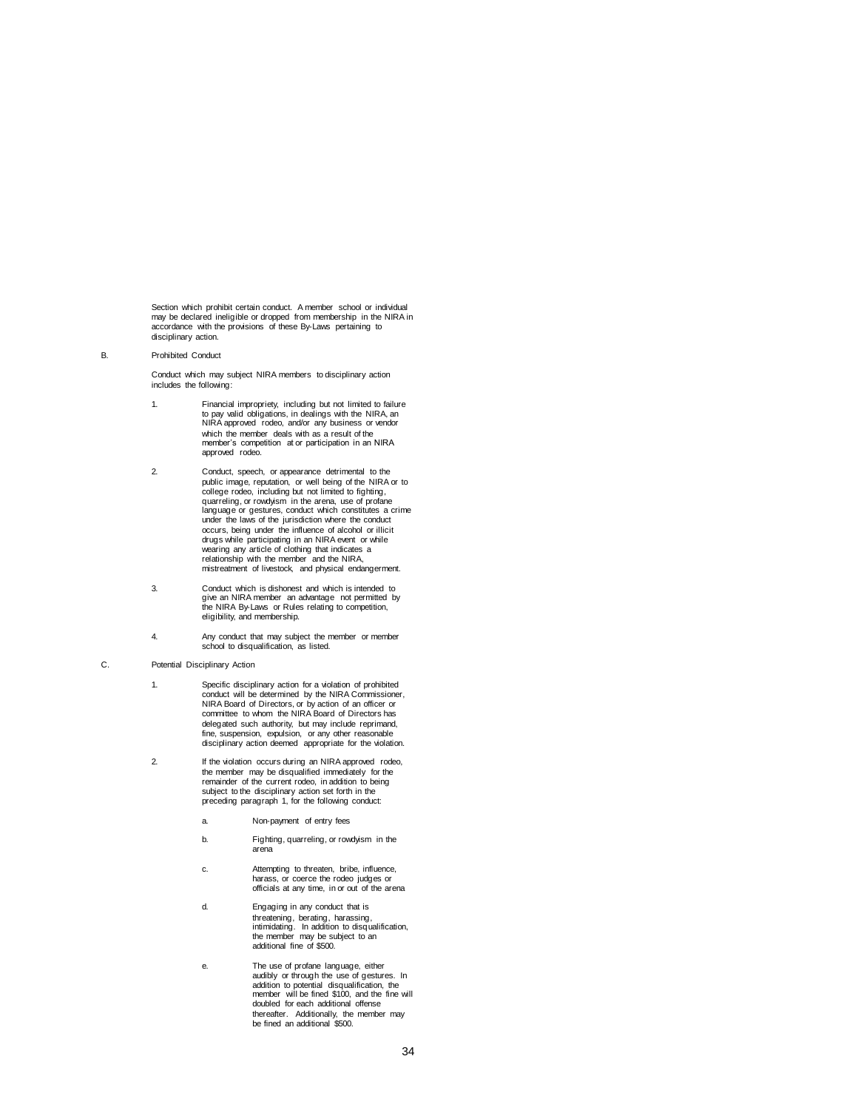Section which prohibit certain conduct. A member school or individual may be declared ineligible or dropped from membership in the NIRA in accordance with the provisions of these By-Laws pertaining to disciplinary action.

### B. Prohibited Conduct

Conduct which may subject NIRA members to disciplinary action includes the following:

- 1. Financial impropriety, including but not limited to failure to pay valid obligations, in dealings with the NIRA, an NIRA approved rodeo, and/or any business or vendor which the member deals with as a result of the member's competition at or participation in an NIRA approved rodeo.
- 2. Conduct, speech, or appearance detrimental to the public image, reputation, or well being of the NIRA or to college rodeo, including but not limited to fighting, quarreling, or rowdyism in the arena, use of profane language or gestures, conduct which constitutes a crime under the laws of the jurisdiction where the conduct occurs, being under the influence of alcohol or illicit drugs while participating in an NIRA event or while wearing any article of clothing that indicates a relationship with the member and the NIRA, mistreatment of livestock, and physical endangerment.
- 3. Conduct which is dishonest and which is intended to give an NIRA member an advantage not permitted by the NIRA By-Laws or Rules relating to competition, eligibility, and membership.
- 4. Any conduct that may subject the member or member school to disqualification, as listed.

### C. Potential Disciplinary Action

- 1. Specific disciplinary action for a violation of prohibited conduct will be determined by the NIRA Commissioner, NIRA Board of Directors, or by action of an officer or committee to whom the NIRA Board of Directors has delegated such authority, but may include reprimand, fine, suspension, expulsion, or any other reasonable disciplinary action deemed appropriate for the violation.
- 2. If the violation occurs during an NIRA approved rodeo, the member may be disqualified immediately for the remainder of the current rodeo, in addition to being subject to the disciplinary action set forth in the preceding paragraph 1, for the following conduct:
	- a. Non-payment of entry fees
	- b. Fighting, quarreling, or rowdyism in the arena
	- c. Attempting to threaten, bribe, influence, harass, or coerce the rodeo judges or officials at any time, in or out of the arena
	- d. Engaging in any conduct that is threatening, berating, harassing, intimidating. In addition to disqualification, the member may be subject to an additional fine of \$500.
	- e. The use of profane language, either audibly or through the use of gestures. In addition to potential disqualification, the member will be fined \$100, and the fine will doubled for each additional offense thereafter. Additionally, the member may be fined an additional \$500.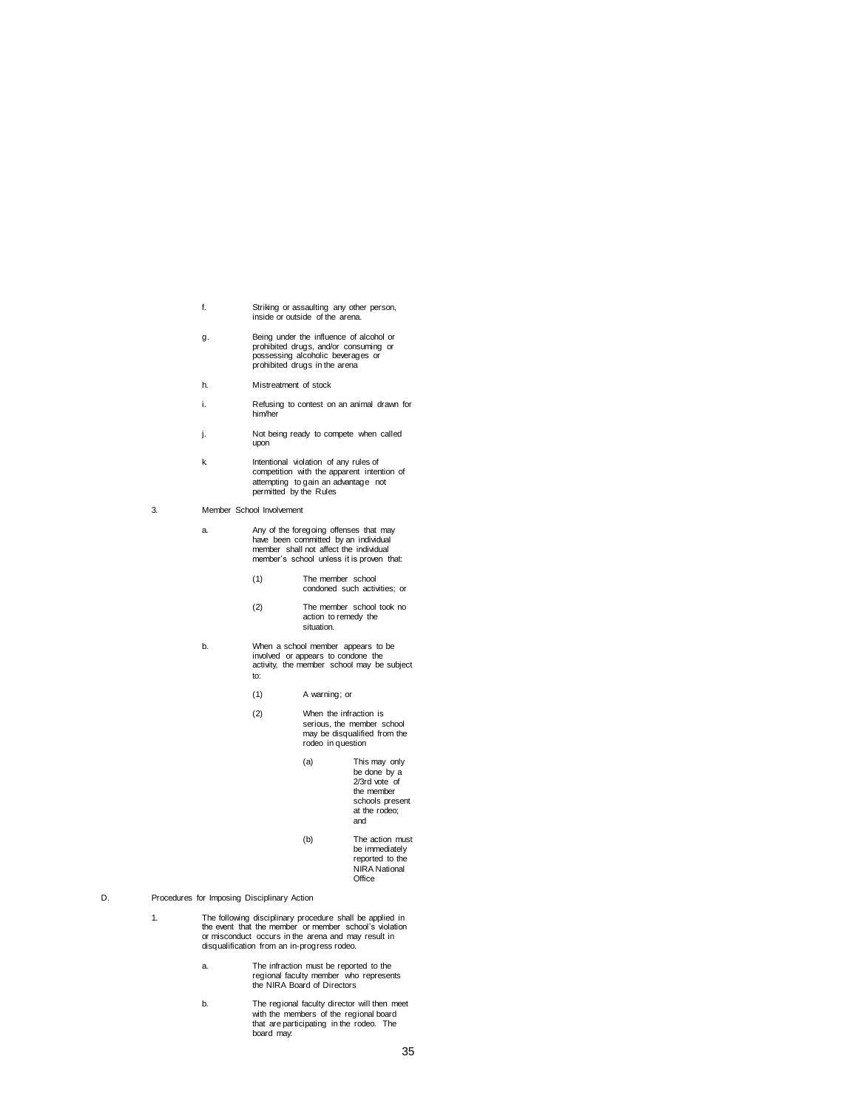- f. Striking or assaulting any other person, inside or outside of the arena.
- g. Being under the influence of alcohol or prohibited drugs, and/or consuming or possessing alcoholic beverages or prohibited drugs in the arena
- h. Mistreatment of stock
- i. Refusing to contest on an animal drawn for him/her
- j. Not being ready to compete when called upon
- k. Intentional violation of any rules of competition with the apparent intention of attempting to gain an advantage not permitted by the Rules
- 3. Member School Involvement
	- a. Any of the foregoing offenses that may have been committed by an individual member shall not affect the individual member's school unless it is proven that:
		- (1) The member school condoned such activities; or
		- (2) The member school took no action to remedy the situation.
	- b. When a school member appears to be involved or appears to condone the activity, the member school may be subject to:
		- (1) A warning; or
		- (2) When the infraction is serious, the member school may be disqualified from the rodeo in question
			- (a) This may only be done by a 2/3rd vote of the member schools present at the rodeo; and
			- (b) The action must be immediately reported to the NIRA National **Office**
- D. Procedures for Imposing Disciplinary Action
	- 1. The following disciplinary procedure shall be applied in the event that the member or member school's violation or misconduct occurs in the arena and may result in disqualification from an in-progress rodeo.
		- a. The infraction must be reported to the regional faculty member who represents the NIRA Board of Directors
		- b. The regional faculty director will then meet with the members of the regional board that are participating in the rodeo. The board may: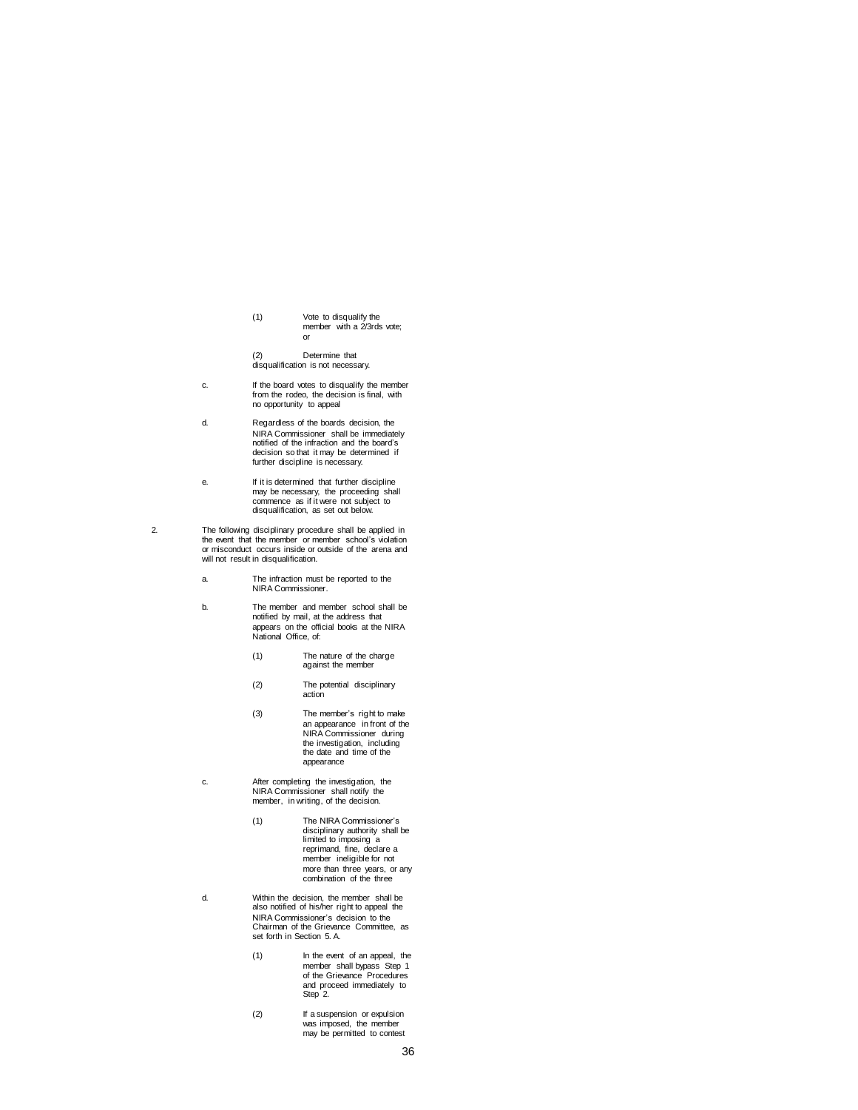(1) Vote to disqualify the member with a 2/3rds vote; or

(2) Determine that disqualification is not necessary.

- c. If the board votes to disqualify the member from the rodeo, the decision is final, with no opportunity to appeal
- d. Regardless of the boards decision, the NIRA Commissioner shall be immediately notified of the infraction and the board's decision so that it may be determined if further discipline is necessary.
- e. If it is determined that further discipline may be necessary, the proceeding shall commence as if it were not subject to disqualification, as set out below.
- 2. The following disciplinary procedure shall be applied in the event that the member or member school's violation or misconduct occurs inside or outside of the arena and will not result in disqualification.
	- a. The infraction must be reported to the NIRA Commissioner.
	- b. The member and member school shall be notified by mail, at the address that appears on the official books at the NIRA National Office, of:
		- (1) The nature of the charge against the member
		- (2) The potential disciplinary action
		- (3) The member's right to make an appearance in front of the NIRA Commissioner during the investigation, including the date and time of the appearance
	- c. After completing the investigation, the NIRA Commissioner shall notify the member, in writing, of the decision.
		- (1) The NIRA Commissioner's disciplinary authority shall be limited to imposing a reprimand, fine, declare a member ineligible for not more than three years, or any combination of the three
	- d. Within the decision, the member shall be also notified of his/her right to appeal the NIRA Commissioner's decision to the Chairman of the Grievance Committee, as set forth in Section 5. A.
		- (1) In the event of an appeal, the member shall bypass Step 1 of the Grievance Procedures and proceed immediately to Step 2.
		- (2) If a suspension or expulsion was imposed, the member may be permitted to contest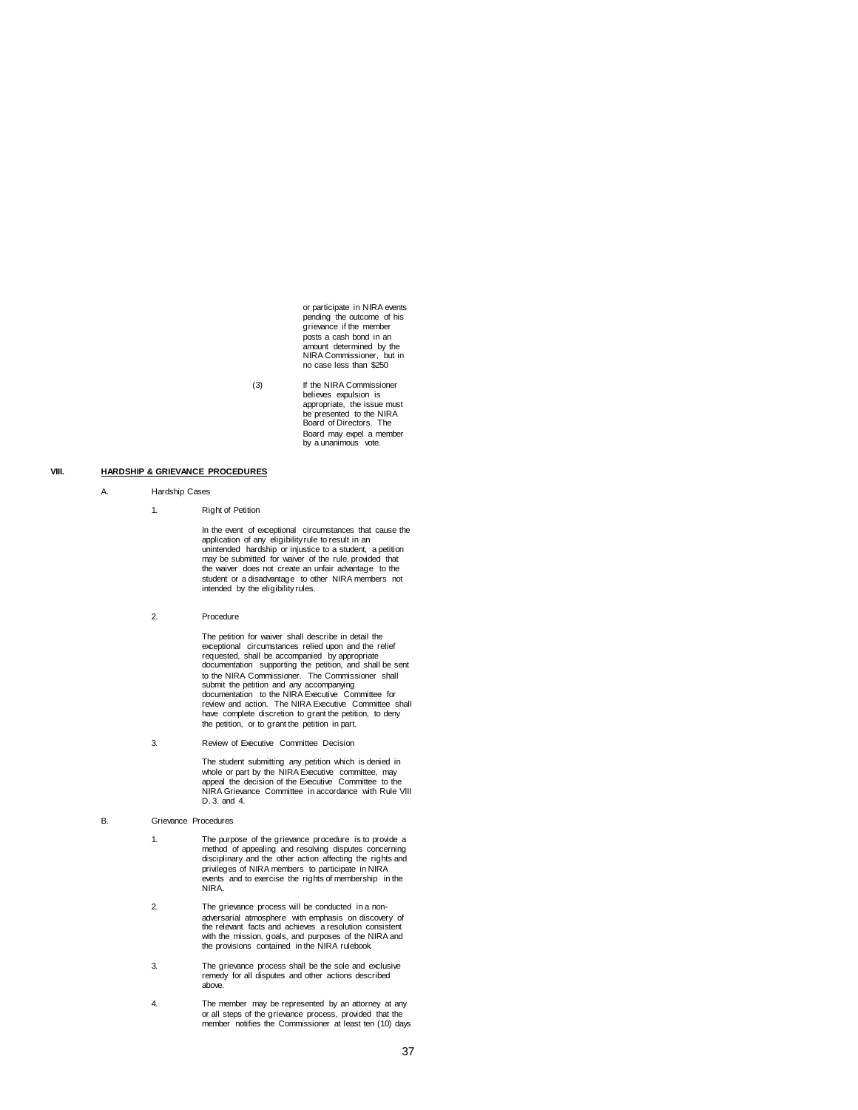or participate in NIRA events pending the outcome of his grievance if the member posts a cash bond in an amount determined by the NIRA Commissioner, but in no case less than \$250

(3) If the NIRA Commissioner believes expulsion is appropriate, the issue must be presented to the NIRA Board of Directors. The Board may expel a member by a unanimous vote.

## **VIII. HARDSHIP & GRIEVANCE PROCEDURES**

#### A. Hardship Cases

1. Right of Petition

In the event of exceptional circumstances that cause the application of any eligibility rule to result in an unintended hardship or injustice to a student, a petition may be submitted for waiver of the rule, provided that the waiver does not create an unfair advantage to the student or a disadvantage to other NIRA members not intended by the eligibility rules.

2. Procedure

The petition for waiver shall describe in detail the exceptional circumstances relied upon and the relief requested, shall be accompanied by appropriate documentation supporting the petition, and shall be sent to the NIRA Commissioner. The Commissioner shall<br>submit the petition and any accompanying<br>documentation to the NIRA Executive Committee for<br>review and action. The NIRA Executive Committee shall have complete discretion to grant the petition, to deny the petition, or to grant the petition in part.

3. Review of Executive Committee Decision

The student submitting any petition which is denied in whole or part by the NIRA Executive committee, may appeal the decision of the Executive Committee to the NIRA Grievance Committee in accordance with Rule VIII D. 3. and 4.

#### B. Grievance Procedures

1. The purpose of the grievance procedure is to provide a method of appealing and resolving disputes concerning disciplinary and the other action affecting the rights and privileges of NIRA members to participate in NIRA events and to exercise the rights of membership in the NIRA.

- 2. The grievance process will be conducted in a nonadversarial atmosphere with emphasis on discovery of the relevant facts and achieves a resolution consistent with the mission, goals, and purposes of the NIRA and the provisions contained in the NIRA rulebook.
- 3. The grievance process shall be the sole and exclusive remedy for all disputes and other actions described above.
- 4. The member may be represented by an attorney at any or all steps of the grievance process, provided that the member notifies the Commissioner at least ten (10) days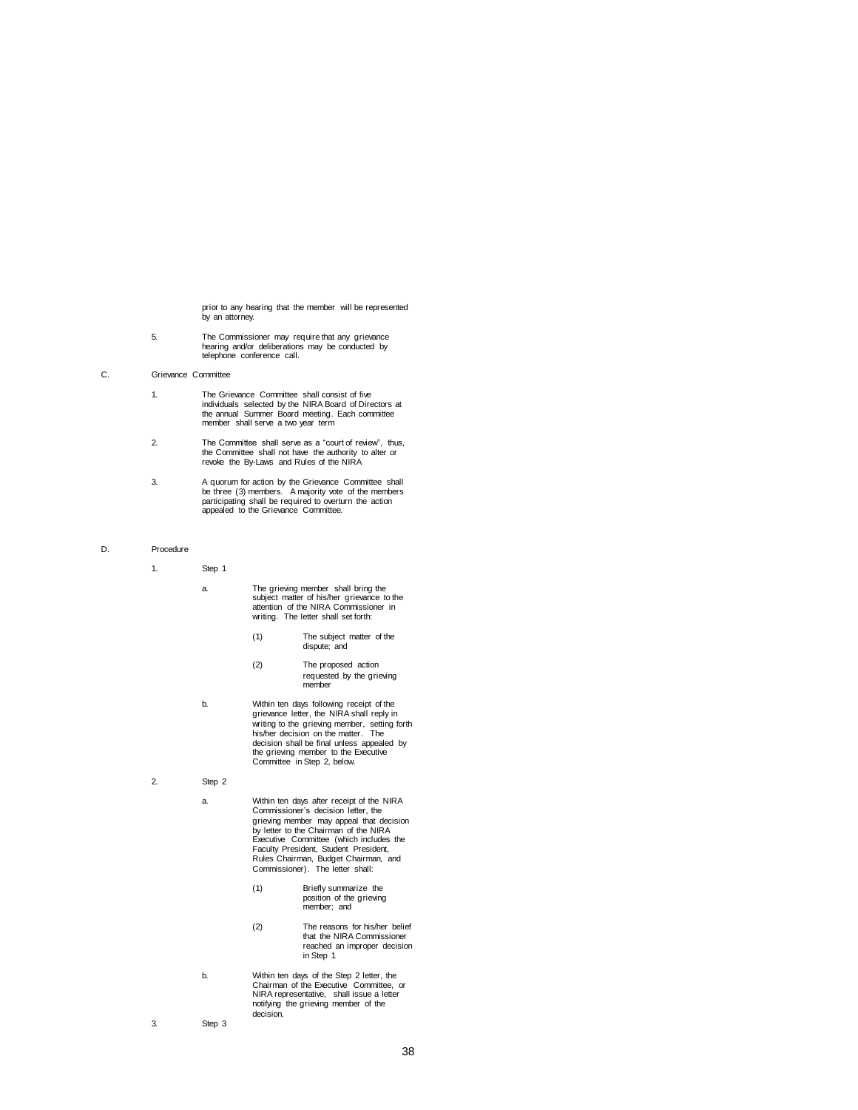prior to any hearing that the member will be represented by an attorney.

5. The Commissioner may require that any grievance hearing and/or deliberations may be conducted by telephone conference call.

## C. Grievance Committee

- 1. The Grievance Committee shall consist of five individuals selected by the NIRA Board of Directors at the annual Summer Board meeting. Each committee member shall serve a two year term
- 2. The Committee shall serve as a "court of review", thus, the Committee shall not have the authority to alter or revoke the By-Laws and Rules of the NIRA
- 3. A quorum for action by the Grievance Committee shall be three (3) members. A majority vote of the members participating shall be required to overturn the action appealed to the Grievance Committee.

## D. Procedure

1. Step 1

- a. The grieving member shall bring the subject matter of his/her grievance to the attention of the NIRA Commissioner in writing. The letter shall set forth:
	- (1) The subject matter of the dispute; and
	- (2) The proposed action requested by the grieving member
- b. Within ten days following receipt of the grievance letter, the NIRA shall reply in writing to the grieving member, setting forth his/her decision on the matter. The decision shall be final unless appealed by the grieving member to the Executive Committee in Step 2, below.
- 2. Step 2
	- a. Within ten days after receipt of the NIRA Commissioner's decision letter, the grieving member may appeal that decision by letter to the Chairman of the NIRA Executive Committee (which includes the Faculty President, Student President, Rules Chairman, Budget Chairman, and Commissioner). The letter shall:
		- (1) Briefly summarize the position of the grieving member; and
		- (2) The reasons for his/her belief that the NIRA Commissioner reached an improper decision in Step 1
	- b. Within ten days of the Step 2 letter, the Chairman of the Executive Committee, or NIRA representative, shall issue a letter notifying the grieving member of the decision.
- 3. Step 3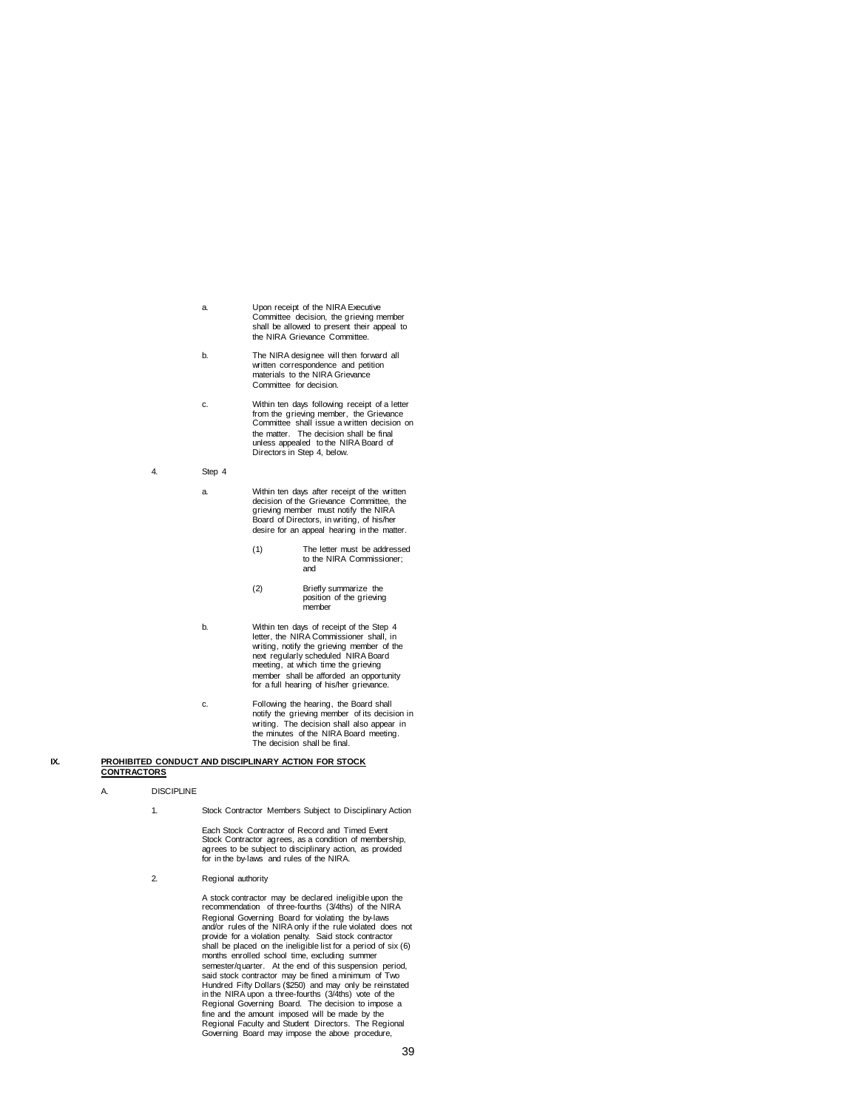- a. Upon receipt of the NIRA Executive Committee decision, the grieving member shall be allowed to present their appeal to the NIRA Grievance Committee.
- b. The NIRA designee will then forward all written correspondence and petition materials to the NIRA Grievance Committee for decision.
- c. Within ten days following receipt of a letter from the grieving member, the Grievance Committee shall issue a written decision on the matter. The decision shall be final unless appealed to the NIRA Board of Directors in Step 4, below.
- 4. Step 4
	- a. Within ten days after receipt of the written decision of the Grievance Committee, the grieving member must notify the NIRA Board of Directors, in writing, of his/her desire for an appeal hearing in the matter.
		- (1) The letter must be addressed to the NIRA Commissioner; and
		- (2) Briefly summarize the position of the grieving member
	- b. Within ten days of receipt of the Step 4 letter, the NIRA Commissioner shall, in writing, notify the grieving member of the next regularly scheduled NIRA Board meeting, at which time the grieving member shall be afforded an opportunity for a full hearing of his/her grievance.
	- c. Following the hearing, the Board shall notify the grieving member of its decision in writing. The decision shall also appear in the minutes of the NIRA Board meeting. The decision shall be final.

#### **IX. PROHIBITED CONDUCT AND DISCIPLINARY ACTION FOR STOCK CONTRACTORS**

- A. DISCIPLINE
	- 1. Stock Contractor Members Subject to Disciplinary Action

Each Stock Contractor of Record and Timed Event Stock Contractor agrees, as a condition of membership, agrees to be subject to disciplinary action, as provided for in the by-laws and rules of the NIRA.

2. Regional authority

A stock contractor may be declared ineligible upon the recommendation of three-fourths (3/4ths) of the NIRA Regional Governing Board for violating the by-laws and/or rules of the NIRA only if the rule violated does not provide for a violation penalty. Said stock contractor shall be placed on the ineligible list for a period of six (6) months enrolled school time, excluding summer semester/quarter. At the end of this suspension period, said stock contractor may be fined a minimum of Two Hundred Fifty Dollars (\$250) and may only be reinstated in the NIRA upon a three-fourths (3/4ths) vote of the Regional Governing Board. The decision to impose a fine and the amount imposed will be made by the Regional Faculty and Student Directors. The Regional Governing Board may impose the above procedure,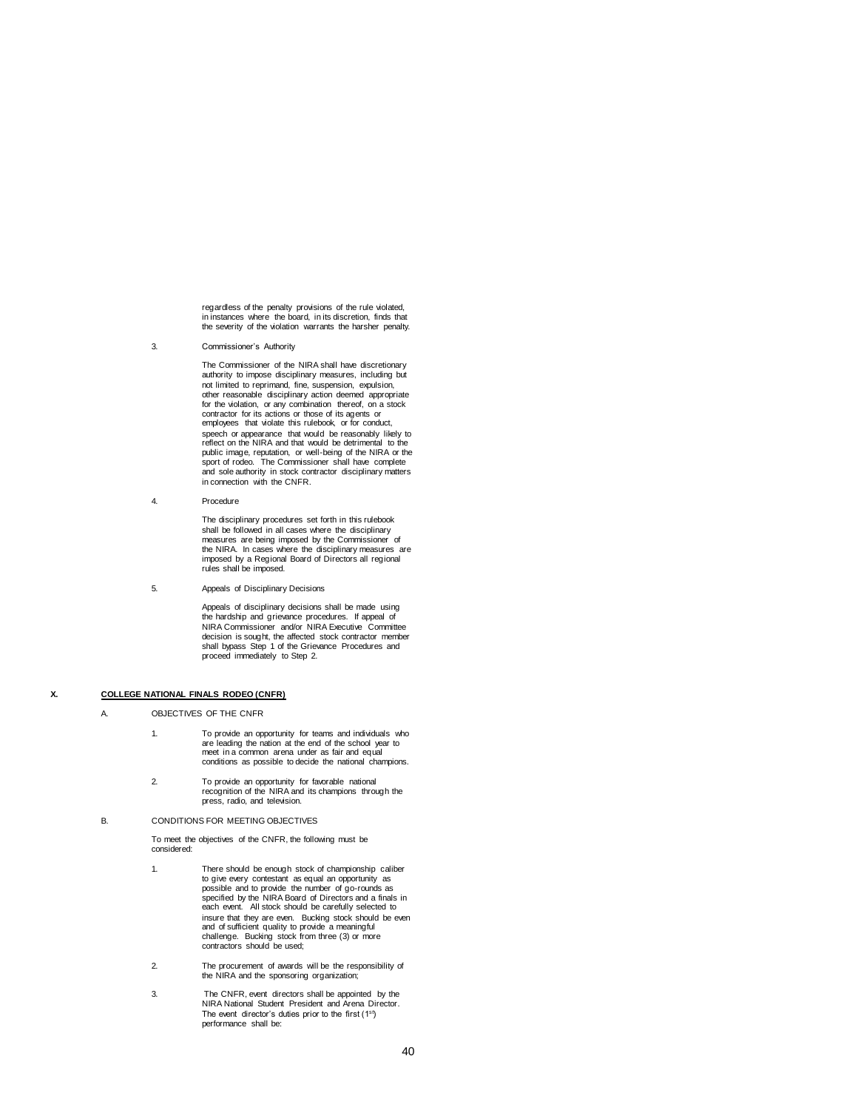regardless of the penalty provisions of the rule violated, in instances where the board, in its discretion, finds that the severity of the violation warrants the harsher penalty.

3. Commissioner's Authority

The Commissioner of the NIRA shall have discretionary authority to impose disciplinary measures, including but not limited to reprimand, fine, suspension, expulsion, other reasonable disciplinary action deemed appropriate for the violation, or any combination thereof, on a stock contractor for its actions or those of its agents or employees that violate this rulebook, or for conduct, speech or appearance that would be reasonably likely to reflect on the NIRA and that would be detrimental to the public image, reputation, or well-being of the NIRA or the sport of rodeo. The Commissioner shall have complete and sole authority in stock contractor disciplinary matters in connection with the CNFR.

4. Procedure

The disciplinary procedures set forth in this rulebook shall be followed in all cases where the disciplinary measures are being imposed by the Commissioner of the NIRA. In cases where the disciplinary measures are imposed by a Regional Board of Directors all regional rules shall be imposed.

5. Appeals of Disciplinary Decisions

Appeals of disciplinary decisions shall be made using the hardship and grievance procedures. If appeal of NIRA Commissioner and/or NIRA Executive Committee decision is sought, the affected stock contractor member shall bypass Step 1 of the Grievance Procedures and proceed immediately to Step 2.

# **X. COLLEGE NATIONAL FINALS RODEO (CNFR)**

A. OBJECTIVES OF THE CNFR

- 1. To provide an opportunity for teams and individuals who are leading the nation at the end of the school year to meet in a common arena under as fair and equal conditions as possible to decide the national champions.
- 2. To provide an opportunity for favorable national recognition of the NIRA and its champions through the press, radio, and television.

#### B. CONDITIONS FOR MEETING OBJECTIVES

To meet the objectives of the CNFR, the following must be considered:

- 1. There should be enough stock of championship caliber to give every contestant as equal an opportunity as possible and to provide the number of go-rounds as specified by the NIRA Board of Directors and a finals in each event. All stock should be carefully selected to insure that they are even. Bucking stock should be even and of sufficient quality to provide a meaningful challenge. Bucking stock from three (3) or more contractors should be used;
- 2. The procurement of awards will be the responsibility of the NIRA and the sponsoring organization;
- 3. The CNFR, event directors shall be appointed by the NIRA National Student President and Arena Director. The event director's duties prior to the first  $(1<sup>st</sup>)$ performance shall be: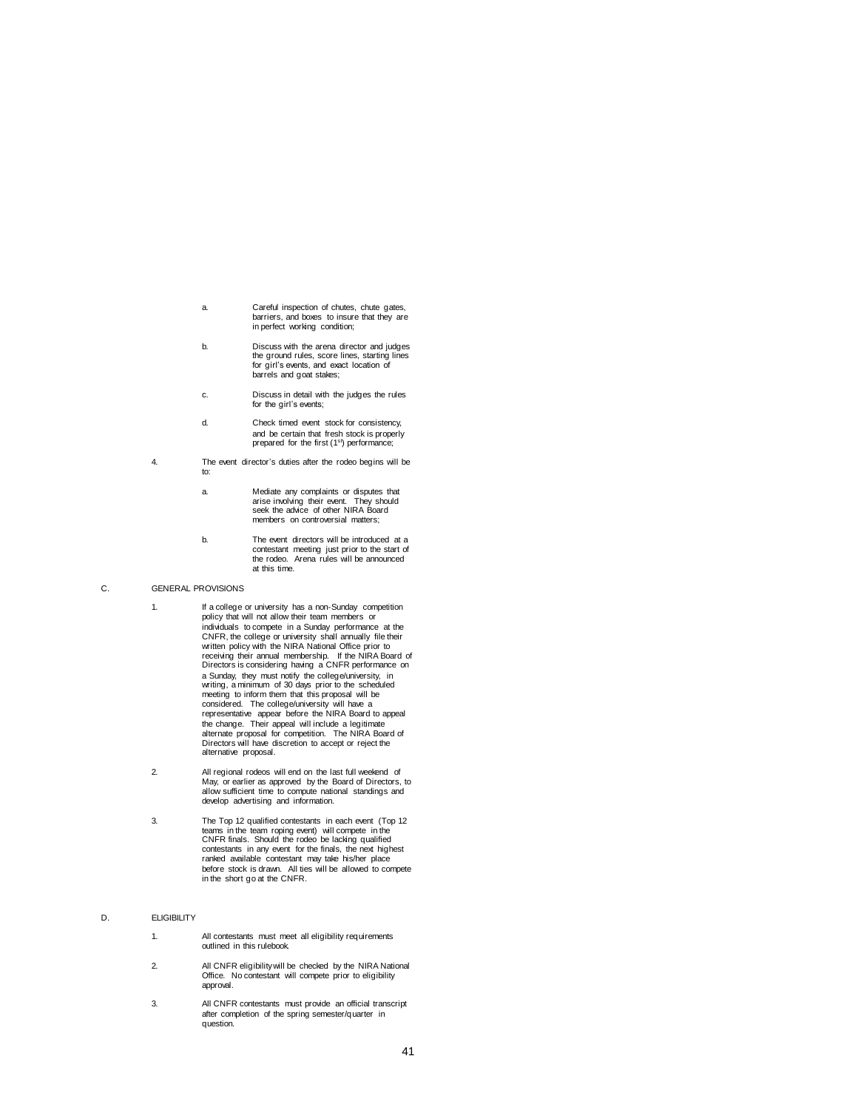- a. Careful inspection of chutes, chute gates, barriers, and boxes to insure that they are in perfect working condition;
- b. Discuss with the arena director and judges the ground rules, score lines, starting lines for girl's events, and exact location of barrels and goat stakes;
- c. Discuss in detail with the judges the rules for the girl's events;
- d. Check timed event stock for consistency, and be certain that fresh stock is properly prepared for the first (1<sup>st</sup>) performance;
- 4. The event director's duties after the rodeo begins will be to:
	- a. Mediate any complaints or disputes that arise involving their event. They should seek the advice of other NIRA Board members on controversial matters;
	- b. The event directors will be introduced at a contestant meeting just prior to the start of the rodeo. Arena rules will be announced at this time.

## C. GENERAL PROVISIONS

- 1. If a college or university has a non-Sunday competition policy that will not allow their team members or individuals to compete in a Sunday performance at the CNFR, the college or university shall annually file their written policy with the NIRA National Office prior to receiving their annual membership. If the NIRA Board of Directors is considering having a CNFR performance on a Sunday, they must notify the college/university, in writing, a minimum of 30 days prior to the scheduled meeting to inform them that this proposal will be considered. The college/university will have a representative appear before the NIRA Board to appeal the change. Their appeal will include a legitimate alternate proposal for competition. The NIRA Board of Directors will have discretion to accept or reject the alternative proposal.
- 2. All regional rodeos will end on the last full weekend of May, or earlier as approved by the Board of Directors, to allow sufficient time to compute national standings and develop advertising and information.
- 3. The Top 12 qualified contestants in each event (Top 12 teams in the team roping event) will compete in the CNFR finals. Should the rodeo be lacking qualified contestants in any event for the finals, the next highest ranked available contestant may take his/her place before stock is drawn. All ties will be allowed to compete in the short go at the CNFR.

### D. **ELIGIBILITY**

- 1. All contestants must meet all eligibility requirements outlined in this rulebook.
- 2. All CNFR eligibility will be checked by the NIRA National Office. No contestant will compete prior to eligibility approval.
- 3. All CNFR contestants must provide an official transcript after completion of the spring semester/quarter in question.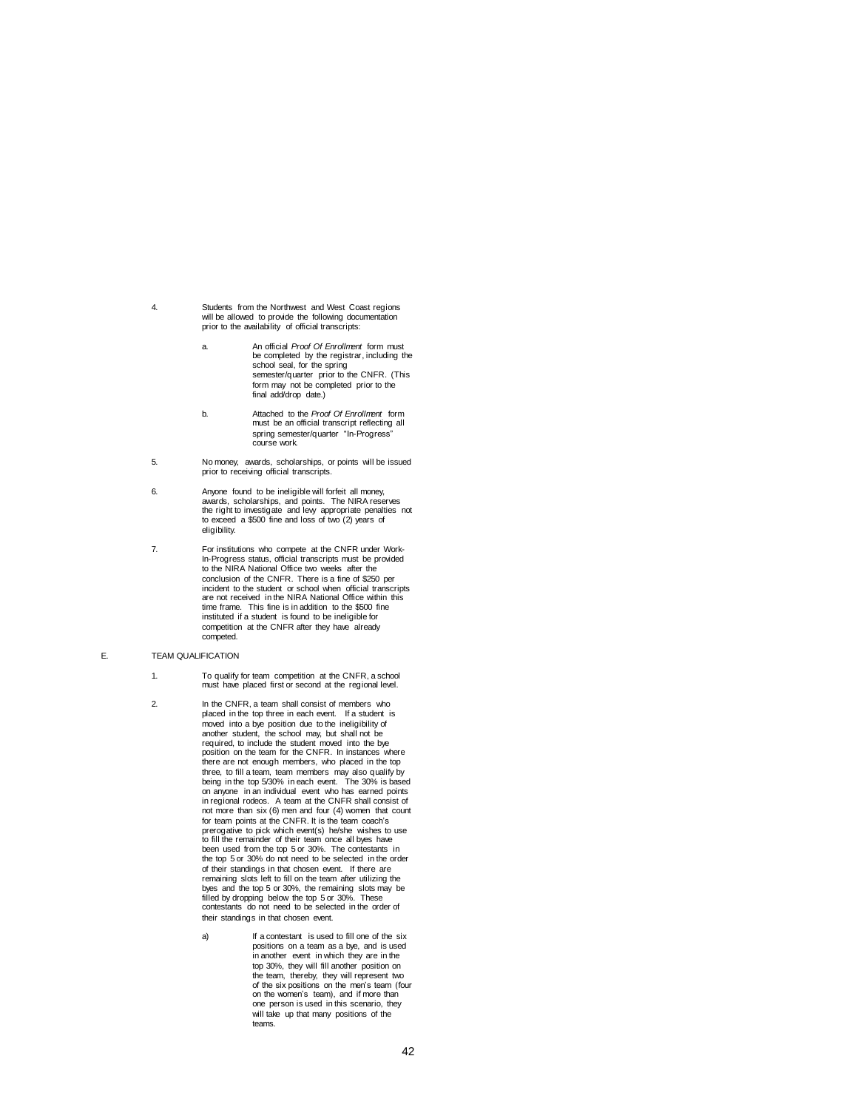- 4. Students from the Northwest and West Coast regions will be allowed to provide the following documentation prior to the availability of official transcripts:
	- a. An official *Proof Of Enrollment* form must be completed by the registrar, including the school seal, for the spring semester/quarter prior to the CNFR. (This form may not be completed prior to the final add/drop date.)
	- b. Attached to the *Proof Of Enrollment* form must be an official transcript reflecting all spring semester/quarter "In-Progress" course work.
- 5. No money, awards, scholarships, or points will be issued prior to receiving official transcripts.
- 6. Anyone found to be ineligible will forfeit all money, awards, scholarships, and points. The NIRA reserves the right to investigate and levy appropriate penalties not to exceed a \$500 fine and loss of two (2) years of eligibility.
- 7. For institutions who compete at the CNFR under Work-In-Progress status, official transcripts must be provided to the NIRA National Office two weeks after the conclusion of the CNFR. There is a fine of \$250 per incident to the student or school when official transcripts are not received in the NIRA National Office within this time frame. This fine is in addition to the \$500 fine instituted if a student is found to be ineligible for competition at the CNFR after they have already competed.
- E. TEAM QUALIFICATION
	- 1. To qualify for team competition at the CNFR, a school must have placed first or second at the regional level.
	- 2. In the CNFR, a team shall consist of members who placed in the top three in each event. If a student is moved into a bye position due to the ineligibility of<br>another student, the school may, but shall not be<br>required, to include the student moved into the bye<br>position on the team for the CNFR. In instances where there are not enough members, who placed in the top three, to fill a team, team members may also qualify by being in the top 5/30% in each event. The 30% is based on anyone in an individual event who has earned points in regional rodeos. A team at the CNFR shall consist of not more than six (6) men and four (4) women that count for team points at the CNFR. It is the team coach's prerogative to pick which event(s) he/she wishes to use to fill the remainder of their team once all byes have been used from the top 5 or 30%. The contestants in the top 5 or 30% do not need to be selected in the order of their standings in that chosen event. If there are remaining slots left to fill on the team after utilizing the byes and the top 5 or 30%, the remaining slots may be filled by dropping below the top 5 or 30%. These contestants do not need to be selected in the order of their standings in that chosen event.
		- a) If a contestant is used to fill one of the six positions on a team as a bye, and is used in another event in which they are in the top 30%, they will fill another position on the team, thereby, they will represent two of the six positions on the men's team (four on the women's team), and if more than one person is used in this scenario, they will take up that many positions of the teams.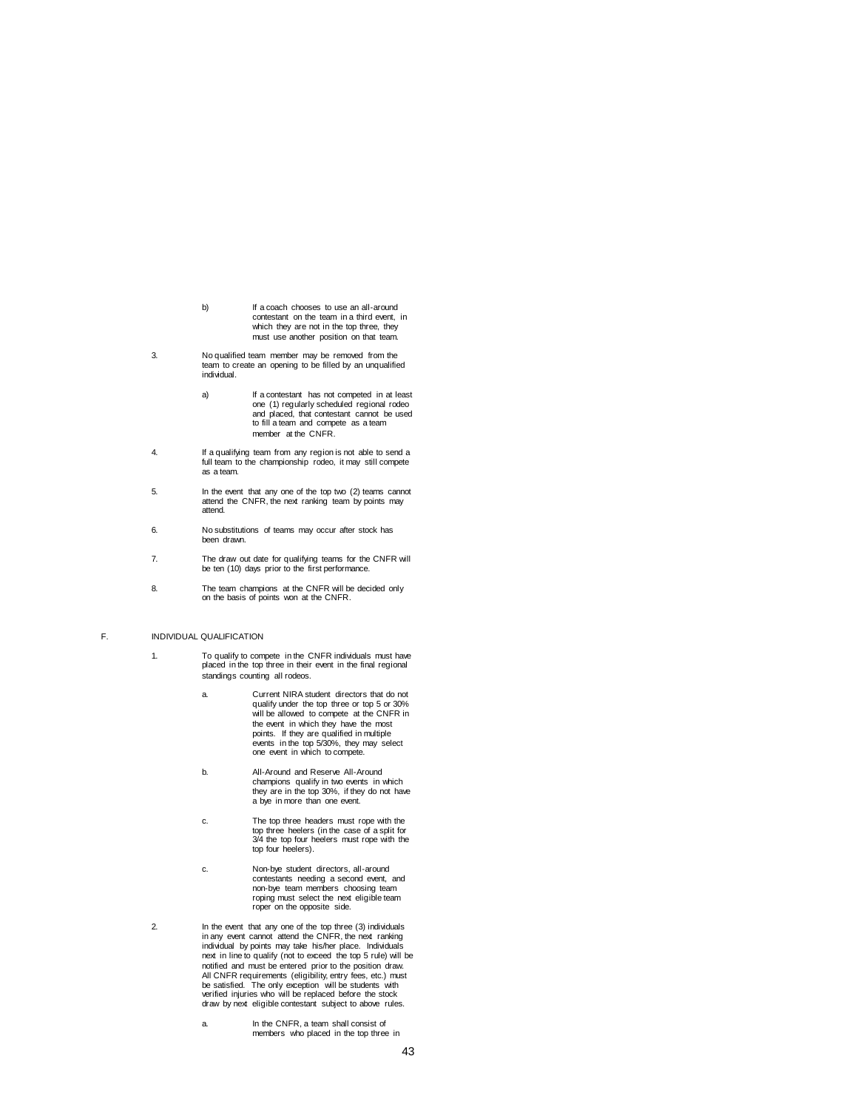- b) If a coach chooses to use an all-around contestant on the team in a third event, in which they are not in the top three, they must use another position on that team.
- 3. No qualified team member may be removed from the team to create an opening to be filled by an unqualified individual.
	- a) If a contestant has not competed in at least one (1) regularly scheduled regional rodeo and placed, that contestant cannot be used to fill a team and compete as a team member at the CNFR.
- 4. If a qualifying team from any region is not able to send a full team to the championship rodeo, it may still compete as a team.
- 5. In the event that any one of the top two (2) teams cannot attend the CNFR, the next ranking team by points may attend.
- 6. No substitutions of teams may occur after stock has been drawn.
- 7. The draw out date for qualifying teams for the CNFR will be ten (10) days prior to the first performance.
- 8. The team champions at the CNFR will be decided only on the basis of points won at the CNFR.

## F. INDIVIDUAL QUALIFICATION

- 1. To qualify to compete in the CNFR individuals must have placed in the top three in their event in the final regional standings counting all rodeos.
	- a. Current NIRA student directors that do not qualify under the top three or top 5 or 30% will be allowed to compete at the CNFR in the event in which they have the most points. If they are qualified in multiple events in the top 5/30%, they may select one event in which to compete.
	- b. All-Around and Reserve All-Around champions qualify in two events in which they are in the top 30%, if they do not have a bye in more than one event.
	- c. The top three headers must rope with the top three heelers (in the case of a split for 3/4 the top four heelers must rope with the top four heelers).
	- c. Non-bye student directors, all-around contestants needing a second event, and non-bye team members choosing team roping must select the next eligible team roper on the opposite side.
- 2. In the event that any one of the top three (3) individuals in any event cannot attend the CNFR, the next ranking individual by points may take his/her place. Individuals next in line to qualify (not to exceed the top 5 rule) will be notified and must be entered prior to the position draw. All CNFR requirements (eligibility, entry fees, etc.) must be satisfied. The only exception will be students with verified injuries who will be replaced before the stock draw by next eligible contestant subject to above rules.
	- a. In the CNFR, a team shall consist of members who placed in the top three in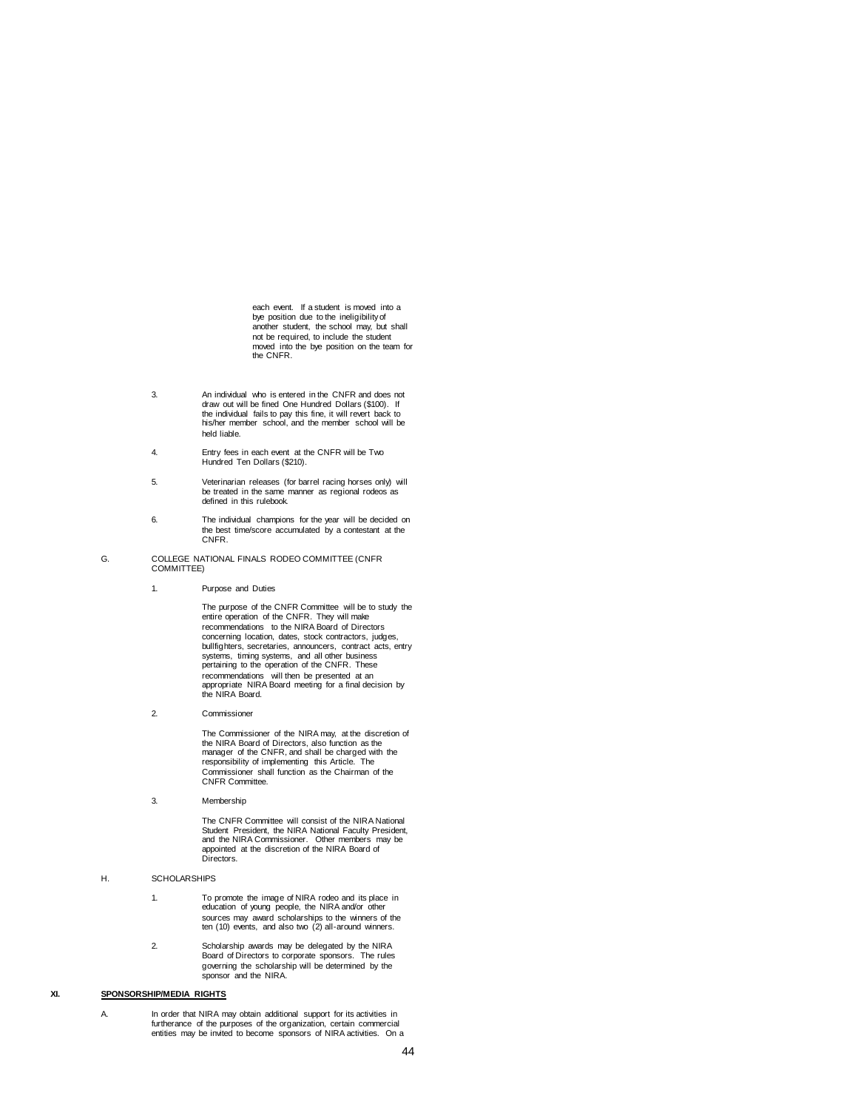each event. If a student is moved into a bye position due to the ineligibility of another student, the school may, but shall not be required, to include the student moved into the bye position on the team for the CNFR.

- 3. An individual who is entered in the CNFR and does not draw out will be fined One Hundred Dollars (\$100). If the individual fails to pay this fine, it will revert back to his/her member school, and the member school will be held liable.
- 4. Entry fees in each event at the CNFR will be Two Hundred Ten Dollars (\$210).
- 5. Veterinarian releases (for barrel racing horses only) will be treated in the same manner as regional rodeos as defined in this rulebook.
- 6. The individual champions for the year will be decided on the best time/score accumulated by a contestant at the CNFR.
- G. COLLEGE NATIONAL FINALS RODEO COMMITTEE (CNFR COMMITTEE)
	- 1. Purpose and Duties

The purpose of the CNFR Committee will be to study the entire operation of the CNFR. They will make recommendations to the NIRA Board of Directors concerning location, dates, stock contractors, judges, bullfighters, secretaries, announcers, contract acts, entry systems, timing systems, and all other business pertaining to the operation of the CNFR. These recommendations will then be presented at an appropriate NIRA Board meeting for a final decision by the NIRA Board.

2. Commissioner

The Commissioner of the NIRA may, at the discretion of the NIRA Board of Directors, also function as the manager of the CNFR, and shall be charged with the responsibility of implementing this Article. The Commissioner shall function as the Chairman of the CNFR Committee.

3. Membership

The CNFR Committee will consist of the NIRA National Student President, the NIRA National Faculty President, and the NIRA Commissioner. Other members may be appointed at the discretion of the NIRA Board of Directors.

- H. SCHOLARSHIPS
	- 1. To promote the image of NIRA rodeo and its place in education of young people, the NIRA and/or other sources may award scholarships to the winners of the ten (10) events, and also two (2) all-around winners.
	- 2. Scholarship awards may be delegated by the NIRA Board of Directors to corporate sponsors. The rules governing the scholarship will be determined by the sponsor and the NIRA.

## **XI. SPONSORSHIP/MEDIA RIGHTS**

A. In order that NIRA may obtain additional support for its activities in furtherance of the purposes of the organization, certain commercial entities may be invited to become sponsors of NIRA activities. On a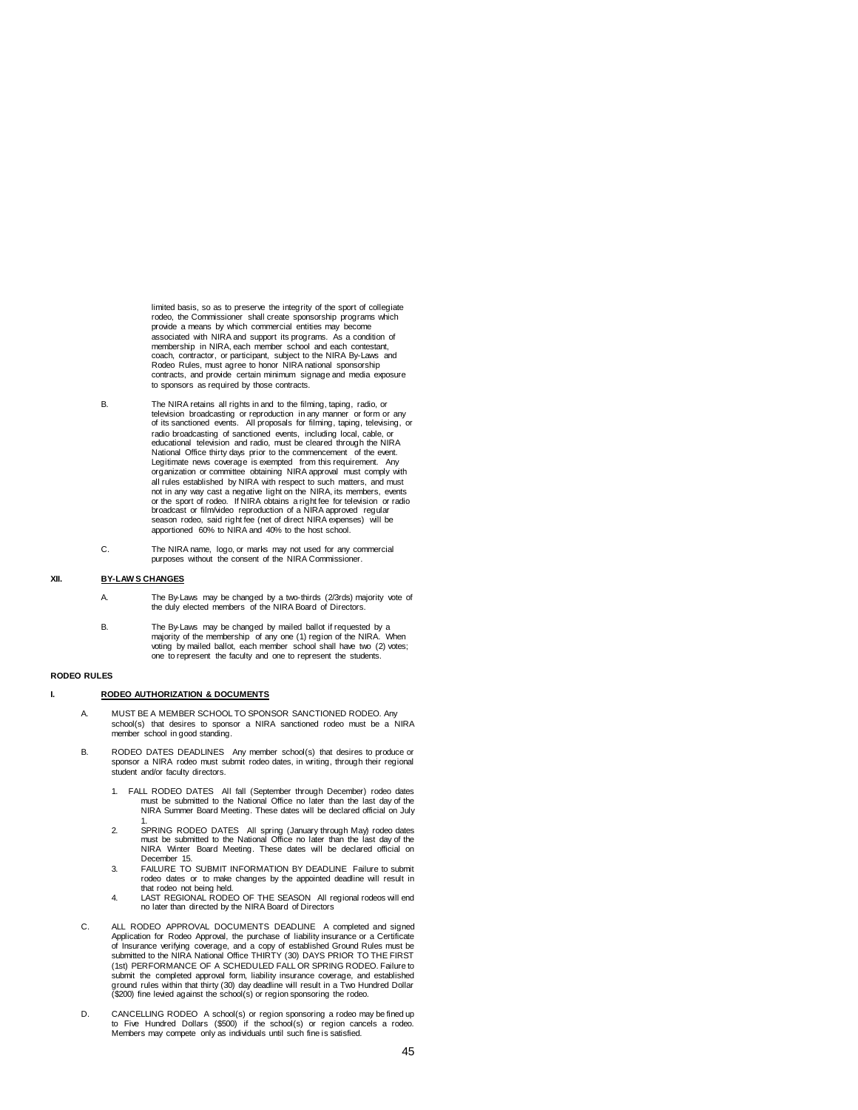limited basis, so as to preserve the integrity of the sport of collegiate rodeo, the Commissioner shall create sponsorship programs which provide a means by which commercial entities may become associated with NIRA and support its programs. As a condition of membership in NIRA, each member school and each contestant, coach, contractor, or participant, subject to the NIRA By-Laws and Rodeo Rules, must agree to honor NIRA national sponsorship contracts, and provide certain minimum signage and media exposure to sponsors as required by those contracts.

- B. The NIRA retains all rights in and to the filming, taping, radio, or television broadcasting or reproduction in any manner or form or any of its sanctioned events. All proposals for filming, taping, televising, or radio broadcasting of sanctioned events, including local, cable, or educational television and radio, must be cleared through the NIRA National Office thirty days prior to the commencement of the event. Legitimate news coverage is exempted from this requirement. Any organization or committee obtaining NIRA approval must comply with all rules established by NIRA with respect to such matters, and must not in any way cast a negative light on the NIRA, its members, events or the sport of rodeo. If NIRA obtains a right fee for television or radio broadcast or film/video reproduction of a NIRA approved regular season rodeo, said right fee (net of direct NIRA expenses) will be apportioned 60% to NIRA and 40% to the host school.
	- C. The NIRA name, logo, or marks may not used for any commercial purposes without the consent of the NIRA Commissioner.

## **XII. BY-LAW S CHANGES**

- A. The By-Laws may be changed by a two-thirds (2/3rds) majority vote of the duly elected members of the NIRA Board of Directors.
- B. The By-Laws may be changed by mailed ballot if requested by a majority of the membership of any one (1) region of the NIRA. When voting by mailed ballot, each member school shall have two (2) votes; one to represent the faculty and one to represent the students.

### **RODEO RULES**

### **I. RODEO AUTHORIZATION & DOCUMENTS**

- A. MUST BE A MEMBER SCHOOL TO SPONSOR SANCTIONED RODEO. Any school(s) that desires to sponsor a NIRA sanctioned rodeo must be a NIRA member school in good standing.
- B. RODEO DATES DEADLINESAny member school(s) that desires to produce or sponsor a NIRA rodeo must submit rodeo dates, in writing, through their regional student and/or faculty directors.
	- 1. FALL RODEO DATES All fall (September through December) rodeo dates must be submitted to the National Office no later than the last day of the NIRA Summer Board Meeting. These dates will be declared official on July
	- 1. 2. SPRING RODEO DATES All spring (January through May) rodeo dates must be submitted to the National Office no later than the last day of the NIRA Winter Board Meeting. These dates will be declared official on December 15.
	- 3. FAILURE TO SUBMIT INFORMATION BY DEADLINE Failure to submit rodeo dates or to make changes by the appointed deadline will result in that rodeo not being held.
	- 4. LAST REGIONAL RODEO OF THE SEASON All regional rodeos will end no later than directed by the NIRA Board of Directors
- C. ALL RODEO APPROVAL DOCUMENTS DEADLINE A completed and signed Application for Rodeo Approval, the purchase of liability insurance or a Certificate of Insurance verifying coverage, and a copy of established Ground Rules must be submitted to the NIRA National Office THIRTY (30) DAYS PRIOR TO THE FIRST (1st) PERFORMANCE OF A SCHEDULED FALL OR SPRING RODEO. Failure to submit the completed approval form, liability insurance coverage, and established ground rules within that thirty (30) day deadline will result in a Two Hundred Dollar (\$200) fine levied against the school(s) or region sponsoring the rodeo.
- D. CANCELLING RODEO A school(s) or region sponsoring a rodeo may be fined up to Five Hundred Dollars (\$500) if the school(s) or region cancels a rodeo. Members may compete only as individuals until such fine is satisfied.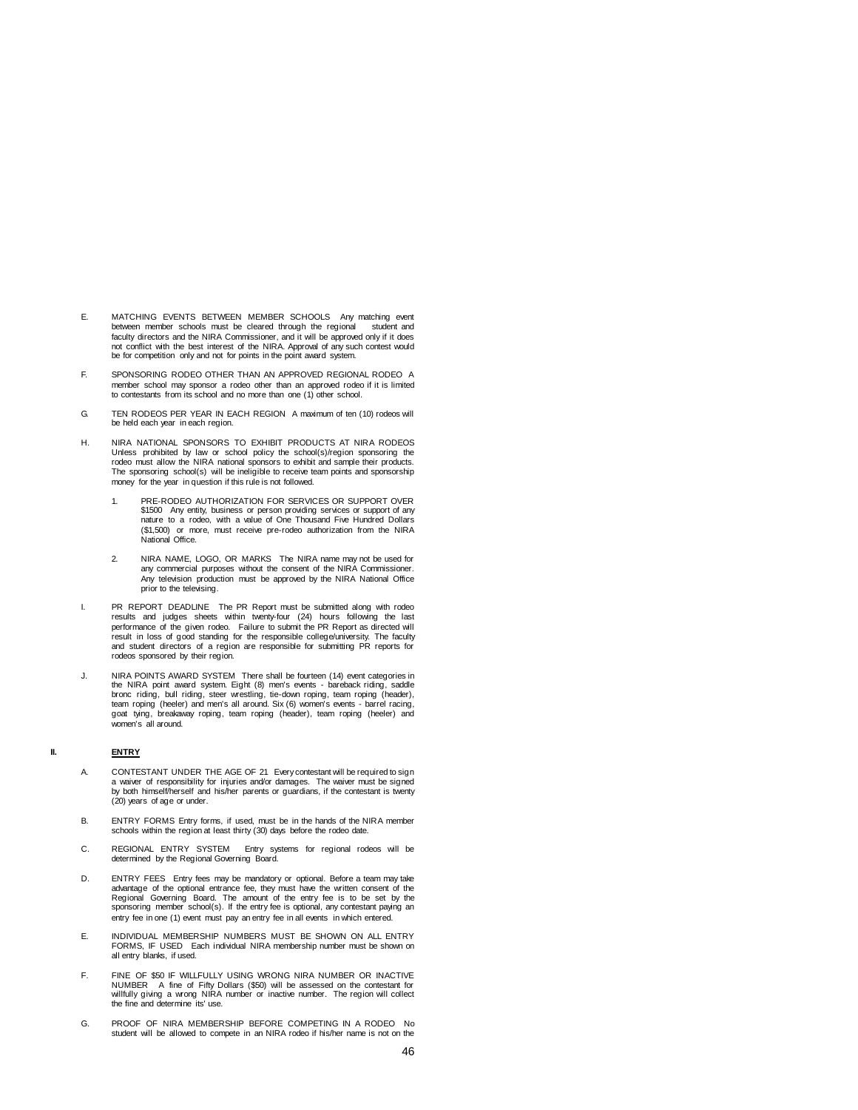- E. MATCHING EVENTS BETWEEN MEMBER SCHOOLS Any matching event between member schools must be cleared through the regional faculty directors and the NIRA Commissioner, and it will be approved only if it does not conflict with the best interest of the NIRA. Approval of any such contest would be for competition only and not for points in the point award system.
- F. SPONSORING RODEO OTHER THAN AN APPROVED REGIONAL RODEO A member school may sponsor a rodeo other than an approved rodeo if it is limited to contestants from its school and no more than one (1) other school.
- G. TEN RODEOS PER YEAR IN EACH REGION A maximum of ten (10) rodeos will be held each year in each region.
- H. NIRA NATIONAL SPONSORS TO EXHIBIT PRODUCTS AT NIRA RODEOS Unless prohibited by law or school policy the school(s)/region sponsoring the rodeo must allow the NIRA national sponsors to exhibit and sample their products. Tode Thust allow the NINA hallohal sponsors to exhibit and sample their products.<br>The sponsoring school(s) will be ineligible to receive team points and sponsorship money for the year in question if this rule is not followed.
	- 1. PRE-RODEO AUTHORIZATION FOR SERVICES OR SUPPORT OVER \$1500 Any entity, business or person providing services or support of any nature to a rodeo, with a value of One Thousand Five Hundred Dollars (\$1,500) or more, must receive pre-rodeo authorization from the NIRA National Office.
	- 2. NIRA NAME, LOGO, OR MARKS The NIRA name may not be used for any commercial purposes without the consent of the NIRA Commissioner. Any television production must be approved by the NIRA National Office prior to the televising.
- I. PR REPORT DEADLINE The PR Report must be submitted along with rodeo results and judges sheets within twenty-four (24) hours following the last performance of the given rodeo. Failure to submit the PR Report as directed will<br>result in loss of good standing for the responsible college/university. The faculty<br>and student directors of a region are responsible for sub rodeos sponsored by their region.
- J. NIRA POINTS AWARD SYSTEM There shall be fourteen (14) event categories in the NIRA point award system. Eight (8) men's events - bareback riding, saddle bronc riding, bull riding, steer wrestling, tie-down roping, team roping (header),<br>team roping (heeler) and men's all around. Six (6) women's events - barrel racing,<br>goat tying, breakaway roping, team roping (header), team women's all around.

## **II. ENTRY**

- A. CONTESTANT UNDER THE AGE OF 21 Every contestant will be required to sign a waiver of responsibility for injuries and/or damages. The waiver must be signed by both himself/herself and his/her parents or guardians, if the contestant is twenty (20) years of age or under.
- B. ENTRY FORMS Entry forms, if used, must be in the hands of the NIRA member schools within the region at least thirty (30) days before the rodeo date.
- C. REGIONAL ENTRY SYSTEM Entry systems for regional rodeos will be determined by the Regional Governing Board.
- D. ENTRY FEES Entry fees may be mandatory or optional. Before a team may take advantage of the optional entrance fee, they must have the written consent of the Regional Governing Board. The amount of the entry fee is to be set by the sponsoring member school(s). If the entry fee is optional, any contestant paying an entry fee in one (1) event must pay an entry fee in all events in which entered.
- E. INDIVIDUAL MEMBERSHIP NUMBERS MUST BE SHOWN ON ALL ENTRY FORMS, IF USED Each individual NIRA membership number must be shown on all entry blanks, if used.
- F. FINE OF \$50 IF WILLFULLY USING WRONG NIRA NUMBER OR INACTIVE NUMBER A fine of Fifty Dollars (\$50) will be assessed on the contestant for willfully giving a wrong NIRA number or inactive number. The region will collect the fine and determine its' use.
- G. PROOF OF NIRA MEMBERSHIP BEFORE COMPETING IN A RODEO No student will be allowed to compete in an NIRA rodeo if his/her name is not on the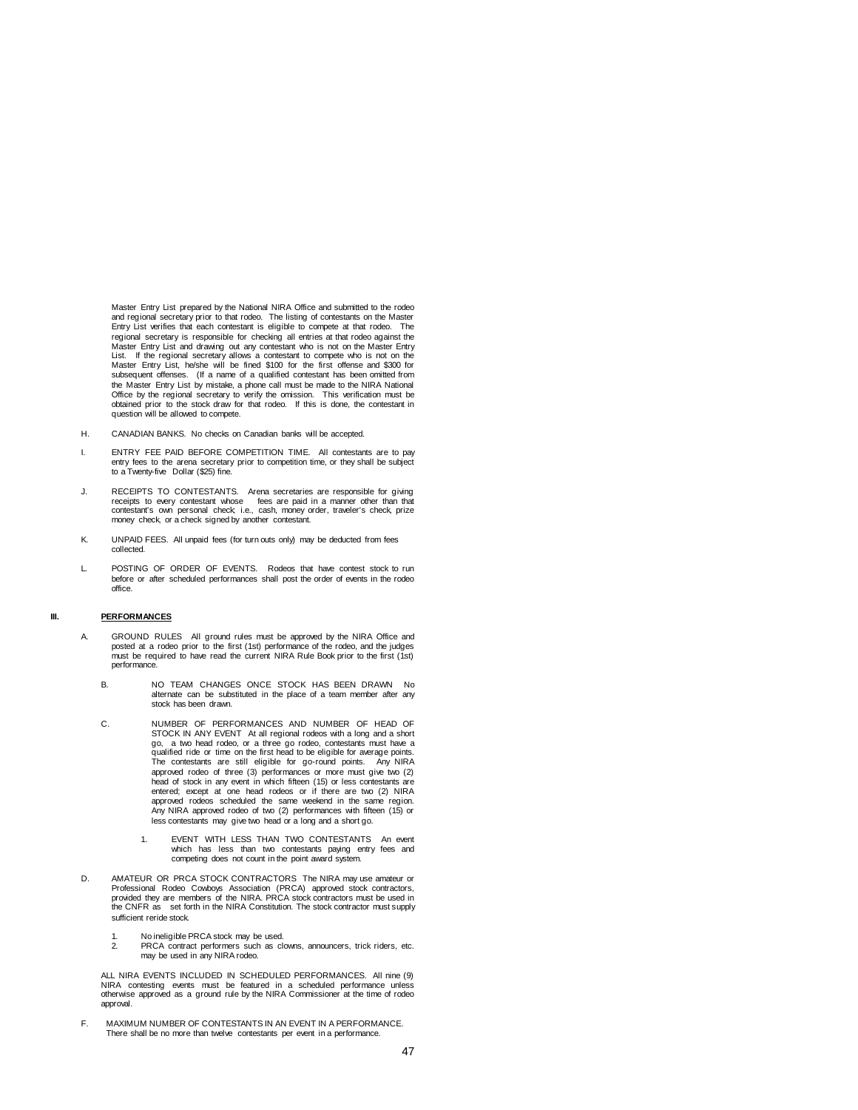Master Entry List prepared by the National NIRA Office and submitted to the rodeo and regional secretary prior to that rodeo. The listing of contestants on the Master Entry List verifies that each contestant is eligible to compete at that rodeo. The regional secretary is responsible for checking all entries at that rodeo against the Master Entry List and drawing out any contestant who is not on the Master Entry List. If the regional secretary allows a contestant to compete who is not on the<br>Master Entry List, he/she will be fined \$100 for the first offense and \$300 for<br>subsequent offenses. (If a name of a qualified contestant has the Master Entry List by mistake, a phone call must be made to the NIRA National Office by the regional secretary to verify the omission. This verification must be obtained prior to the stock draw for that rodeo. If this is done, the contestant in question will be allowed to compete.

- H. CANADIAN BANKS. No checks on Canadian banks will be accepted.
- I. ENTRY FEE PAID BEFORE COMPETITION TIME. All contestants are to pay entry fees to the arena secretary prior to competition time, or they shall be subject to a Twenty-five Dollar (\$25) fine.
- J. RECEIPTS TO CONTESTANTS. Arena secretaries are responsible for giving<br>receipts to every contestant whose fees are paid in a manner other than that<br>contestant's own personal check i.e., cash, money order, traveler's chec money check, or a check signed by another contestant.
- K. UNPAID FEES. All unpaid fees (for turn outs only) may be deducted from fees collected.
- L. POSTING OF ORDER OF EVENTS. Rodeos that have contest stock to run before or after scheduled performances shall post the order of events in the rodeo office.

#### **III. PERFORMANCES**

- A. GROUND RULES All ground rules must be approved by the NIRA Office and posted at a rodeo prior to the first (1st) performance of the rodeo, and the judges must be required to have read the current NIRA Rule Book prior to the first (1st) performance.
	- B. NO TEAM CHANGES ONCE STOCK HAS BEEN DRAWN No alternate can be substituted in the place of a team member after any stock has been drawn.
	- C. NUMBER OF PERFORMANCES AND NUMBER OF HEAD OF STOCK IN ANY EVENT At all regional rodeos with a long and a short go, a two head rodeo, or a three go rodeo, contestants must have a qualified ride or time on the first head to be eligible for average points. The contestants are still eligible for go-round points. Any NIRA approved rodeo of three (3) performances or more must give two (2)<br>head of stock in any event in which fifteen (15) or less contestants are<br>entered; except at one head rodeos or if there are two (2) NIRA approved rodeos scheduled the same weekend in the same region. Any NIRA approved rodeo of two (2) performances with fifteen (15) or less contestants may give two head or a long and a short go.
		- 1. EVENT WITH LESS THAN TWO CONTESTANTS An event which has less than two contestants paying entry fees and competing does not count in the point award system.
- D. AMATEUR OR PRCA STOCK CONTRACTORS The NIRA may use amateur or Professional Rodeo Cowboys Association (PRCA) approved stock contractors,<br>provided they are members of the NIRA. PRCA stock contractors must be used in<br>the CNFR as set forth in the NIRA Constitution. The stock contractor m sufficient reride stock.
	- 1. No ineligible PRCA stock may be used.<br>PRCA contract performers such as close
	- 2. PRCA contract performers such as clowns, announcers, trick riders, etc. may be used in any NIRA rodeo.

ALL NIRA EVENTS INCLUDED IN SCHEDULED PERFORMANCES. All nine (9) NIRA contesting events must be featured in a scheduled performance unless otherwise approved as a ground rule by the NIRA Commissioner at the time of rodeo approval.

F. MAXIMUM NUMBER OF CONTESTANTS IN AN EVENT IN A PERFORMANCE. There shall be no more than twelve contestants per event in a performance.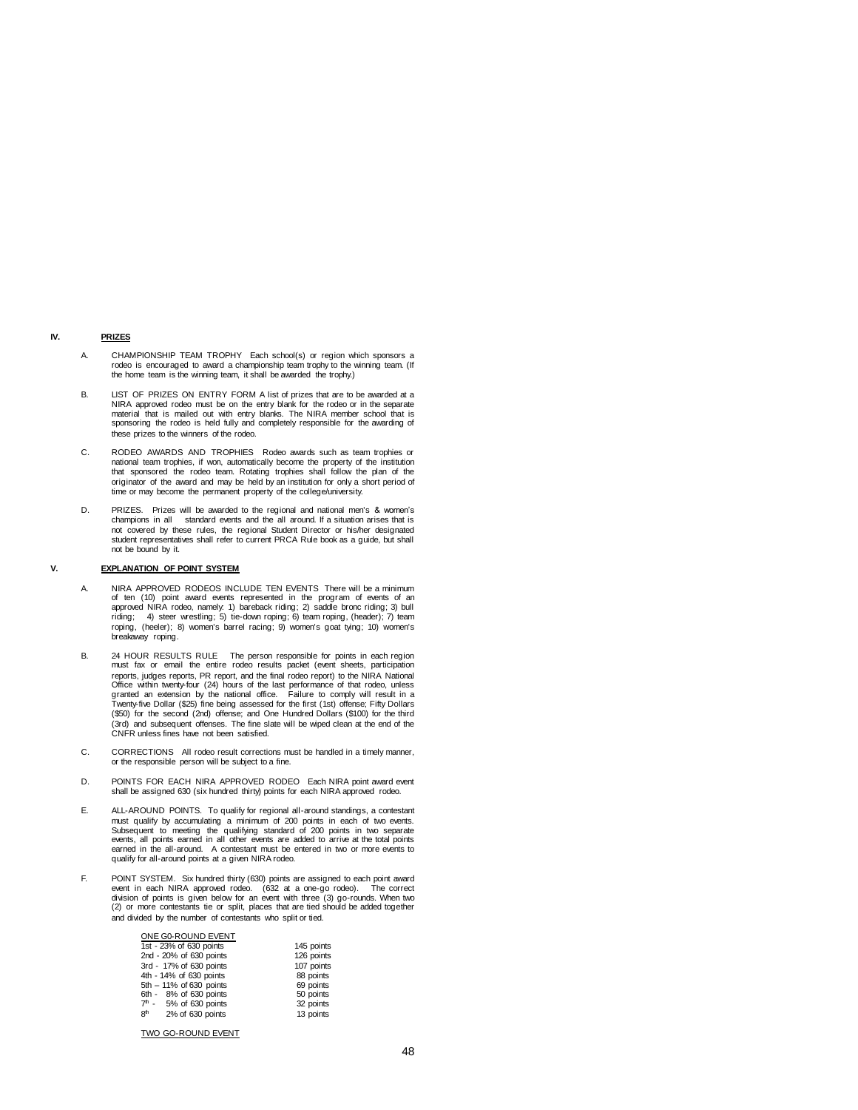## **IV. PRIZES**

- A. CHAMPIONSHIP TEAM TROPHY Each school(s) or region which sponsors a rodeo is encouraged to award a championship team trophy to the winning team. (If the home team is the winning team, it shall be awarded the trophy.)
- B. LIST OF PRIZES ON ENTRY FORM A list of prizes that are to be awarded at a NIRA approved rodeo must be on the entry blank for the rodeo or in the separate material that is mailed out with entry blanks. The NIRA member school that is sponsoring the rodeo is held fully and completely responsible for the awarding of these prizes to the winners of the rodeo.
- C. RODEO AWARDS AND TROPHIES Rodeo awards such as team trophies or national team trophies, if won, automatically become the property of the institution that sponsored the rodeo team. Rotating trophies shall follow the plan of the originator of the award and may be held by an institution for only a short period of time or may become the permanent property of the college/university.
- D. PRIZES. Prizes will be awarded to the regional and national men's & women's champions in all standard events and the all around. If a situation arises that is not covered by these rules, the regional Student Director or his/her designated student representatives shall refer to current PRCA Rule book as a guide, but shall not be bound by it.

#### **V. EXPLANATION OF POINT SYSTEM**

- A. NIRA APPROVED RODEOS INCLUDE TEN EVENTS There will be a minimum of ten (10) point award events represented in the program of events of an<br>approved NIRA rodeo, namely: 1) bareback riding; 2) saddle bronc riding; 3) bull<br>riding; 4) steer wrestling; 5) tie-down roping; 6) team roping, (h roping, (heeler); 8) women's barrel racing; 9) women's goat tying; 10) women's breakaway roping.
- B. 24 HOUR RESULTS RULE The person responsible for points in each region must fax or email the entire rodeo results packet (event sheets, participation reports, judges reports, PR report, and the final rodeo report) to the NIRA National Office within twenty-four (24) hours of the last performance of that rodeo, unless pranted an extension by the national office. Failure t (3rd) and subsequent offenses. The fine slate will be wiped clean at the end of the CNFR unless fines have not been satisfied.
- C. CORRECTIONS All rodeo result corrections must be handled in a timely manner, or the responsible person will be subject to a fine.
- D. POINTS FOR EACH NIRA APPROVED RODEO Each NIRA point award event shall be assigned 630 (six hundred thirty) points for each NIRA approved rodeo.
- E. ALL-AROUND POINTS. To qualify for regional all-around standings, a contestant must qualify by accumulating a minimum of 200 points in each of two events.<br>Subsequent to meeting the qualifying standard of 200 points in two separate<br>events, all points earned in all other events are added to arrive at t earned in the all-around. A contestant must be entered in two or more events to qualify for all-around points at a given NIRA rodeo.
- F. POINT SYSTEM. Six hundred thirty (630) points are assigned to each point award<br>event in each NIRA approved rodeo. (632 at a one-go rodeo). The correct<br>division of points is given below for an event with three (3) go-rou and divided by the number of contestants who split or tied.

| ONE G0-ROUND EVENT                  |            |
|-------------------------------------|------------|
| 1st - 23% of 630 points             | 145 points |
| 2nd - 20% of 630 points             | 126 points |
| 3rd - 17% of 630 points             | 107 points |
| 4th - 14% of 630 points             | 88 points  |
| 5th - 11% of 630 points             | 69 points  |
| 6th - 8% of 630 points              | 50 points  |
| $7th$ - 5% of 630 points            | 32 points  |
| 8 <sup>th</sup><br>2% of 630 points | 13 points  |
|                                     |            |

TWO GO-ROUND EVENT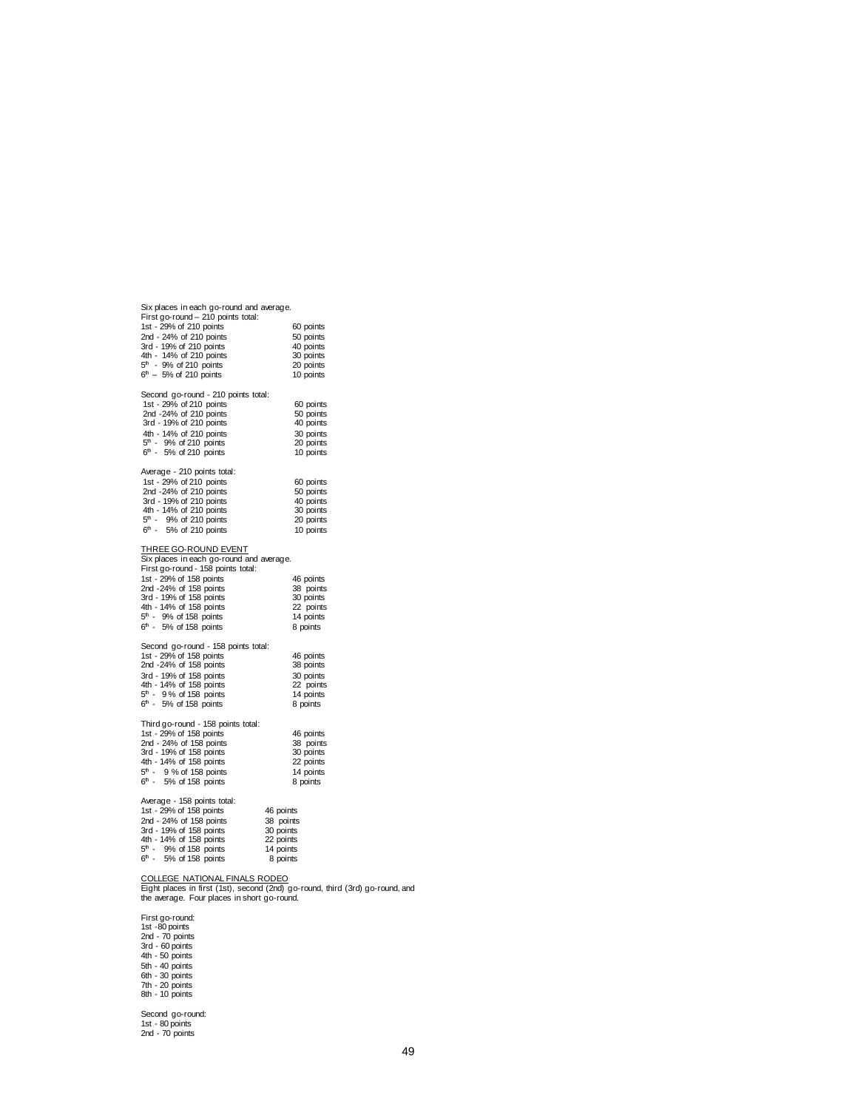| Six places in each go-round and average.                                                                                                                  |                                                                               |  |
|-----------------------------------------------------------------------------------------------------------------------------------------------------------|-------------------------------------------------------------------------------|--|
| First go-round - 210 points total:                                                                                                                        |                                                                               |  |
| 1st - 29% of 210 points                                                                                                                                   | 60 points                                                                     |  |
| 2nd - 24% of 210 points                                                                                                                                   | 50 points                                                                     |  |
| 3rd - 19% of 210 points                                                                                                                                   | 40 points                                                                     |  |
| 4th - 14% of 210 points                                                                                                                                   | 30 points                                                                     |  |
| 5 <sup>th</sup> - 9% of 210 points                                                                                                                        | 20 points                                                                     |  |
| $6th - 5%$ of 210 points                                                                                                                                  | 10 points                                                                     |  |
|                                                                                                                                                           |                                                                               |  |
| Second go-round - 210 points total:                                                                                                                       |                                                                               |  |
| 1st - 29% of 210 points                                                                                                                                   | 60 points                                                                     |  |
| 2nd -24% of 210 points                                                                                                                                    | 50 points                                                                     |  |
| 3rd - 19% of 210 points                                                                                                                                   | 40 points                                                                     |  |
|                                                                                                                                                           |                                                                               |  |
| 4th - 14% of 210 points                                                                                                                                   | 30 points                                                                     |  |
| 5 <sup>th</sup> - 9% of 210 points                                                                                                                        | 20 points                                                                     |  |
| $6th$ - 5% of 210 points                                                                                                                                  | 10 points                                                                     |  |
|                                                                                                                                                           |                                                                               |  |
| Average - 210 points total:                                                                                                                               |                                                                               |  |
| 1st - 29% of 210 points                                                                                                                                   | 60 points                                                                     |  |
| 2nd -24% of 210 points                                                                                                                                    | 50 points                                                                     |  |
| 3rd - 19% of 210 points                                                                                                                                   | 40 points                                                                     |  |
| 4th - 14% of 210 points                                                                                                                                   | 30 points                                                                     |  |
| 5 <sup>th</sup> - 9% of 210 points                                                                                                                        | 20 points                                                                     |  |
| $6th$ - 5% of 210 points                                                                                                                                  | 10 points                                                                     |  |
|                                                                                                                                                           |                                                                               |  |
| THREE GO-ROUND EVENT                                                                                                                                      |                                                                               |  |
|                                                                                                                                                           |                                                                               |  |
| Six places in each go-round and average.                                                                                                                  |                                                                               |  |
| First go-round - 158 points total:                                                                                                                        |                                                                               |  |
| 1st - 29% of 158 points                                                                                                                                   | 46 points                                                                     |  |
| 2nd -24% of 158 points                                                                                                                                    | 38 points                                                                     |  |
| 3rd - 19% of 158 points                                                                                                                                   | 30 points                                                                     |  |
| 4th - 14% of 158 points                                                                                                                                   | 22 points                                                                     |  |
| $5th$ - 9% of 158 points                                                                                                                                  | 14 points                                                                     |  |
| $6th - 5%$ of 158 points                                                                                                                                  | 8 points                                                                      |  |
|                                                                                                                                                           |                                                                               |  |
| Second go-round - 158 points total:                                                                                                                       |                                                                               |  |
| 1st - 29% of 158 points                                                                                                                                   | 46 points                                                                     |  |
| 2nd -24% of 158 points                                                                                                                                    | 38 points                                                                     |  |
| 3rd - 19% of 158 points                                                                                                                                   | 30 points                                                                     |  |
| 4th - 14% of 158 points                                                                                                                                   | 22 points                                                                     |  |
| 5 <sup>th</sup> - 9% of 158 points                                                                                                                        | 14 points                                                                     |  |
| $6th$ - 5% of 158 points                                                                                                                                  | 8 points                                                                      |  |
|                                                                                                                                                           |                                                                               |  |
|                                                                                                                                                           |                                                                               |  |
| Third go-round - 158 points total:                                                                                                                        |                                                                               |  |
| 1st - 29% of 158 points                                                                                                                                   | 46 points                                                                     |  |
| 2nd - 24% of 158 points                                                                                                                                   | 38 points                                                                     |  |
| 3rd - 19% of 158 points                                                                                                                                   | 30 points                                                                     |  |
| 4th - 14% of 158 points                                                                                                                                   | 22 points                                                                     |  |
| $5th$ - 9 % of 158 points                                                                                                                                 | 14 points                                                                     |  |
| $6th$ - 5% of 158 points                                                                                                                                  | 8 points                                                                      |  |
|                                                                                                                                                           |                                                                               |  |
| Average - 158 points total:                                                                                                                               |                                                                               |  |
| 1st - 29% of 158 points                                                                                                                                   | 46 points                                                                     |  |
| 2nd - 24% of 158 points                                                                                                                                   | 38 points                                                                     |  |
|                                                                                                                                                           |                                                                               |  |
|                                                                                                                                                           | 30 points                                                                     |  |
|                                                                                                                                                           | 22 points                                                                     |  |
| 2nd - 24% or 130 points<br>3rd - 19% of 158 points<br>4th - 14% of 158 points<br>$5^{\text{th}}$ - 9% of 158 points<br>$5^{\text{th}}$ - 9% of 158 points | 14 points                                                                     |  |
| $6th$ - 5% of 158 points                                                                                                                                  | 8 points                                                                      |  |
|                                                                                                                                                           |                                                                               |  |
| COLLEGE NATIONAL FINALS RODEO                                                                                                                             |                                                                               |  |
|                                                                                                                                                           | Eight places in first (1st), second (2nd) go-round, third (3rd) go-round, and |  |
| the average. Four places in short go-round.                                                                                                               |                                                                               |  |

First go-round: 1st -80 points 2nd - 70 points 3rd - 60 points 4th - 50 points 5th - 40 points 6th - 30 points 7th - 20 points 8th - 10 points Second go-round: 1st - 80 points 2nd - 70 points

49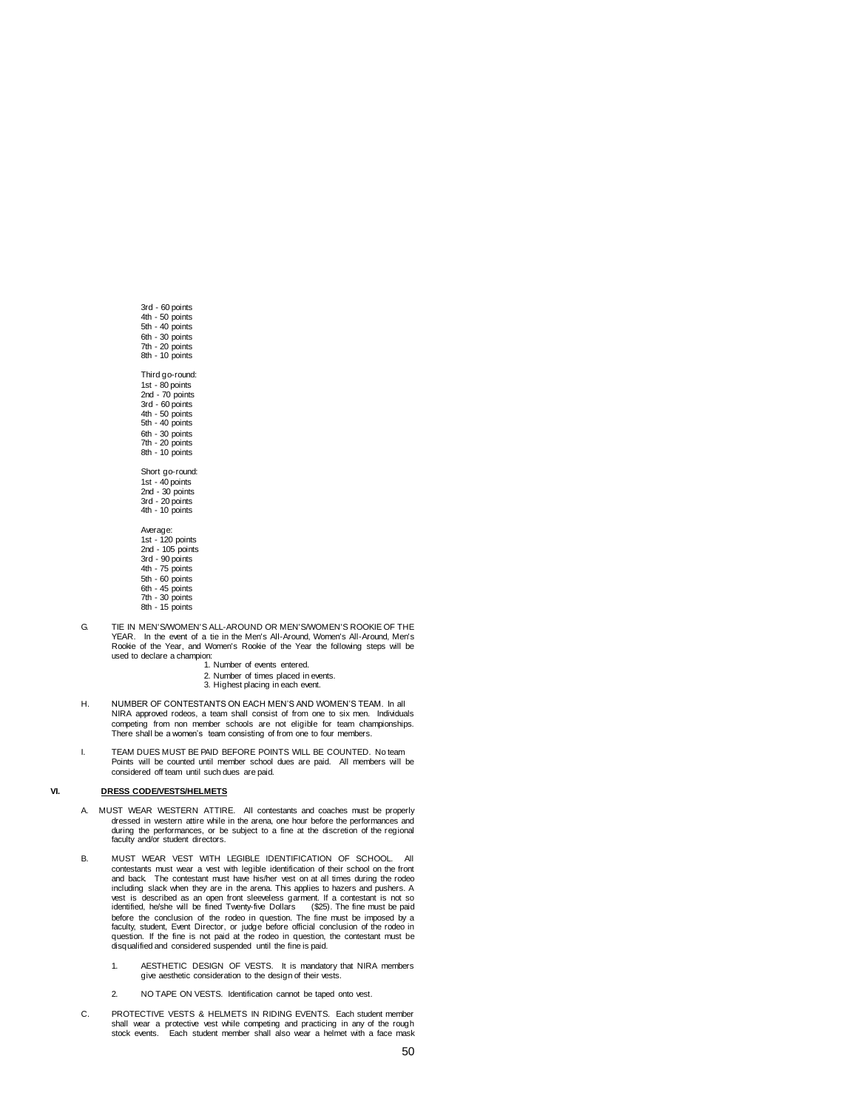3rd - 60 points 4th - 50 points 5th - 40 points 6th - 30 points 7th - 20 points 8th - 10 points Third go-round: 1st - 80 points 2nd - 70 points 3rd - 60 points 4th - 50 points 5th - 40 points 6th - 30 points 7th - 20 points 8th - 10 points Short go-round: 1st - 40 points 2nd - 30 points 3rd - 20 points 4th - 10 points Average: 1st - 120 points 2nd - 105 points 3rd - 90 points 4th - 75 points

- 5th 60 points 6th - 45 points 7th - 30 points 8th - 15 points
- G. TIE IN MEN'S/WOMEN'S ALL-AROUND OR MEN'S/WOMEN'S ROOKIE OF THE YEAR. In the event of a tie in the Men's All-Around, Women's All-Around, Men's Rookie of the Year, and Women's Rookie of the Year the following steps will be used to declare a champion:
	- 1. Number of events entered.
	- 2. Number of times placed in events. 3. Highest placing in each event.
	-
- H. NUMBER OF CONTESTANTS ON EACH MEN'S AND WOMEN'S TEAM. In all NIRA approved rodeos, a team shall consist of from one to six men. Individuals competing from non member schools are not eligible for team championships. There shall be a women's team consisting of from one to four members.
- I. TEAM DUES MUST BE PAID BEFORE POINTS WILL BE COUNTED. No team Points will be counted until member school dues are paid. All members will be considered off team until such dues are paid.

## **VI. DRESS CODE/VESTS/HELMETS**

- A. MUST WEAR WESTERN ATTIRE. All contestants and coaches must be properly dressed in western attire while in the arena, one hour before the performances and during the performances, or be subject to a fine at the discretion of the regional faculty and/or student directors.
- B. MUST WEAR VEST WITH LEGIBLE IDENTIFICATION OF SCHOOL. All contestants must wear a vest with legible identification of their school on the front and back. The contestant must have his/her vest on at all times during the rodeo including slack when they are in the arena. This applies to hazers and pushers. A vest is described as an open front sleeveless garment. If a contestant is not so identified, he/she will be fined Twenty-five Dollars (\$25). The fine must be paid before the conclusion of the rodeo in question. The fine must be imposed by a faculty, student, Event Director, or judge before official conclusion of the rodeo in question. If the fine is not paid at the rodeo in question, the contestant must be disqualified and considered suspended until the fine is paid.
	- 1. AESTHETIC DESIGN OF VESTS. It is mandatory that NIRA members give aesthetic consideration to the design of their vests.
	- 2. NO TAPE ON VESTS. Identification cannot be taped onto vest.
- C. PROTECTIVE VESTS & HELMETS IN RIDING EVENTS. Each student member shall wear a protective vest while competing and practicing in any of the rough stock events. Each student member shall also wear a helmet with a face mask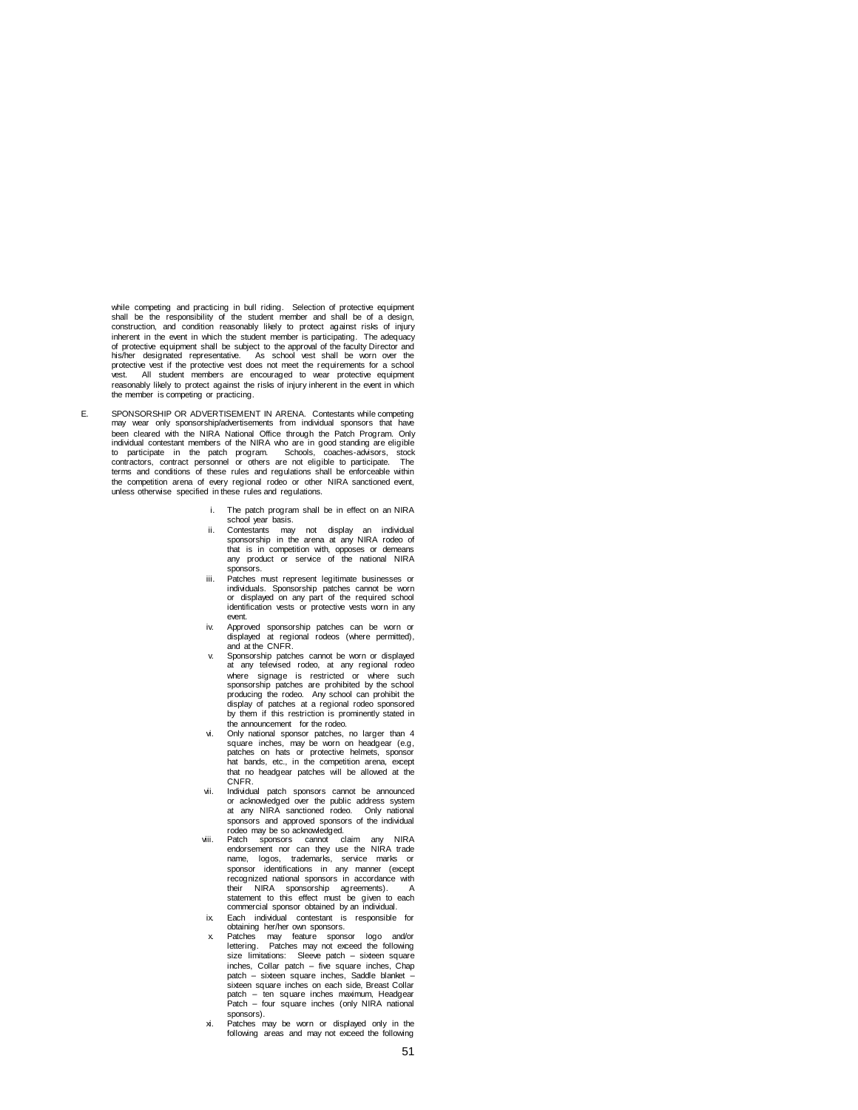while competing and practicing in bull riding. Selection of protective equipment shall be the responsibility of the student member and shall be of a design, construction, and condition reasonably likely to protect against risks of injury inherent in the event in which the student member is participating. The adequacy of protective equipment shall be subject to the approval of the faculty Director and his/her designated representative. As school vest shall be worn over the protective vest if the protective vest does not meet the requirements for a school vest. All student members are encouraged to wear protective equipment reasonably likely to protect against the risks of injury inherent in the event in which the member is competing or practicing.

- E.SPONSORSHIP OR ADVERTISEMENT IN ARENA.Contestants while competing may wear only sponsorship/advertisements from individual sponsors that have been cleared with the NIRA National Office through the Patch Program. Only individual contestant members of the NIRA who are in good standing are eligible to participate in the patch program. Schools, coaches-advisors, stock<br>contractors, contract personnel or others are not eligible to participate. The<br>terms and conditions of these rules and regulations shall be enforceable the competition arena of every regional rodeo or other NIRA sanctioned event, unless otherwise specified in these rules and regulations.
	- i. The patch program shall be in effect on an NIRA school year basis.
	- ii. Contestants may not display an individual sponsorship in the arena at any NIRA rodeo of that is in competition with, opposes or demeans any product or service of the national NIRA sponsors.
	- iii. Patches must represent legitimate businesses or individuals. Sponsorship patches cannot be worn or displayed on any part of the required school identification vests or protective vests worn in any event.
	- iv. Approved sponsorship patches can be worn or displayed at regional rodeos (where permitted), and at the CNFR.
	- v. Sponsorship patches cannot be worn or displayed at any televised rodeo, at any regional rodeo where signage is restricted or where such sponsorship patches are prohibited by the school producing the rodeo. Any school can prohibit the display of patches at a regional rodeo sponsored by them if this restriction is prominently stated in the announcement for the rodeo.
	- vi. Only national sponsor patches, no larger than 4 square inches, may be worn on headgear (e.g, patches on hats or protective helmets, sponsor hat bands, etc., in the competition arena, except that no headgear patches will be allowed at the CNFR.
	- Individual patch sponsors cannot be announced or acknowledged over the public address system at any NIRA sanctioned rodeo. Only national sponsors and approved sponsors of the individual rodeo may be so acknowledged.
	- viii. Patch sponsors cannot claim any NIRA endorsement nor can they use the NIRA trade name, logos, trademarks, service marks or sponsor identifications in any manner (except recognized national sponsors in accordance with their NIRA sponsorship agreements). A statement to this effect must be given to each commercial sponsor obtained by an individual.
	- ix. Each individual contestant is responsible for
	- obtaining her/her own sponsors. x. Patches may feature sponsor logo and/or lettering. Patches may not exceed the following size limitations: Sleeve patch – sixteen square inches, Collar patch – five square inches, Chap patch – sixteen square inches, Saddle blanket – sixteen square inches on each side, Breast Collar patch – ten square inches maximum, Headgear Patch – four square inches (only NIRA national sponsors).
	- xi. Patches may be worn or displayed only in the following areas and may not exceed the following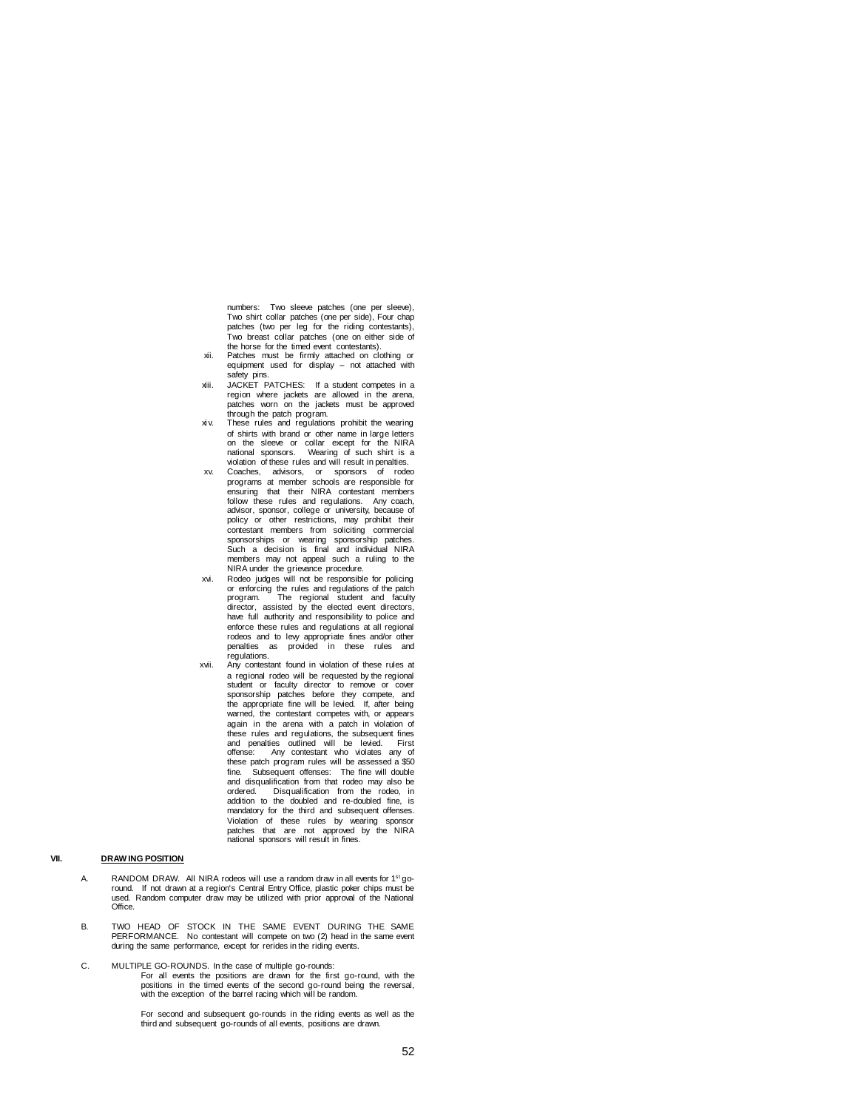numbers: Two sleeve patches (one per sleeve), Two shirt collar patches (one per side), Four chap patches (two per leg for the riding contestants), Two breast collar patches (one on either side of the horse for the timed event contestants).

- Patches must be firmly attached on clothing or equipment used for display – not attached with safety pins.
- xiii. JACKET PATCHES: If a student competes in a region where jackets are allowed in the arena, patches worn on the jackets must be approved
- through the patch program. xi v. These rules and regulations prohibit the wearing of shirts with brand or other name in large letters on the sleeve or collar except for the NIRA national sponsors. Wearing of such shirt is a vidence of the state of the state rules and will result in penalties.<br>
Nearing of such shirt is a violation of these rules and will result in penalties.
- xv. Coaches, advisors, or sponsors of rodeo programs at member schools are responsible for ensuring that their NIRA contestant members follow these rules and regulations. Any coach, advisor, sponsor, college or university, because of policy or other restrictions, may prohibit their contestant members from soliciting commercial sponsorships or wearing sponsorship patches. Such a decision is final and individual NIRA members may not appeal such a ruling to the NIRA under the grievance procedure.
- xvi. Rodeo judges will not be responsible for policing or enforcing the rules and regulations of the patch<br>program. The regional student and faculty The regional student and faculty director, assisted by the elected event directors, have full authority and responsibility to police and enforce these rules and regulations at all regional rodeos and to levy appropriate fines and/or other penalties as provided in these rules and regulations.
- xvii. Any contestant found in violation of these rules at a regional rodeo will be requested by the regional student or faculty director to remove or cover sponsorship patches before they compete, and the appropriate fine will be levied. If, after being warned, the contestant competes with, or appears again in the arena with a patch in violation of these rules and regulations, the subsequent fines and penalties outlined will be levied. First offense: Any contestant who violates any of these patch program rules will be assessed a \$50 fine. Subsequent offenses: The fine will double and disqualification from that rodeo may also be ordered. Disqualification from the rodeo, in addition to the doubled and re-doubled fine, is mandatory for the third and subsequent offenses. Violation of these rules by wearing sponsor patches that are not approved by the NIRA national sponsors will result in fines.

## **VII. DRAW ING POSITION**

- A. RANDOM DRAW. All NIRA rodeos will use a random draw in all events for 1<sup>st</sup> goround. If not drawn at a region's Central Entry Office, plastic poker chips must be used. Random computer draw may be utilized with prior approval of the National **Office**
- B. TWO HEAD OF STOCK IN THE SAME EVENT DURING THE SAME PERFORMANCE. No contestant will compete on two (2) head in the same event during the same performance, except for rerides in the riding events.
- C. MULTIPLE GO-ROUNDS. In the case of multiple go-rounds: For all events the positions are drawn for the first go-round, with the positions in the timed events of the second go-round being the reversal, with the exception of the barrel racing which will be random.

For second and subsequent go-rounds in the riding events as well as the third and subsequent go-rounds of all events, positions are drawn.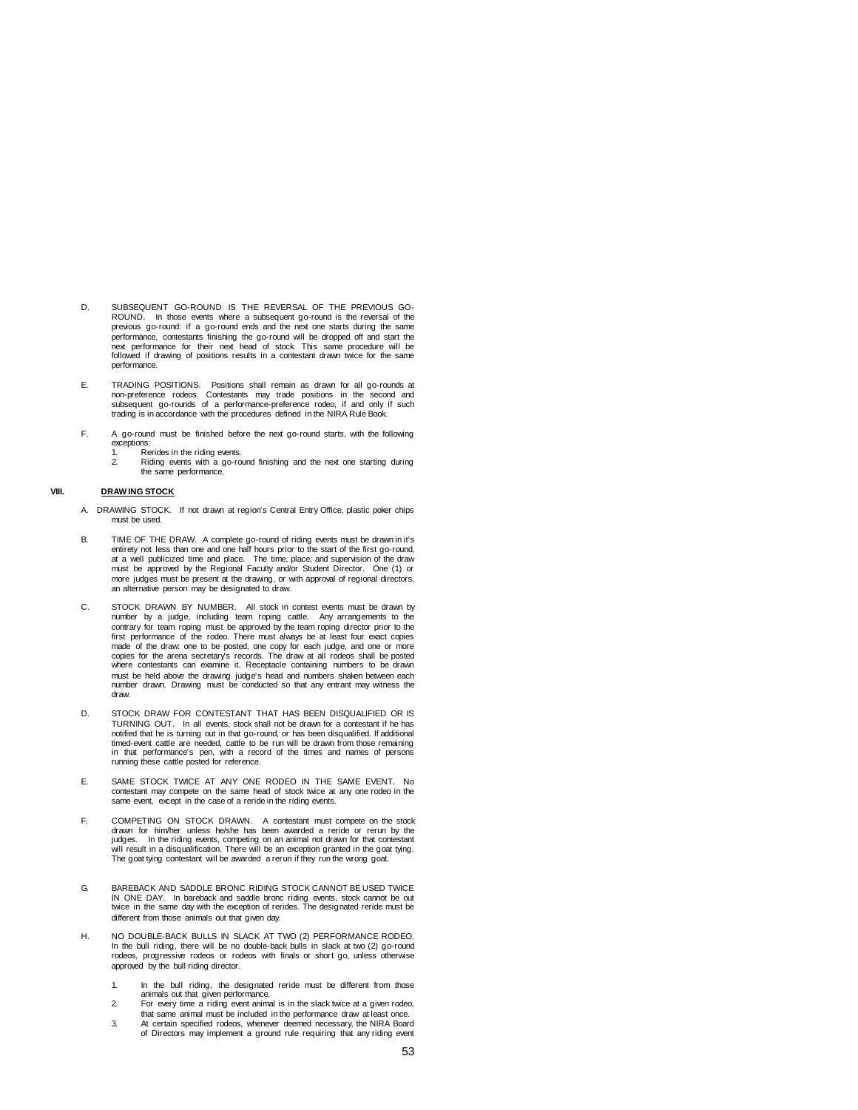- D. SUBSEQUENT GO-ROUND IS THE REVERSAL OF THE PREVIOUS GO-ROUND. In those events where a subsequent go-round is the reversal of the previous go-round: if a go-round ends and the next one starts during the same performance, contestants finishing the go-round will be dropped off and start the next performance for their next head of stock. This same procedure will be followed if drawing of positions results in a contestant drawn twice for the same performance.
- E. TRADING POSITIONS. Positions shall remain as drawn for all go-rounds at<br>non-preference rodeos. Contestants may trade positions in the second and<br>subsequent go-rounds of a performance-preference rodeo, if and only if suc trading is in accordance with the procedures defined in the NIRA Rule Book.
- F. A go-round must be finished before the next go-round starts, with the following exceptions:
	- 1. Rerides in the riding events.<br>2. Riding events with a go-ro
		- Riding events with a go-round finishing and the next one starting during the same performance.

## **VIII. DRAW ING STOCK**

- A. DRAWING STOCK. If not drawn at region's Central Entry Office, plastic poker chips must be used.
- B. TIME OF THE DRAW. A complete go-round of riding events must be drawn in it's entirety not less than one and one half hours prior to the start of the first go-round,<br>at a well publicized time and place. The time, place, and supervision of the draw<br>must be approved by the Regional Faculty and/or Stud more judges must be present at the drawing, or with approval of regional directors, an alternative person may be designated to draw.
- C. STOCK DRAWN BY NUMBER. All stock in contest events must be drawn by number by a judge, including team roping cattle. Any arrangements to the contrary for team roping must be approved by the team roping director prior to the first performance of the rodeo. There must always be at least four exact copies made of the draw: one to be posted, one copy for each judge, and one or more copies for the arena secretary's records. The draw at all rodeos shall be posted where contestants can examine it. Receptacle containing numbers to be drawn must be held above the drawing judge's head and numbers shaken between each number drawn. Drawing must be conducted so that any entrant may witness the draw.
- D. STOCK DRAW FOR CONTESTANT THAT HAS BEEN DISQUALIFIED OR IS TURNING OUT. In all events, stock shall not be drawn for a contestant if he has notified that he is turning out in that go-round, or has been disqualified. If additional timed-event cattle are needed, cattle to be run will be drawn from those remaining in that performance's pen, with a record of the times and names of persons running these cattle posted for reference.
- E. SAME STOCK TWICE AT ANY ONE RODEO IN THE SAME EVENT. No contestant may compete on the same head of stock twice at any one rodeo in the same event, except in the case of a reride in the riding events.
- F. COMPETING ON STOCK DRAWN. A contestant must compete on the stock drawn for him/her unless he/she has been awarded a reride or rerun by the judges. In the riding events, competing on an animal not drawn for that contestant<br>will result in a disqualification. There will be an exception granted in the goat tying.<br>The goat tying contestant will be awarded a rerun
- G. BAREBACK AND SADDLE BRONC RIDING STOCK CANNOT BE USED TWICE IN ONE DAY. In bareback and saddle bronc riding events, stock cannot be out twice in the same day with the exception of rerides. The designated reride must be different from those animals out that given day.
- H. NO DOUBLE-BACK BULLS IN SLACK AT TWO (2) PERFORMANCE RODEO. In the bull riding, there will be no double-back bulls in slack at two (2) go-round rodeos, progressive rodeos or rodeos with finals or short go, unless otherwise approved by the bull riding director.
	- 1. In the bull riding, the designated reride must be different from those animals out that given performance. 2. For every time a riding event animal is in the slack twice at a given rodeo,
	- that same animal must be included in the performance draw at least once.
	- 3. At certain specified rodeos, whenever deemed necessary, the NIRA Board of Directors may implement a ground rule requiring that any riding event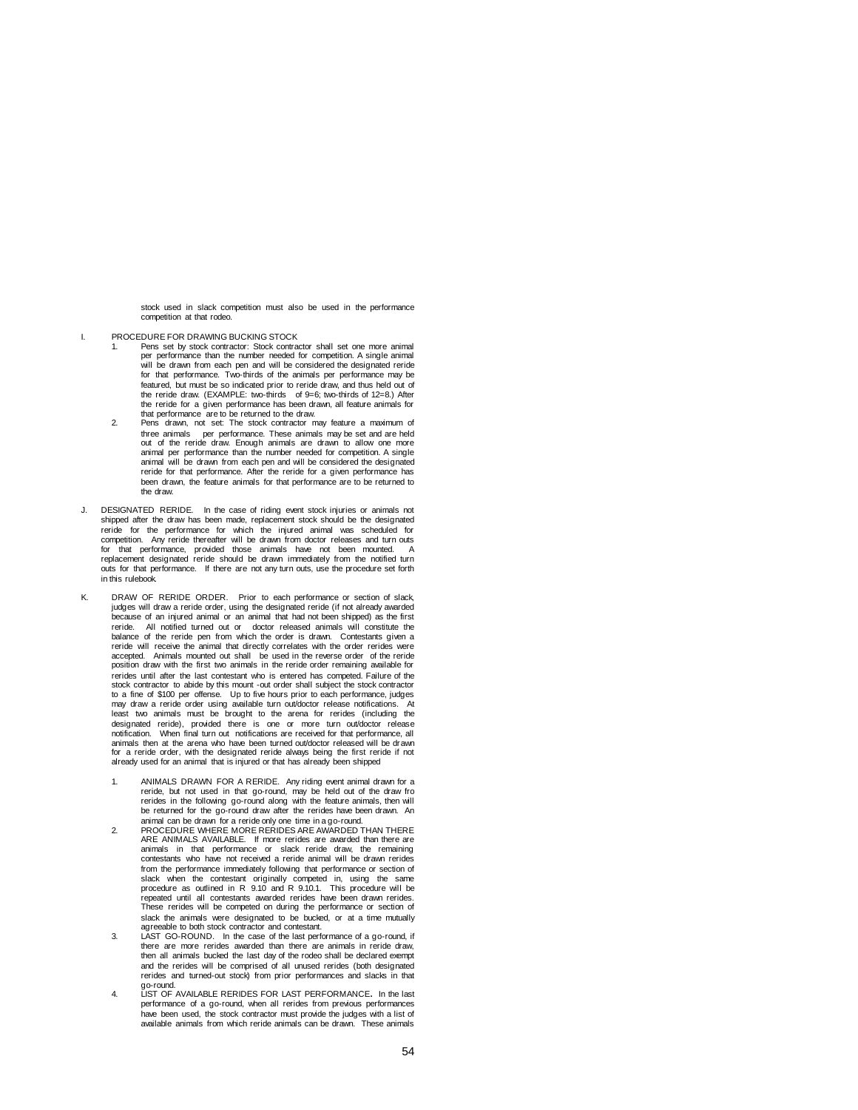stock used in slack competition must also be used in the performance competition at that rodeo.

- I. PROCEDURE FOR DRAWING BUCKING STOCK
	- 1. Pens set by stock contractor: Stock contractor shall set one more animal per performance than the number needed for competition. A single animal will be drawn from each pen and will be considered the designated reride for that performance. Two-thirds of the animals per performance may be featured, but must be so indicated prior to reride draw, and thus held out of the reride draw. (EXAMPLE: two-thirds of 9=6; two-thirds of 12=8.) After the reride for a given performance has been drawn, all feature animals for that performance are to be returned to the draw.
	- 2. Pens drawn, not set: The stock contractor may feature a maximum of three animals per performance. These animals may be set and are held out of the reride draw. Enough animals are drawn to allow one more animal per performance than the number needed for competition. A single animal will be drawn from each pen and will be considered the designated reride for that performance. After the reride for a given performance has been drawn, the feature animals for that performance are to be returned to the draw.
- J. DESIGNATED RERIDE. In the case of riding event stock injuries or animals not shipped after the draw has been made, replacement stock should be the designated reride for the performance for which the injured animal was scheduled for competition. Any reride thereafter will be drawn from doctor releases and turn outs<br>for that performance, provided those animals have not been mounted. A<br>replacement designated reride should be drawn immediately from the n outs for that performance. If there are not any turn outs, use the procedure set forth in this rulebook.
- K. DRAW OF RERIDE ORDER. Prior to each performance or section of slack, judges will draw a reride order, using the designated reride (if not already awarded because of an injured animal or an animal that had not been shipped) as the first reride. All notified turned out or doctor released animals will constitute the balance of the reride pen from which the order is drawn. Contestants given a reride will receive the animal that directly correlates with the order rerides were accepted. Animals mounted out shall be used in the reverse order of the reride position draw with the first two animals in the reride order remaining available for rerides until after the last contestant who is entered has competed. Failure of the stock contractor to abide by this mount -out order shall subject the stock contractor to a fine of \$100 per offense. Up to five hours prior to each performance, judges may draw a reride order using available turn out/doctor release notifications. At least two animals must be brought to the arena for rerides (including the designated reride), provided there is one or more turn out/doctor release notification. When final turn out notifications are received for that performance, all animals then at the arena who have been turned out/doctor released will be drawn for a reride order, with the designated reride always being the first reride if not already used for an animal that is injured or that has already been shipped
	- ANIMALS DRAWN FOR A RERIDE. Any riding event animal drawn for a reride, but not used in that go-round, may be held out of the draw fro rerides in the following go-round along with the feature animals, then will be returned for the go-round draw after the rerides have been drawn. An animal can be drawn for a reride only one time in a go-round.
	- 2. PROCEDURE WHERE MORE RERIDES ARE AWARDED THAN THERE ARE ANIMALS AVAILABLE. If more rerides are awarded than there are animals in that performance or slack reride draw, the remaining contestants who have not received a reride animal will be drawn rerides from the performance immediately following that performance or section of slack when the contestant originally competed in, using the same procedure as outlined in R 9.10 and R 9.10.1. This procedure will be repeated until all contestants awarded rerides have been drawn rerides. These rerides will be competed on during the performance or section of slack the animals were designated to be bucked, or at a time mutually
	- agreeable to both stock contractor and contestant. 3. LAST GO-ROUND. In the case of the last performance of a go-round, if there are more rerides awarded than there are animals in reride draw, then all animals bucked the last day of the rodeo shall be declared exempt and the rerides will be comprised of all unused rerides (both designated rerides and turned-out stock) from prior performances and slacks in that
	- go-round. 4. LIST OF AVAILABLE RERIDES FOR LAST PERFORMANCE**.** In the last performance of a go-round, when all rerides from previous performances have been used, the stock contractor must provide the judges with a list of available animals from which reride animals can be drawn. These animals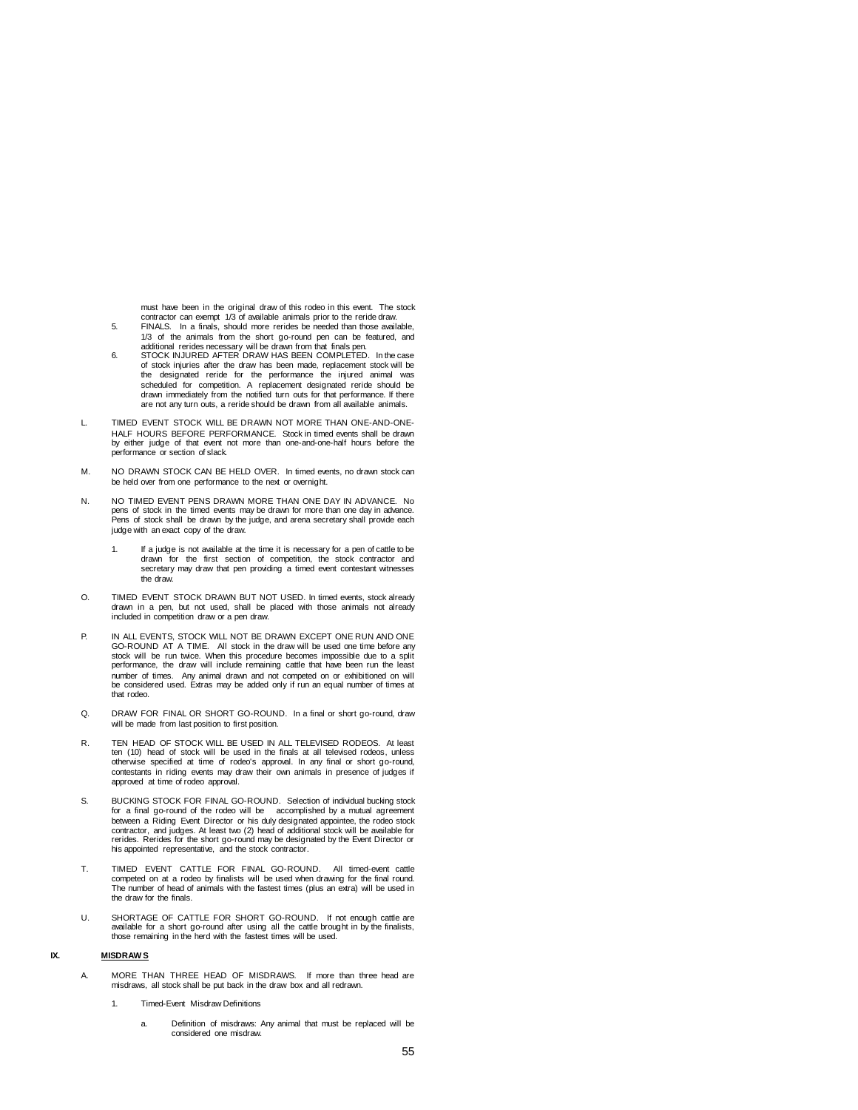must have been in the original draw of this rodeo in this event. The stock

- contractor can exempt 1/3 of available animals prior to the reride draw. 5. FINALS. In a finals, should more rerides be needed than those available, 1/3 of the animals from the short go-round pen can be featured, and
- additional rerides necessary will be drawn from that finals pen. 6. STOCK INJURED AFTER DRAW HAS BEEN COMPLETED. In the case of stock injuries after the draw has been made, replacement stock will be the designated reride for the performance the injured animal was scheduled for competition. A replacement designated reride should be drawn immediately from the notified turn outs for that performance. If there are not any turn outs, a reride should be drawn from all available animals.
- L. TIMED EVENT STOCK WILL BE DRAWN NOT MORE THAN ONE-AND-ONE-HALF HOURS BEFORE PERFORMANCE. Stock in timed events shall be drawn by either judge of that event not more than one-and-one-half hours before the performance or section of slack.
- M. NO DRAWN STOCK CAN BE HELD OVER. In timed events, no drawn stock can be held over from one performance to the next or overnight.
- N. NO TIMED EVENT PENS DRAWN MORE THAN ONE DAY IN ADVANCE. No pens of stock in the timed events may be drawn for more than one day in advance. Pens of stock shall be drawn by the judge, and arena secretary shall provide each judge with an exact copy of the draw.
	- 1. If a judge is not available at the time it is necessary for a pen of cattle to be drawn for the first section of competition, the stock contractor and secretary may draw that pen providing a timed event contestant witnesses the draw.
- O. TIMED EVENT STOCK DRAWN BUT NOT USED. In timed events, stock already drawn in a pen, but not used, shall be placed with those animals not already included in competition draw or a pen draw.
- P. IN ALL EVENTS, STOCK WILL NOT BE DRAWN EXCEPT ONE RUN AND ONE GO-ROUND AT A TIME. All stock in the draw will be used one time before any stock will be run twice. When this procedure becomes impossible due to a split performance, the draw will include remaining cattle that have been run the least number of times. Any animal drawn and not competed on or exhibitioned on will be considered used. Extras may be added only if run an equal number of times at that rodeo.
- Q. DRAW FOR FINAL OR SHORT GO-ROUND. In a final or short go-round, draw will be made from last position to first position.
- R. TEN HEAD OF STOCK WILL BE USED IN ALL TELEVISED RODEOS. At least ten (10) head of stock will be used in the finals at all televised rodeos, unless otherwise specified at time of rodeo's approval. In any final or short go-round, contestants in riding events may draw their own animals in presence of judges if approved at time of rodeo approval.
- S. BUCKING STOCK FOR FINAL GO-ROUND. Selection of individual bucking stock for a final go-round of the rodeo will be accomplished by a mutual agreement between a Riding Event Director or his duly designated appointee, the rodeo stock contractor, and judges. At least two (2) head of additional stock will be available for rerides. Rerides for the short go-round may be designated by the Event Director or his appointed representative, and the stock contractor.
- T. TIMED EVENT CATTLE FOR FINAL GO-ROUND. All timed-event cattle competed on at a rodeo by finalists will be used when drawing for the final round. The number of head of animals with the fastest times (plus an extra) will be used in the draw for the finals.
- U. SHORTAGE OF CATTLE FOR SHORT GO-ROUND. If not enough cattle are available for a short go-round after using all the cattle brought in by the finalists, those remaining in the herd with the fastest times will be used.

## **IX. MISDRAW S**

- A. MORE THAN THREE HEAD OF MISDRAWS. If more than three head are misdraws, all stock shall be put back in the draw box and all redrawn.
	- 1. Timed-Event Misdraw Definitions
		- a. Definition of misdraws: Any animal that must be replaced will be considered one misdraw.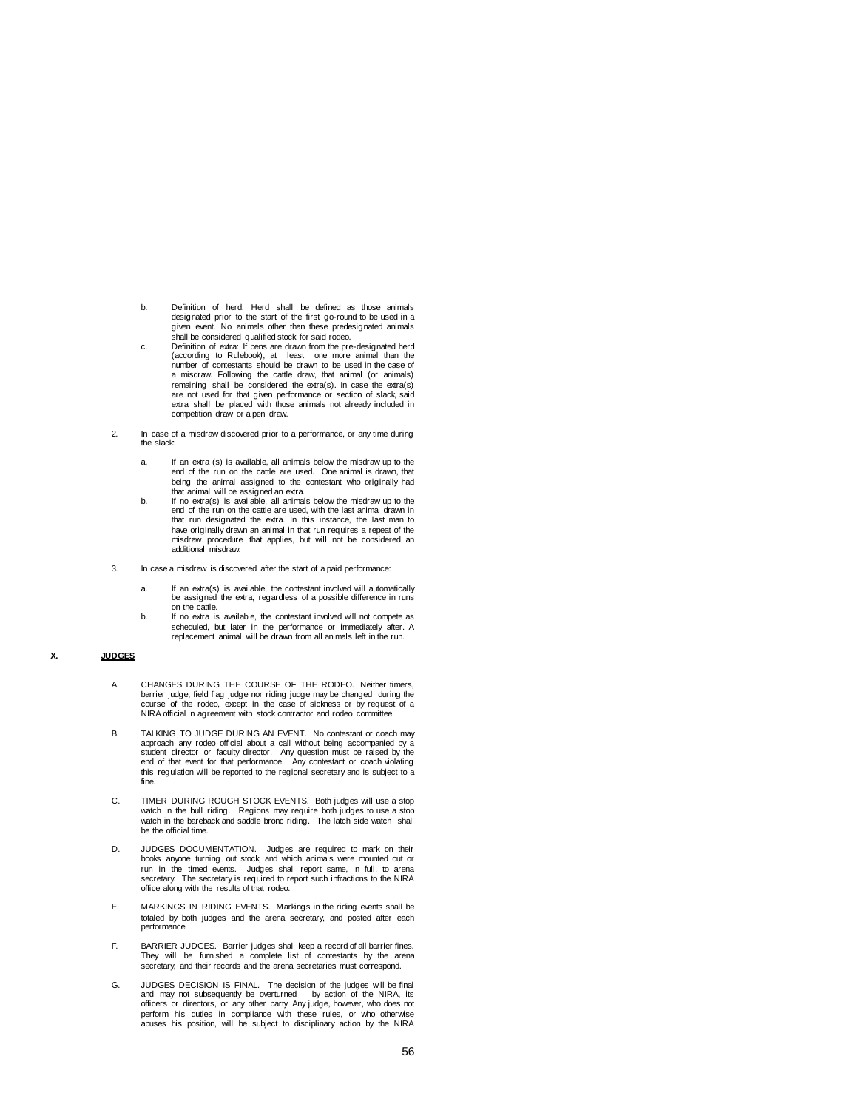- b. Definition of herd: Herd shall be defined as those animals designated prior to the start of the first go-round to be used in a given event. No animals other than these predesignated animals shall be considered qualified stock for said rodeo.
- c. Definition of extra: If pens are drawn from the pre-designated herd (according to Rulebook), at least one more animal than the diam from the pro-designated here least one more animal than the number of contestants should be drawn to be used in the case of a misdraw. Following the cattle draw, that animal (or animals) remaining shall be considered the extra(s). In case the extra(s) are not used for that given performance or section of slack, said extra shall be placed with those animals not already included in competition draw or a pen draw.
- 2. In case of a misdraw discovered prior to a performance, or any time during the slack:
	- a. If an extra (s) is available, all animals below the misdraw up to the end of the run on the cattle are used. One animal is drawn, that being the animal assigned to the contestant who originally had
	- that animal will be assigned an extra. b. If no extra(s) is available, all animals below the misdraw up to the end of the run on the cattle are used, with the last animal drawn in that run designated the extra. In this instance, the last man to have originally drawn an animal in that run requires a repeat of the misdraw procedure that applies, but will not be considered an additional misdraw.
- 3. In case a misdraw is discovered after the start of a paid performance:
	- a. If an extra(s) is available, the contestant involved will automatically be assigned the extra, regardless of a possible difference in runs on the cattle.
	- b. If no extra is available, the contestant involved will not compete as scheduled, but later in the performance or immediately after. A replacement animal will be drawn from all animals left in the run.

## **X. JUDGES**

- A. CHANGES DURING THE COURSE OF THE RODEO. Neither timers, barrier judge, field flag judge nor riding judge may be changed during the course of the rodeo, except in the case of sickness or by request of a NIRA official in agreement with stock contractor and rodeo committee.
- B. TALKING TO JUDGE DURING AN EVENT. No contestant or coach may approach any rodeo official about a call without being accompanied by a<br>student director or faculty director. Any question must be raised by the<br>end of that event for that performance. Any contestant or coach violating this regulation will be reported to the regional secretary and is subject to a fine.
- C. TIMER DURING ROUGH STOCK EVENTS. Both judges will use a stop watch in the bull riding. Regions may require both judges to use a stop watch in the bareback and saddle bronc riding. The latch side watch shall be the official time.
- D. JUDGES DOCUMENTATION. Judges are required to mark on their books anyone turning out stock, and which animals were mounted out or run in the timed events. Judges shall report same, in full, to arena secretary. The secretary is required to report such infractions to the NIRA office along with the results of that rodeo.
- E. MARKINGS IN RIDING EVENTS. Markings in the riding events shall be totaled by both judges and the arena secretary, and posted after each performance.
- F. BARRIER JUDGES. Barrier judges shall keep a record of all barrier fines. They will be furnished a complete list of contestants by the arena secretary, and their records and the arena secretaries must correspond.
- G. JUDGES DECISION IS FINAL. The decision of the judges will be final and may not subsequently be overturned by action of the NIRA, its officers or directors, or any other party. Any judge, however, who does not perform his duties in compliance with these rules, or who otherwise abuses his position, will be subject to disciplinary action by the NIRA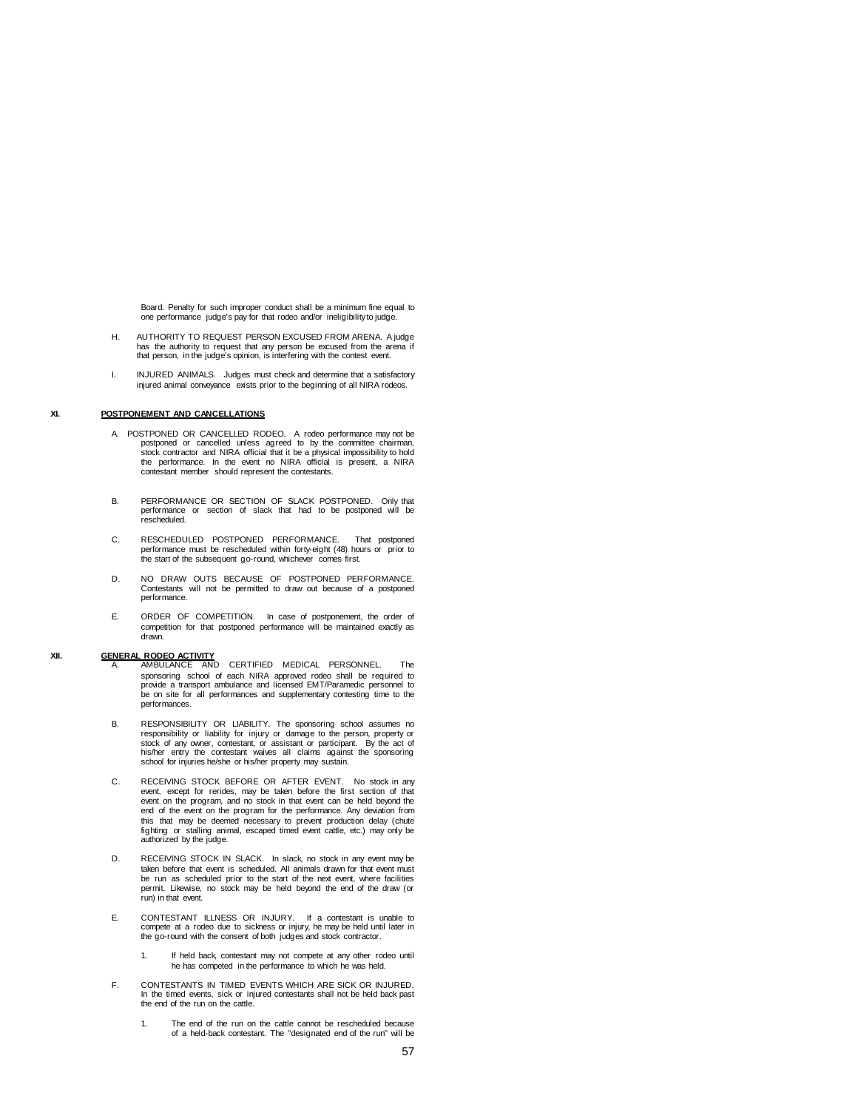Board. Penalty for such improper conduct shall be a minimum fine equal to one performance judge's pay for that rodeo and/or ineligibility to judge.

- H. AUTHORITY TO REQUEST PERSON EXCUSED FROM ARENA. A judge has the authority to request that any person be excused from the arena if that person, in the judge's opinion, is interfering with the contest event.
- I. INJURED ANIMALS. Judges must check and determine that a satisfactory injured animal conveyance exists prior to the beginning of all NIRA rodeos.

## **XI. POSTPONEMENT AND CANCELLATIONS**

- A. POSTPONED OR CANCELLED RODEO. A rodeo performance may not be postponed or cancelled unless agreed to by the committee chairman, stock contractor and NIRA official that it be a physical impossibility to hold the performance. In the event no NIRA official is present, a NIRA contestant member should represent the contestants.
- B. PERFORMANCE OR SECTION OF SLACK POSTPONED. Only that performance or section of slack that had to be postponed will be rescheduled.
- C. RESCHEDULED POSTPONED PERFORMANCE. That postponed performance must be rescheduled within forty-eight (48) hours or prior to the start of the subsequent go-round, whichever comes first.
- D. NO DRAW OUTS BECAUSE OF POSTPONED PERFORMANCE. Contestants will not be permitted to draw out because of a postponed performance.
- E. ORDER OF COMPETITION. In case of postponement, the order of competition for that postponed performance will be maintained exactly as drawn.

- **XII. GENERAL RODEO ACTIVITY** A. AMBULANCE AND CERTIFIED MEDICAL PERSONNEL. The sponsoring school of each NIRA approved rodeo shall be required to provide a transport ambulance and licensed EMT/Paramedic personnel to be on site for all performances and supplementary contesting time to the performances.
	- B. RESPONSIBILITY OR LIABILITY. The sponsoring school assumes no responsibility or liability for injury or damage to the person, property or stock of any owner, contestant, or assistant or participant. By the act of his/her entry the contestant waives all claims against the sponsoring school for injuries he/she or his/her property may sustain.
	- C. RECEIVING STOCK BEFORE OR AFTER EVENT. No stock in any event, except for rerides, may be taken before the first section of that event on the program, and no stock in that event can be held beyond the end of the event on the program for the performance. Any deviation from this that may be deemed necessary to prevent production delay (chute fighting or stalling animal, escaped timed event cattle, etc.) may only be authorized by the judge.
	- D. RECEIVING STOCK IN SLACK. In slack, no stock in any event may be taken before that event is scheduled. All animals drawn for that event must be run as scheduled prior to the start of the next event, where facilities permit. Likewise, no stock may be held beyond the end of the draw (or run) in that event.
	- E. CONTESTANT ILLNESS OR INJURY. If a contestant is unable to compete at a rodeo due to sickness or injury, he may be held until later in the go-round with the consent of both judges and stock contractor.
		- 1. If held back, contestant may not compete at any other rodeo until he has competed in the performance to which he was held.
	- F. CONTESTANTS IN TIMED EVENTS WHICH ARE SICK OR INJURED. In the timed events, sick or injured contestants shall not be held back past the end of the run on the cattle.
		- 1. The end of the run on the cattle cannot be rescheduled because of a held-back contestant. The "designated end of the run" will be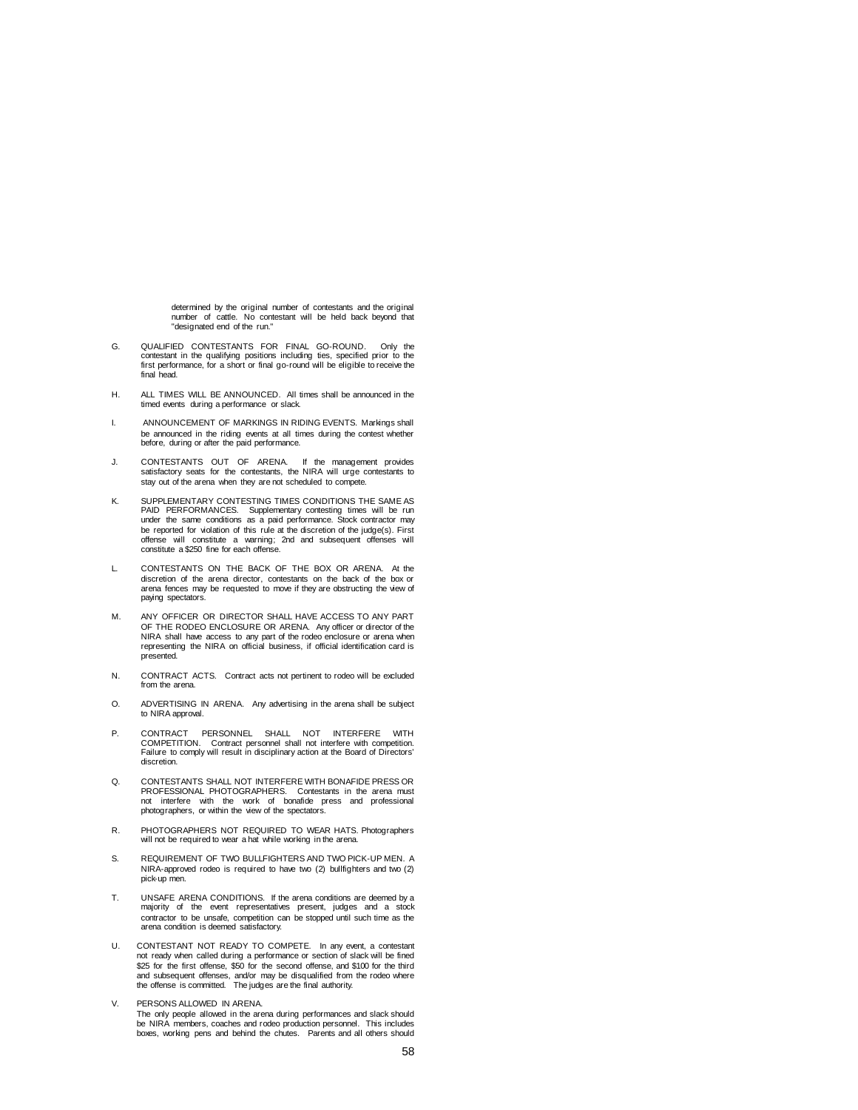determined by the original number of contestants and the original number of cattle. No contestant will be held back beyond that "designated end of the run."

- G. QUALIFIED CONTESTANTS FOR FINAL GO-ROUND. Only the contestant in the qualifying positions including ties, specified prior to the first performance, for a short or final go-round will be eligible to receive the final head.
- H. ALL TIMES WILL BE ANNOUNCED. All times shall be announced in the timed events during a performance or slack.
- I. ANNOUNCEMENT OF MARKINGS IN RIDING EVENTS. Markings shall be announced in the riding events at all times during the contest whether before, during or after the paid performance.
- J. CONTESTANTS OUT OF ARENA. If the management provides satisfactory seats for the contestants, the NIRA will urge contestants to stay out of the arena when they are not scheduled to compete.
- K. SUPPLEMENTARY CONTESTING TIMES CONDITIONS THE SAME AS PAID PERFORMANCES. Supplementary contesting times will be run under the same conditions as a paid performance. Stock contractor may be reported for violation of this rule at the discretion of the judge(s). First offense will constitute a warning; 2nd and subsequent offenses will constitute a \$250 fine for each offense.
- L. CONTESTANTS ON THE BACK OF THE BOX OR ARENA. At the discretion of the arena director, contestants on the back of the box or arena fences may be requested to move if they are obstructing the view of paying spectators
- M. ANY OFFICER OR DIRECTOR SHALL HAVE ACCESS TO ANY PART OF THE RODEO ENCLOSURE OR ARENA. Any officer or director of the NIRA shall have access to any part of the rodeo enclosure or arena when representing the NIRA on official business, if official identification card is presented.
- N. CONTRACT ACTS. Contract acts not pertinent to rodeo will be excluded from the arena.
- O. ADVERTISING IN ARENA. Any advertising in the arena shall be subject to NIRA approval.
- P. CONTRACT PERSONNEL SHALL NOT INTERFERE WITH COMPETITION. Contract personnel shall not interfere with competition. Failure to comply will result in disciplinary action at the Board of Directors' discretion.
- Q. CONTESTANTS SHALL NOT INTERFERE WITH BONAFIDE PRESS OR PROFESSIONAL PHOTOGRAPHERS. Contestants in the arena must not interfere with the work of bonafide press and professional photographers, or within the view of the spectators.
- R. PHOTOGRAPHERS NOT REQUIRED TO WEAR HATS. Photographers will not be required to wear a hat while working in the arena.
- S. REQUIREMENT OF TWO BULLFIGHTERS AND TWO PICK-UP MEN. A NIRA-approved rodeo is required to have two (2) bullfighters and two (2) pick-up men.
- T. UNSAFE ARENA CONDITIONS. If the arena conditions are deemed by a majority of the event representatives present, judges and a stock contractor to be unsafe, competition can be stopped until such time as the arena condition is deemed satisfactory.
- U. CONTESTANT NOT READY TO COMPETE. In any event, a contestant not ready when called during a performance or section of slack will be fined \$25 for the first offense, \$50 for the second offense, and \$100 for the third and subsequent offenses, and/or may be disqualified from the rodeo where the offense is committed. The judges are the final authority.
- V. PERSONS ALLOWED IN ARENA. The only people allowed in the arena during performances and slack should be NIRA members, coaches and rodeo production personnel. This includes boxes, working pens and behind the chutes. Parents and all others should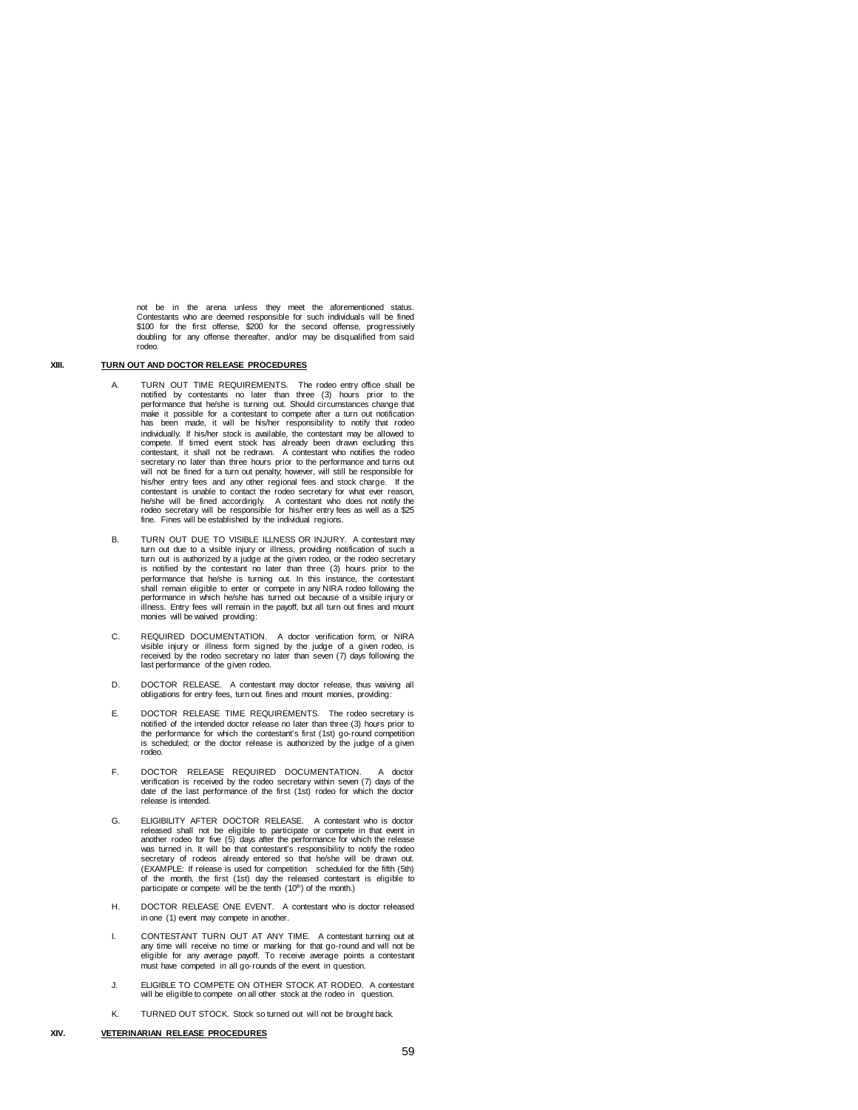not be in the arena unless they meet the aforementioned status. Contestants who are deemed responsible for such individuals will be fined \$100 for the first offense, \$200 for the second offense, progressively doubling for any offense thereafter, and/or may be disqualified from said rodeo.

#### **XIII. TURN OUT AND DOCTOR RELEASE PROCEDURES**

- TURN OUT TIME REQUIREMENTS. The rodeo entry office shall be notified by contestants no later than three (3) hours prior to the performance that he/she is turning out. Should circumstances change that make it possible for a contestant to compete after a turn out notification has been made, it will be his/her responsibility to notify that rodeo individually. If his/her stock is available, the contestant may be allowed to compete. If timed event stock has already been drawn excluding this contestant, it shall not be redrawn. A contestant who notifies the rodeo secretary no later than three hours prior to the performance and turns out will not be fined for a turn out penalty; however, will still be responsible for his/her entry fees and any other regional fees and stock charge. If the contestant is unable to contact the rodeo secretary for what ever reason, he/she will be fined accordingly. A contestant who does not notify the rodeo secretary will be responsible for his/her entry fees as well as a \$25 fine. Fines will be established by the individual regions.
- B. TURN OUT DUE TO VISIBLE ILLNESS OR INJURY. A contestant may turn out due to a visible injury or illness, providing notification of such a turn out is authorized by a judge at the given rodeo, or the rodeo secretary is notified by the contestant no later than three (3) hours prior to the performance that he/she is turning out. In this instance, the contestant shall remain eligible to enter or compete in any NIRA rodeo following the performance in which he/she has turned out because of a visible injury or illness. Entry fees will remain in the payoff, but all turn out fines and mount monies will be waived providing:
- C. REQUIRED DOCUMENTATION. A doctor verification form, or NIRA visible injury or illness form signed by the judge of a given rodeo, is received by the rodeo secretary no later than seven (7) days following the last performance of the given rodeo.
- D. DOCTOR RELEASE. A contestant may doctor release, thus waiving all obligations for entry fees, turn out fines and mount monies, providing:
- E. DOCTOR RELEASE TIME REQUIREMENTS. The rodeo secretary is notified of the intended doctor release no later than three (3) hours prior to the performance for which the contestant's first (1st) go-round competition is scheduled; or the doctor release is authorized by the judge of a given rodeo.
- F. DOCTOR RELEASE REQUIRED DOCUMENTATION. A doctor verification is received by the rodeo secretary within seven (7) days of the date of the last performance of the first (1st) rodeo for which the doctor release is intended.
- G. ELIGIBILITY AFTER DOCTOR RELEASE. A contestant who is doctor released shall not be eligible to participate or compete in that event in another rodeo for five (5) days after the performance for which the release was turned in. It will be that contestant's responsibility to notify the rodeo secretary of rodeos already entered so that he/she will be drawn out. (EXAMPLE: If release is used for competition scheduled for the fifth (5th) of the month, the first (1st) day the released contestant is eligible to participate or compete will be the tenth (10<sup>th</sup>) of the month.)
- H. DOCTOR RELEASE ONE EVENT. A contestant who is doctor released in one (1) event may compete in another.
- I. CONTESTANT TURN OUT AT ANY TIME. A contestant turning out at any time will receive no time or marking for that go-round and will not be eligible for any average payoff. To receive average points a contestant must have competed in all go-rounds of the event in question.
- J. ELIGIBLE TO COMPETE ON OTHER STOCK AT RODEO. A contestant will be eligible to compete on all other stock at the rodeo in question.
- K. TURNED OUT STOCK. Stock so turned out will not be brought back.

## **XIV. VETERINARIAN RELEASE PROCEDURES**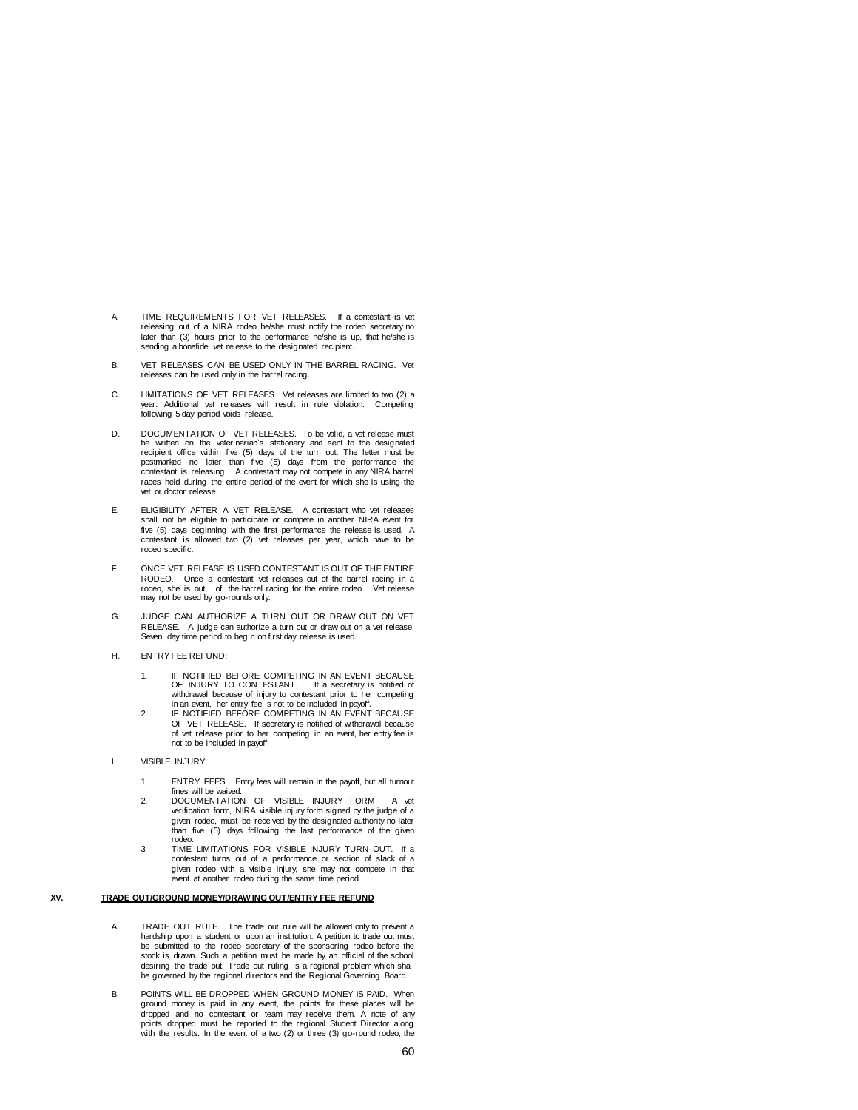- A. TIME REQUIREMENTS FOR VET RELEASES. If a contestant is vet releasing out of a NIRA rodeo he/she must notify the rodeo secretary no later than (3) hours prior to the performance he/she is up, that he/she is sending a bonafide vet release to the designated recipient.
- B. VET RELEASES CAN BE USED ONLY IN THE BARREL RACING. Vet releases can be used only in the barrel racing.
- C. LIMITATIONS OF VET RELEASES. Vet releases are limited to two (2) a year. Additional vet releases will result in rule violation. Competing following 5 day period voids release.
- D. DOCUMENTATION OF VET RELEASES. To be valid, a vet release must be written on the veterinarian's stationary and sent to the designated recipient office within five (5) days of the turn out. The letter must be postmarked no later than five (5) days from the performance the contestant is releasing. A contestant may not compete in any NIRA barrel races held during the entire period of the event for which she is using the vet or doctor release.
- E. ELIGIBILITY AFTER A VET RELEASE. A contestant who vet releases shall not be eligible to participate or compete in another NIRA event for five (5) days beginning with the first performance the release is used. A contestant is allowed two (2) vet releases per year, which have to be rodeo specific.
- F. ONCE VET RELEASE IS USED CONTESTANT IS OUT OF THE ENTIRE RODEO. Once a contestant vet releases out of the barrel racing in a rodeo, she is out of the barrel racing for the entire rodeo. Vet release may not be used by go-rounds only.
- G. JUDGE CAN AUTHORIZE A TURN OUT OR DRAW OUT ON VET RELEASE. A judge can authorize a turn out or draw out on a vet release. Seven day time period to begin on first day release is used.
- H. ENTRY FEE REFUND:
	- 1. IF NOTIFIED BEFORE COMPETING IN AN EVENT BECAUSE OF INJURY TO CONTESTANT. If a secretary is notified of withdrawal because of injury to contestant prior to her competing in an event, her entry fee is not to be included in payoff.
	- 2. IF NOTIFIED BEFORE COMPETING IN AN EVENT BECAUSE OF VET RELEASE. If secretary is notified of withdrawal because of vet release prior to her competing in an event, her entry fee is not to be included in payoff.
- I. VISIBLE INJURY:
	- 1. ENTRY FEES. Entry fees will remain in the payoff, but all turnout fines will be waived. 2. DOCUMENTATION OF VISIBLE INJURY FORM. A vet
	- verification form, NIRA visible injury form signed by the judge of a given rodeo, must be received by the designated authority no later than five (5) days following the last performance of the given rodeo.
	- 3 TIME LIMITATIONS FOR VISIBLE INJURY TURN OUT. If a contestant turns out of a performance or section of slack of a given rodeo with a visible injury, she may not compete in that event at another rodeo during the same time period.

#### **XV. TRADE OUT/GROUND MONEY/DRAW ING OUT/ENTRY FEE REFUND**

- A. TRADE OUT RULE. The trade out rule will be allowed only to prevent a hardship upon a student or upon an institution. A petition to trade out must be submitted to the rodeo secretary of the sponsoring rodeo before the stock is drawn. Such a petition must be made by an official of the school desiring the trade out. Trade out ruling is a regional problem which shall be governed by the regional directors and the Regional Governing Board.
- B. POINTS WILL BE DROPPED WHEN GROUND MONEY IS PAID. When ground money is paid in any event, the points for these places will be dropped and no contestant or team may receive them. A note of any points dropped must be reported to the regional Student Director along with the results. In the event of a two (2) or three (3) go-round rodeo, the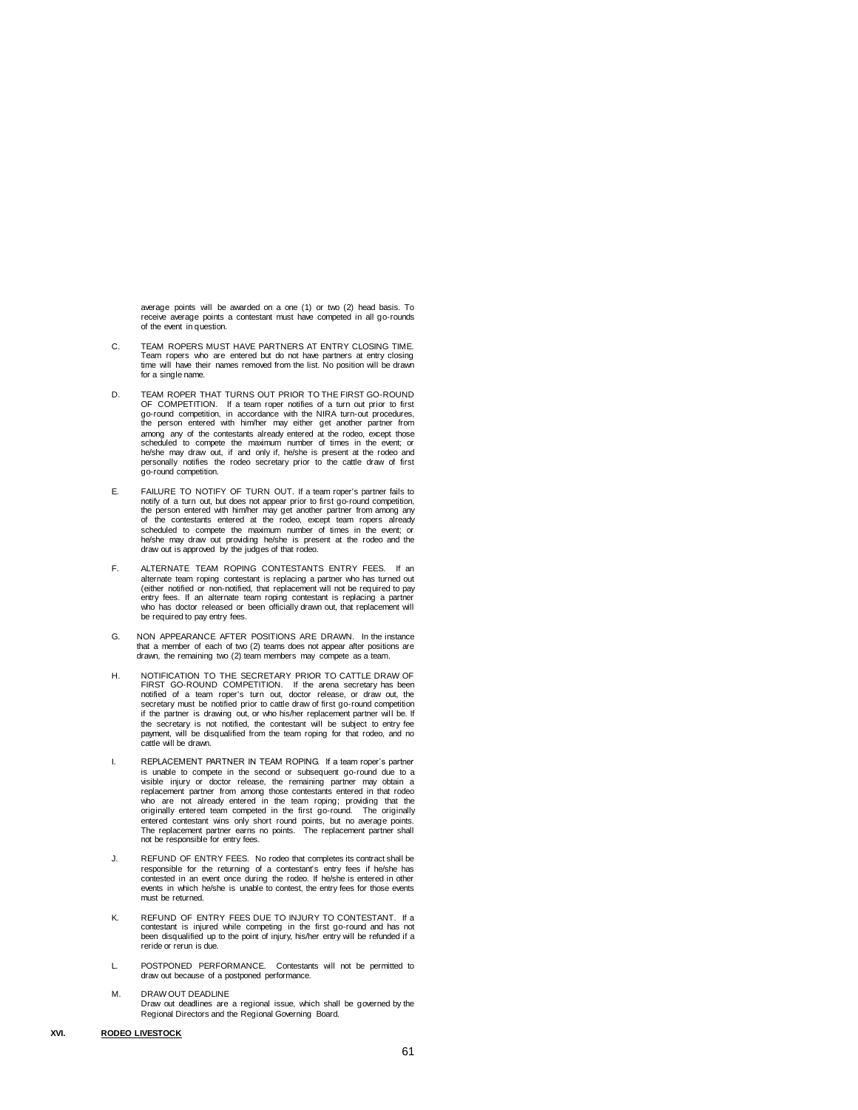average points will be awarded on a one (1) or two (2) head basis. To receive average points a contestant must have competed in all go-rounds of the event in question.

- C. TEAM ROPERS MUST HAVE PARTNERS AT ENTRY CLOSING TIME. Team ropers who are entered but do not have partners at entry closing time will have their names removed from the list. No position will be drawn for a single name.
- D. TEAM ROPER THAT TURNS OUT PRIOR TO THE FIRST GO-ROUND OF COMPETITION. If a team roper notifies of a turn out prior to first go-round competition, in accordance with the NIRA turn-out procedures, the person entered with him/her may either get another partner from among any of the contestants already entered at the rodeo, except those scheduled to compete the maximum number of times in the event; or he/she may draw out, if and only if, he/she is present at the rodeo and personally notifies the rodeo secretary prior to the cattle draw of first go-round competition.
- E. FAILURE TO NOTIFY OF TURN OUT. If a team roper's partner fails to notify of a turn out, but does not appear prior to first go-round competition, the person entered with him/her may get another partner from among any of the contestants entered at the rodeo, except team ropers already scheduled to compete the maximum number of times in the event; or he/she may draw out providing he/she is present at the rodeo and the draw out is approved by the judges of that rodeo.
- F. ALTERNATE TEAM ROPING CONTESTANTS ENTRY FEES. If an alternate team roping contestant is replacing a partner who has turned out (either notified or non-notified, that replacement will not be required to pay entry fees. If an alternate team roping contestant is replacing a partner who has doctor released or been officially drawn out, that replacement will be required to pay entry fees.
- G. NON APPEARANCE AFTER POSITIONS ARE DRAWN. In the instance that a member of each of two (2) teams does not appear after positions are drawn, the remaining two (2) team members may compete as a team.
- H. NOTIFICATION TO THE SECRETARY PRIOR TO CATTLE DRAW OF FIRST GO-ROUND COMPETITION. If the arena secretary has been notified of a team roper's turn out, doctor release, or draw out, the secretary must be notified prior to cattle draw of first go-round competition if the partner is drawing out, or who his/her replacement partner will be. If the secretary is not notified, the contestant will be subject to entry fee payment, will be disqualified from the team roping for that rodeo, and no cattle will be drawn.
- I. REPLACEMENT PARTNER IN TEAM ROPING. If a team roper's partner is unable to compete in the second or subsequent go-round due to a visible injury or doctor release, the remaining partner may obtain a replacement partner from among those contestants entered in that rodeo who are not already entered in the team roping; providing that the originally entered team competed in the first go-round. The originally entered contestant wins only short round points, but no average points. The replacement partner earns no points. The replacement partner shall not be responsible for entry fees.
- J. REFUND OF ENTRY FEES. No rodeo that completes its contract shall be responsible for the returning of a contestant's entry fees if he/she has<br>contested in an event once during the rodeo. If he/she is entered in other<br>events in which he/she is unable to contest, the entry fees for those even must be returned.
- REFUND OF ENTRY FEES DUE TO INJURY TO CONTESTANT. If a contestant is injured while competing in the first go-round and has not been disqualified up to the point of injury, his/her entry will be refunded if a reride or rerun is due.
- L. POSTPONED PERFORMANCE. Contestants will not be permitted to draw out because of a postponed performance.
- M. DRAW OUT DEADLINE Draw out deadlines are a regional issue, which shall be governed by the Regional Directors and the Regional Governing Board.
- **XVI. RODEO LIVESTOCK**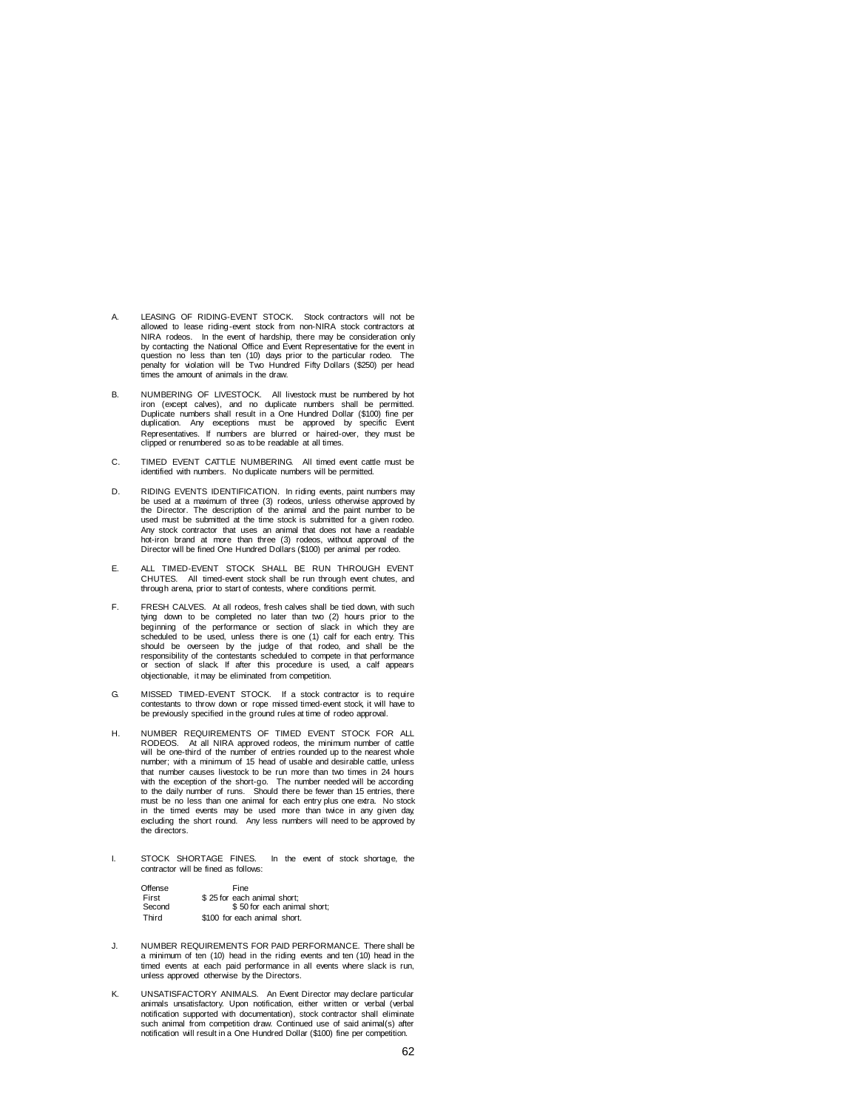- A. LEASING OF RIDING-EVENT STOCK. Stock contractors will not be allowed to lease riding-event stock from non-NIRA stock contractors at NIRA rodeos. In the event of hardship, there may be consideration only by contacting the National Office and Event Representative for the event in question no less than ten (10) days prior to the particular rodeo. The guestion no less than ten (10) days prior to the particular rodeo. penalty for violation will be Two Hundred Fifty Dollars (\$250) per head times the amount of animals in the draw.
- B. NUMBERING OF LIVESTOCK. All livestock must be numbered by hot iron (except calves), and no duplicate numbers shall be permitted. Duplicate numbers shall result in a One Hundred Dollar (\$100) fine per duplication. Any exceptions must be approved by specific Event Representatives. If numbers are blurred or haired-over, they must be clipped or renumbered so as to be readable at all times.
- C. TIMED EVENT CATTLE NUMBERING. All timed event cattle must be identified with numbers. No duplicate numbers will be permitted.
- D. RIDING EVENTS IDENTIFICATION. In riding events, paint numbers may be used at a maximum of three (3) rodeos, unless otherwise approved by the Director. The description of the animal and the paint number to be used must be submitted at the time stock is submitted for a given rodeo. Any stock contractor that uses an animal that does not have a readable hot-iron brand at more than three (3) rodeos, without approval of the Director will be fined One Hundred Dollars (\$100) per animal per rodeo.
- E. ALL TIMED-EVENT STOCK SHALL BE RUN THROUGH EVENT CHUTES. All timed-event stock shall be run through event chutes, and through arena, prior to start of contests, where conditions permit.
- F. FRESH CALVES. At all rodeos, fresh calves shall be tied down, with such tying down to be completed no later than two (2) hours prior to the beginning of the performance or section of slack in which they are scheduled to be used, unless there is one (1) calf for each entry. This should be overseen by the judge of that rodeo, and shall be the<br>responsibility of the contestants scheduled to compete in that performance<br>or section of slack. If after this procedure is used, a calf appears objectionable, it may be eliminated from competition.
- G. MISSED TIMED-EVENT STOCK. If a stock contractor is to require contestants to throw down or rope missed timed-event stock, it will have to be previously specified in the ground rules at time of rodeo approval.
- H. NUMBER REQUIREMENTS OF TIMED EVENT STOCK FOR ALL RODEOS. At all NIRA approved rodeos, the minimum number of cattle will be one-third of the number of entries rounded up to the nearest whole number; with a minimum of 15 head of usable and desirable cattle, unless that number causes livestock to be run more than two times in 24 hours with the exception of the short-go. The number needed will be according to the daily number of runs. Should there be fewer than 15 entries, there must be no less than one animal for each entry plus one extra. No stock in the timed events may be used more than twice in any given day, excluding the short round. Any less numbers will need to be approved by the directors.
- I. STOCK SHORTAGE FINES. In the event of stock shortage, the contractor will be fined as follows:

| Offense | Fine                         |
|---------|------------------------------|
| First   | \$25 for each animal short:  |
| Second  | \$50 for each animal short:  |
| Third   | \$100 for each animal short. |

- J. NUMBER REQUIREMENTS FOR PAID PERFORMANCE. There shall be a minimum of ten (10) head in the riding events and ten (10) head in the timed events at each paid performance in all events where slack is run, unless approved otherwise by the Directors.
- K. UNSATISFACTORY ANIMALS. An Event Director may declare particular<br>animals unsatisfactory. Upon notification, either written or verbal (verbal<br>notification supported with documentation), stock contractor shall eliminate such animal from competition draw. Continued use of said animal(s) after notification will result in a One Hundred Dollar (\$100) fine per competition.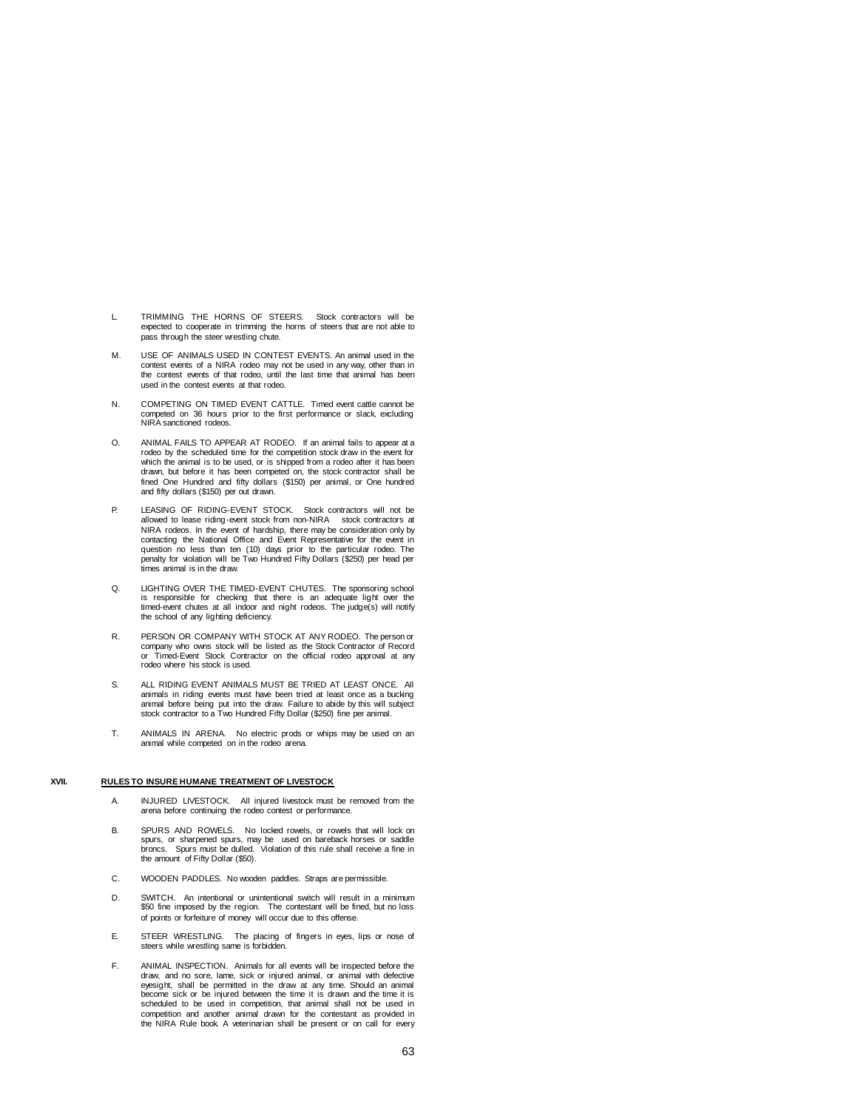- L. TRIMMING THE HORNS OF STEERS. Stock contractors will be expected to cooperate in trimming the horns of steers that are not able to pass through the steer wrestling chute.
- M. USE OF ANIMALS USED IN CONTEST EVENTS. An animal used in the contest events of a NIRA rodeo may not be used in any way, other than in the contest events of that rodeo, until the last time that animal has been used in the contest events at that rodeo.
- N. COMPETING ON TIMED EVENT CATTLE. Timed event cattle cannot be competed on 36 hours prior to the first performance or slack, excluding NIRA sanctioned rodeos.
- O. ANIMAL FAILS TO APPEAR AT RODEO. If an animal fails to appear at a rodeo by the scheduled time for the competition stock draw in the event for which the animal is to be used, or is shipped from a rodeo after it has been drawn, but before it has been competed on, the stock contractor shall be fined One Hundred and fifty dollars (\$150) per animal, or One hundred and fifty dollars (\$150) per out drawn.
- P. LEASING OF RIDING-EVENT STOCK. Stock contractors will not be allowed to lease riding-event stock from non-NIRA stock contractors at NIRA rodeos. In the event of hardship, there may be consideration only by contacting the National Office and Event Representative for the event in question no less than ten (10) days prior to the particular rodeo. The penalty for violation will be Two Hundred Fifty Dollars (\$250) per head per times animal is in the draw.
- Q. LIGHTING OVER THE TIMED-EVENT CHUTES. The sponsoring school is responsible for checking that there is an adequate light over the timed-event chutes at all indoor and night rodeos. The judge(s) will notify the school of any lighting deficiency.
- R. PERSON OR COMPANY WITH STOCK AT ANY RODEO. The person or company who owns stock will be listed as the Stock Contractor of Record or Timed-Event Stock Contractor on the official rodeo approval at any rodeo where his stock is used.
- S. ALL RIDING EVENT ANIMALS MUST BE TRIED AT LEAST ONCE. All animals in riding events must have been tried at least once as a bucking<br>animal before being put into the draw. Failure to abide by this will subject<br>stock contractor to a Two Hundred Fifty Dollar (\$250) fine per animal.
- T. ANIMALS IN ARENA. No electric prods or whips may be used on an animal while competed on in the rodeo arena.

### **XVII. RULES TO INSURE HUMANE TREATMENT OF LIVESTOCK**

- A. INJURED LIVESTOCK. All injured livestock must be removed from the arena before continuing the rodeo contest or performance.
- B. SPURS AND ROWELS. No locked rowels, or rowels that will lock on spurs, or sharpened spurs, may be used on bareback horses or saddle broncs. Spurs must be dulled. Violation of this rule shall receive a fine in the amount of Fifty Dollar (\$50).
- C. WOODEN PADDLES. No wooden paddles. Straps are permissible.
- D. SWITCH. An intentional or unintentional switch will result in a minimum \$50 fine imposed by the region. The contestant will be fined, but no loss of points or forfeiture of money will occur due to this offense.
- E. STEER WRESTLING. The placing of fingers in eyes, lips or nose of steers while wrestling same is forbidden.
- F. ANIMAL INSPECTION. Animals for all events will be inspected before the draw, and no sore, lame, sick or injured animal, or animal with defective eyesight, shall be permitted in the draw at any time. Should an animal become sick or be injured between the time it is drawn and the time it is scheduled to be used in competition, that animal shall not be used in competition and another animal drawn for the contestant as provided in the NIRA Rule book. A veterinarian shall be present or on call for every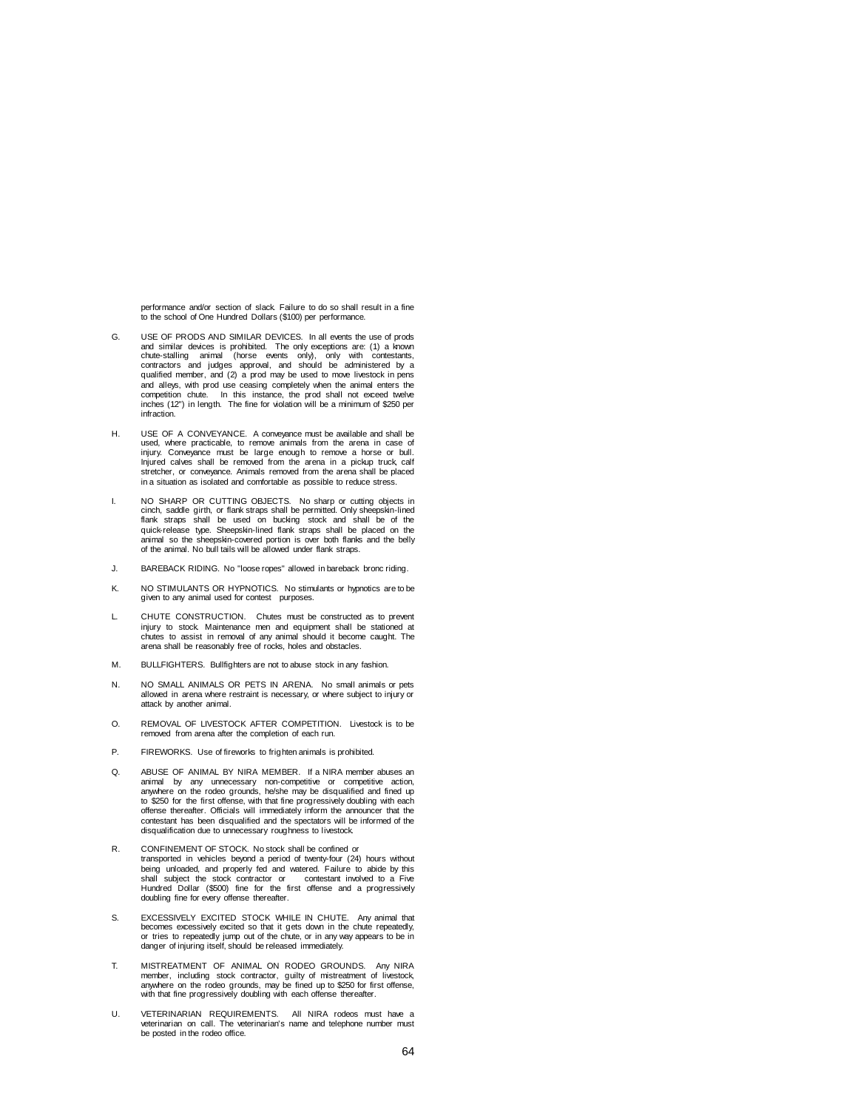performance and/or section of slack. Failure to do so shall result in a fine to the school of One Hundred Dollars (\$100) per performance.

- G. USE OF PRODS AND SIMILAR DEVICES. In all events the use of prods and similar devices is prohibited. The only exceptions are: (1) a known<br>chute-stalling animal (horse events only), only with contestants,<br>contractors and judges approval, and should be administered by a<br>qualified member, a and alleys, with prod use ceasing completely when the animal enters the competition chute. In this instance, the prod shall not exceed twelve inches (12") in length. The fine for violation will be a minimum of \$250 per infraction.
- H. USE OF A CONVEYANCE. A conveyance must be available and shall be used, where practicable, to remove animals from the arena in case of injury. Conveyance must be large enough to remove a horse or bull. Injured calves shall be removed from the arena in a pickup truck, calf stretcher, or conveyance. Animals removed from the arena shall be placed in a situation as isolated and comfortable as possible to reduce stress.
- I. NO SHARP OR CUTTING OBJECTS. No sharp or cutting objects in cinch, saddle girth, or flank straps shall be permitted. Only sheepskin-lined flank straps shall be used on bucking stock and shall be of the quick-release type. Sheepskin-lined flank straps shall be placed on the animal so the sheepskin-covered portion is over both flanks and the belly of the animal. No bull tails will be allowed under flank straps.
- J. BAREBACK RIDING. No "loose ropes" allowed in bareback bronc riding.
- NO STIMULANTS OR HYPNOTICS. No stimulants or hypnotics are to be given to any animal used for contest purposes.
- L. CHUTE CONSTRUCTION. Chutes must be constructed as to prevent injury to stock. Maintenance men and equipment shall be stationed at chutes to assist in removal of any animal should it become caught. The arena shall be reasonably free of rocks, holes and obstacles.
- M. BULLFIGHTERS. Bullfighters are not to abuse stock in any fashion.
- N. NO SMALL ANIMALS OR PETS IN ARENA. No small animals or pets allowed in arena where restraint is necessary, or where subject to injury or attack by another animal.
- O. REMOVAL OF LIVESTOCK AFTER COMPETITION. Livestock is to be removed from arena after the completion of each run.
- P. FIREWORKS. Use of fireworks to frighten animals is prohibited.
- Q. ABUSE OF ANIMAL BY NIRA MEMBER. If a NIRA member abuses an animal by any unnecessary non-competitive or competitive action, anywhere on the rodeo grounds, he/she may be disqualified and fined up to \$250 for the first offense, with that fine progressively doubling with each offense thereafter. Officials will immediately inform the announcer that the contestant has been disqualified and the spectators will be informed of the disqualification due to unnecessary roughness to livestock.
- R. CONFINEMENT OF STOCK. No stock shall be confined or transported in vehicles beyond a period of twenty-four (24) hours without being unloaded, and properly fed and watered. Failure to abide by this shall subject the stock contractor or contestant involved to a Five Hundred Dollar (\$500) fine for the first offense and a progressively doubling fine for every offense thereafter.
- S. EXCESSIVELY EXCITED STOCK WHILE IN CHUTE. Any animal that becomes excessively excited so that it gets down in the chute repeatedly, or tries to repeatedly jump out of the chute, or in any way appears to be in danger of injuring itself, should be released immediately.
- T. MISTREATMENT OF ANIMAL ON RODEO GROUNDS. Any NIRA member, including stock contractor, guilty of mistreatment of livestock, anywhere on the rodeo grounds, may be fined up to \$250 for first offense, with that fine progressively doubling with each offense thereafter.
- U. VETERINARIAN REQUIREMENTS. All NIRA rodeos must have a veterinarian on call. The veterinarian's name and telephone number must be posted in the rodeo office.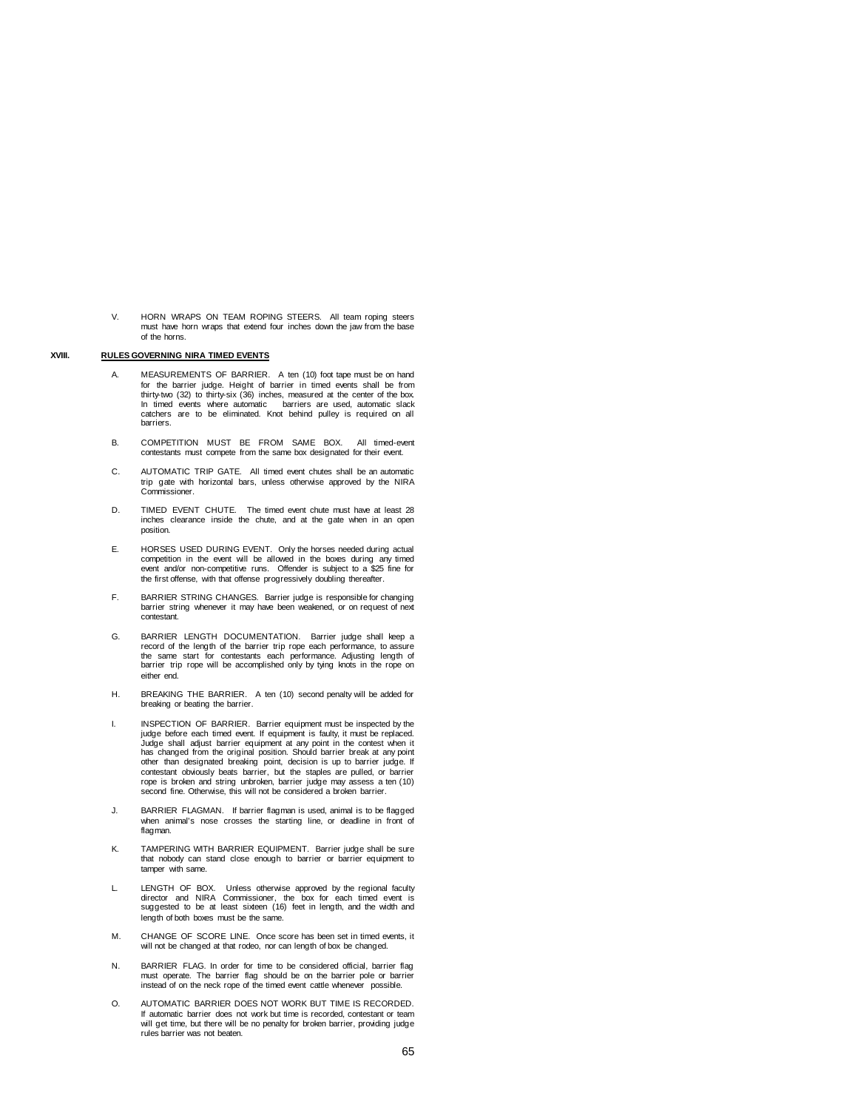V. HORN WRAPS ON TEAM ROPING STEERS. All team roping steers must have horn wraps that extend four inches down the jaw from the base of the horns.

## **XVIII. RULES GOVERNING NIRA TIMED EVENTS**

- A. MEASUREMENTS OF BARRIER. A ten (10) foot tape must be on hand for the barrier judge. Height of barrier in timed events shall be from thirty-two (32) to thirty-six (36) inches, measured at the center of the box. In timed events where automatic barriers are used, automatic slack catchers are to be eliminated. Knot behind pulley is required on all barriers.
- B. COMPETITION MUST BE FROM SAME BOX. All timed-event contestants must compete from the same box designated for their event.
- C. AUTOMATIC TRIP GATE. All timed event chutes shall be an automatic trip gate with horizontal bars, unless otherwise approved by the NIRA Commissioner.
- D. TIMED EVENT CHUTE. The timed event chute must have at least 28 inches clearance inside the chute, and at the gate when in an open position.
- E. HORSES USED DURING EVENT. Only the horses needed during actual competition in the event will be allowed in the boxes during any timed event and/or non-competitive runs. Offender is subject to a \$25 fine for the first offense, with that offense progressively doubling thereafter.
- F. BARRIER STRING CHANGES. Barrier judge is responsible for changing barrier string whenever it may have been weakened, or on request of next contestant.
- G. BARRIER LENGTH DOCUMENTATION. Barrier judge shall keep a record of the length of the barrier trip rope each performance, to assure the same start for contestants each performance. Adjusting length of barrier trip rope will be accomplished only by tying knots in the rope on either end.
- H. BREAKING THE BARRIER. A ten (10) second penalty will be added for breaking or beating the barrier.
- I. INSPECTION OF BARRIER. Barrier equipment must be inspected by the judge before each timed event. If equipment is faulty, it must be replaced. Judge shall adjust barrier equipment at any point in the contest when it has changed from the original position. Should barrier break at any point other than designated breaking point, decision is up to barrier judge. If contestant obviously beats barrier, but the staples are pulled, or barrier rope is broken and string unbroken, barrier judge may assess a ten (10) second fine. Otherwise, this will not be considered a broken barrier.
- J. BARRIER FLAGMAN. If barrier flagman is used, animal is to be flagged when animal's nose crosses the starting line, or deadline in front of flagman.
- K. TAMPERING WITH BARRIER EQUIPMENT. Barrier judge shall be sure that nobody can stand close enough to barrier or barrier equipment to tamper with same.
- L. LENGTH OF BOX. Unless otherwise approved by the regional faculty director and NIRA Commissioner, the box for each timed event is suggested to be at least sixteen (16) feet in length, and the width and length of both boxes must be the same.
- M. CHANGE OF SCORE LINE. Once score has been set in timed events, it will not be changed at that rodeo, nor can length of box be changed.
- N. BARRIER FLAG. In order for time to be considered official, barrier flag must operate. The barrier flag should be on the barrier pole or barrier instead of on the neck rope of the timed event cattle whenever possible.
- O. AUTOMATIC BARRIER DOES NOT WORK BUT TIME IS RECORDED. If automatic barrier does not work but time is recorded, contestant or team will get time, but there will be no penalty for broken barrier, providing judge rules barrier was not beaten.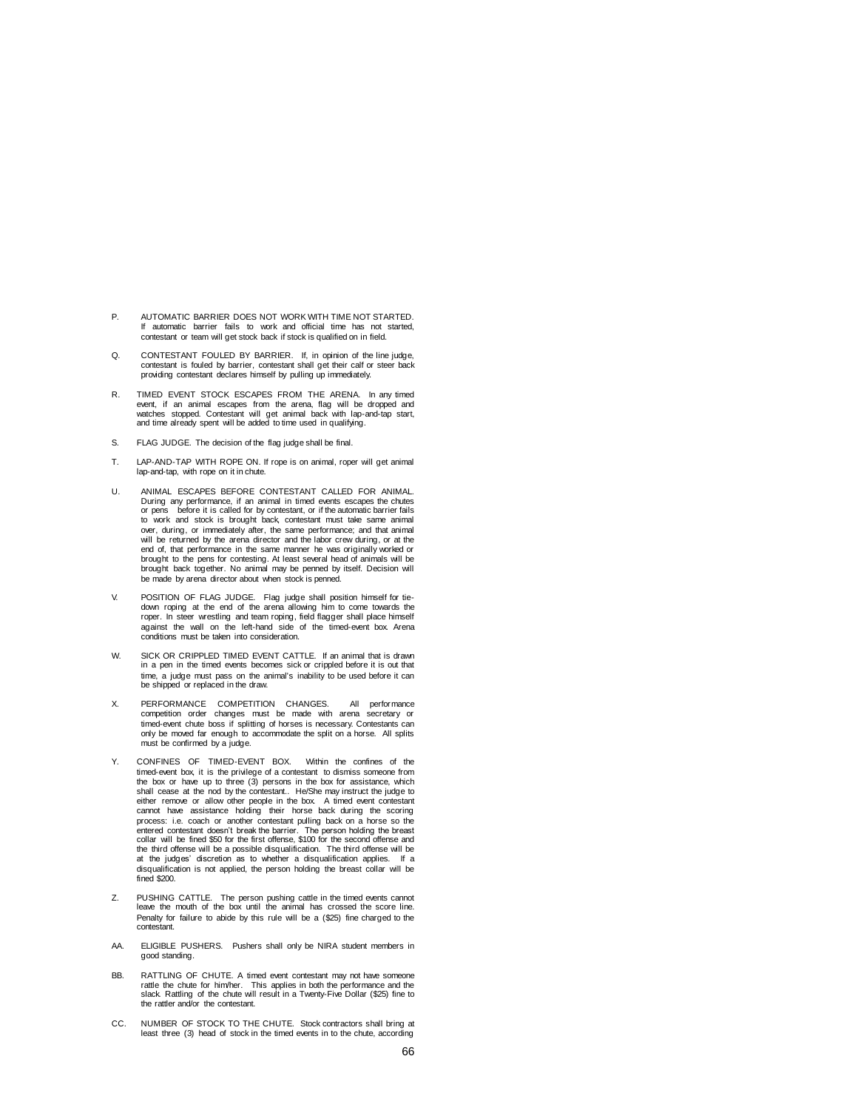- P. AUTOMATIC BARRIER DOES NOT WORK WITH TIME NOT STARTED. If automatic barrier fails to work and official time has not started, contestant or team will get stock back if stock is qualified on in field.
- Q. CONTESTANT FOULED BY BARRIER. If, in opinion of the line judge, contestant is fouled by barrier, contestant shall get their calf or steer back providing contestant declares himself by pulling up immediately.
- R. TIMED EVENT STOCK ESCAPES FROM THE ARENA. In any timed event, if an animal escapes from the arena, flag will be dropped and watches stopped. Contestant will get animal back with lap-and-tap start, and time already spent will be added to time used in qualifying.
- S. FLAG JUDGE. The decision of the flag judge shall be final.
- T. LAP-AND-TAP WITH ROPE ON. If rope is on animal, roper will get animal lap-and-tap, with rope on it in chute.
- U. ANIMAL ESCAPES BEFORE CONTESTANT CALLED FOR ANIMAL.  $D$ uring any performance, if an animal in timed events escapes the chutes or pens before it is called for by contestant, or if the automatic barrier fails before it is called for by contestant, or if the automatic barrier fails to work and stock is brought back, contestant must take same animal over, during, or immediately after, the same performance; and that animal will be returned by the arena director and the labor crew during, or at the end of, that performance in the same manner he was originally worked or brought to the pens for contesting. At least several head of animals will be brought back together. No animal may be penned by itself. Decision will be made by arena director about when stock is penned.
- V. POSITION OF FLAG JUDGE. Flag judge shall position himself for tie-down roping at the end of the arena allowing him to come towards the roper. In steer wrestling and team roping, field flagger shall place himself against the wall on the left-hand side of the timed-event box. Arena conditions must be taken into consideration.
- W. SICK OR CRIPPLED TIMED EVENT CATTLE. If an animal that is drawn in a pen in the timed events becomes sick or crippled before it is out that time, a judge must pass on the animal's inability to be used before it can be shipped or replaced in the draw.
- X. PERFORMANCE COMPETITION CHANGES. All performance competition order changes must be made with arena secretary or timed-event chute boss if splitting of horses is necessary. Contestants can only be moved far enough to accommodate the split on a horse. All splits must be confirmed by a judge.
- Y. CONFINES OF TIMED-EVENT BOX. Within the confines of the timed-event box, it is the privilege of a contestant to dismiss someone from the box or have up to three  $(3)$  persons in the box for assistance, which shall cease at the nod by the contestant.. He/She may instruct the judge to either remove or allow other people in the box. A timed event contestant cannot have assistance holding their horse back during the scoring process: i.e. coach or another contestant pulling back on a horse so the entered contestant doesn't break the barrier. The person holding the breast collar will be fined \$50 for the first offense, \$100 for the second offense and the third offense will be a possible disqualification. The third offense will be at the judges' discretion as to whether a disqualification applies. If a disqualification is not applied, the person holding the breast collar will be fined \$200.
- Z. PUSHING CATTLE. The person pushing cattle in the timed events cannot leave the mouth of the box until the animal has crossed the score line. Penalty for failure to abide by this rule will be a (\$25) fine charged to the contestant.
- AA. ELIGIBLE PUSHERS. Pushers shall only be NIRA student members in good standing.
- BB. RATTLING OF CHUTE. A timed event contestant may not have someone rattle the chute for him/her. This applies in both the performance and the shattling of the chute will result in a Twenty-Five Dollar (\$25) fine to the rattler and/or the contestant.
- CC. NUMBER OF STOCK TO THE CHUTE. Stock contractors shall bring at least three (3) head of stock in the timed events in to the chute, according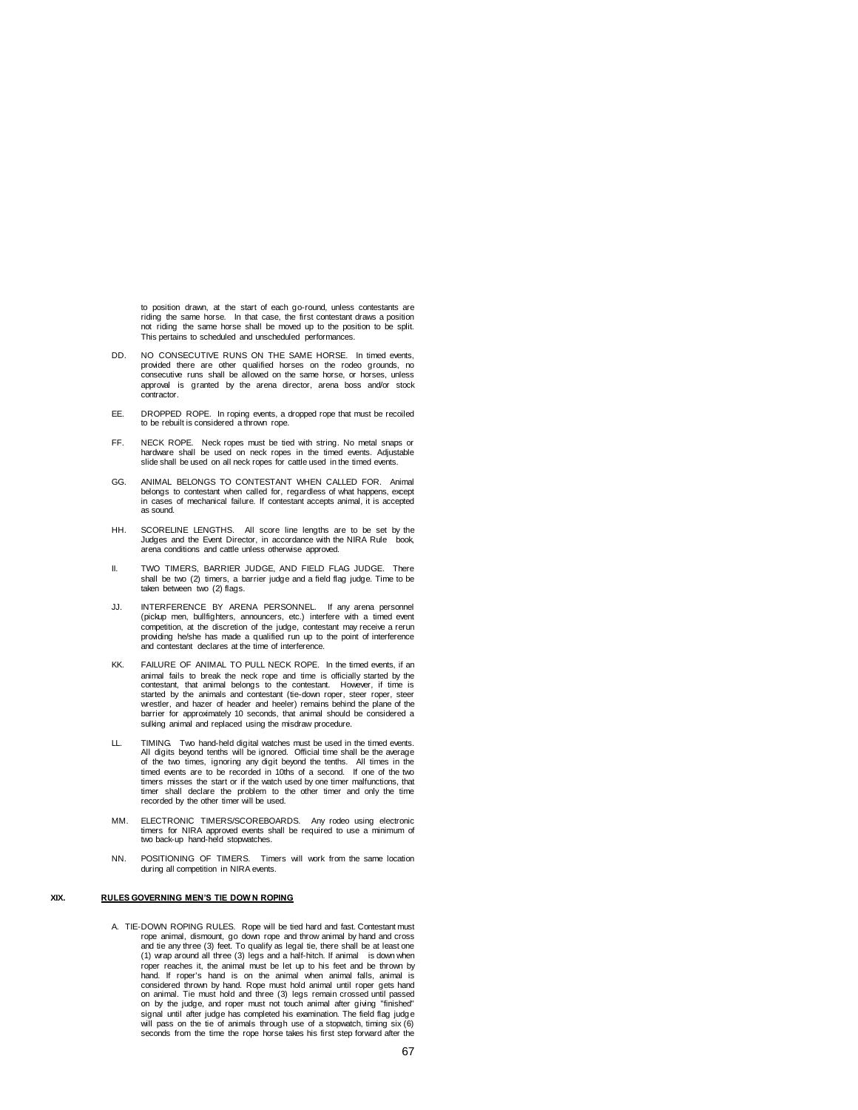to position drawn, at the start of each go-round, unless contestants are riding the same horse. In that case, the first contestant draws a position not riding the same horse shall be moved up to the position to be split. This pertains to scheduled and unscheduled performances.

- DD. NO CONSECUTIVE RUNS ON THE SAME HORSE. In timed events, provided there are other qualified horses on the rodeo grounds, no consecutive runs shall be allowed on the same horse, or horses, unless approval is granted by the arena director, arena boss and/or stock contractor.
- EE. DROPPED ROPE. In roping events, a dropped rope that must be recoiled to be rebuilt is considered a thrown rope.
- FF. NECK ROPE. Neck ropes must be tied with string. No metal snaps or hardware shall be used on neck ropes in the timed events. Adjustable slide shall be used on all neck ropes for cattle used in the timed events.
- GG. ANIMAL BELONGS TO CONTESTANT WHEN CALLED FOR. Animal belongs to contestant when called for, regardless of what happens, except in cases of mechanical failure. If contestant accepts animal, it is accepted as sound.
- HH. SCORELINE LENGTHS. All score line lengths are to be set by the Judges and the Event Director, in accordance with the NIRA Rule book, arena conditions and cattle unless otherwise approved.
- II. TWO TIMERS, BARRIER JUDGE, AND FIELD FLAG JUDGE. There shall be two (2) timers, a barrier judge and a field flag judge. Time to be taken between two (2) flags.
- JJ. INTERFERENCE BY ARENA PERSONNEL. If any arena personnel (pickup men, bullfighters, announcers, etc.) interfere with a timed event competition, at the discretion of the judge, contestant may receive a rerun providing he/she has made a qualified run up to the point of interference and contestant declares at the time of interference.
- KK. FAILURE OF ANIMAL TO PULL NECK ROPE. In the timed events, if an animal fails to break the neck rope and time is officially started by the contestant, that animal belongs to the contestant. However, if time is started by the animals and contestant (tie-down roper, steer roper, steer wrestler, and hazer of header and heeler) remains behind the plane of the barrier for approximately 10 seconds, that animal should be considered a sulking animal and replaced using the misdraw procedure.
- LL. TIMING. Two hand-held digital watches must be used in the timed events. All digits beyond tenths will be ignored. Official time shall be the average of the two times, ignoring any digit beyond the tenths. All times in the timed events are to be recorded in 10ths of a second. If one of the two timers misses the start or if the watch used by one timer malfunctions, that timer shall declare the problem to the other timer and only the time shall declare the problem to the other timer and only the time recorded by the other timer will be used.
- MM. ELECTRONIC TIMERS/SCOREBOARDS. Any rodeo using electronic timers for NIRA approved events shall be required to use a minimum of two back-up hand-held stopwatches.
- NN. POSITIONING OF TIMERS. Timers will work from the same location during all competition in NIRA events.

#### **XIX. RULES GOVERNING MEN'S TIE DOW N ROPING**

A. TIE-DOWN ROPING RULES. Rope will be tied hard and fast. Contestant must rope animal, dismount, go down rope and throw animal by hand and cross and tie any three (3) feet. To qualify as legal tie, there shall be at least one (1) wrap around all three (3) legs and a half-hitch. If animal is down when roper reaches it, the animal must be let up to his feet and be thrown by hand. If roper's hand is on the animal when animal falls, animal is considered thrown by hand. Rope must hold animal until roper gets hand on animal. Tie must hold and three (3) legs remain crossed until passed on by the judge, and roper must not touch animal after giving "finished" signal until after judge has completed his examination. The field flag judge will pass on the tie of animals through use of a stopwatch, timing six (6) seconds from the time the rope horse takes his first step forward after the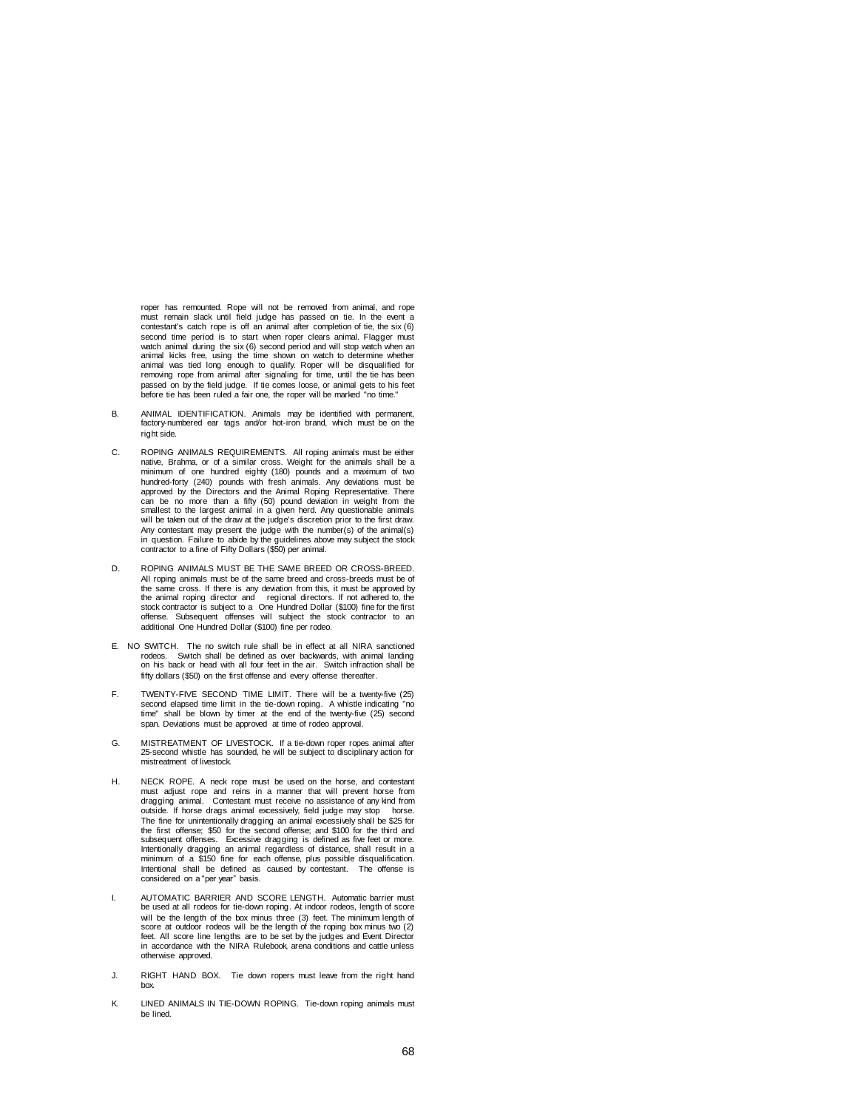roper has remounted. Rope will not be removed from animal, and rope must remain slack until field judge has passed on tie. In the event a contestant's catch rope is off an animal after completion of tie, the six (6) second time period is to start when roper clears animal. Flagger must watch animal during the six (6) second period and will stop watch when an animal kicks free, using the time shown on watch to determine whether animal was tied long enough to qualify. Roper will be disqualified for removing rope from animal after signaling for time, until the tie has been passed on by the field judge. If tie comes loose, or animal gets to his feet before tie has been ruled a fair one, the roper will be marked "no time."

- B. ANIMAL IDENTIFICATION. Animals may be identified with permanent, factory-numbered ear tags and/or hot-iron brand, which must be on the right side.
- C. ROPING ANIMALS REQUIREMENTS. All roping animals must be either native, Brahma, or of a similar cross. Weight for the animals shall be a minimum of one hundred eighty (180) pounds and a maximum of two hundred-forty (240) pounds with fresh animals. Any deviations must be approved by the Directors and the Animal Roping Representative. There can be no more than a fifty (50) pound deviation in weight from the smallest to the largest animal in a given herd. Any questionable animals will be taken out of the draw at the judge's discretion prior to the first draw. Any contestant may present the judge with the number(s) of the animal(s) in question. Failure to abide by the guidelines above may subject the stock contractor to a fine of Fifty Dollars (\$50) per animal.
- D. ROPING ANIMALS MUST BE THE SAME BREED OR CROSS-BREED. All roping animals must be of the same breed and cross-breeds must be of the same cross. If there is any deviation from this, it must be approved by the animal roping director and regional directors. If not adhered to, the stock contractor is subject to a One Hundred Dollar (\$100) fine for the first offense. Subsequent offenses will subject the stock contractor to an additional One Hundred Dollar (\$100) fine per rodeo.
- E. NO SWITCH. The no switch rule shall be in effect at all NIRA sanctioned rodeos. Switch shall be defined as over backwards, with animal landing on his back or head with all four feet in the air. Switch infraction shall be fifty dollars (\$50) on the first offense and every offense thereafter.
- F. TWENTY-FIVE SECOND TIME LIMIT. There will be a twenty-five (25) second elapsed time limit in the tie-down roping. A whistle indicating "no time" shall be blown by timer at the end of the twenty-five (25) second span. Deviations must be approved at time of rodeo approval.
- G. MISTREATMENT OF LIVESTOCK. If a tie-down roper ropes animal after 25-second whistle has sounded, he will be subject to disciplinary action for mistreatment of livestock.
- H. NECK ROPE. A neck rope must be used on the horse, and contestant must adjust rope and reins in a manner that will prevent horse from dragging animal. Contestant must receive no assistance of any kind from outside. If horse drags animal excessively, field judge may stop horse. The fine for unintentionally dragging an animal excessively shall be \$25 for the first offense; \$50 for the second offense; and \$100 for the third and subsequent offenses. Excessive dragging is defined as five feet or more. Intentionally dragging an animal regardless of distance, shall result in a minimum of a \$150 fine for each offense, plus possible disqualification. Intentional shall be defined as caused by contestant. The offense is considered on a "per year" basis.
- I. AUTOMATIC BARRIER AND SCORE LENGTH. Automatic barrier must be used at all rodeos for tie-down roping. At indoor rodeos, length of score will be the length of the box minus three (3) feet. The minimum length of score at outdoor rodeos will be the length of the roping box minus two (2) feet. All score line lengths are to be set by the judges and Event Director in accordance with the NIRA Rulebook, arena conditions and cattle unless otherwise approved.
- J. RIGHT HAND BOX. Tie down ropers must leave from the right hand box.
- K. LINED ANIMALS IN TIE-DOWN ROPING. Tie-down roping animals must be lined.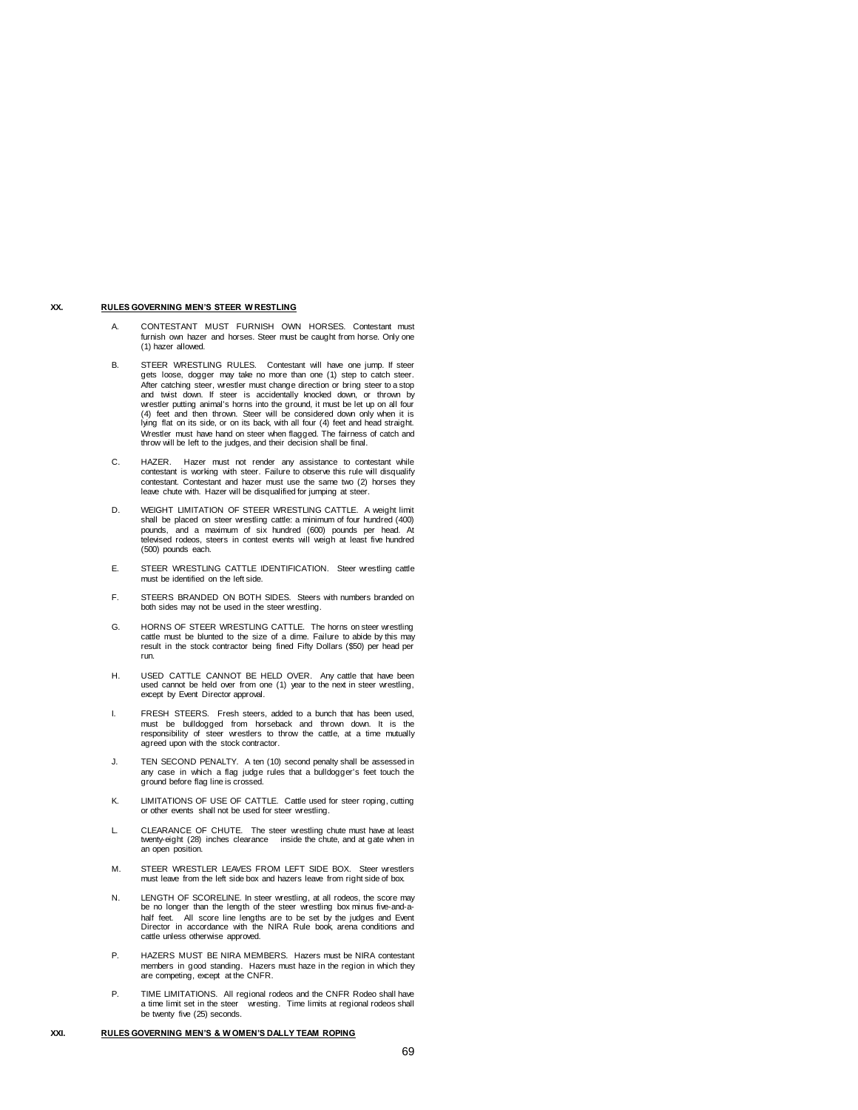## **XX. RULES GOVERNING MEN'S STEER W RESTLING**

- A. CONTESTANT MUST FURNISH OWN HORSES. Contestant must furnish own hazer and horses. Steer must be caught from horse. Only one (1) hazer allowed.
- B. STEER WRESTLING RULES. Contestant will have one jump. If steer gets loose, dogger may take no more than one (1) step to catch steer. After catching steer, wrestler must change direction or bring steer to a stop and twist down. If steer is accidentally knocked down, or thrown by wrestler putting animal's horns into the ground, it must be let up on all four (4) feet and then thrown. Steer will be considered down only when it is lying flat on its side, or on its back, with all four (4) feet and head straight. Wrestler must have hand on steer when flagged. The fairness of catch and throw will be left to the judges, and their decision shall be final.
- C. HAZER. Hazer must not render any assistance to contestant while contestant is working with steer. Failure to observe this rule will disqualify contestant. Contestant and hazer must use the same two (2) horses they leave chute with. Hazer will be disqualified for jumping at steer.
- D. WEIGHT LIMITATION OF STEER WRESTLING CATTLE. A weight limit shall be placed on steer wrestling cattle: a minimum of four hundred (400) pounds, and a maximum of six hundred (600) pounds per head. At televised rodeos, steers in contest events will weigh at least five hundred (500) pounds each.
- E. STEER WRESTLING CATTLE IDENTIFICATION. Steer wrestling cattle must be identified on the left side.
- F. STEERS BRANDED ON BOTH SIDES. Steers with numbers branded on both sides may not be used in the steer wrestling.
- G. HORNS OF STEER WRESTLING CATTLE. The horns on steer wrestling cattle must be blunted to the size of a dime. Failure to abide by this may result in the stock contractor being fined Fifty Dollars (\$50) per head per run.
- H. USED CATTLE CANNOT BE HELD OVER. Any cattle that have been used cannot be held over from one (1) year to the next in steer wrestling, except by Event Director approval.
- I. FRESH STEERS. Fresh steers, added to a bunch that has been used, must be bulldogged from horseback and thrown down. It is the responsibility of steer wrestlers to throw the cattle, at a time mutually agreed upon with the stock contractor.
- J. TEN SECOND PENALTY. A ten (10) second penalty shall be assessed in any case in which a flag judge rules that a bulldogger's feet touch the ground before flag line is crossed.
- K. LIMITATIONS OF USE OF CATTLE. Cattle used for steer roping, cutting or other events shall not be used for steer wrestling.
- L. CLEARANCE OF CHUTE. The steer wrestling chute must have at least twenty-eight (28) inches clearance inside the chute, and at gate when in an open position.
- M. STEER WRESTLER LEAVES FROM LEFT SIDE BOX. Steer wrestlers must leave from the left side box and hazers leave from right side of box.
- N. LENGTH OF SCORELINE. In steer wrestling, at all rodeos, the score may be no longer than the length of the steer wrestling box minus five-and-a-<br>half feet. All score line lengths are to be set by the judges and Event All score line lengths are to be set by the judges and Event Director in accordance with the NIRA Rule book, arena conditions and cattle unless otherwise approved.
- P. HAZERS MUST BE NIRA MEMBERS. Hazers must be NIRA contestant members in good standing. Hazers must haze in the region in which they are competing, except at the CNFR.
- P. TIME LIMITATIONS. All regional rodeos and the CNFR Rodeo shall have a time limit set in the steer wresting. Time limits at regional rodeos shall be twenty five (25) seconds.

#### **XXI. RULES GOVERNING MEN'S & W OMEN'S DALLY TEAM ROPING**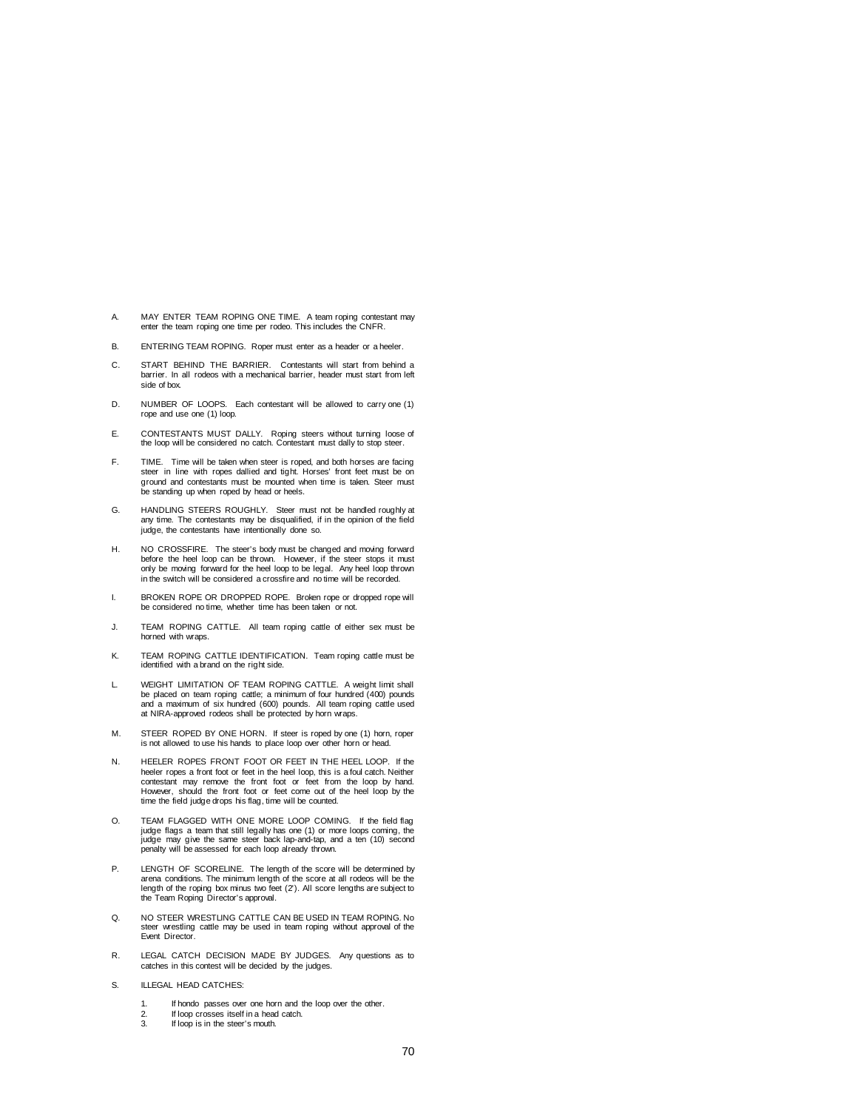- A. MAY ENTER TEAM ROPING ONE TIME. A team roping contestant may enter the team roping one time per rodeo. This includes the CNFR.
- B. ENTERING TEAM ROPING. Roper must enter as a header or a heeler.
- C. START BEHIND THE BARRIER. Contestants will start from behind a barrier. In all rodeos with a mechanical barrier, header must start from left side of box.
- D. NUMBER OF LOOPS. Each contestant will be allowed to carry one (1) rope and use one (1) loop.
- E. CONTESTANTS MUST DALLY. Roping steers without turning loose of the loop will be considered no catch. Contestant must dally to stop steer.
- F. TIME. Time will be taken when steer is roped, and both horses are facing steer in line with ropes dallied and tight. Horses' front feet must be on ground and contestants must be mounted when time is taken. Steer must be standing up when roped by head or heels.
- G. HANDLING STEERS ROUGHLY. Steer must not be handled roughly at any time. The contestants may be disqualified, if in the opinion of the field judge, the contestants have intentionally done so.
- H. NO CROSSFIRE. The steer's body must be changed and moving forward before the heel loop can be thrown. However, if the steer stops it must only be moving forward for the heel loop to be legal. Any heel loop thrown in the switch will be considered a crossfire and no time will be recorded.
- I. BROKEN ROPE OR DROPPED ROPE. Broken rope or dropped rope will be considered no time, whether time has been taken or not.
- J. TEAM ROPING CATTLE. All team roping cattle of either sex must be horned with wraps.
- K. TEAM ROPING CATTLE IDENTIFICATION. Team roping cattle must be identified with a brand on the right side.
- L. WEIGHT LIMITATION OF TEAM ROPING CATTLE. A weight limit shall be placed on team roping cattle; a minimum of four hundred (400) pounds and a maximum of six hundred (600) pounds. All team roping cattle used at NIRA-approved rodeos shall be protected by horn wraps.
- M. STEER ROPED BY ONE HORN. If steer is roped by one (1) horn, roper is not allowed to use his hands to place loop over other horn or head.
- N. HEELER ROPES FRONT FOOT OR FEET IN THE HEEL LOOP. If the heeler ropes a front foot or feet in the heel loop, this is a foul catch. Neither contestant may remove the front foot or feet from the loop by hand. However, should the front foot or feet come out of the heel loop by the time the field judge drops his flag, time will be counted.
- O. TEAM FLAGGED WITH ONE MORE LOOP COMING. If the field flag judge flags a team that still legally has one (1) or more loops coming, the judge may give the same steer back lap-and-tap, and a ten (10) second penalty will be assessed for each loop already thrown.
- P. LENGTH OF SCORELINE. The length of the score will be determined by arena conditions. The minimum length of the score at all rodeos will be the length of the roping box minus two feet (2'). All score lengths are subject to the Team Roping Director's approval.
- Q. NO STEER WRESTLING CATTLE CAN BE USED IN TEAM ROPING. No steer wrestling cattle may be used in team roping without approval of the Event Director.
- R. LEGAL CATCH DECISION MADE BY JUDGES. Any questions as to catches in this contest will be decided by the judges.
- S. **ILLEGAL HEAD CATCHES:** 
	- 1. If hondo passes over one horn and the loop over the other.
	- 2. If loop crosses itself in a head catch.<br> $\frac{3}{2}$  If loop is in the steer's mouth
	- If loop is in the steer's mouth.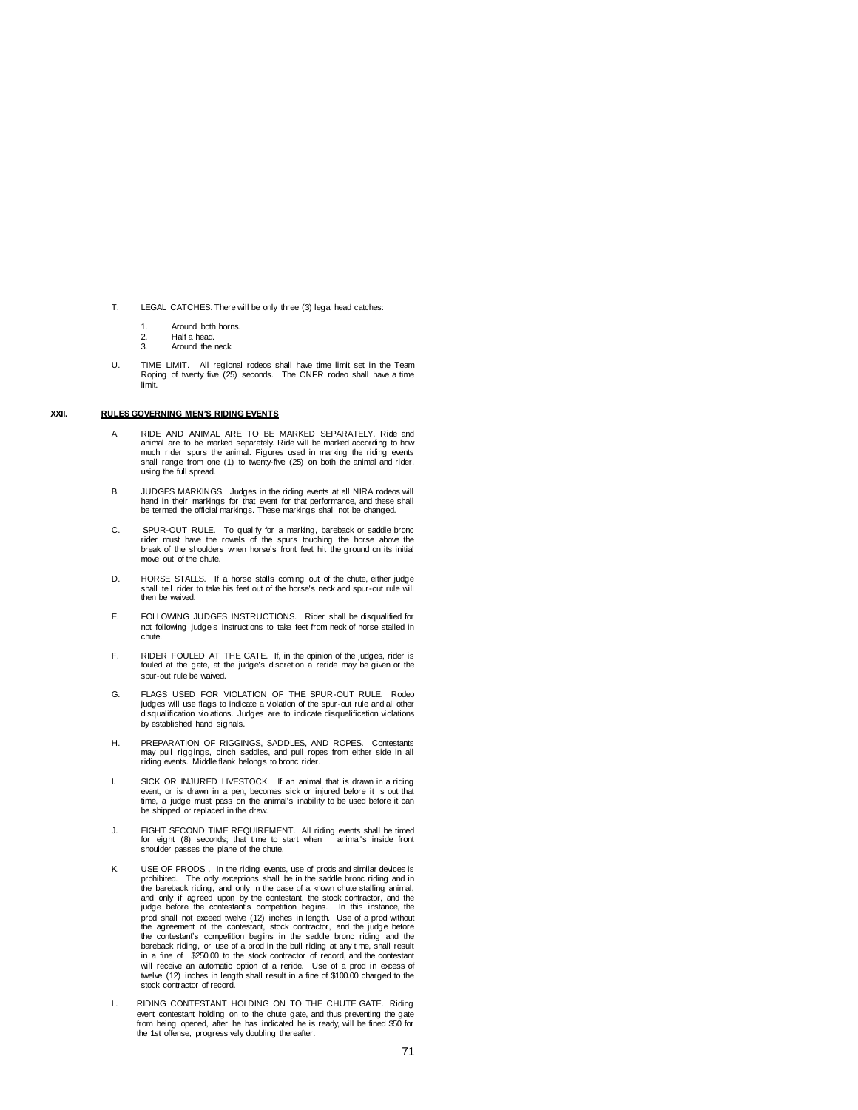- T. LEGAL CATCHES. There will be only three (3) legal head catches:
	-
	- 1. Around both horns.<br>2. Half a head. 2. Half a head.<br>3 Around the
	- Around the neck.
- U. TIME LIMIT. All regional rodeos shall have time limit set in the Team Roping of twenty five (25) seconds. The CNFR rodeo shall have a time limit.

## **XXII. RULES GOVERNING MEN'S RIDING EVENTS**

- A. RIDE AND ANIMAL ARE TO BE MARKED SEPARATELY. Ride and animal are to be marked separately. Ride will be marked according to how much rider spurs the animal. Figures used in marking the riding events shall range from one (1) to twenty-five (25) on both the animal and rider, using the full spread.
- B. JUDGES MARKINGS. Judges in the riding events at all NIRA rodeos will hand in their markings for that event for that performance, and these shall be termed the official markings. These markings shall not be changed.
- C. SPUR-OUT RULE. To qualify for a marking, bareback or saddle bronc rider must have the rowels of the spurs touching the horse above the break of the shoulders when horse's front feet hit the ground on its initial move out of the chute.
- D. HORSE STALLS. If a horse stalls coming out of the chute, either judge shall tell rider to take his feet out of the horse's neck and spur-out rule will then be waived.
- E. FOLLOWING JUDGES INSTRUCTIONS. Rider shall be disqualified for not following judge's instructions to take feet from neck of horse stalled in chute.
- F. RIDER FOULED AT THE GATE. If, in the opinion of the judges, rider is fouled at the gate, at the judge's discretion a reride may be given or the spur-out rule be waived.
- G. FLAGS USED FOR VIOLATION OF THE SPUR-OUT RULE. Rodeo<br>judges will use flags to indicate a violation of the spur-out rule and all other<br>disqualification violations. Judges are to indicate disqualification violations by established hand signals.
- H. PREPARATION OF RIGGINGS, SADDLES, AND ROPES. Contestants may pull riggings, cinch saddles, and pull ropes from either side in all riding events. Middle flank belongs to bronc rider.
- I. SICK OR INJURED LIVESTOCK. If an animal that is drawn in a riding event, or is drawn in a pen, becomes sick or injured before it is out that time, a judge must pass on the animal's inability to be used before it can be shipped or replaced in the draw.
- J. EIGHT SECOND TIME REQUIREMENT. All riding events shall be timed for eight (8) seconds; that time to start when animal's inside front shoulder passes the plane of the chute.
- K. USE OF PRODS . In the riding events, use of prods and similar devices is prohibited. The only exceptions shall be in the saddle bronc riding and in the bareback riding, and only in the case of a known chute stalling animal, and only if agreed upon by the contestant, the stock contractor, and the judge before the contestant's competition begins. In this instance, the prod shall not exceed twelve (12) inches in length. Use of a prod without the agreement of the contestant, stock contractor, and the judge before the contestant's competition begins in the saddle bronc riding and the bareback riding, or use of a prod in the bull riding at any time, shall result in a fine of \$250.00 to the stock contractor of record, and the contestant will receive an automatic option of a reride. Use of a prod in excess of twelve (12) inches in length shall result in a fine of \$100.00 charged to the stock contractor of record.
- L. RIDING CONTESTANT HOLDING ON TO THE CHUTE GATE. Riding event contestant holding on to the chute gate, and thus preventing the gate from being opened, after he has indicated he is ready, will be fined \$50 for the 1st offense, progressively doubling thereafter.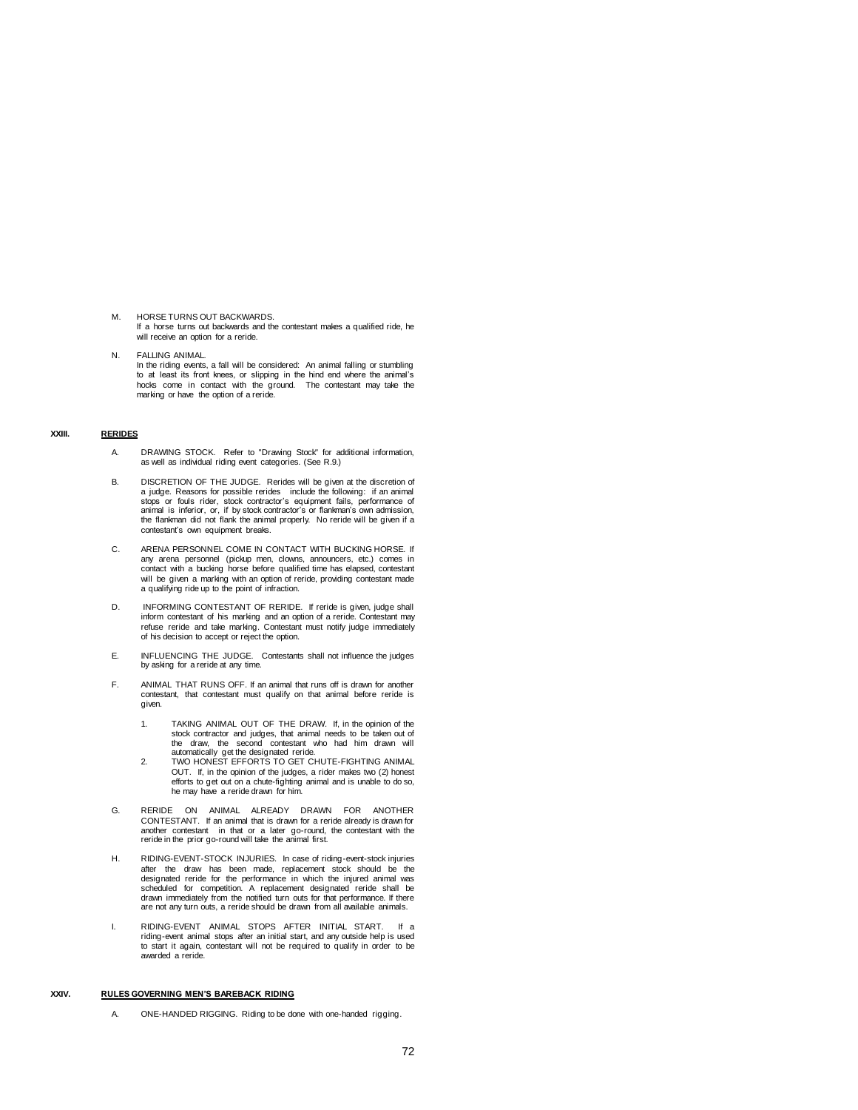- M. HORSE TURNS OUT BACKWARDS. If a horse turns out backwards and the contestant makes a qualified ride, he will receive an option for a reride.
- N. FALLING ANIMAL. In the riding events, a fall will be considered: An animal falling or stumbling to at least its front knees, or slipping in the hind end where the animal's hocks come in contact with the ground. The contestant may take the marking or have the option of a reride.

## **XXIII. RERIDES**

- A. DRAWING STOCK. Refer to "Drawing Stock" for additional information, as well as individual riding event categories. (See R.9.)
- B. DISCRETION OF THE JUDGE. Rerides will be given at the discretion of a judge. Reasons for possible rerides include the following: if an animal stops or fouls rider, stock contractor's equipment fails, performance of animal is inferior, or, if by stock contractor's or flankman's own admission, the flankman did not flank the animal properly. No reride will be given if a contestant's own equipment breaks.
- C. ARENA PERSONNEL COME IN CONTACT WITH BUCKING HORSE. If any arena personnel (pickup men, clowns, announcers, etc.) comes in contact with a bucking horse before qualified time has elapsed, contestant will be given a marking with an option of reride, providing contestant made a qualifying ride up to the point of infraction.
- D. INFORMING CONTESTANT OF RERIDE. If reride is given, judge shall inform contestant of his marking and an option of a reride. Contestant may refuse reride and take marking. Contestant must notify judge immediately of his decision to accept or reject the option.
- E. INFLUENCING THE JUDGE. Contestants shall not influence the judges by asking for a reride at any time.
- F. ANIMAL THAT RUNS OFF. If an animal that runs off is drawn for another contestant, that contestant must qualify on that animal before reride is given.
	- 1. TAKING ANIMAL OUT OF THE DRAW. If, in the opinion of the stock contractor and judges, that animal needs to be taken out of the draw, the second contestant who had him drawn will
	- automatically get the designated reride. 2. TWO HONEST EFFORTS TO GET CHUTE-FIGHTING ANIMAL OUT. If, in the opinion of the judges, a rider makes two (2) honest efforts to get out on a chute-fighting animal and is unable to do so, he may have a reride drawn for him.
- G. RERIDE ON ANIMAL ALREADY DRAWN FOR ANOTHER CONTESTANT. If an animal that is drawn for a reride already is drawn for another contestant in that or a later go-round, the contestant with the reride in the prior go-round will take the animal first.
- H. RIDING-EVENT-STOCK INJURIES. In case of riding-event-stock injuries after the draw has been made, replacement stock should be the designated reride for the performance in which the injured animal was scheduled for competition. A replacement designated reride shall be drawn immediately from the notified turn outs for that performance. If there are not any turn outs, a reride should be drawn from all available animals.
- I. RIDING-EVENT ANIMAL STOPS AFTER INITIAL START. If a riding-event animal stops after an initial start, and any outside help is used to start it again, contestant will not be required to qualify in order to be awarded a reride.

# **XXIV. RULES GOVERNING MEN'S BAREBACK RIDING**

A. ONE-HANDED RIGGING. Riding to be done with one-handed rigging.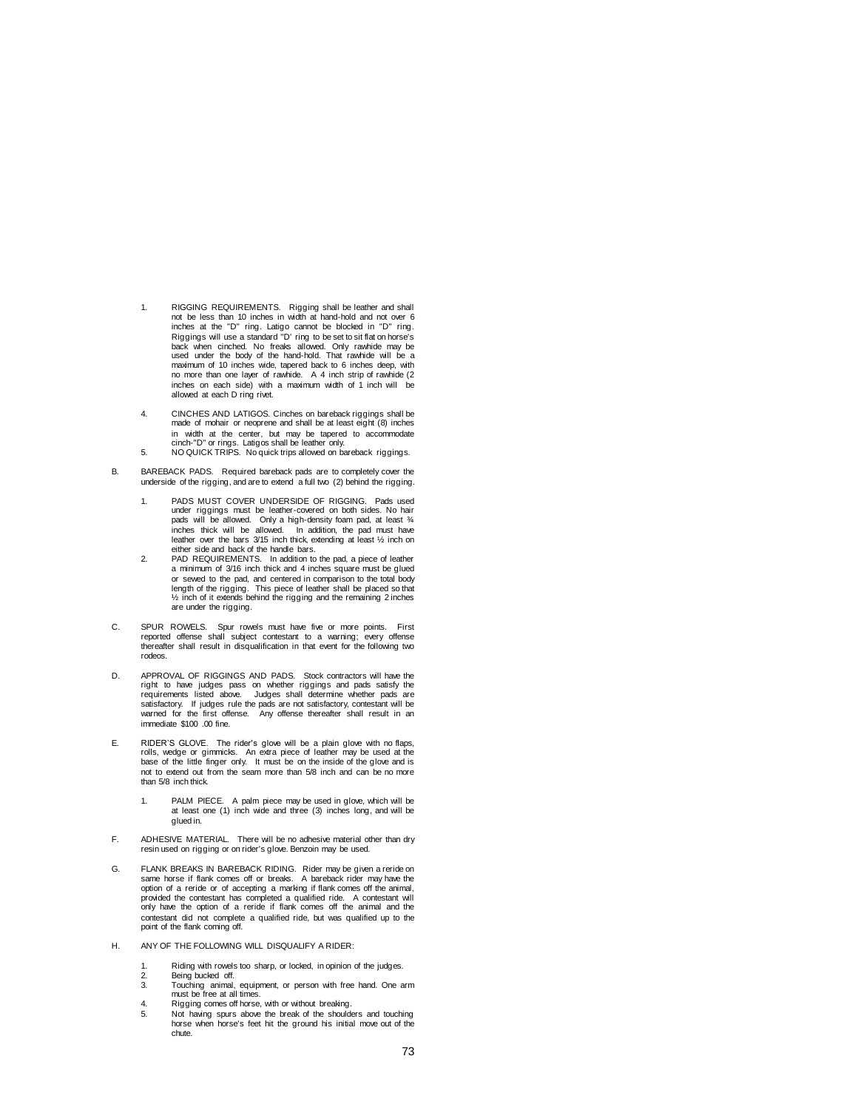- 1. RIGGING REQUIREMENTS. Rigging shall be leather and shall not be less than 10 inches in width at hand-hold and not over 6 inches at the "D" ring. Latigo cannot be blocked in "D" ring. Riggings will use a standard "D' ring to be set to sit flat on horse's back when cinched. No freaks allowed. Only rawhide may be back when embrical its means another. Shirty rawhide may be used under the body of the hand-hold. That rawhide will be a maximum of 10 inches wide, tapered back to 6 inches deep, with no more than one layer of rawhide. A 4 inch strip of rawhide (2 inches on each side) with a maximum width of 1 inch will be allowed at each D ring rivet.
- 4. CINCHES AND LATIGOS. Cinches on bareback riggings shall be made of mohair or neoprene and shall be at least eight (8) inches in width at the center, but may be tapered to accommodate cinch-"D" or rings. Latigos shall be leather only. 5. NO QUICK TRIPS. No quick trips allowed on bareback riggings.
- 
- B. BAREBACK PADS. Required bareback pads are to completely cover the underside of the rigging, and are to extend a full two (2) behind the rigging.
	- 1. PADS MUST COVER UNDERSIDE OF RIGGING. Pads used under riggings must be leather-covered on both sides. No hair pads will be allowed. Only a high-density foam pad, at least ¾ inches thick will be allowed. In addition, the pad must have leather over the bars 3/15 inch thick, extending at least ½ inch on either side and back of the handle bars.
	- 2. PAD REQUIREMENTS. In addition to the pad, a piece of leather a minimum of 3/16 inch thick and 4 inches square must be glued or sewed to the pad, and centered in comparison to the total body length of the rigging. This piece of leather shall be placed so that ½ inch of it extends behind the rigging and the remaining 2 inches are under the rigging.
- C. SPUR ROWELS. Spur rowels must have five or more points. First reported offense shall subject contestant to a warning; every offense thereafter shall result in disqualification in that event for the following two rodeos.
- D. APPROVAL OF RIGGINGS AND PADS. Stock contractors will have the right to have judges pass on whether riggings and pads satisfy the requirements listed above. Judges shall determine whether pads are not satisfactory, cont immediate \$100 .00 fine.
- E. RIDER'S GLOVE. The rider's glove will be a plain glove with no flaps, rolls, wedge or gimmicks. An extra piece of leather may be used at the base of the little finger only. It must be on the inside of the glove and is not to extend out from the seam more than 5/8 inch and can be no more than 5/8 inch thick.
	- 1. PALM PIECE. A palm piece may be used in glove, which will be at least one (1) inch wide and three (3) inches long, and will be glued in.
- F. ADHESIVE MATERIAL. There will be no adhesive material other than dry resin used on rigging or on rider's glove. Benzoin may be used.
- G. FLANK BREAKS IN BAREBACK RIDING. Rider may be given a reride on same horse if flank comes off or breaks. A bareback rider may have the option of a reride or of accepting a marking if flank comes off the animal, provided the contestant has completed a qualified ride. A contestant will only have the option of a reride if flank comes off the animal and the contestant did not complete a qualified ride, but was qualified up to the point of the flank coming off.
- H. ANY OF THE FOLLOWING WILL DISQUALIFY A RIDER:
	- 1. Riding with rowels too sharp, or locked, in opinion of the judges.<br>2 Being bucked off
	- 2. Being bucked off.<br>3. Touching animal,
	- 3. Touching animal, equipment, or person with free hand. One arm must be free at all times.
	- 4. Rigging comes off horse, with or without breaking.<br>5. Not having spurs above the break of the should
	- Not having spurs above the break of the shoulders and touching horse when horse's feet hit the ground his initial move out of the chute.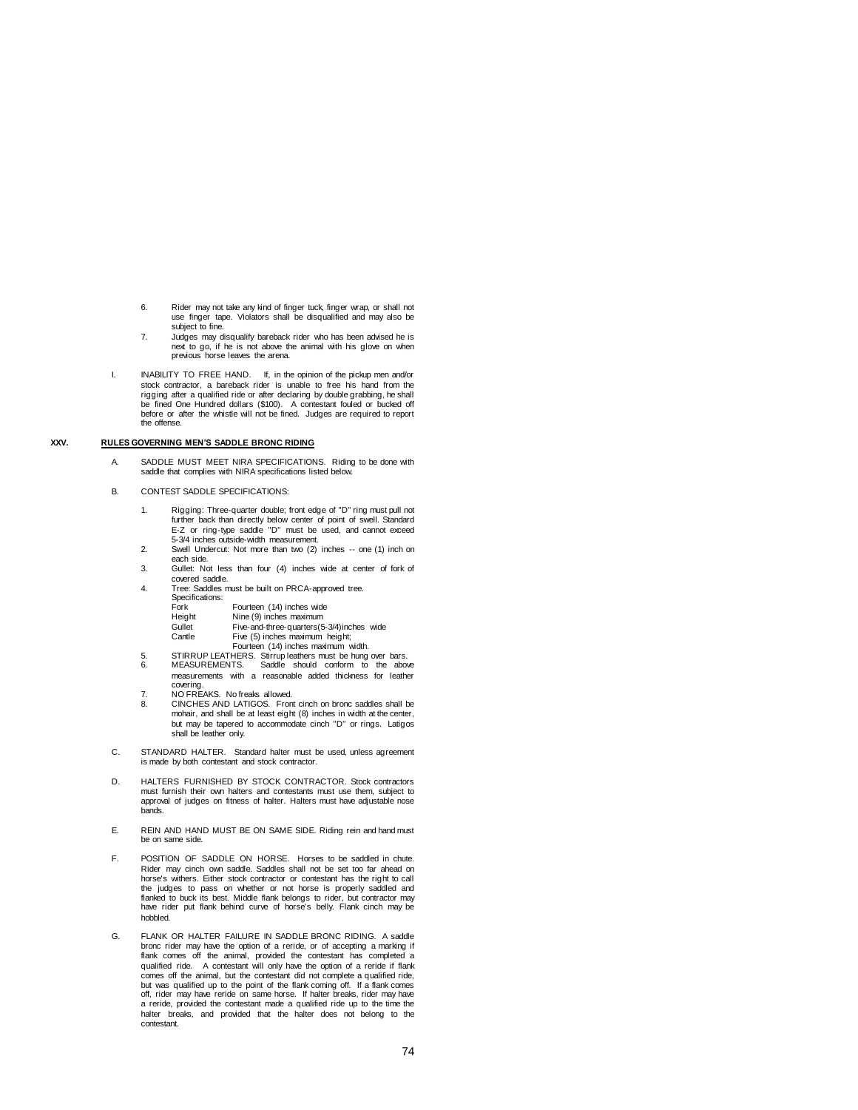- 6. Rider may not take any kind of finger tuck, finger wrap, or shall not use finger tape. Violators shall be disqualified and may also be subject to fine.
- 7. Judges may disqualify bareback rider who has been advised he is next to go, if he is not above the animal with his glove on when previous horse leaves the arena.
- I. INABILITY TO FREE HAND. If, in the opinion of the pickup men and/or stock contractor, a bareback rider is unable to free his hand from the rigging after a qualified ride or after declaring by double grabbing, he shall be fined One Hundred dollars (\$100). A contestant fouled or bucked off before or after the whistle will not be fined. Judges are required to report the offense.

## **XXV. RULES GOVERNING MEN'S SADDLE BRONC RIDING**

- A. SADDLE MUST MEET NIRA SPECIFICATIONS. Riding to be done with saddle that complies with NIRA specifications listed below.
- B. CONTEST SADDLE SPECIFICATIONS:
	- 1. Rigging: Three-quarter double; front edge of "D" ring must pull not further back than directly below center of point of swell. Standard E-Z or ring-type saddle "D" must be used, and cannot exceed 5-3/4 inches outside-width measurement.
	- 2. Swell Undercut: Not more than two (2) inches -- one (1) inch on each side.
	- 3. Gullet: Not less than four (4) inches wide at center of fork of covered saddle.
	- 4. Tree: Saddles must be built on PRCA-approved tree. Specifications:

| opoomoanono. |                                           |
|--------------|-------------------------------------------|
| Fork         | Fourteen (14) inches wide                 |
| Height       | Nine (9) inches maximum                   |
| $C1$ llot    | $Fin$ and three quarters $(E, 2/\Lambda)$ |

| 1101411L | $1$ and $(3)$ mutrics mean number         |  |
|----------|-------------------------------------------|--|
| Gullet   | Five-and-three-quarters(5-3/4)inches wide |  |
| Cantle   | Five (5) inches maximum height:           |  |

- 
- Cantle Five (5) inches maximum height;<br>Fourteen (14) inches maximum width.<br>5. STIRRUP LEATHERS. Stirrup leathers must be hung over bars.<br>6. MEASUREMENTS. Saddle should conform to the above measurements with a reasonable added thickness for leather
- 
- covering. 7. NO FREAKS. No freaks allowed. 8. CINCHES AND LATIGOS. Front cinch on bronc saddles shall be mohair, and shall be at least eight (8) inches in width at the center, but may be tapered to accommodate cinch "D" or rings. Latigos shall be leather only.
- C. STANDARD HALTER. Standard halter must be used, unless agreement is made by both contestant and stock contractor.
- D. HALTERS FURNISHED BY STOCK CONTRACTOR. Stock contractors must furnish their own halters and contestants must use them, subject to approval of judges on fitness of halter. Halters must have adjustable nose bands.
- E. REIN AND HAND MUST BE ON SAME SIDE. Riding rein and hand must be on same side.
- F. POSITION OF SADDLE ON HORSE. Horses to be saddled in chute. Rider may cinch own saddle. Saddles shall not be set too far ahead on horse's withers. Either stock contractor or contestant has the right to call the judges to pass on whether or not horse is properly saddled and flanked to buck its best. Middle flank belongs to rider, but contractor may have rider put flank behind curve of horse's belly. Flank cinch may be hobbled.
- G. FLANK OR HALTER FAILURE IN SADDLE BRONC RIDING. A saddle bronc rider may have the option of a reride, or of accepting a marking if flank comes off the animal, provided the contestant has completed a qualified ride. A contestant will only have the option of a reride if flank comes off the animal, but the contestant did not complete a qualified ride, but was qualified up to the point of the flank coming off. If a flank comes off, rider may have reride on same horse. If halter breaks, rider may have a reride, provided the contestant made a qualified ride up to the time the halter breaks, and provided that the halter does not belong to the contestant.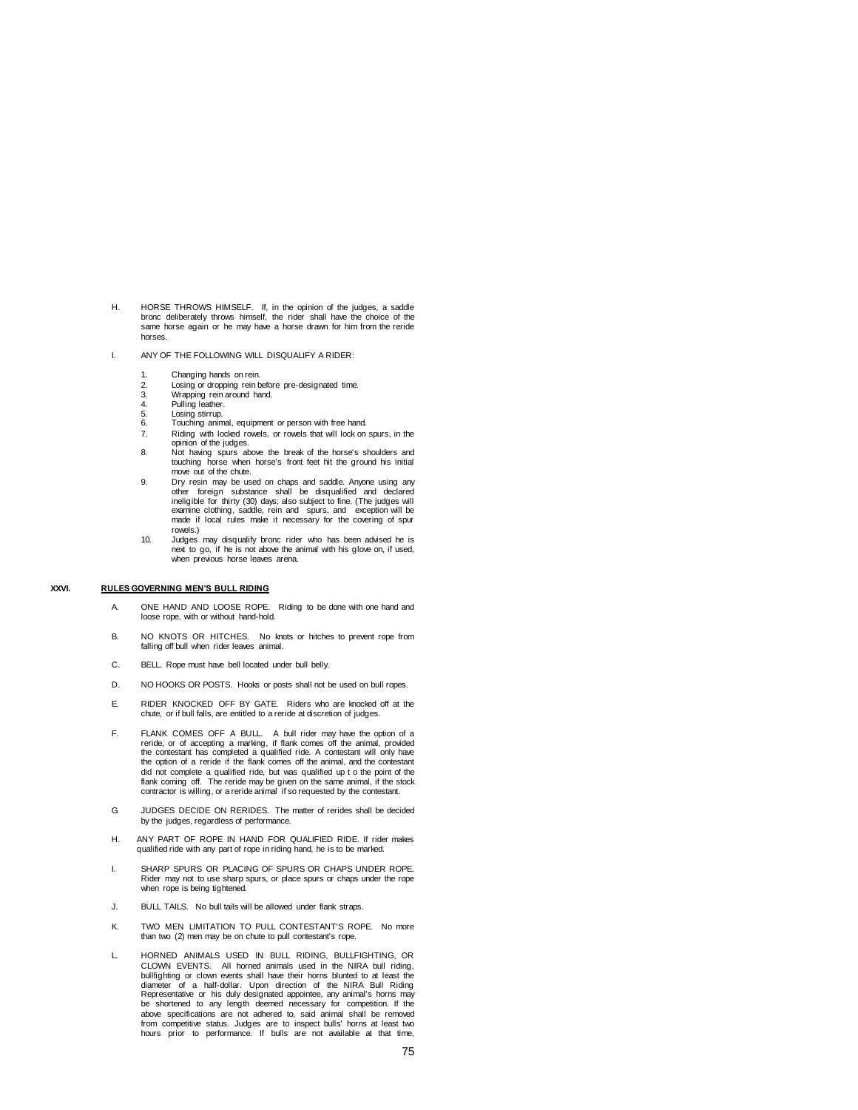- H. HORSE THROWS HIMSELF. If, in the opinion of the judges, a saddle bronc deliberately throws himself, the rider shall have the choice of the same horse again or he may have a horse drawn for him from the reride horses.
- I. ANY OF THE FOLLOWING WILL DISQUALIFY A RIDER:
	-
	- 1. Changing hands on rein.<br>2. Losing or dropping rein b 2. Losing or dropping rein before pre-designated time.<br>3. Wrapping rein around hand
	- Wrapping rein around hand.
	- 4. Pulling leather.<br>5. Losing stirrup
	- Losing stirrup.
	- 6. Example animal, equipment or person with free hand.<br>7. Riding with locked rowels, or rowels that will lock on
	- Riding with locked rowels, or rowels that will lock on spurs, in the opinion of the judges. 8. Not having spurs above the break of the horse's shoulders and
	- touching horse when horse's front feet hit the ground his initial move out of the chute.
	- 9. Dry resin may be used on chaps and saddle. Anyone using any other foreign substance shall be disqualified and declared ineligible for thirty (30) days; also subject to fine. (The judges will examine clothing, saddle, rein and spurs, and exception will be made if local rules make it necessary for the covering of spur rowels.)
	- 10. Judges may disqualify bronc rider who has been advised he is next to go, if he is not above the animal with his glove on, if used, when previous horse leaves arena.

## **XXVI. RULES GOVERNING MEN'S BULL RIDING**

- A. ONE HAND AND LOOSE ROPE. Riding to be done with one hand and loose rope, with or without hand-hold.
- B. NO KNOTS OR HITCHES. No knots or hitches to prevent rope from falling off bull when rider leaves animal.
- C. BELL. Rope must have bell located under bull belly.
- D. NO HOOKS OR POSTS. Hooks or posts shall not be used on bull ropes.
- E. RIDER KNOCKED OFF BY GATE. Riders who are knocked off at the chute, or if bull falls, are entitled to a reride at discretion of judges.
- F. FLANK COMES OFF A BULL. A bull rider may have the option of a reride, or of accepting a marking, if flank comes off the animal, provided the contestant has completed a qualified ride. A contestant will only have the option of a reride if the flank comes off the animal, and the contestant did not complete a qualified ride, but was qualified up t o the point of the<br>flank coming off. The reride may be given on the same animal, if the stock<br>contractor is willing, or a reride animal if so requested by the conte
- G. JUDGES DECIDE ON RERIDES. The matter of rerides shall be decided by the judges, regardless of performance.
- H. ANY PART OF ROPE IN HAND FOR QUALIFIED RIDE. If rider makes qualified ride with any part of rope in riding hand, he is to be marked.
- I. SHARP SPURS OR PLACING OF SPURS OR CHAPS UNDER ROPE. Rider may not to use sharp spurs, or place spurs or chaps under the rope when rope is being tightened.
- J. BULL TAILS. No bull tails will be allowed under flank straps.
- K. TWO MEN LIMITATION TO PULL CONTESTANT'S ROPE. No more than two (2) men may be on chute to pull contestant's rope.
- L. HORNED ANIMALS USED IN BULL RIDING, BULLFIGHTING, OR CLOWN EVENTS. All horned animals used in the NIRA bull riding, bullfighting or clown events shall have their horns blunted to at least the diameter of a half-dollar. Upon direction of the NIRA Bull Riding Representative or his duly designated appointee, any animal's horns may be shortened to any length deemed necessary for competition. If the above specifications are not adhered to, said animal shall be removed from competitive status. Judges are to inspect bulls' horns at least two hours prior to performance. If bulls are not available at that time,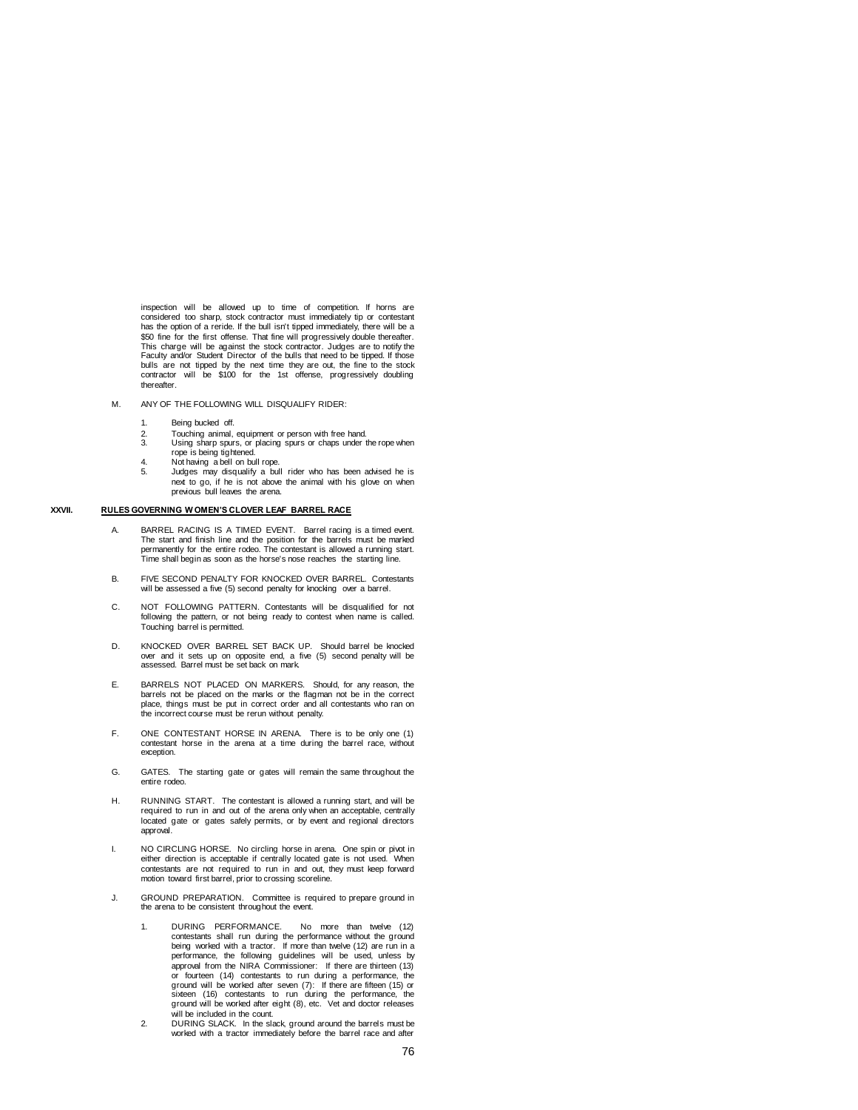inspection will be allowed up to time of competition. If horns are considered too sharp, stock contractor must immediately tip or contestant has the option of a reride. If the bull isn't tipped immediately, there will be a \$50 fine for the first offense. That fine will progressively double thereafter. This charge will be against the stock contractor. Judges are to notify the Faculty and/or Student Director of the bulls that need to be tipped. If those bulls are not tipped by the next time they are out, the fine to the stock contractor will be \$100 for the 1st offense, progressively doubling thereafter.

- M. ANY OF THE FOLLOWING WILL DISQUALIFY RIDER:
	- 1. Being bucked off.
	- 2. Touching animal, equipment or person with free hand.<br>3. Using sharp sours, or placing sours or chaps under to
	- 3. Using sharp spurs, or placing spurs or chaps under the rope when rope is being tightened.
	-
	- 4. Not having a bell on bull rope. 5. Judges may disqualify a bull rider who has been advised he is next to go, if he is not above the animal with his glove on when previous bull leaves the arena.

## **XXVII. RULES GOVERNING W OMEN'S CLOVER LEAF BARREL RACE**

- A. BARREL RACING IS A TIMED EVENT. Barrel racing is a timed event. The start and finish line and the position for the barrels must be marked permanently for the entire rodeo. The contestant is allowed a running start. Time shall begin as soon as the horse's nose reaches the starting line.
- B. FIVE SECOND PENALTY FOR KNOCKED OVER BARREL. Contestants will be assessed a five (5) second penalty for knocking over a barrel.
- C. NOT FOLLOWING PATTERN. Contestants will be disqualified for not following the pattern, or not being ready to contest when name is called. Touching barrel is permitted.
- D. KNOCKED OVER BARREL SET BACK UP. Should barrel be knocked over and it sets up on opposite end, a five (5) second penalty will be assessed. Barrel must be set back on mark.
- E. BARRELS NOT PLACED ON MARKERS. Should, for any reason, the barrels not be placed on the marks or the flagman not be in the correct place, things must be put in correct order and all contestants who ran on the incorrect course must be rerun without penalty.
- F. ONE CONTESTANT HORSE IN ARENA. There is to be only one (1) contestant horse in the arena at a time during the barrel race, without exception.
- G. GATES. The starting gate or gates will remain the same throughout the entire rodeo.
- H. RUNNING START. The contestant is allowed a running start, and will be required to run in and out of the arena only when an acceptable, centrally located gate or gates safely permits, or by event and regional directors approval.
- I. NO CIRCLING HORSE. No circling horse in arena. One spin or pivot in either direction is acceptable if centrally located gate is not used. When contestants are not required to run in and out, they must keep forward motion toward first barrel, prior to crossing scoreline.
- J. GROUND PREPARATION. Committee is required to prepare ground in the arena to be consistent throughout the event.
	- 1. DURING PERFORMANCE. No more than twelve (12) contestants shall run during the performance without the ground being worked with a tractor. If more than twelve (12) are run in a performance, the following guidelines will approval from the NIRA Commissioner: If there are thirteen (13) or fourteen (14) contestants to run during a performance, the ground will be worked after seven (7): If there are fifteen (15) or sixteen (16) contestants to run during the performance, the ground will be worked after eight (8), etc. Vet and doctor releases will be included in the count.
	- 2. DURING SLACK. In the slack, ground around the barrels must be worked with a tractor immediately before the barrel race and after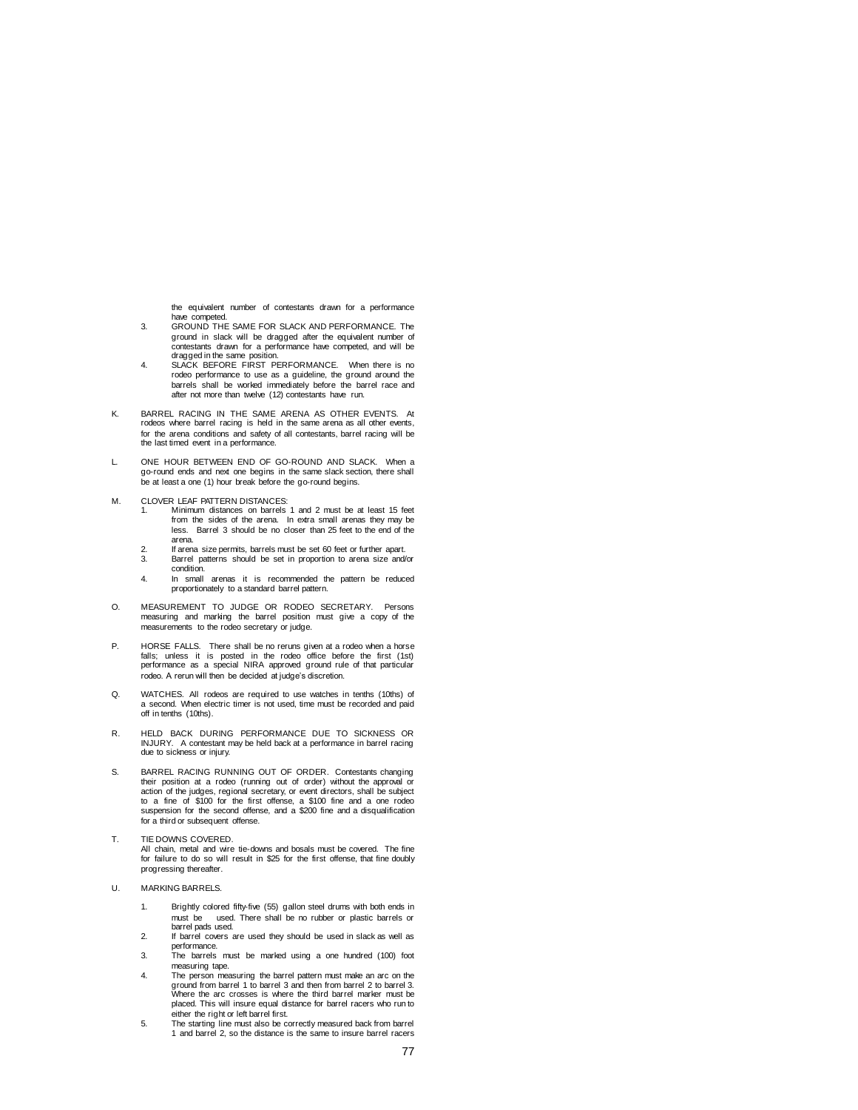the equivalent number of contestants drawn for a performance have competed.

- 3. GROUND THE SAME FOR SLACK AND PERFORMANCE. The ground in slack will be dragged after the equivalent number of contestants drawn for a performance have competed, and will be dragged in the same position.
- 4. SLACK BEFORE FIRST PERFORMANCE. When there is no rodeo performance to use as a guideline, the ground around the barrels shall be worked immediately before the barrel race and after not more than twelve (12) contestants have run.
- K. BARREL RACING IN THE SAME ARENA AS OTHER EVENTS. At rodeos where barrel racing is held in the same arena as all other events, for the arena conditions and safety of all contestants, barrel racing will be the last timed event in a performance.
- L. ONE HOUR BETWEEN END OF GO-ROUND AND SLACK. When a go-round ends and next one begins in the same slack section, there shall be at least a one (1) hour break before the go-round begins.
- M. CLOVER LEAF PATTERN DISTANCES:<br>1. Minimum distances on barrels
	- 1. Minimum distances on barrels 1 and 2 must be at least 15 feet from the sides of the arena. In extra small arenas they may be less. Barrel 3 should be no closer than 25 feet to the end of the arena.
	- 2. If arena size permits, barrels must be set 60 feet or further apart.<br>3. Barrel patterns should be set in proportion to arena size and 3. Barrel patterns should be set in proportion to arena size and/or
	- condition.
	- 4. In small arenas it is recommended the pattern be reduced proportionately to a standard barrel pattern.
- O. MEASUREMENT TO JUDGE OR RODEO SECRETARY. Persons measuring and marking the barrel position must give a copy of the measurements to the rodeo secretary or judge.
- P. HORSE FALLS. There shall be no reruns given at a rodeo when a horse falls; unless it is posted in the rodeo office before the first (1st) performance as a special NIRA approved ground rule of that particular rodeo. A rerun will then be decided at judge's discretion.
- Q. WATCHES. All rodeos are required to use watches in tenths (10ths) of a second. When electric timer is not used, time must be recorded and paid off in tenths (10ths).
- R. HELD BACK DURING PERFORMANCE DUE TO SICKNESS OR INJURY. A contestant may be held back at a performance in barrel racing due to sickness or injury.
- S. BARREL RACING RUNNING OUT OF ORDER. Contestants changing their position at a rodeo (running out of order) without the approval or action of the judges, regional secretary, or event directors, shall be subject to a fine of \$100 for the first offense, a \$100 fine and a one rodeo suspension for the second offense, and a \$200 fine and a disqualification for a third or subsequent offense.
- T. TIE DOWNS COVERED. All chain, metal and wire tie-downs and bosals must be covered. The fine for failure to do so will result in \$25 for the first offense, that fine doubly progressing thereafter.
- U. MARKING BARRELS.
	- 1. Brightly colored fifty-five (55) gallon steel drums with both ends in must be used. There shall be no rubber or plastic barrels or barrel pads used.
	- 2. If barrel covers are used they should be used in slack as well as performance.
	- 3. The barrels must be marked using a one hundred (100) foot measuring tape.
	- 4. The person measuring the barrel pattern must make an arc on the ground from barrel 1 to barrel 3 and then from barrel 2 to barrel 3. Where the arc crosses is where the third barrel marker must be placed. This will insure equal distance for barrel racers who run to either the right or left barrel first.
	- 5. The starting line must also be correctly measured back from barrel 1 and barrel 2, so the distance is the same to insure barrel racers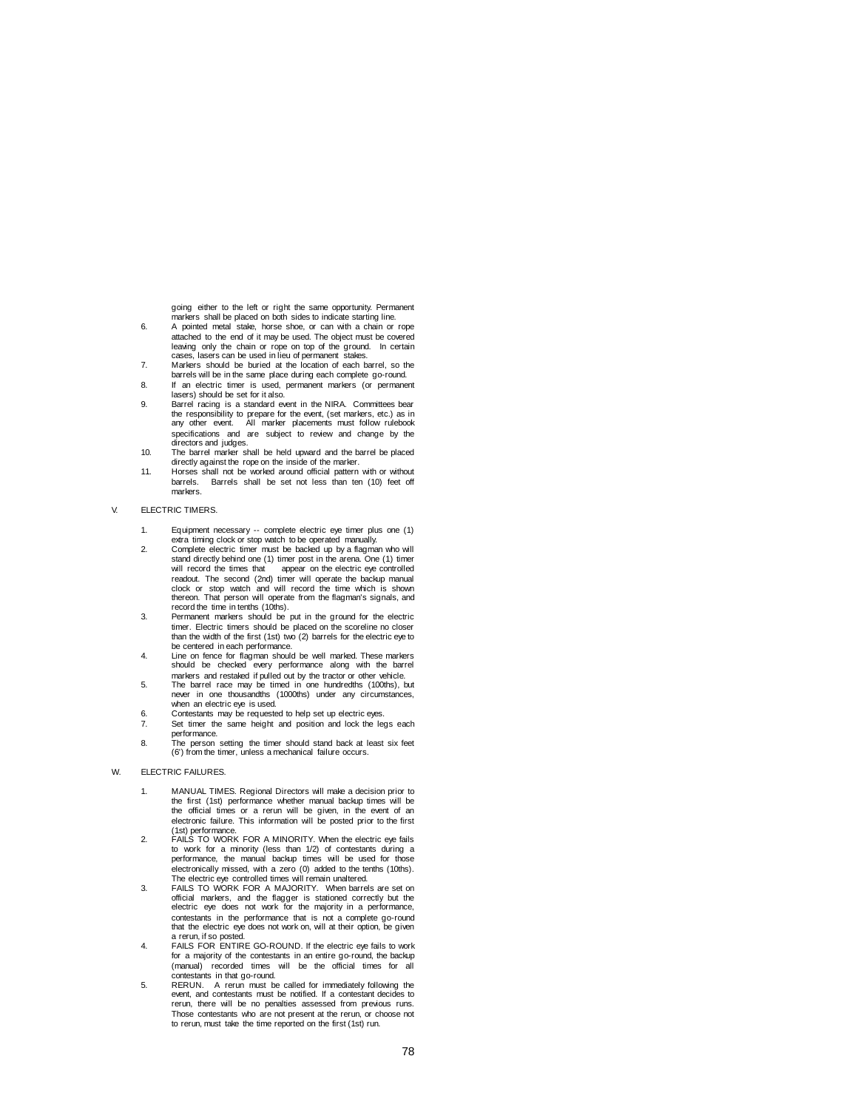going either to the left or right the same opportunity. Permanent markers shall be placed on both sides to indicate starting line.

- 6. A pointed metal stake, horse shoe, or can with a chain or rope attached to the end of it may be used. The object must be covered leaving only the chain or rope on top of the ground. In certain cases, lasers can be used in lieu of permanent stakes.
- 7. Markers should be buried at the location of each barrel, so the barrels will be in the same place during each complete go-round.
- 8. If an electric timer is used, permanent markers (or permanent lasers) should be set for it also. 9. Barrel racing is a standard event in the NIRA. Committees bear
- the responsibility to prepare for the event, (set markers, etc.) as in any other event. All marker placements must follow rulebook specifications and are subject to review and change by the directors and judges. 10. The barrel marker shall be held upward and the barrel be placed
- directly against the rope on the inside of the marker.
- 11. Horses shall not be worked around official pattern with or without barrels. Barrels shall be set not less than ten (10) feet off markers.

#### V. ELECTRIC TIMERS.

- 1. Equipment necessary -- complete electric eye timer plus one (1) extra timing clock or stop watch to be operated manually.
- 2. Complete electric timer must be backed up by a flagman who will stand directly behind one (1) timer post in the arena. One (1) timer will record the times that appear on the electric eye controlled readout. The second (2nd) timer will operate the backup manual clock or stop watch and will record the time which is shown thereon. That person will operate from the flagman's signals, and record the time in tenths (10ths).
- 3. Permanent markers should be put in the ground for the electric timer. Electric timers should be placed on the scoreline no closer than the width of the first (1st) two (2) barrels for the electric eye to be centered in each performance.
- 4. Line on fence for flagman should be well marked. These markers every performance along with the barrel markers and restaked if pulled out by the tractor or other vehicle.
- 5. The barrel race may be timed in one hundredths (100ths), but never in one thousandths (1000ths) under any circumstal when an electric eye is used.
- 6. Contestants may be requested to help set up electric eyes.
- 7. Set timer the same height and position and lock the legs each performance.
- 8. The person setting the timer should stand back at least six feet (6') from the timer, unless a mechanical failure occurs.

# W. ELECTRIC FAILURES.

- 1. MANUAL TIMES. Regional Directors will make a decision prior to the first (1st) performance whether manual backup times will be the official times or a rerun will be given, in the event of an electronic failure. This information will be posted prior to the first (1st) performance.
- 2. FAILS TO WORK FOR A MINORITY. When the electric eye fails to work for a minority (less than 1/2) of contestants during a performance, the manual backup times will be used for those electronically missed, with a zero (0) added to the tenths (10ths).
- The electric eye controlled times will remain unaltered. 3. FAILS TO WORK FOR A MAJORITY. When barrels are set on official markers, and the flagger is stationed correctly but the electric eye does not work for the majority in a performance, contestants in the performance that is not a complete go-round that the electric eye does not work on, will at their option, be given a rerun, if so posted.
- 4. FAILS FOR ENTIRE GO-ROUND. If the electric eye fails to work for a majority of the contestants in an entire go-round, the backup (manual) recorded times will be the official times for all contestants in that go-round.
- 5. RERUN. A rerun must be called for immediately following the event, and contestants must be notified. If a contestant decides to rerun, there will be no penalties assessed from previous runs. Those contestants who are not present at the rerun, or choose not to rerun, must take the time reported on the first (1st) run.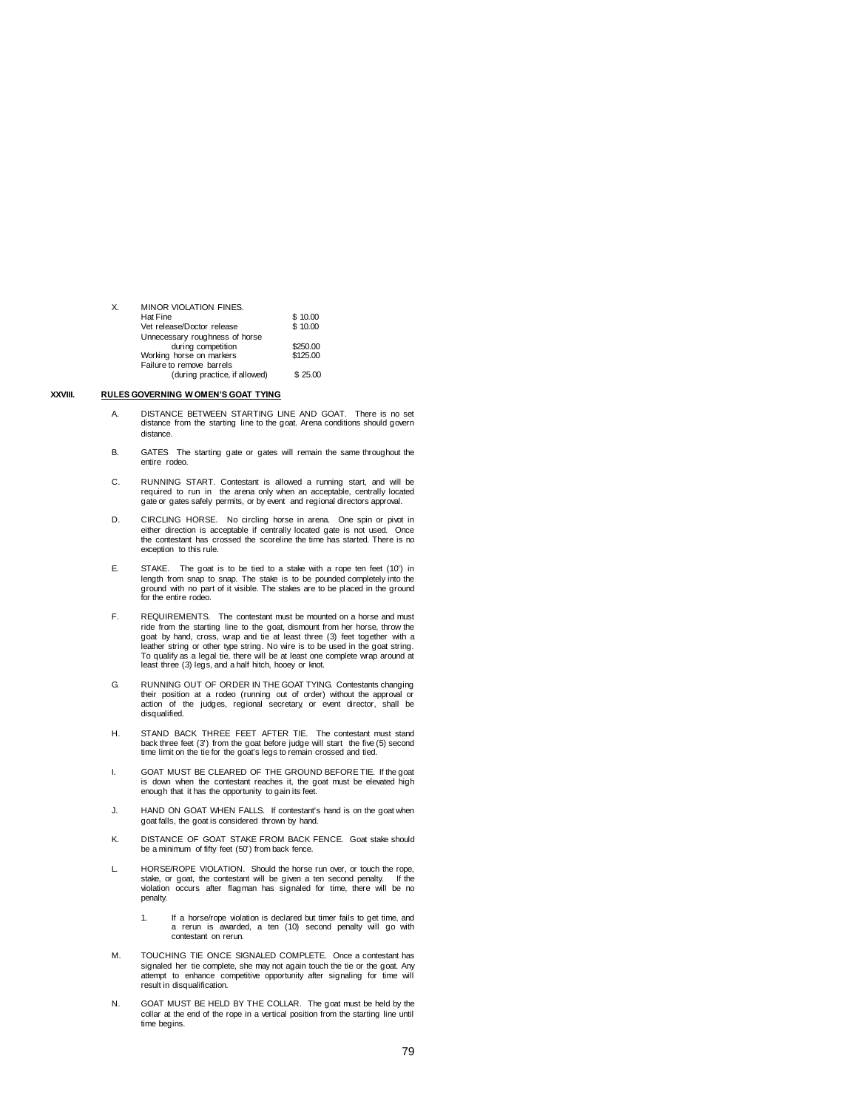| Χ. | <b>MINOR VIOLATION FINES.</b>  |          |
|----|--------------------------------|----------|
|    | Hat Fine                       | \$10.00  |
|    | Vet release/Doctor release     | \$10.00  |
|    | Unnecessary roughness of horse |          |
|    | during competition             | \$250.00 |
|    | Working horse on markers       | \$125.00 |
|    | Failure to remove barrels      |          |
|    | (during practice if allowed)   | \$2500   |

### **XXVIII. RULES GOVERNING W OMEN'S GOAT TYING**

- A. DISTANCE BETWEEN STARTING LINE AND GOAT. There is no set distance from the starting line to the goat. Arena conditions should govern distance.
- B. GATES The starting gate or gates will remain the same throughout the entire rodeo.
- C. RUNNING START. Contestant is allowed a running start, and will be required to run in the arena only when an acceptable, centrally located gate or gates safely permits, or by event and regional directors approval.
- D. CIRCLING HORSE. No circling horse in arena. One spin or pivot in either direction is acceptable if centrally located gate is not used. Once the contestant has crossed the scoreline the time has started. There is no exception to this rule.
- E. STAKE. The goat is to be tied to a stake with a rope ten feet (10') in length from snap to snap. The stake is to be pounded completely into the ground with no part of it visible. The stakes are to be placed in the ground for the entire rodeo.
- F. REQUIREMENTS. The contestant must be mounted on a horse and must ride from the starting line to the goat, dismount from her horse, throw the goat by hand, cross, wrap and tie at least three (3) feet together with a<br>leather string or other type string. No wire is to be used in the goat string.<br>To qualify as a legal tie, there will be at least one complete wrap a least three (3) legs, and a half hitch, hooey or knot.
- G. RUNNING OUT OF ORDER IN THE GOAT TYING. Contestants changing their position at a rodeo (running out of order) without the approval or action of the judges, regional secretary, or event director, shall be disqualified.
- H. STAND BACK THREE FEET AFTER TIE. The contestant must stand back three feet (3') from the goat before judge will start the five (5) second time limit on the tie for the goat's legs to remain crossed and tied.
- I. GOAT MUST BE CLEARED OF THE GROUND BEFORE TIE. If the goat is down when the contestant reaches it, the goat must be elevated high enough that it has the opportunity to gain its feet
- J. HAND ON GOAT WHEN FALLS. If contestant's hand is on the goat when goat falls, the goat is considered thrown by hand.
- K. DISTANCE OF GOAT STAKE FROM BACK FENCE. Goat stake should be a minimum of fifty feet (50') from back fence.
- L. HORSE/ROPE VIOLATION. Should the horse run over, or touch the rope, stake, or goat, the contestant will be given a ten second penalty. If the violation occurs after flagman has signaled for time, there will be no penalty.
	- 1. If a horse/rope violation is declared but timer fails to get time, and a rerun is awarded, a ten (10) second penalty will go with contestant on rerun.
- M. TOUCHING TIE ONCE SIGNALED COMPLETE. Once a contestant has signaled her tie complete, she may not again touch the tie or the goat. Any attempt to enhance competitive opportunity after signaling for time will result in disqualification.
- N. GOAT MUST BE HELD BY THE COLLAR. The goat must be held by the collar at the end of the rope in a vertical position from the starting line until time begins.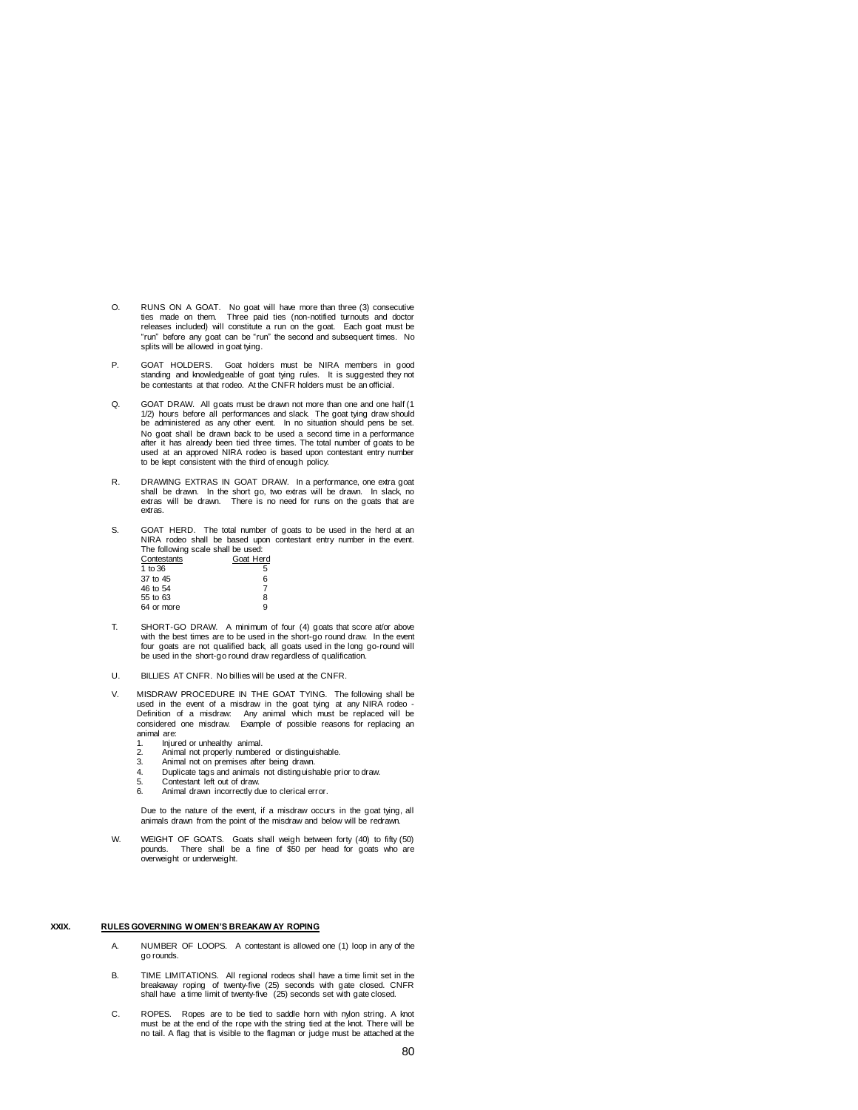- O. RUNS ON A GOAT. No goat will have more than three (3) consecutive ties made on them. Three paid ties (non-notified turnouts and doctor releases included) will constitute a run on the goat. Each goat must be "run" before any goat can be "run" the second and subsequent times. No splits will be allowed in goat tying.
- P. GOAT HOLDERS. Goat holders must be NIRA members in good standing and knowledgeable of goat tying rules. It is suggested they not be contestants at that rodeo. At the CNFR holders must be an official.
- Q. GOAT DRAW. All goats must be drawn not more than one and one half (1 1/2) hours before all performances and slack. The goat tying draw should be administered as any other event. In no situation should pens be set. No goat shall be drawn back to be used a second time in a performance after it has already been tied three times. The total number of goats to be used at an approved NIRA rodeo is based upon contestant entry number to be kept consistent with the third of enough policy.
- R. DRAWING EXTRAS IN GOAT DRAW. In a performance, one extra goat shall be drawn. In the short go, two extras will be drawn. In slack, no extras will be drawn. There is no need for runs on the goats that are extras.
- S. GOAT HERD. The total number of goats to be used in the herd at an NIRA rodeo shall be based upon contestant entry number in the event. The following scale shall be used:

| Contestants | Goat Herd |
|-------------|-----------|
| 1 to 36     | 5         |
| 37 to 45    | 6         |
| 46 to 54    |           |
| 55 to 63    | 8         |
| 64 or more  | g         |

- T. SHORT-GO DRAW. A minimum of four (4) goats that score at/or above with the best times are to be used in the short-go round draw. In the event four goats are not qualified back, all goats used in the long go-round will be used in the short-go round draw regardless of qualification.
- U. BILLIES AT CNFR. No billies will be used at the CNFR.
- V. MISDRAW PROCEDURE IN THE GOAT TYING. The following shall be used in the event of a misdraw in the goat tying at any NIRA rodeo - Definition of a misdraw: Any animal which must be replaced will be considered one misdraw. Example of possible reasons for replacing an animal are:
	- 1. Injured or unhealthy animal.<br>2. Animal not properly number
	- 2. Animal not properly numbered or distinguishable.<br>3. Animal not on premises after being drawn.
	- 3. Animal not on premises after being drawn.
	- 4. Duplicate tags and animals not distinguishable prior to draw.
	- 5. Contestant left out of draw.<br>6. Animal drawn incorrectly di Animal drawn incorrectly due to clerical error.

Due to the nature of the event, if a misdraw occurs in the goat tying, all animals drawn from the point of the misdraw and below will be redrawn.

W. WEIGHT OF GOATS. Goats shall weigh between forty (40) to fifty (50) pounds. There shall be a fine of \$50 per head for goats who are overweight or underweight.

### **XXIX. RULES GOVERNING W OMEN'S BREAKAW AY ROPING**

- A. NUMBER OF LOOPS. A contestant is allowed one (1) loop in any of the go rounds.
- B. TIME LIMITATIONS. All regional rodeos shall have a time limit set in the breakaway roping of twenty-five (25) seconds with gate closed. CNFR shall have a time limit of twenty-five (25) seconds set with gate closed.
- C. ROPES. Ropes are to be tied to saddle horn with nylon string. A knot must be at the end of the rope with the string tied at the knot. There will be no tail. A flag that is visible to the flagman or judge must be attached at the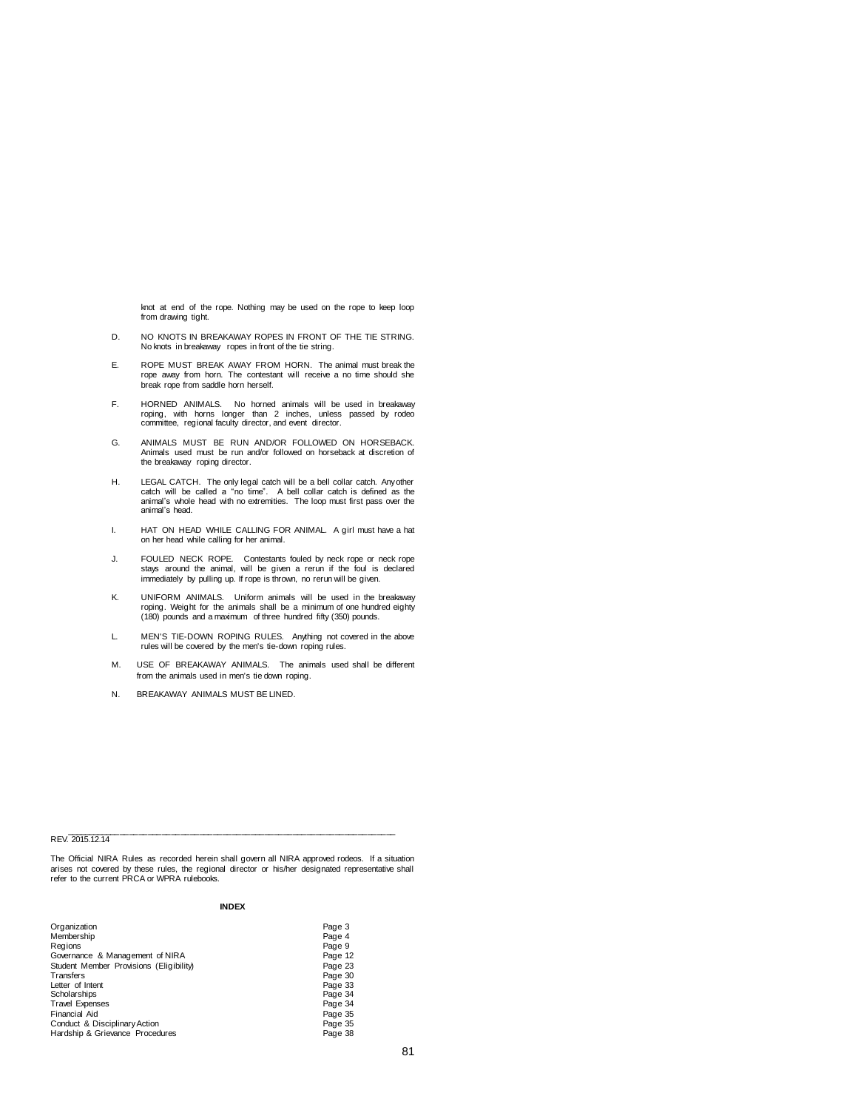knot at end of the rope. Nothing may be used on the rope to keep loop from drawing tight.

- D. NO KNOTS IN BREAKAWAY ROPES IN FRONT OF THE TIE STRING. No knots in breakaway ropes in front of the tie string.
- E. ROPE MUST BREAK AWAY FROM HORN. The animal must break the rope away from horn. The contestant will receive a no time should she break rope from saddle horn herself.
- F. HORNED ANIMALS. No horned animals will be used in breakaway<br>roping, with horns longer than 2 inches, unless passed by rodeo<br>committee, regional faculty director, and event director.
- G. ANIMALS MUST BE RUN AND/OR FOLLOWED ON HORSEBACK. Animals used must be run and/or followed on horseback at discretion of the breakaway roping director.
- H. LEGAL CATCH. The only legal catch will be a bell collar catch. Any other catch will be called a "no time". A bell collar catch is defined as the animal's whole head with no extremities. The loop must first pass over the animal's head.
- I. HAT ON HEAD WHILE CALLING FOR ANIMAL. A girl must have a hat on her head while calling for her animal.
- J. FOULED NECK ROPE. Contestants fouled by neck rope or neck rope stays around the animal, will be given a rerun if the foul is declared immediately by pulling up. If rope is thrown, no rerun will be given.
- K. UNIFORM ANIMALS. Uniform animals will be used in the breakaway roping. Weight for the animals shall be a minimum of one hundred eighty (180) pounds and a maximum of three hundred fifty (350) pounds.
- L. MEN'S TIE-DOWN ROPING RULES. Anything not covered in the above rules will be covered by the men's tie-down roping rules.
- M. USE OF BREAKAWAY ANIMALS. The animals used shall be different from the animals used in men's tie down roping.
- N. BREAKAWAY ANIMALS MUST BE LINED.

# REV. 2015.12.14

The Official NIRA Rules as recorded herein shall govern all NIRA approved rodeos. If a situation arises not covered by these rules, the regional director or his/her designated representative shall refer to the current PRCA or WPRA rulebooks.

\_\_\_\_\_\_\_\_\_\_\_\_\_\_\_\_\_\_\_\_\_\_\_\_\_\_\_\_\_\_\_\_\_\_\_\_\_\_\_\_\_\_\_\_\_\_\_\_\_\_\_\_\_\_\_\_\_\_\_\_\_\_\_\_\_\_\_\_\_\_\_

# **INDEX**

| Organization                            | Page 3  |
|-----------------------------------------|---------|
| Membership                              | Page 4  |
| Regions                                 | Page 9  |
| Governance & Management of NIRA         | Page 12 |
| Student Member Provisions (Eligibility) | Page 23 |
| Transfers                               | Page 30 |
| Letter of Intent                        | Page 33 |
| Scholarships                            | Page 34 |
| <b>Travel Expenses</b>                  | Page 34 |
| Financial Aid                           | Page 35 |
| Conduct & Disciplinary Action           | Page 35 |
| Hardship & Grievance Procedures         | Page 38 |